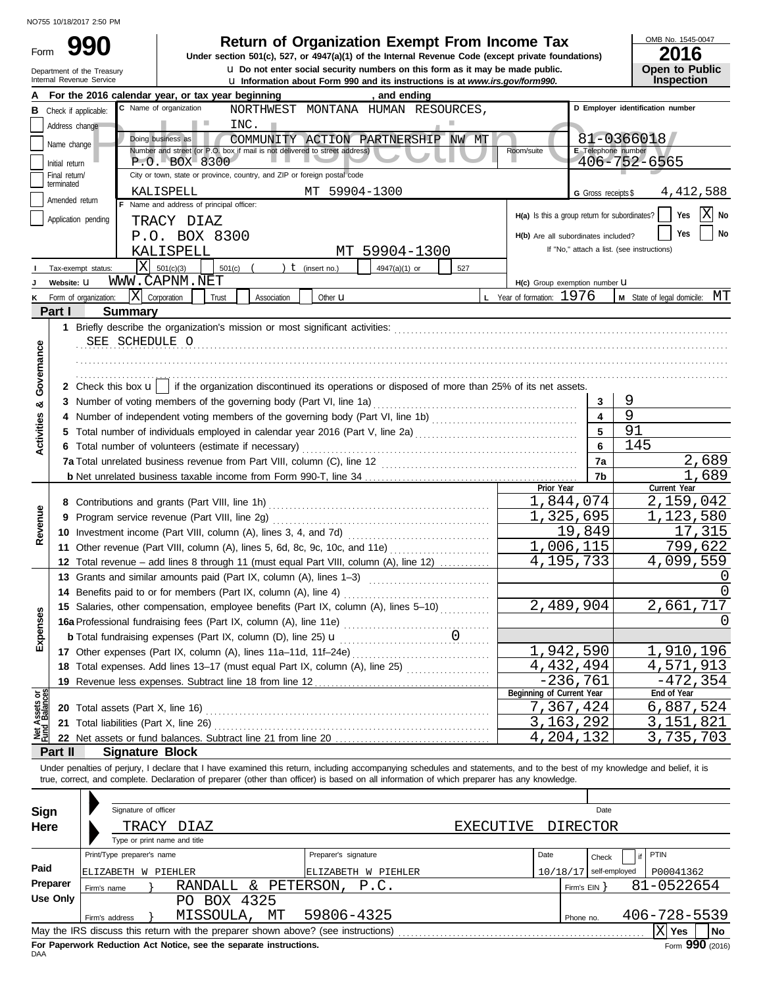|                         |                                 | NO755 10/18/2017 2:50 PM                               |                                                                          |                                                                                                                                                                            |                                                             |                                            |
|-------------------------|---------------------------------|--------------------------------------------------------|--------------------------------------------------------------------------|----------------------------------------------------------------------------------------------------------------------------------------------------------------------------|-------------------------------------------------------------|--------------------------------------------|
| Form                    |                                 |                                                        |                                                                          | <b>Return of Organization Exempt From Income Tax</b><br>Under section 501(c), 527, or 4947(a)(1) of the Internal Revenue Code (except private foundations)                 |                                                             | OMB No. 1545-0047<br>2016                  |
|                         |                                 | Department of the Treasury<br>Internal Revenue Service |                                                                          | u Do not enter social security numbers on this form as it may be made public.<br><b>u</b> Information about Form 990 and its instructions is at www.irs.gov/form990.       |                                                             | Open to Public<br><b>Inspection</b>        |
| А                       |                                 |                                                        | For the 2016 calendar year, or tax year beginning                        | , and ending                                                                                                                                                               |                                                             |                                            |
|                         |                                 | <b>B</b> Check if applicable:                          | C Name of organization                                                   | NORTHWEST MONTANA HUMAN RESOURCES,                                                                                                                                         |                                                             | D Employer identification number           |
|                         | Address change                  |                                                        |                                                                          |                                                                                                                                                                            |                                                             |                                            |
|                         | Name change                     |                                                        | 81-0366018                                                               |                                                                                                                                                                            |                                                             |                                            |
|                         |                                 | E Telephone number                                     |                                                                          |                                                                                                                                                                            |                                                             |                                            |
|                         | Initial return<br>Final return/ | 406-752-6565                                           |                                                                          |                                                                                                                                                                            |                                                             |                                            |
|                         | terminated                      |                                                        | City or town, state or province, country, and ZIP or foreign postal code |                                                                                                                                                                            |                                                             |                                            |
|                         | Amended return                  |                                                        | KALISPELL<br>F Name and address of principal officer:                    | MT 59904-1300                                                                                                                                                              | G Gross receipts \$                                         | 4,412,588                                  |
|                         |                                 | Application pending                                    |                                                                          |                                                                                                                                                                            | H(a) Is this a group return for subordinates?               | $ X $ No<br>Yes                            |
|                         |                                 |                                                        | TRACY DIAZ                                                               |                                                                                                                                                                            | H(b) Are all subordinates included?                         | Yes<br>No                                  |
|                         |                                 |                                                        | P.O. BOX 8300<br>KALISPELL                                               | MT 59904-1300                                                                                                                                                              |                                                             | If "No," attach a list. (see instructions) |
|                         |                                 | ΙX                                                     |                                                                          |                                                                                                                                                                            |                                                             |                                            |
|                         |                                 | Tax-exempt status:                                     | 501(c)(3)<br>501(c)<br>WWW.CAPNM.NET                                     | $t$ (insert no.)<br>4947(a)(1) or<br>527                                                                                                                                   |                                                             |                                            |
|                         | Website: U                      | X Corporation                                          | Trust                                                                    |                                                                                                                                                                            | H(c) Group exemption number LI<br>L Year of formation: 1976 | M State of legal domicile: MT              |
| Κ                       | Part I                          | Form of organization:<br><b>Summary</b>                | Association                                                              | Other $\mathbf u$                                                                                                                                                          |                                                             |                                            |
|                         |                                 |                                                        |                                                                          |                                                                                                                                                                            |                                                             |                                            |
|                         |                                 | SEE SCHEDULE O                                         |                                                                          |                                                                                                                                                                            |                                                             |                                            |
|                         |                                 |                                                        |                                                                          |                                                                                                                                                                            |                                                             |                                            |
|                         |                                 |                                                        |                                                                          |                                                                                                                                                                            |                                                             |                                            |
| Governance              |                                 |                                                        |                                                                          | 2 Check this box $\mathbf{u}$   if the organization discontinued its operations or disposed of more than 25% of its net assets.                                            |                                                             |                                            |
|                         |                                 |                                                        | 3 Number of voting members of the governing body (Part VI, line 1a)      |                                                                                                                                                                            | 3                                                           | 9                                          |
|                         |                                 |                                                        |                                                                          |                                                                                                                                                                            | $\overline{\mathbf{4}}$                                     | 9                                          |
|                         |                                 |                                                        | 5                                                                        | 91                                                                                                                                                                         |                                                             |                                            |
| <b>Activities &amp;</b> |                                 |                                                        | 6 Total number of volunteers (estimate if necessary)                     | 5 Total number of individuals employed in calendar year 2016 (Part V, line 2a) [[[[[[[[[[[[[[[[[[[[[[[[[[[[[[[                                                             | 6                                                           | 145                                        |
|                         |                                 |                                                        |                                                                          |                                                                                                                                                                            | 7a                                                          | 2,689                                      |
|                         |                                 |                                                        |                                                                          |                                                                                                                                                                            | 7b                                                          | $\overline{1}$ , 689                       |
|                         |                                 |                                                        |                                                                          |                                                                                                                                                                            | Prior Year                                                  | Current Year                               |
|                         |                                 |                                                        |                                                                          |                                                                                                                                                                            | 1,844,074                                                   | 2,159,042                                  |
|                         |                                 |                                                        |                                                                          |                                                                                                                                                                            | 1,325,695                                                   | 1,123,580                                  |
| Revenue                 |                                 |                                                        | 10 Investment income (Part VIII, column (A), lines 3, 4, and 7d) <i></i> | 19,849                                                                                                                                                                     | 17,315                                                      |                                            |
|                         |                                 |                                                        |                                                                          | 11 Other revenue (Part VIII, column (A), lines 5, 6d, 8c, 9c, 10c, and 11e)                                                                                                | 1,006,115                                                   | 799,622                                    |
|                         |                                 |                                                        |                                                                          | 12 Total revenue - add lines 8 through 11 (must equal Part VIII, column (A), line 12)                                                                                      | 4, 195, 733                                                 | $\overline{4}$ , 099, 559                  |
|                         |                                 |                                                        |                                                                          |                                                                                                                                                                            |                                                             | 0                                          |
|                         |                                 |                                                        |                                                                          |                                                                                                                                                                            |                                                             | 0                                          |
|                         |                                 |                                                        |                                                                          | 15 Salaries, other compensation, employee benefits (Part IX, column (A), lines 5-10)                                                                                       | 2,489,904                                                   | 2,661,717                                  |
| Expenses                |                                 |                                                        |                                                                          |                                                                                                                                                                            |                                                             |                                            |
|                         |                                 |                                                        |                                                                          |                                                                                                                                                                            |                                                             |                                            |
|                         |                                 |                                                        |                                                                          | 17 Other expenses (Part IX, column (A), lines 11a-11d, 11f-24e)                                                                                                            | 1,942,590                                                   | 1,910,196                                  |
|                         |                                 |                                                        |                                                                          | 18 Total expenses. Add lines 13-17 (must equal Part IX, column (A), line 25) [                                                                                             | $\overline{4}$ , 432, 494                                   | 4,571,913                                  |
|                         |                                 |                                                        |                                                                          |                                                                                                                                                                            | $-236,761$<br>Beginning of Current Year                     | $-472, 354$<br>End of Year                 |
| ЪĂ                      |                                 |                                                        |                                                                          |                                                                                                                                                                            | 7,367,424                                                   | 6,887,524                                  |
| Assets<br>1 Balanc      |                                 |                                                        |                                                                          |                                                                                                                                                                            | 3,163,292                                                   | 3,151,821                                  |
|                         |                                 |                                                        |                                                                          |                                                                                                                                                                            | 4,204,132                                                   | 3,735,703                                  |
|                         | Part II                         | <b>Signature Block</b>                                 |                                                                          |                                                                                                                                                                            |                                                             |                                            |
|                         |                                 |                                                        |                                                                          | Under penalties of perjury, I declare that I have examined this return, including accompanying schedules and statements, and to the best of my knowledge and belief, it is |                                                             |                                            |
|                         |                                 |                                                        |                                                                          | true, correct, and complete. Declaration of preparer (other than officer) is based on all information of which preparer has any knowledge.                                 |                                                             |                                            |
|                         |                                 |                                                        |                                                                          |                                                                                                                                                                            |                                                             |                                            |
| Sign                    |                                 | Signature of officer                                   |                                                                          |                                                                                                                                                                            | Date                                                        |                                            |
| Here                    |                                 |                                                        | TRACY DIAZ                                                               | <b>EXECUTIVE</b>                                                                                                                                                           | <b>DIRECTOR</b>                                             |                                            |
|                         |                                 |                                                        | Type or print name and title                                             |                                                                                                                                                                            |                                                             |                                            |
|                         |                                 | Print/Type preparer's name                             |                                                                          | Preparer's signature                                                                                                                                                       | Date<br>Check                                               | PTIN                                       |
| Paid                    |                                 | ELIZABETH W PIEHLER                                    |                                                                          | ELIZABETH W PIEHLER                                                                                                                                                        | $10/18/17$ self-employed                                    | P00041362                                  |
|                         | Preparer                        | Firm's name                                            | RANDALL & PETERSON, P.C.                                                 |                                                                                                                                                                            | Firm's $EIN$ }                                              | 81-0522654                                 |
|                         | <b>Use Only</b>                 |                                                        | PO BOX 4325                                                              |                                                                                                                                                                            |                                                             |                                            |
|                         |                                 | Firm's address                                         | MISSOULA, MT                                                             | 59806-4325                                                                                                                                                                 | Phone no.                                                   | 406-728-5539                               |
|                         |                                 |                                                        |                                                                          |                                                                                                                                                                            |                                                             | $X$ Yes<br><b>No</b>                       |

| Sign<br>Here |                                                                                                | Signature of officer | TRACY DIAZ<br>Type or print name and title |                              | <b>EXECUTIVE</b> |  | Date<br>DIRECTOR         |  |              |  |
|--------------|------------------------------------------------------------------------------------------------|----------------------|--------------------------------------------|------------------------------|------------------|--|--------------------------|--|--------------|--|
|              | Print/Type preparer's name                                                                     |                      |                                            | Preparer's signature<br>Date |                  |  | Check                    |  | PTIN         |  |
| Paid         | ELIZABETH W PIEHLER                                                                            |                      |                                            | ELIZABETH W PIEHLER          |                  |  | $10/18/17$ self-employed |  | P00041362    |  |
| Preparer     | Firm's name                                                                                    |                      | RANDALL & PETERSON, P.C.                   |                              |                  |  | Firm's $EIN$             |  | 81-0522654   |  |
| Use Only     |                                                                                                |                      | BOX 4325<br>PN                             |                              |                  |  |                          |  |              |  |
|              | Firm's address                                                                                 |                      | MT<br>MISSOULA,                            | 59806-4325                   |                  |  | Phone no.                |  | 406-728-5539 |  |
|              | No<br>May the IRS discuss this return with the preparer shown above? (see instructions)<br>Yes |                      |                                            |                              |                  |  |                          |  |              |  |
|              | $\mathbf{A} \mathbf{A} \mathbf{A}$                                                             |                      |                                            |                              |                  |  |                          |  |              |  |

**For Paperwork Reduction Act Notice, see the separate instructions.**<br>DAA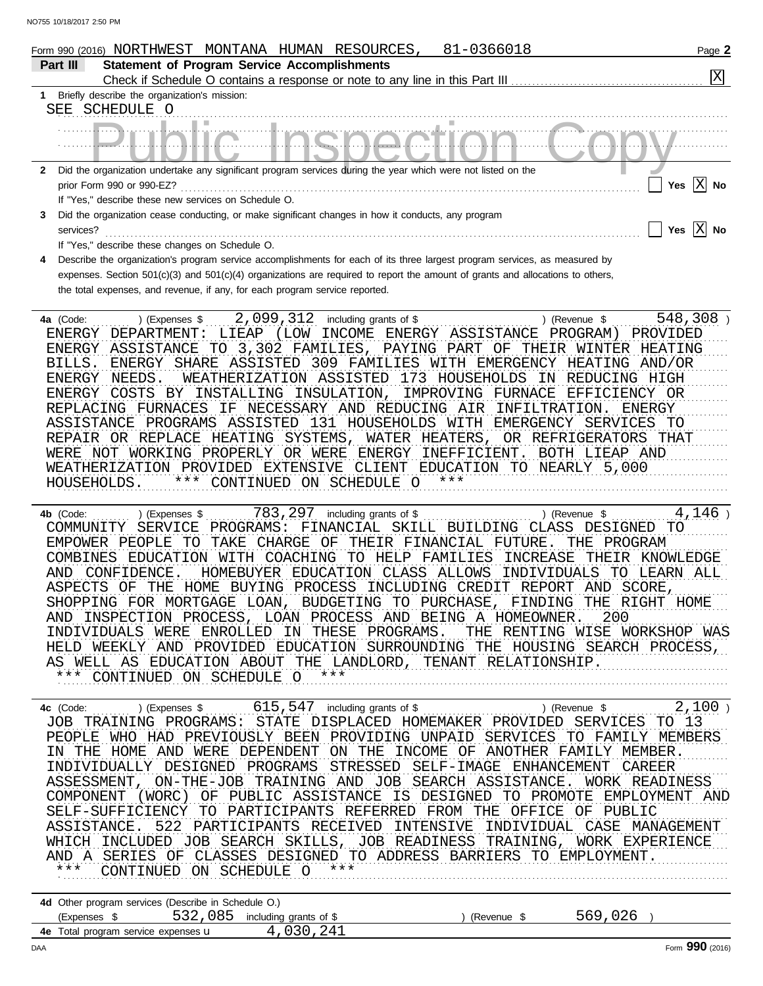| IU/IO/ZUII Z:50 PIW | 81-0366018                                                                                                                                                                                                                                                                                                                                                                                                                                                                                                                                                                                                                                                                                                                                                                                                                                                                                         |                                                                   |
|---------------------|----------------------------------------------------------------------------------------------------------------------------------------------------------------------------------------------------------------------------------------------------------------------------------------------------------------------------------------------------------------------------------------------------------------------------------------------------------------------------------------------------------------------------------------------------------------------------------------------------------------------------------------------------------------------------------------------------------------------------------------------------------------------------------------------------------------------------------------------------------------------------------------------------|-------------------------------------------------------------------|
| Part III            | Form 990 (2016) NORTHWEST MONTANA HUMAN RESOURCES,<br><b>Statement of Program Service Accomplishments</b>                                                                                                                                                                                                                                                                                                                                                                                                                                                                                                                                                                                                                                                                                                                                                                                          | Page 2<br>$\overline{\mathrm{x}}$                                 |
|                     | Check if Schedule O contains a response or note to any line in this Part III                                                                                                                                                                                                                                                                                                                                                                                                                                                                                                                                                                                                                                                                                                                                                                                                                       |                                                                   |
|                     | Briefly describe the organization's mission:<br>SEE SCHEDULE O                                                                                                                                                                                                                                                                                                                                                                                                                                                                                                                                                                                                                                                                                                                                                                                                                                     |                                                                   |
|                     |                                                                                                                                                                                                                                                                                                                                                                                                                                                                                                                                                                                                                                                                                                                                                                                                                                                                                                    |                                                                   |
|                     |                                                                                                                                                                                                                                                                                                                                                                                                                                                                                                                                                                                                                                                                                                                                                                                                                                                                                                    |                                                                   |
| $\mathbf{2}$        | Did the organization undertake any significant program services during the year which were not listed on the                                                                                                                                                                                                                                                                                                                                                                                                                                                                                                                                                                                                                                                                                                                                                                                       |                                                                   |
|                     | prior Form 990 or 990-EZ?                                                                                                                                                                                                                                                                                                                                                                                                                                                                                                                                                                                                                                                                                                                                                                                                                                                                          | Yes $\boxed{\text{X}}$ No                                         |
|                     | If "Yes," describe these new services on Schedule O.                                                                                                                                                                                                                                                                                                                                                                                                                                                                                                                                                                                                                                                                                                                                                                                                                                               |                                                                   |
| 3                   | Did the organization cease conducting, or make significant changes in how it conducts, any program                                                                                                                                                                                                                                                                                                                                                                                                                                                                                                                                                                                                                                                                                                                                                                                                 |                                                                   |
| services?           |                                                                                                                                                                                                                                                                                                                                                                                                                                                                                                                                                                                                                                                                                                                                                                                                                                                                                                    | Yes $X$ No                                                        |
|                     | If "Yes," describe these changes on Schedule O.                                                                                                                                                                                                                                                                                                                                                                                                                                                                                                                                                                                                                                                                                                                                                                                                                                                    |                                                                   |
|                     | Describe the organization's program service accomplishments for each of its three largest program services, as measured by<br>expenses. Section 501(c)(3) and 501(c)(4) organizations are required to report the amount of grants and allocations to others,                                                                                                                                                                                                                                                                                                                                                                                                                                                                                                                                                                                                                                       |                                                                   |
|                     | the total expenses, and revenue, if any, for each program service reported.                                                                                                                                                                                                                                                                                                                                                                                                                                                                                                                                                                                                                                                                                                                                                                                                                        |                                                                   |
|                     |                                                                                                                                                                                                                                                                                                                                                                                                                                                                                                                                                                                                                                                                                                                                                                                                                                                                                                    |                                                                   |
| 4a (Code:<br>BILLS. | 2,099,312<br>including grants of \$<br>) (Revenue \$<br>) (Expenses \$<br>LIEAP<br>(LOW<br>INCOME<br>ENERGY ASSISTANCE<br>PROGRAM)<br>ENERGY DEPARTMENT:<br>ENERGY ASSISTANCE TO 3,302 FAMILIES, PAYING PART OF THEIR WINTER HEATING<br>ENERGY SHARE ASSISTED 309 FAMILIES WITH EMERGENCY HEATING AND/OR<br>WEATHERIZATION ASSISTED 173 HOUSEHOLDS IN REDUCING HIGH<br>ENERGY NEEDS.<br>ENERGY COSTS<br>BY INSTALLING INSULATION,<br>IMPROVING FURNACE<br>EFFICIENCY OR<br>REPLACING FURNACES<br>IF NECESSARY AND REDUCING AIR<br>INFILTRATION.<br>ASSISTANCE PROGRAMS ASSISTED 131 HOUSEHOLDS WITH EMERGENCY SERVICES<br>REPAIR OR REPLACE HEATING SYSTEMS,<br>WATER HEATERS,<br>OR REFRIGERATORS THAT<br>WERE NOT WORKING PROPERLY OR WERE ENERGY INEFFICIENT.<br>BOTH LIEAP AND<br>WEATHERIZATION PROVIDED EXTENSIVE CLIENT EDUCATION TO NEARLY 5,000<br>CONTINUED ON SCHEDULE O<br>HOUSEHOLDS. | 548,308)<br>PROVIDED<br>ENERGY<br>TO                              |
| 4b (Code:           | 783, 297 including grants of \$<br>) (Revenue \$<br>) (Expenses \$<br>PROGRAMS:<br>FINANCIAL SKILL BUILDING CLASS DESIGNED<br>SERVICE<br>COMMUNITY<br>EMPOWER PEOPLE TO TAKE CHARGE OF THEIR FINANCIAL FUTURE.<br>THE PROGRAM<br>COMBINES EDUCATION WITH COACHING TO HELP FAMILIES<br>INCREASE<br>AND CONFIDENCE.<br>HOMEBUYER EDUCATION CLASS ALLOWS<br>INDIVIDUALS<br>ASPECTS OF THE HOME BUYING PROCESS INCLUDING CREDIT REPORT AND SCORE<br>SHOPPING FOR MORTGAGE LOAN, BUDGETING TO PURCHASE, FINDING<br>AND INSPECTION PROCESS, LOAN PROCESS AND BEING A HOMEOWNER.<br>200                                                                                                                                                                                                                                                                                                                   | 4,146)<br>TO<br>THEIR KNOWLEDGE<br>TO LEARN ALL<br>THE RIGHT HOME |

\*\*\* CONTINUED ON SCHEDULE O \*\*\* AS WELL AS EDUCATION ABOUT THE LANDLORD, TENANT RELATIONSHIP. HELD WEEKLY AND PROVIDED EDUCATION SURROUNDING THE HOUSING SEARCH PROCESS, INDIVIDUALS WERE ENROLLED IN THESE PROGRAMS. THE RENTING WISE WORKSHOP WAS

ASSESSMENT, ON-THE-JOB TRAINING AND JOB SEARCH ASSISTANCE. WORK READINESS COMPONENT (WORC) OF PUBLIC ASSISTANCE IS DESIGNED TO PROMOTE EMPLOYMENT AND SELF-SUFFICIENCY TO PARTICIPANTS REFERRED FROM THE OFFICE OF PUBLIC ASSISTANCE. 522 PARTICIPANTS RECEIVED INTENSIVE INDIVIDUAL CASE MANAGEMENT WHICH INCLUDED JOB SEARCH SKILLS, JOB READINESS TRAINING, WORK EXPERIENCE AND A SERIES OF CLASSES DESIGNED TO ADDRESS BARRIERS TO EMPLOYMENT. <u> UNITINING FROGRAMS. SIATE DISFUACED HOMENARER FROVIDED SERVICES TO ISO ...</u> PEOPLE WHO HAD PREVIOUSLY BEEN PROVIDING UNPAID SERVICES TO FAMILY MEMBERS IN THE HOME AND WERE DEPENDENT ON THE INCOME OF ANOTHER FAMILY MEMBER. **4c** (Code: . . . . . . . . . \$ . . . . . . . . . . . . . . . . . . . . . . . . . . . including grants of \$ . . . . . . . . . . . . . . . . . . . . . . . . . . ) (Expenses ) \$ . . . . . . . . . . . . . . . . . . . . . . . . . . (Revenue ) 615,547 2,100 INDIVIDUALLY DESIGNED PROGRAMS STRESSED SELF-IMAGE ENHANCEMENT CAREER \*\*\* CONTINUED ON SCHEDULE O \*\*\* Married And March 1999 JOB TRAINING PROGRAMS: STATE DISPLACED HOMEMAKER PROVIDED SERVICES TO 13

| 4d Other program services (Describe in Schedule O.) |  |                                |          |         |  |  |  |  |  |  |
|-----------------------------------------------------|--|--------------------------------|----------|---------|--|--|--|--|--|--|
| (Expenses \$                                        |  | 532,085 including grants of \$ | (Revenue | 569,026 |  |  |  |  |  |  |
| <b>4e</b> Total program service expenses <b>u</b>   |  | 4,030,241                      |          |         |  |  |  |  |  |  |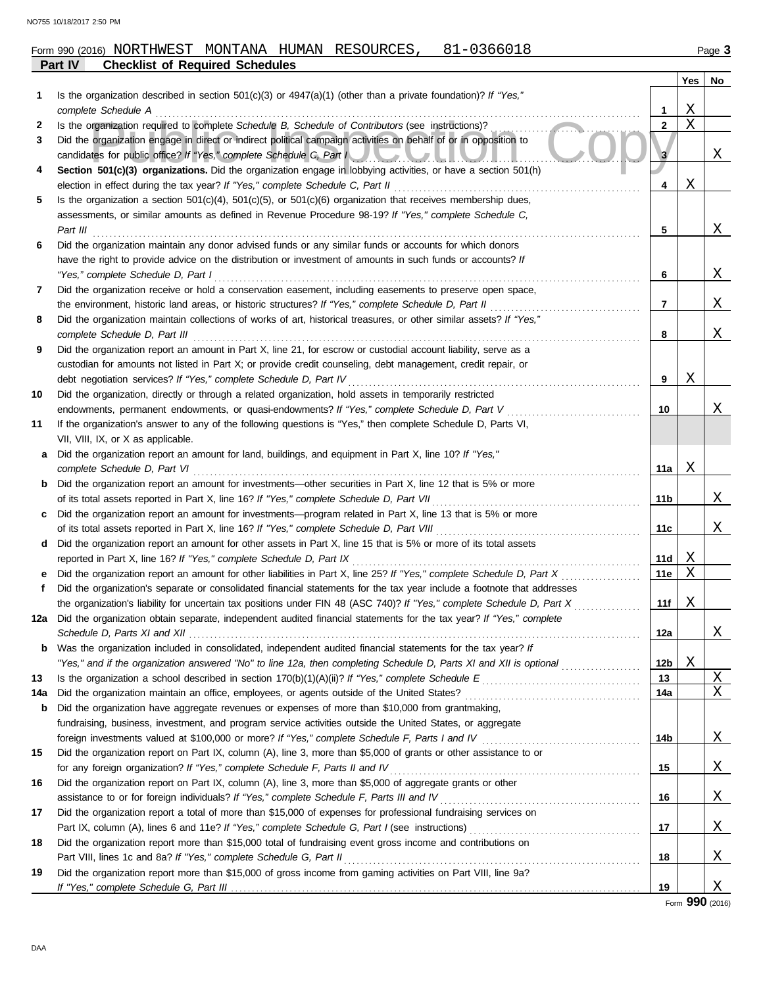## **Part IV Checklist of Required Schedules** Form 990 (2016) NORTHWEST MONTANA HUMAN RESOURCES, 81-0366018 Page **3**

|             |                                                                                                                                                                                                               |                 | Yes                     | No                            |
|-------------|---------------------------------------------------------------------------------------------------------------------------------------------------------------------------------------------------------------|-----------------|-------------------------|-------------------------------|
| 1           | Is the organization described in section $501(c)(3)$ or $4947(a)(1)$ (other than a private foundation)? If "Yes,"                                                                                             |                 |                         |                               |
|             | complete Schedule A                                                                                                                                                                                           | 1.              | Χ                       |                               |
| 2           | Is the organization required to complete Schedule B, Schedule of Contributors (see instructions)?                                                                                                             | $\mathbf{2}$    | $\overline{\mathrm{X}}$ |                               |
| 3           | Did the organization engage in direct or indirect political campaign activities on behalf of or in opposition to<br>candidates for public office? If "Yes," complete Schedule C, Part I                       | 3               |                         | Χ                             |
| 4           | Section 501(c)(3) organizations. Did the organization engage in lobbying activities, or have a section 501(h)                                                                                                 |                 |                         |                               |
|             | election in effect during the tax year? If "Yes," complete Schedule C, Part II                                                                                                                                | 4               | Χ                       |                               |
| 5           | Is the organization a section $501(c)(4)$ , $501(c)(5)$ , or $501(c)(6)$ organization that receives membership dues,                                                                                          |                 |                         |                               |
|             | assessments, or similar amounts as defined in Revenue Procedure 98-19? If "Yes," complete Schedule C,                                                                                                         |                 |                         |                               |
|             | Part III                                                                                                                                                                                                      | 5               |                         | X                             |
| 6           | Did the organization maintain any donor advised funds or any similar funds or accounts for which donors                                                                                                       |                 |                         |                               |
|             | have the right to provide advice on the distribution or investment of amounts in such funds or accounts? If                                                                                                   |                 |                         |                               |
|             | "Yes," complete Schedule D, Part I                                                                                                                                                                            | 6               |                         | X                             |
| 7           | Did the organization receive or hold a conservation easement, including easements to preserve open space,                                                                                                     |                 |                         |                               |
|             | the environment, historic land areas, or historic structures? If "Yes," complete Schedule D, Part II                                                                                                          | 7               |                         | X                             |
| 8           | Did the organization maintain collections of works of art, historical treasures, or other similar assets? If "Yes,"                                                                                           |                 |                         |                               |
|             | complete Schedule D, Part III                                                                                                                                                                                 | 8               |                         | X                             |
| 9           | Did the organization report an amount in Part X, line 21, for escrow or custodial account liability, serve as a                                                                                               |                 |                         |                               |
|             | custodian for amounts not listed in Part X; or provide credit counseling, debt management, credit repair, or                                                                                                  |                 | Χ                       |                               |
| 10          | debt negotiation services? If "Yes," complete Schedule D, Part IV<br>Did the organization, directly or through a related organization, hold assets in temporarily restricted                                  | 9               |                         |                               |
|             | endowments, permanent endowments, or quasi-endowments? If "Yes," complete Schedule D, Part V                                                                                                                  | 10              |                         | Χ                             |
| 11          | If the organization's answer to any of the following questions is "Yes," then complete Schedule D, Parts VI,                                                                                                  |                 |                         |                               |
|             | VII, VIII, IX, or X as applicable.                                                                                                                                                                            |                 |                         |                               |
| a           | Did the organization report an amount for land, buildings, and equipment in Part X, line 10? If "Yes,"                                                                                                        |                 |                         |                               |
|             | complete Schedule D, Part VI                                                                                                                                                                                  | 11a             | Χ                       |                               |
| b           | Did the organization report an amount for investments—other securities in Part X, line 12 that is 5% or more                                                                                                  |                 |                         |                               |
|             | of its total assets reported in Part X, line 16? If "Yes," complete Schedule D, Part VII                                                                                                                      | 11 b            |                         | X                             |
| c           | Did the organization report an amount for investments—program related in Part X, line 13 that is 5% or more                                                                                                   |                 |                         |                               |
|             | of its total assets reported in Part X, line 16? If "Yes," complete Schedule D, Part VIII                                                                                                                     | 11c             |                         | Χ                             |
| d           | Did the organization report an amount for other assets in Part X, line 15 that is 5% or more of its total assets                                                                                              |                 |                         |                               |
|             | reported in Part X, line 16? If "Yes," complete Schedule D, Part IX                                                                                                                                           | 11d             | Χ                       |                               |
| е           | Did the organization report an amount for other liabilities in Part X, line 25? If "Yes," complete Schedule D, Part X                                                                                         | 11e             | X                       |                               |
| f           | Did the organization's separate or consolidated financial statements for the tax year include a footnote that addresses                                                                                       |                 |                         |                               |
|             | the organization's liability for uncertain tax positions under FIN 48 (ASC 740)? If "Yes," complete Schedule D, Part X                                                                                        | 11f             | Χ                       |                               |
|             | 12a Did the organization obtain separate, independent audited financial statements for the tax year? If "Yes," complete                                                                                       |                 |                         |                               |
|             |                                                                                                                                                                                                               | 12a             |                         | Δ.                            |
|             | <b>b</b> Was the organization included in consolidated, independent audited financial statements for the tax year? If                                                                                         |                 |                         |                               |
|             | "Yes," and if the organization answered "No" to line 12a, then completing Schedule D, Parts XI and XII is optional                                                                                            | 12 <sub>b</sub> | Χ                       |                               |
| 13          | Is the organization a school described in section $170(b)(1)(A)(ii)?$ If "Yes," complete Schedule E                                                                                                           | 13              |                         | $\overline{X}$<br>$\mathbf X$ |
| 14a         | Did the organization maintain an office, employees, or agents outside of the United States?                                                                                                                   | 14a             |                         |                               |
| $\mathbf b$ | Did the organization have aggregate revenues or expenses of more than \$10,000 from grantmaking,<br>fundraising, business, investment, and program service activities outside the United States, or aggregate |                 |                         |                               |
|             | foreign investments valued at \$100,000 or more? If "Yes," complete Schedule F, Parts I and IV                                                                                                                | 14b             |                         | Χ                             |
| 15          | Did the organization report on Part IX, column (A), line 3, more than \$5,000 of grants or other assistance to or                                                                                             |                 |                         |                               |
|             | for any foreign organization? If "Yes," complete Schedule F, Parts II and IV                                                                                                                                  | 15              |                         | Χ                             |
| 16          | Did the organization report on Part IX, column (A), line 3, more than \$5,000 of aggregate grants or other                                                                                                    |                 |                         |                               |
|             | assistance to or for foreign individuals? If "Yes," complete Schedule F, Parts III and IV                                                                                                                     | 16              |                         | Χ                             |
| 17          | Did the organization report a total of more than \$15,000 of expenses for professional fundraising services on                                                                                                |                 |                         |                               |
|             |                                                                                                                                                                                                               | 17              |                         | Χ                             |
| 18          | Did the organization report more than \$15,000 total of fundraising event gross income and contributions on                                                                                                   |                 |                         |                               |
|             | Part VIII, lines 1c and 8a? If "Yes," complete Schedule G, Part II                                                                                                                                            | 18              |                         | Χ                             |
| 19          | Did the organization report more than \$15,000 of gross income from gaming activities on Part VIII, line 9a?                                                                                                  |                 |                         |                               |
|             |                                                                                                                                                                                                               | 19              |                         | Χ                             |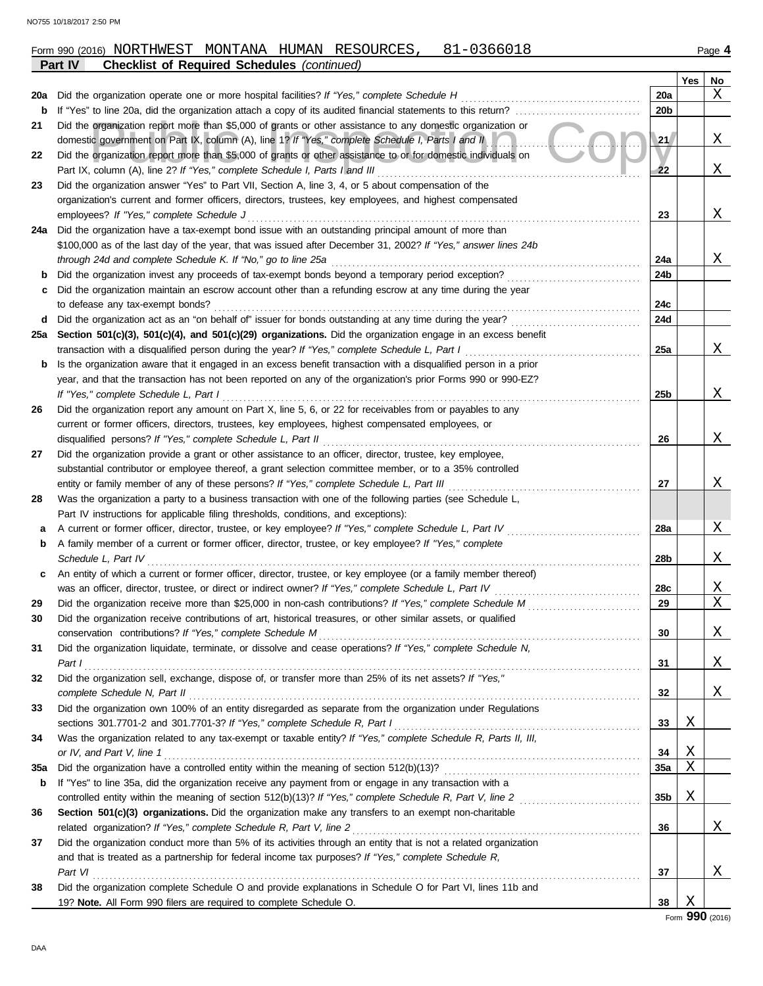|                                                               | 81-0366018<br>Form 990 (2016) NORTHWEST MONTANA HUMAN RESOURCES,                                                                                                         |                 |   | Page 4 |  |  |  |  |  |  |  |
|---------------------------------------------------------------|--------------------------------------------------------------------------------------------------------------------------------------------------------------------------|-----------------|---|--------|--|--|--|--|--|--|--|
| Part IV<br><b>Checklist of Required Schedules (continued)</b> |                                                                                                                                                                          |                 |   |        |  |  |  |  |  |  |  |
| Yes<br>No                                                     |                                                                                                                                                                          |                 |   |        |  |  |  |  |  |  |  |
| 20a                                                           | Did the organization operate one or more hospital facilities? If "Yes," complete Schedule H                                                                              | 20a             |   | Χ      |  |  |  |  |  |  |  |
| b                                                             | If "Yes" to line 20a, did the organization attach a copy of its audited financial statements to this return?                                                             |                 |   |        |  |  |  |  |  |  |  |
| 21                                                            | Did the organization report more than \$5,000 of grants or other assistance to any domestic organization or                                                              |                 |   |        |  |  |  |  |  |  |  |
|                                                               | domestic government on Part IX, column (A), line 1? If "Yes," complete Schedule I, Parts I and II                                                                        |                 |   |        |  |  |  |  |  |  |  |
| 22                                                            | Did the organization report more than \$5,000 of grants or other assistance to or for domestic individuals on                                                            |                 |   |        |  |  |  |  |  |  |  |
|                                                               | Part IX, column (A), line 2? If "Yes," complete Schedule I, Parts I and III                                                                                              |                 |   |        |  |  |  |  |  |  |  |
| 23                                                            | Did the organization answer "Yes" to Part VII, Section A, line 3, 4, or 5 about compensation of the                                                                      |                 |   |        |  |  |  |  |  |  |  |
|                                                               | organization's current and former officers, directors, trustees, key employees, and highest compensated                                                                  |                 |   |        |  |  |  |  |  |  |  |
|                                                               | employees? If "Yes," complete Schedule J                                                                                                                                 | 23              |   | Χ      |  |  |  |  |  |  |  |
|                                                               | 24a Did the organization have a tax-exempt bond issue with an outstanding principal amount of more than                                                                  |                 |   |        |  |  |  |  |  |  |  |
|                                                               | \$100,000 as of the last day of the year, that was issued after December 31, 2002? If "Yes," answer lines 24b                                                            |                 |   |        |  |  |  |  |  |  |  |
|                                                               | through 24d and complete Schedule K. If "No," go to line 25a                                                                                                             | 24a             |   | Χ      |  |  |  |  |  |  |  |
| b                                                             | Did the organization invest any proceeds of tax-exempt bonds beyond a temporary period exception?                                                                        | 24b             |   |        |  |  |  |  |  |  |  |
| c                                                             | Did the organization maintain an escrow account other than a refunding escrow at any time during the year                                                                |                 |   |        |  |  |  |  |  |  |  |
|                                                               | to defease any tax-exempt bonds?                                                                                                                                         | 24c             |   |        |  |  |  |  |  |  |  |
| d                                                             | Did the organization act as an "on behalf of" issuer for bonds outstanding at any time during the year?                                                                  | 24d             |   |        |  |  |  |  |  |  |  |
|                                                               | 25a Section 501(c)(3), 501(c)(4), and 501(c)(29) organizations. Did the organization engage in an excess benefit                                                         |                 |   |        |  |  |  |  |  |  |  |
|                                                               | transaction with a disqualified person during the year? If "Yes," complete Schedule L, Part I                                                                            | 25a             |   | Χ      |  |  |  |  |  |  |  |
| b                                                             | Is the organization aware that it engaged in an excess benefit transaction with a disqualified person in a prior                                                         |                 |   |        |  |  |  |  |  |  |  |
|                                                               | year, and that the transaction has not been reported on any of the organization's prior Forms 990 or 990-EZ?                                                             |                 |   |        |  |  |  |  |  |  |  |
|                                                               | If "Yes," complete Schedule L, Part I                                                                                                                                    | 25 <sub>b</sub> |   | Χ      |  |  |  |  |  |  |  |
| 26                                                            | Did the organization report any amount on Part X, line 5, 6, or 22 for receivables from or payables to any                                                               |                 |   |        |  |  |  |  |  |  |  |
|                                                               | current or former officers, directors, trustees, key employees, highest compensated employees, or                                                                        |                 |   |        |  |  |  |  |  |  |  |
|                                                               | disqualified persons? If "Yes," complete Schedule L, Part II                                                                                                             | 26              |   | Χ      |  |  |  |  |  |  |  |
| 27                                                            | Did the organization provide a grant or other assistance to an officer, director, trustee, key employee,                                                                 |                 |   |        |  |  |  |  |  |  |  |
|                                                               | substantial contributor or employee thereof, a grant selection committee member, or to a 35% controlled                                                                  |                 |   |        |  |  |  |  |  |  |  |
|                                                               | entity or family member of any of these persons? If "Yes," complete Schedule L, Part III                                                                                 | 27              |   | Χ      |  |  |  |  |  |  |  |
| 28                                                            | Was the organization a party to a business transaction with one of the following parties (see Schedule L,                                                                |                 |   |        |  |  |  |  |  |  |  |
|                                                               | Part IV instructions for applicable filing thresholds, conditions, and exceptions):                                                                                      |                 |   |        |  |  |  |  |  |  |  |
| а                                                             | A current or former officer, director, trustee, or key employee? If "Yes," complete Schedule L, Part IV                                                                  | 28a             |   | Χ      |  |  |  |  |  |  |  |
| b                                                             | A family member of a current or former officer, director, trustee, or key employee? If "Yes," complete<br>Schedule L. Part IV                                            |                 |   | Χ      |  |  |  |  |  |  |  |
|                                                               |                                                                                                                                                                          | 28b             |   |        |  |  |  |  |  |  |  |
| С                                                             | An entity of which a current or former officer, director, trustee, or key employee (or a family member thereof)                                                          |                 |   |        |  |  |  |  |  |  |  |
|                                                               | was an officer, director, trustee, or direct or indirect owner? If "Yes," complete Schedule L, Part IV                                                                   | 28c<br>29       |   | Χ<br>X |  |  |  |  |  |  |  |
| 29                                                            |                                                                                                                                                                          |                 |   |        |  |  |  |  |  |  |  |
| 30                                                            | Did the organization receive contributions of art, historical treasures, or other similar assets, or qualified                                                           |                 |   | Χ      |  |  |  |  |  |  |  |
|                                                               | conservation contributions? If "Yes," complete Schedule M<br>Did the organization liquidate, terminate, or dissolve and cease operations? If "Yes," complete Schedule N, | 30              |   |        |  |  |  |  |  |  |  |
| 31                                                            |                                                                                                                                                                          | 31              |   | Χ      |  |  |  |  |  |  |  |
| 32                                                            | Part I<br>Did the organization sell, exchange, dispose of, or transfer more than 25% of its net assets? If "Yes,"                                                        |                 |   |        |  |  |  |  |  |  |  |
|                                                               | complete Schedule N, Part II                                                                                                                                             | 32              |   | Χ      |  |  |  |  |  |  |  |
| 33                                                            | Did the organization own 100% of an entity disregarded as separate from the organization under Regulations                                                               |                 |   |        |  |  |  |  |  |  |  |
|                                                               | sections 301.7701-2 and 301.7701-3? If "Yes," complete Schedule R, Part I                                                                                                | 33              | Χ |        |  |  |  |  |  |  |  |
| 34                                                            | Was the organization related to any tax-exempt or taxable entity? If "Yes," complete Schedule R, Parts II, III,                                                          |                 |   |        |  |  |  |  |  |  |  |
|                                                               | or IV, and Part V, line 1                                                                                                                                                | 34              | Χ |        |  |  |  |  |  |  |  |
| 35a                                                           |                                                                                                                                                                          | 35a             | X |        |  |  |  |  |  |  |  |
| b                                                             | If "Yes" to line 35a, did the organization receive any payment from or engage in any transaction with a                                                                  |                 |   |        |  |  |  |  |  |  |  |
|                                                               |                                                                                                                                                                          | 35b             | Χ |        |  |  |  |  |  |  |  |
| 36                                                            | Section 501(c)(3) organizations. Did the organization make any transfers to an exempt non-charitable                                                                     |                 |   |        |  |  |  |  |  |  |  |
|                                                               | related organization? If "Yes," complete Schedule R, Part V, line 2                                                                                                      | 36              |   | Χ      |  |  |  |  |  |  |  |
| 37                                                            | Did the organization conduct more than 5% of its activities through an entity that is not a related organization                                                         |                 |   |        |  |  |  |  |  |  |  |
|                                                               | and that is treated as a partnership for federal income tax purposes? If "Yes," complete Schedule R,                                                                     |                 |   |        |  |  |  |  |  |  |  |
|                                                               | Part VI                                                                                                                                                                  | 37              |   | Χ      |  |  |  |  |  |  |  |
| 38                                                            | Did the organization complete Schedule O and provide explanations in Schedule O for Part VI, lines 11b and                                                               |                 |   |        |  |  |  |  |  |  |  |
|                                                               | 19? Note. All Form 990 filers are required to complete Schedule O.                                                                                                       | 38              | Χ |        |  |  |  |  |  |  |  |
|                                                               |                                                                                                                                                                          |                 |   |        |  |  |  |  |  |  |  |

| O755 10/18/2017 2:50 PM |  |  |
|-------------------------|--|--|
|                         |  |  |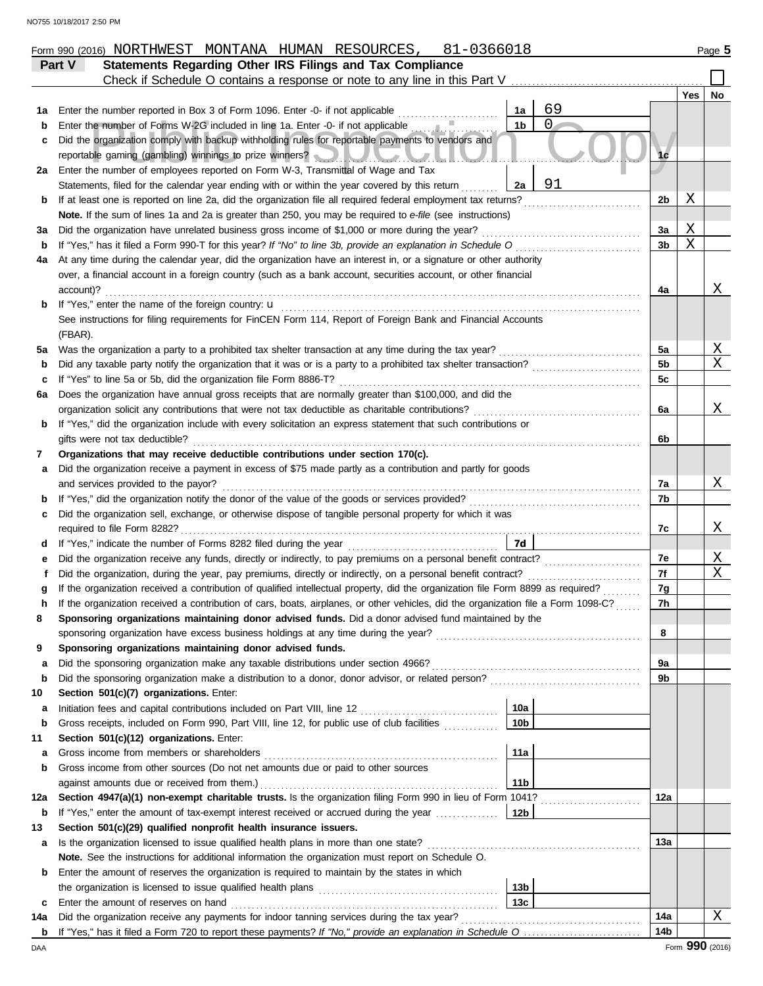|         | 81-0366018<br>Form 990 (2016) NORTHWEST MONTANA HUMAN RESOURCES,                                                                                                  |     |     | Page 5 |  |  |  |  |  |  |  |
|---------|-------------------------------------------------------------------------------------------------------------------------------------------------------------------|-----|-----|--------|--|--|--|--|--|--|--|
|         | Statements Regarding Other IRS Filings and Tax Compliance<br>Part V                                                                                               |     |     |        |  |  |  |  |  |  |  |
|         | Check if Schedule O contains a response or note to any line in this Part V                                                                                        |     |     |        |  |  |  |  |  |  |  |
|         |                                                                                                                                                                   |     | Yes | No     |  |  |  |  |  |  |  |
| 1а      | 69<br>Enter the number reported in Box 3 of Form 1096. Enter -0- if not applicable<br>1a                                                                          |     |     |        |  |  |  |  |  |  |  |
| b       | $\overline{0}$<br>1 <sub>b</sub><br>Enter the number of Forms W-2G included in line 1a. Enter -0- if not applicable                                               |     |     |        |  |  |  |  |  |  |  |
| c       | Did the organization comply with backup withholding rules for reportable payments to vendors and                                                                  |     |     |        |  |  |  |  |  |  |  |
|         | reportable gaming (gambling) winnings to prize winners? New York Martin Library                                                                                   |     |     |        |  |  |  |  |  |  |  |
| 2a      | Enter the number of employees reported on Form W-3, Transmittal of Wage and Tax                                                                                   |     |     |        |  |  |  |  |  |  |  |
|         | 91<br>Statements, filed for the calendar year ending with or within the year covered by this return<br>2a                                                         |     |     |        |  |  |  |  |  |  |  |
| b       | If at least one is reported on line 2a, did the organization file all required federal employment tax returns?                                                    | 2b  | Χ   |        |  |  |  |  |  |  |  |
|         | Note. If the sum of lines 1a and 2a is greater than 250, you may be required to e-file (see instructions)                                                         |     |     |        |  |  |  |  |  |  |  |
| за      | Did the organization have unrelated business gross income of \$1,000 or more during the year?                                                                     | 3a  | Χ   |        |  |  |  |  |  |  |  |
| b       | If "Yes," has it filed a Form 990-T for this year? If "No" to line 3b, provide an explanation in Schedule O                                                       | 3b  | X   |        |  |  |  |  |  |  |  |
| 4a      | At any time during the calendar year, did the organization have an interest in, or a signature or other authority                                                 |     |     |        |  |  |  |  |  |  |  |
|         | over, a financial account in a foreign country (such as a bank account, securities account, or other financial                                                    |     |     |        |  |  |  |  |  |  |  |
|         | account)?                                                                                                                                                         | 4a  |     | Χ      |  |  |  |  |  |  |  |
| b       | If "Yes," enter the name of the foreign country: u<br>See instructions for filing requirements for FinCEN Form 114, Report of Foreign Bank and Financial Accounts |     |     |        |  |  |  |  |  |  |  |
|         | (FBAR).                                                                                                                                                           |     |     |        |  |  |  |  |  |  |  |
|         | Was the organization a party to a prohibited tax shelter transaction at any time during the tax year?                                                             | 5a  |     | Χ      |  |  |  |  |  |  |  |
| 5a<br>b | Did any taxable party notify the organization that it was or is a party to a prohibited tax shelter transaction?                                                  | 5b  |     | X      |  |  |  |  |  |  |  |
| c       | If "Yes" to line 5a or 5b, did the organization file Form 8886-T?                                                                                                 | 5c  |     |        |  |  |  |  |  |  |  |
| 6a      | Does the organization have annual gross receipts that are normally greater than \$100,000, and did the                                                            |     |     |        |  |  |  |  |  |  |  |
|         | organization solicit any contributions that were not tax deductible as charitable contributions?                                                                  | 6a  |     | Χ      |  |  |  |  |  |  |  |
| b       | If "Yes," did the organization include with every solicitation an express statement that such contributions or                                                    |     |     |        |  |  |  |  |  |  |  |
|         | gifts were not tax deductible?                                                                                                                                    | 6b  |     |        |  |  |  |  |  |  |  |
| 7       | Organizations that may receive deductible contributions under section 170(c).                                                                                     |     |     |        |  |  |  |  |  |  |  |
| а       | Did the organization receive a payment in excess of \$75 made partly as a contribution and partly for goods                                                       |     |     |        |  |  |  |  |  |  |  |
|         | and services provided to the payor?                                                                                                                               | 7a  |     | Χ      |  |  |  |  |  |  |  |
| b       | If "Yes," did the organization notify the donor of the value of the goods or services provided?                                                                   | 7b  |     |        |  |  |  |  |  |  |  |
| c       | Did the organization sell, exchange, or otherwise dispose of tangible personal property for which it was                                                          |     |     |        |  |  |  |  |  |  |  |
|         |                                                                                                                                                                   | 7c  |     | Χ      |  |  |  |  |  |  |  |
| d       | 7d                                                                                                                                                                |     |     |        |  |  |  |  |  |  |  |
| е       | Did the organization receive any funds, directly or indirectly, to pay premiums on a personal benefit contract?                                                   | 7e  |     | Χ      |  |  |  |  |  |  |  |
|         | Did the organization, during the year, pay premiums, directly or indirectly, on a personal benefit contract?                                                      | 7f  |     | Χ      |  |  |  |  |  |  |  |
|         | If the organization received a contribution of qualified intellectual property, did the organization file Form 8899 as required?                                  | 7g  |     |        |  |  |  |  |  |  |  |
|         | If the organization received a contribution of cars, boats, airplanes, or other vehicles, did the organization file a Form 1098-C?                                | 7h  |     |        |  |  |  |  |  |  |  |
| 8       | Sponsoring organizations maintaining donor advised funds. Did a donor advised fund maintained by the                                                              |     |     |        |  |  |  |  |  |  |  |
|         | sponsoring organization have excess business holdings at any time during the year?                                                                                | 8   |     |        |  |  |  |  |  |  |  |
| 9       | Sponsoring organizations maintaining donor advised funds.                                                                                                         |     |     |        |  |  |  |  |  |  |  |
| a       | Did the sponsoring organization make any taxable distributions under section 4966?                                                                                | 9а  |     |        |  |  |  |  |  |  |  |
| b       |                                                                                                                                                                   | 9b  |     |        |  |  |  |  |  |  |  |
| 10      | Section 501(c)(7) organizations. Enter:                                                                                                                           |     |     |        |  |  |  |  |  |  |  |
| а       | 10a<br>Initiation fees and capital contributions included on Part VIII, line 12 [11][11][11][11][11][11][11][11][11][                                             |     |     |        |  |  |  |  |  |  |  |
| b       | Gross receipts, included on Form 990, Part VIII, line 12, for public use of club facilities<br>10 <sub>b</sub>                                                    |     |     |        |  |  |  |  |  |  |  |
| 11      | Section 501(c)(12) organizations. Enter:<br>Gross income from members or shareholders<br>11a                                                                      |     |     |        |  |  |  |  |  |  |  |
| а       | Gross income from other sources (Do not net amounts due or paid to other sources                                                                                  |     |     |        |  |  |  |  |  |  |  |
| b       | 11 <sub>b</sub><br>against amounts due or received from them.)                                                                                                    |     |     |        |  |  |  |  |  |  |  |
| 12a     | Section 4947(a)(1) non-exempt charitable trusts. Is the organization filing Form 990 in lieu of Form 1041?                                                        | 12a |     |        |  |  |  |  |  |  |  |
| b       | If "Yes," enter the amount of tax-exempt interest received or accrued during the year<br>12b                                                                      |     |     |        |  |  |  |  |  |  |  |
| 13      | Section 501(c)(29) qualified nonprofit health insurance issuers.                                                                                                  |     |     |        |  |  |  |  |  |  |  |
| a       | Is the organization licensed to issue qualified health plans in more than one state?                                                                              | 13а |     |        |  |  |  |  |  |  |  |
|         | Note. See the instructions for additional information the organization must report on Schedule O.                                                                 |     |     |        |  |  |  |  |  |  |  |
| b       | Enter the amount of reserves the organization is required to maintain by the states in which                                                                      |     |     |        |  |  |  |  |  |  |  |
|         | 13 <sub>b</sub>                                                                                                                                                   |     |     |        |  |  |  |  |  |  |  |
| c       | 13 <sub>c</sub><br>Enter the amount of reserves on hand                                                                                                           |     |     |        |  |  |  |  |  |  |  |
| 14a     | Did the organization receive any payments for indoor tanning services during the tax year?                                                                        | 14a |     | Χ      |  |  |  |  |  |  |  |
|         |                                                                                                                                                                   | 14b |     |        |  |  |  |  |  |  |  |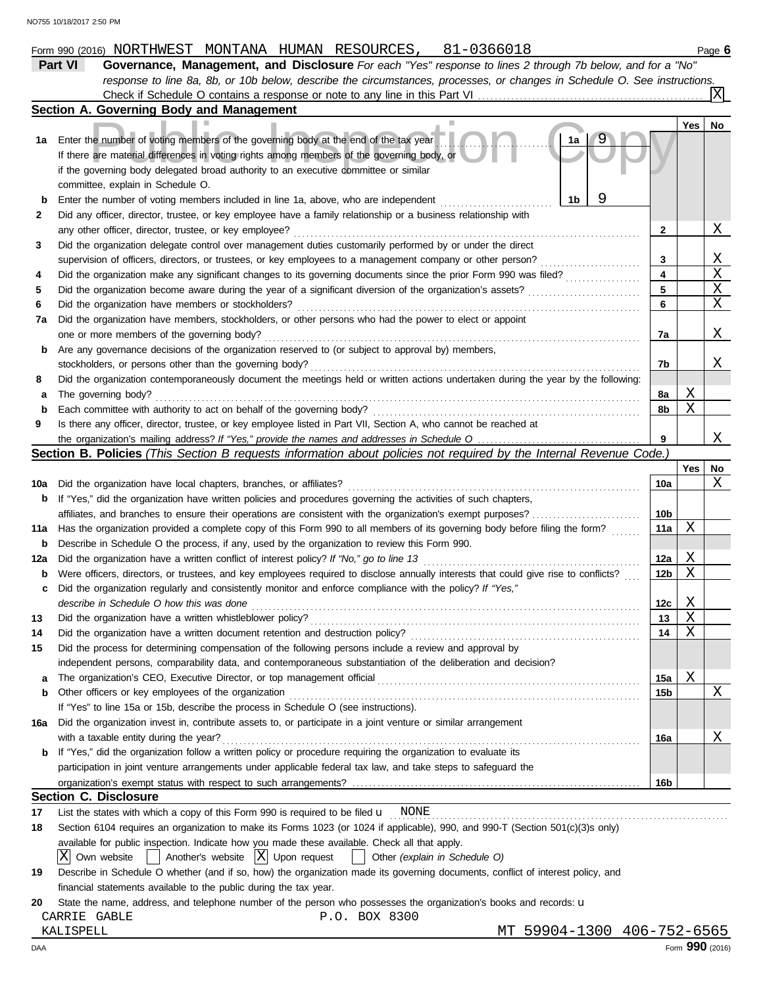|                                                                                                                    | 81-0366018<br>Form 990 (2016) NORTHWEST MONTANA HUMAN RESOURCES,                                                                    |                 |     | Page 6 |  |  |  |
|--------------------------------------------------------------------------------------------------------------------|-------------------------------------------------------------------------------------------------------------------------------------|-----------------|-----|--------|--|--|--|
|                                                                                                                    | Governance, Management, and Disclosure For each "Yes" response to lines 2 through 7b below, and for a "No"<br><b>Part VI</b>        |                 |     |        |  |  |  |
|                                                                                                                    | response to line 8a, 8b, or 10b below, describe the circumstances, processes, or changes in Schedule O. See instructions.           |                 |     |        |  |  |  |
|                                                                                                                    | Check if Schedule O contains a response or note to any line in this Part VI                                                         |                 |     |        |  |  |  |
|                                                                                                                    | Section A. Governing Body and Management                                                                                            |                 |     |        |  |  |  |
|                                                                                                                    |                                                                                                                                     |                 | Yes | No     |  |  |  |
| 1а                                                                                                                 | Enter the number of voting members of the governing body at the end of the tax year<br>1a                                           |                 |     |        |  |  |  |
|                                                                                                                    | If there are material differences in voting rights among members of the governing body, or                                          |                 |     |        |  |  |  |
|                                                                                                                    | if the governing body delegated broad authority to an executive committee or similar                                                |                 |     |        |  |  |  |
|                                                                                                                    | committee, explain in Schedule O.                                                                                                   |                 |     |        |  |  |  |
| b                                                                                                                  | 9<br>1b<br>Enter the number of voting members included in line 1a, above, who are independent                                       |                 |     |        |  |  |  |
| 2                                                                                                                  | Did any officer, director, trustee, or key employee have a family relationship or a business relationship with                      |                 |     |        |  |  |  |
|                                                                                                                    | any other officer, director, trustee, or key employee?                                                                              | 2               |     | Χ      |  |  |  |
| 3                                                                                                                  | Did the organization delegate control over management duties customarily performed by or under the direct                           |                 |     |        |  |  |  |
|                                                                                                                    | supervision of officers, directors, or trustees, or key employees to a management company or other person?                          | 3               |     | Χ      |  |  |  |
| 4                                                                                                                  | Did the organization make any significant changes to its governing documents since the prior Form 990 was filed?                    | 4               |     | Χ      |  |  |  |
| 5                                                                                                                  | Did the organization become aware during the year of a significant diversion of the organization's assets?                          | 5               |     | Χ      |  |  |  |
| 6                                                                                                                  | Did the organization have members or stockholders?                                                                                  | 6               |     | Χ      |  |  |  |
| 7а                                                                                                                 | Did the organization have members, stockholders, or other persons who had the power to elect or appoint                             |                 |     |        |  |  |  |
|                                                                                                                    | one or more members of the governing body?                                                                                          | 7a              |     | Χ      |  |  |  |
| b                                                                                                                  | Are any governance decisions of the organization reserved to (or subject to approval by) members,                                   |                 |     |        |  |  |  |
|                                                                                                                    | stockholders, or persons other than the governing body?                                                                             | 7b              |     | Χ      |  |  |  |
| 8                                                                                                                  | Did the organization contemporaneously document the meetings held or written actions undertaken during the year by the following:   |                 |     |        |  |  |  |
| а                                                                                                                  | The governing body?                                                                                                                 | 8а              | Χ   |        |  |  |  |
| b                                                                                                                  | Each committee with authority to act on behalf of the governing body?                                                               | 8b              | Χ   |        |  |  |  |
| 9                                                                                                                  | Is there any officer, director, trustee, or key employee listed in Part VII, Section A, who cannot be reached at                    |                 |     |        |  |  |  |
|                                                                                                                    |                                                                                                                                     | 9               |     | Χ      |  |  |  |
|                                                                                                                    | <b>Section B. Policies</b> (This Section B requests information about policies not required by the Internal Revenue Code.)          |                 |     |        |  |  |  |
|                                                                                                                    |                                                                                                                                     |                 | Yes | No     |  |  |  |
| 10a                                                                                                                | Did the organization have local chapters, branches, or affiliates?                                                                  | 10a             |     | Χ      |  |  |  |
| b                                                                                                                  | If "Yes," did the organization have written policies and procedures governing the activities of such chapters,                      |                 |     |        |  |  |  |
| affiliates, and branches to ensure their operations are consistent with the organization's exempt purposes?<br>10b |                                                                                                                                     |                 |     |        |  |  |  |
| 11a                                                                                                                | Has the organization provided a complete copy of this Form 990 to all members of its governing body before filing the form?         | 11a             | Χ   |        |  |  |  |
| b                                                                                                                  | Describe in Schedule O the process, if any, used by the organization to review this Form 990.                                       |                 |     |        |  |  |  |
| 12a                                                                                                                | Did the organization have a written conflict of interest policy? If "No," go to line 13                                             | 12a             | Χ   |        |  |  |  |
| b                                                                                                                  | Were officers, directors, or trustees, and key employees required to disclose annually interests that could give rise to conflicts? | 12b             | Χ   |        |  |  |  |
|                                                                                                                    | Did the organization regularly and consistently monitor and enforce compliance with the policy? If "Yes,"                           |                 |     |        |  |  |  |
|                                                                                                                    | describe in Schedule O how this was done                                                                                            | 12c             | Χ   |        |  |  |  |
| 13                                                                                                                 | Did the organization have a written whistleblower policy?                                                                           | 13              | Χ   |        |  |  |  |
| 14                                                                                                                 | Did the organization have a written document retention and destruction policy?                                                      | 14              | Χ   |        |  |  |  |
| 15                                                                                                                 | Did the process for determining compensation of the following persons include a review and approval by                              |                 |     |        |  |  |  |
|                                                                                                                    | independent persons, comparability data, and contemporaneous substantiation of the deliberation and decision?                       |                 |     |        |  |  |  |
| а                                                                                                                  |                                                                                                                                     | 15a             | Χ   |        |  |  |  |
| b                                                                                                                  | Other officers or key employees of the organization                                                                                 | 15b             |     | Χ      |  |  |  |
|                                                                                                                    | If "Yes" to line 15a or 15b, describe the process in Schedule O (see instructions).                                                 |                 |     |        |  |  |  |
| 16a                                                                                                                | Did the organization invest in, contribute assets to, or participate in a joint venture or similar arrangement                      |                 |     |        |  |  |  |
|                                                                                                                    | with a taxable entity during the year?                                                                                              | 16a             |     | Χ      |  |  |  |
| b                                                                                                                  | If "Yes," did the organization follow a written policy or procedure requiring the organization to evaluate its                      |                 |     |        |  |  |  |
|                                                                                                                    | participation in joint venture arrangements under applicable federal tax law, and take steps to safeguard the                       |                 |     |        |  |  |  |
|                                                                                                                    |                                                                                                                                     | 16 <sub>b</sub> |     |        |  |  |  |
|                                                                                                                    | <b>Section C. Disclosure</b>                                                                                                        |                 |     |        |  |  |  |
| 17                                                                                                                 | List the states with which a copy of this Form 990 is required to be filed $\mathbf{u}$ NONE                                        |                 |     |        |  |  |  |
| 18                                                                                                                 | Section 6104 requires an organization to make its Forms 1023 (or 1024 if applicable), 990, and 990-T (Section 501(c)(3)s only)      |                 |     |        |  |  |  |
|                                                                                                                    | available for public inspection. Indicate how you made these available. Check all that apply.                                       |                 |     |        |  |  |  |
|                                                                                                                    | ΙXΙ<br>$\vert$ Another's website $\vert X \vert$ Upon request<br>Own website<br>$\vert$ Other (explain in Schedule O)               |                 |     |        |  |  |  |
| 19                                                                                                                 | Describe in Schedule O whether (and if so, how) the organization made its governing documents, conflict of interest policy, and     |                 |     |        |  |  |  |
|                                                                                                                    | financial statements available to the public during the tax year.                                                                   |                 |     |        |  |  |  |
| 20                                                                                                                 | State the name, address, and telephone number of the person who possesses the organization's books and records: u                   |                 |     |        |  |  |  |
|                                                                                                                    | CARRIE GABLE<br>P.O. BOX 8300                                                                                                       |                 |     |        |  |  |  |
|                                                                                                                    | MT 59904-1300 406-752-6565<br>KALISPELL                                                                                             |                 |     |        |  |  |  |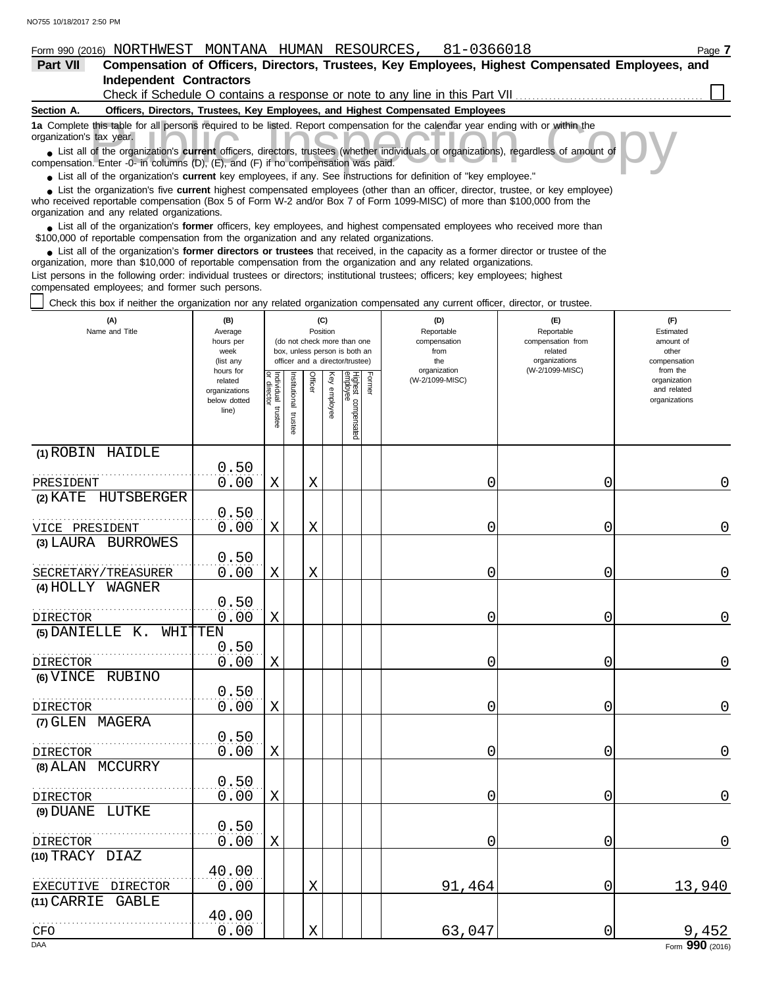| Form 990 (2016)          |                                             | NORTHWEST MONTANA HUMAN RESOURCES.                                                |                                                                                           | 81-0366018                                                                                                                                                                                                                                                  | Page 7                                                                                           |
|--------------------------|---------------------------------------------|-----------------------------------------------------------------------------------|-------------------------------------------------------------------------------------------|-------------------------------------------------------------------------------------------------------------------------------------------------------------------------------------------------------------------------------------------------------------|--------------------------------------------------------------------------------------------------|
| <b>Part VII</b>          |                                             |                                                                                   |                                                                                           |                                                                                                                                                                                                                                                             | Compensation of Officers, Directors, Trustees, Key Employees, Highest Compensated Employees, and |
|                          | <b>Independent Contractors</b>              |                                                                                   |                                                                                           |                                                                                                                                                                                                                                                             |                                                                                                  |
|                          |                                             |                                                                                   |                                                                                           | Check if Schedule O contains a response or note to any line in this Part VII                                                                                                                                                                                |                                                                                                  |
| Section A.               |                                             |                                                                                   | Officers, Directors, Trustees, Key Employees, and Highest Compensated Employees           |                                                                                                                                                                                                                                                             |                                                                                                  |
| organization's tax year. |                                             |                                                                                   |                                                                                           | 1a Complete this table for all persons required to be listed. Report compensation for the calendar year ending with or within the                                                                                                                           |                                                                                                  |
|                          |                                             | compensation. Enter -0- in columns (D), (E), and (F) if no compensation was paid. |                                                                                           | • List all of the organization's <b>current</b> officers, directors, trustees (whether individuals or organizations), regardless of amount of                                                                                                               |                                                                                                  |
|                          |                                             |                                                                                   |                                                                                           | • List all of the organization's current key employees, if any. See instructions for definition of "key employee."                                                                                                                                          |                                                                                                  |
|                          | organization and any related organizations. |                                                                                   |                                                                                           | • List the organization's five current highest compensated employees (other than an officer, director, trustee, or key employee)<br>who received reportable compensation (Box 5 of Form W-2 and/or Box 7 of Form 1099-MISC) of more than \$100,000 from the |                                                                                                  |
|                          |                                             |                                                                                   | \$100,000 of reportable compensation from the organization and any related organizations. | • List all of the organization's former officers, key employees, and highest compensated employees who received more than                                                                                                                                   |                                                                                                  |

List all of the organization's **former directors or trustees** that received, in the capacity as a former director or trustee of the ● List all of the organization's former directors or trustees that received, in the capacity as a former director organization, more than \$10,000 of reportable compensation from the organization and any related organizati List persons in the following order: individual trustees or directors; institutional trustees; officers; key employees; highest compensated employees; and former such persons.

Check this box if neither the organization nor any related organization compensated any current officer, director, or trustee.

| (A)<br>(B)<br>Name and Title<br>Average<br>hours per<br>week<br>(list any |                                                                |                                   |                      | (C)<br>Position |              | (do not check more than one<br>box, unless person is both an<br>officer and a director/trustee) |        | (D)<br>Reportable<br>compensation<br>from<br>the | (E)<br>Reportable<br>compensation from<br>related<br>organizations | (F)<br>Estimated<br>amount of<br>other<br>compensation   |
|---------------------------------------------------------------------------|----------------------------------------------------------------|-----------------------------------|----------------------|-----------------|--------------|-------------------------------------------------------------------------------------------------|--------|--------------------------------------------------|--------------------------------------------------------------------|----------------------------------------------------------|
|                                                                           | hours for<br>related<br>organizations<br>below dotted<br>line) | Individual trustee<br>or director | nstitutional trustee | Officer         | Key employee | Highest compensated<br>employee                                                                 | Former | organization<br>(W-2/1099-MISC)                  | (W-2/1099-MISC)                                                    | from the<br>organization<br>and related<br>organizations |
| (1) ROBIN HAIDLE                                                          |                                                                |                                   |                      |                 |              |                                                                                                 |        |                                                  |                                                                    |                                                          |
| PRESIDENT                                                                 | 0.50<br>0.00                                                   | X                                 |                      | X               |              |                                                                                                 |        | 0                                                | 0                                                                  | $\mathbf 0$                                              |
| (2) KATE HUTSBERGER                                                       |                                                                |                                   |                      |                 |              |                                                                                                 |        |                                                  |                                                                    |                                                          |
| VICE PRESIDENT                                                            | 0.50<br>0.00                                                   | Χ                                 |                      | X               |              |                                                                                                 |        | 0                                                | 0                                                                  | 0                                                        |
| (3) LAURA BURROWES                                                        |                                                                |                                   |                      |                 |              |                                                                                                 |        |                                                  |                                                                    |                                                          |
|                                                                           | 0.50                                                           |                                   |                      |                 |              |                                                                                                 |        |                                                  |                                                                    |                                                          |
| SECRETARY/TREASURER                                                       | 0.00                                                           | $\mathbf X$                       |                      | $\rm X$         |              |                                                                                                 |        | 0                                                | 0                                                                  | $\mathbf 0$                                              |
| (4) HOLLY WAGNER                                                          | 0.50                                                           |                                   |                      |                 |              |                                                                                                 |        |                                                  |                                                                    |                                                          |
| <b>DIRECTOR</b>                                                           | 0.00                                                           | X                                 |                      |                 |              |                                                                                                 |        | 0                                                | 0                                                                  | $\overline{0}$                                           |
| (5) DANIELLE K.                                                           | WHITTEN                                                        |                                   |                      |                 |              |                                                                                                 |        |                                                  |                                                                    |                                                          |
| DIRECTOR                                                                  | 0.50<br>0.00                                                   | X                                 |                      |                 |              |                                                                                                 |        | 0                                                | 0                                                                  | $\mathbf 0$                                              |
| (6) VINCE RUBINO                                                          |                                                                |                                   |                      |                 |              |                                                                                                 |        |                                                  |                                                                    |                                                          |
|                                                                           | 0.50                                                           |                                   |                      |                 |              |                                                                                                 |        |                                                  |                                                                    |                                                          |
| DIRECTOR                                                                  | 0.00                                                           | X                                 |                      |                 |              |                                                                                                 |        | 0                                                | 0                                                                  | $\mathbf 0$                                              |
| (7) GLEN MAGERA                                                           |                                                                |                                   |                      |                 |              |                                                                                                 |        |                                                  |                                                                    |                                                          |
| <b>DIRECTOR</b>                                                           | 0.50<br>0.00                                                   | X                                 |                      |                 |              |                                                                                                 |        | 0                                                | 0                                                                  | 0                                                        |
| (8) ALAN MCCURRY                                                          |                                                                |                                   |                      |                 |              |                                                                                                 |        |                                                  |                                                                    |                                                          |
| <b>DIRECTOR</b>                                                           | 0.50<br>0.00                                                   | $\mathbf X$                       |                      |                 |              |                                                                                                 |        | 0                                                | $\overline{0}$                                                     | $\overline{0}$                                           |
| (9) DUANE LUTKE                                                           |                                                                |                                   |                      |                 |              |                                                                                                 |        |                                                  |                                                                    |                                                          |
| DIRECTOR                                                                  | 0.50<br>0.00                                                   | X                                 |                      |                 |              |                                                                                                 |        | 0                                                | 0                                                                  | $\mathbf 0$                                              |
| (10) TRACY DIAZ                                                           |                                                                |                                   |                      |                 |              |                                                                                                 |        |                                                  |                                                                    |                                                          |
| EXECUTIVE DIRECTOR                                                        | 40.00<br>0.00                                                  |                                   |                      | X               |              |                                                                                                 |        | 91,464                                           | 0                                                                  | 13,940                                                   |
| $(11)$ CARRIE<br>GABLE                                                    | 40.00                                                          |                                   |                      |                 |              |                                                                                                 |        |                                                  |                                                                    |                                                          |
| CFO                                                                       | 0.00                                                           |                                   |                      | X               |              |                                                                                                 |        | 63,047                                           | 0                                                                  | 9,452                                                    |
| <b>DAA</b>                                                                |                                                                |                                   |                      |                 |              |                                                                                                 |        |                                                  |                                                                    | Form 990 (2016)                                          |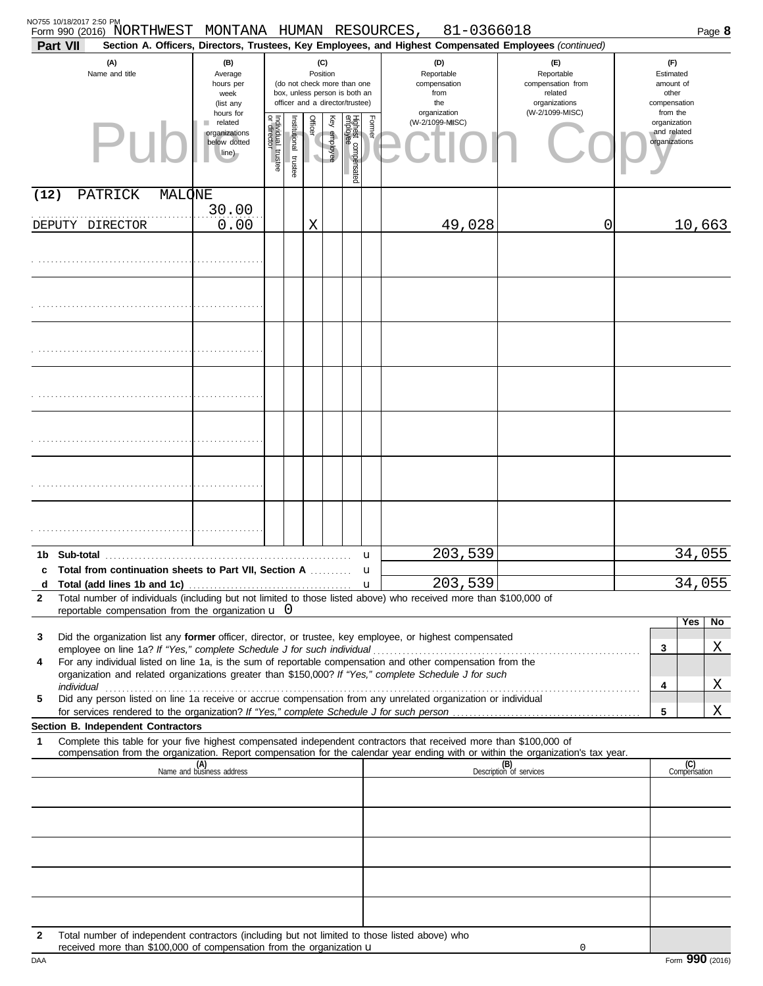| Part VII     | NO755 10/18/2017 2:50 PM<br>Form 990 (2016) NORTHWEST MONTANA HUMAN RESOURCES,                                                                                                                                                        |                                                                |                                      |                      |                                     |                 |                                                                                                 |                                                  | 81-0366018<br>Section A. Officers, Directors, Trustees, Key Employees, and Highest Compensated Employees (continued) |                                                                    |   | Page 8                                                   |
|--------------|---------------------------------------------------------------------------------------------------------------------------------------------------------------------------------------------------------------------------------------|----------------------------------------------------------------|--------------------------------------|----------------------|-------------------------------------|-----------------|-------------------------------------------------------------------------------------------------|--------------------------------------------------|----------------------------------------------------------------------------------------------------------------------|--------------------------------------------------------------------|---|----------------------------------------------------------|
|              | (A)<br>Name and title                                                                                                                                                                                                                 | (B)<br>Average<br>hours per<br>week<br>(list any               |                                      |                      | Position                            | (C)             | (do not check more than one<br>box, unless person is both an<br>officer and a director/trustee) | (D)<br>Reportable<br>compensation<br>from<br>the |                                                                                                                      | (E)<br>Reportable<br>compensation from<br>related<br>organizations |   | (F)<br>Estimated<br>amount of<br>other<br>compensation   |
|              |                                                                                                                                                                                                                                       | hours for<br>related<br>organizations<br>below dotted<br>line) | Individual<br>or director<br>trustee | nstitutional trustee | Officer<br>$\overline{\phantom{a}}$ | Ķēy<br>employee | Highest compensated<br>employee                                                                 | Former                                           | organization<br>(W-2/1099-MISC)                                                                                      | (W-2/1099-MISC)                                                    |   | from the<br>organization<br>and related<br>organizations |
| (12)         | MALONE<br>PATRICK                                                                                                                                                                                                                     |                                                                |                                      |                      |                                     |                 |                                                                                                 |                                                  |                                                                                                                      |                                                                    |   |                                                          |
|              | DEPUTY DIRECTOR                                                                                                                                                                                                                       | 30.00<br>0.00                                                  |                                      |                      | X                                   |                 |                                                                                                 |                                                  | 49,028                                                                                                               | 0                                                                  |   | 10,663                                                   |
|              |                                                                                                                                                                                                                                       |                                                                |                                      |                      |                                     |                 |                                                                                                 |                                                  |                                                                                                                      |                                                                    |   |                                                          |
|              |                                                                                                                                                                                                                                       |                                                                |                                      |                      |                                     |                 |                                                                                                 |                                                  |                                                                                                                      |                                                                    |   |                                                          |
|              |                                                                                                                                                                                                                                       |                                                                |                                      |                      |                                     |                 |                                                                                                 |                                                  |                                                                                                                      |                                                                    |   |                                                          |
|              |                                                                                                                                                                                                                                       |                                                                |                                      |                      |                                     |                 |                                                                                                 |                                                  |                                                                                                                      |                                                                    |   |                                                          |
|              |                                                                                                                                                                                                                                       |                                                                |                                      |                      |                                     |                 |                                                                                                 |                                                  |                                                                                                                      |                                                                    |   |                                                          |
|              |                                                                                                                                                                                                                                       |                                                                |                                      |                      |                                     |                 |                                                                                                 |                                                  |                                                                                                                      |                                                                    |   |                                                          |
|              |                                                                                                                                                                                                                                       |                                                                |                                      |                      |                                     |                 |                                                                                                 |                                                  |                                                                                                                      |                                                                    |   |                                                          |
|              |                                                                                                                                                                                                                                       |                                                                |                                      |                      |                                     |                 |                                                                                                 | u                                                | 203,539                                                                                                              |                                                                    |   | 34,055                                                   |
| c<br>d       | Total from continuation sheets to Part VII, Section A                                                                                                                                                                                 |                                                                |                                      |                      |                                     |                 |                                                                                                 | u<br>u                                           | 203,539                                                                                                              |                                                                    |   | 34,055                                                   |
| 2            | Total number of individuals (including but not limited to those listed above) who received more than \$100,000 of<br>reportable compensation from the organization $\mathbf u$ 0                                                      |                                                                |                                      |                      |                                     |                 |                                                                                                 |                                                  |                                                                                                                      |                                                                    |   |                                                          |
|              |                                                                                                                                                                                                                                       |                                                                |                                      |                      |                                     |                 |                                                                                                 |                                                  |                                                                                                                      |                                                                    |   | Yes<br>No                                                |
| 3            | Did the organization list any former officer, director, or trustee, key employee, or highest compensated                                                                                                                              |                                                                |                                      |                      |                                     |                 |                                                                                                 |                                                  |                                                                                                                      |                                                                    | 3 | Χ                                                        |
| 4            | For any individual listed on line 1a, is the sum of reportable compensation and other compensation from the<br>organization and related organizations greater than \$150,000? If "Yes," complete Schedule J for such                  |                                                                |                                      |                      |                                     |                 |                                                                                                 |                                                  |                                                                                                                      |                                                                    |   |                                                          |
| 5            | individual <b>continuous</b> continuous continuous continuous continuous continuous continuous continuous continuous<br>Did any person listed on line 1a receive or accrue compensation from any unrelated organization or individual |                                                                |                                      |                      |                                     |                 |                                                                                                 |                                                  |                                                                                                                      |                                                                    | 4 | Χ                                                        |
|              |                                                                                                                                                                                                                                       |                                                                |                                      |                      |                                     |                 |                                                                                                 |                                                  |                                                                                                                      |                                                                    | 5 | X                                                        |
| 1            | Section B. Independent Contractors<br>Complete this table for your five highest compensated independent contractors that received more than \$100,000 of                                                                              |                                                                |                                      |                      |                                     |                 |                                                                                                 |                                                  |                                                                                                                      |                                                                    |   |                                                          |
|              | compensation from the organization. Report compensation for the calendar year ending with or within the organization's tax year.                                                                                                      | (A)<br>Name and business address                               |                                      |                      |                                     |                 |                                                                                                 |                                                  |                                                                                                                      | (B)<br>Description of services                                     |   | (C)<br>Compensation                                      |
|              |                                                                                                                                                                                                                                       |                                                                |                                      |                      |                                     |                 |                                                                                                 |                                                  |                                                                                                                      |                                                                    |   |                                                          |
|              |                                                                                                                                                                                                                                       |                                                                |                                      |                      |                                     |                 |                                                                                                 |                                                  |                                                                                                                      |                                                                    |   |                                                          |
|              |                                                                                                                                                                                                                                       |                                                                |                                      |                      |                                     |                 |                                                                                                 |                                                  |                                                                                                                      |                                                                    |   |                                                          |
|              |                                                                                                                                                                                                                                       |                                                                |                                      |                      |                                     |                 |                                                                                                 |                                                  |                                                                                                                      |                                                                    |   |                                                          |
| $\mathbf{2}$ | Total number of independent contractors (including but not limited to those listed above) who<br>received more than \$100,000 of compensation from the organization u                                                                 |                                                                |                                      |                      |                                     |                 |                                                                                                 |                                                  |                                                                                                                      | 0                                                                  |   |                                                          |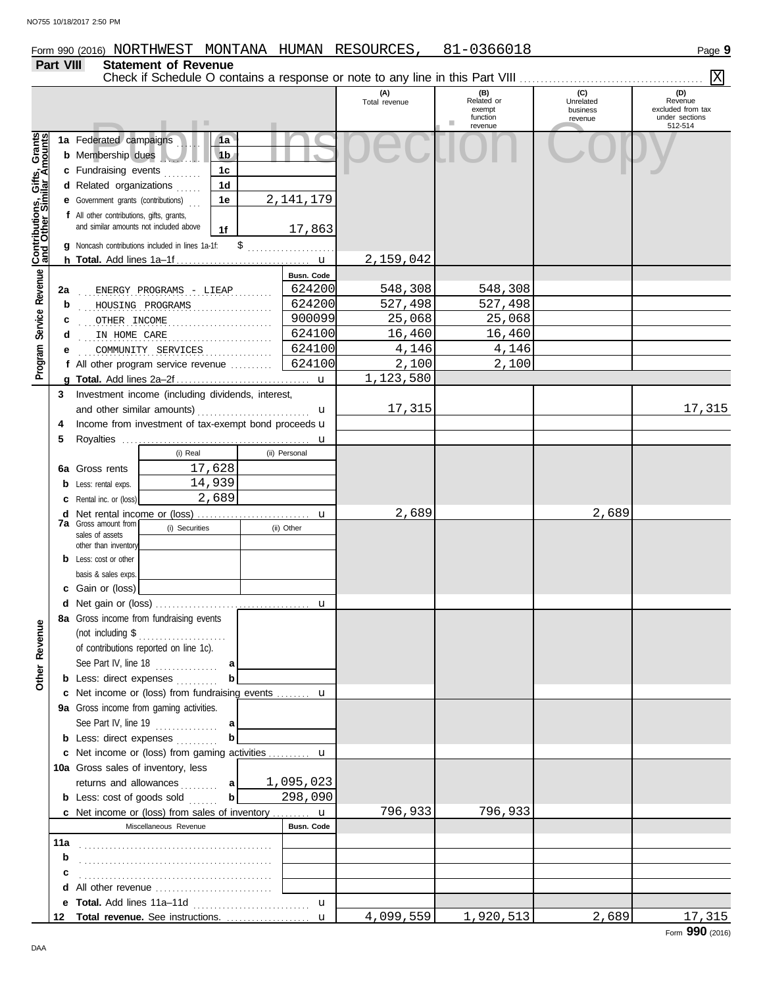## **Part VIII Statement of Revenue**

|                                                             |     |                                                                                                                                   |                                                                                     |                                                          |              |                       |                      |                                                    |                                         | ΙX                                                               |
|-------------------------------------------------------------|-----|-----------------------------------------------------------------------------------------------------------------------------------|-------------------------------------------------------------------------------------|----------------------------------------------------------|--------------|-----------------------|----------------------|----------------------------------------------------|-----------------------------------------|------------------------------------------------------------------|
|                                                             |     |                                                                                                                                   |                                                                                     |                                                          |              |                       | (A)<br>Total revenue | (B)<br>Related or<br>exempt<br>function<br>revenue | (C)<br>Unrelated<br>business<br>revenue | (D)<br>Revenue<br>excluded from tax<br>under sections<br>512-514 |
| Program Service Revenue <b>Contributions, Gifts, Grants</b> |     | 1a Federated campaigns<br><b>b</b> Membership dues<br>c Fundraising events<br>d Related organizations                             |                                                                                     | 1a<br>1 <sub>b</sub><br>1 <sub>c</sub><br>1 <sub>d</sub> |              |                       |                      |                                                    |                                         |                                                                  |
|                                                             |     | <b>e</b> Government grants (contributions)<br>f All other contributions, gifts, grants,<br>and similar amounts not included above | g Noncash contributions included in lines 1a-1f:                                    | 1e<br>1f                                                 | \$           | 2, 141, 179<br>17,863 |                      |                                                    |                                         |                                                                  |
|                                                             |     |                                                                                                                                   |                                                                                     |                                                          |              |                       | 2,159,042            |                                                    |                                         |                                                                  |
|                                                             |     |                                                                                                                                   |                                                                                     |                                                          |              |                       |                      |                                                    |                                         |                                                                  |
|                                                             |     |                                                                                                                                   |                                                                                     |                                                          |              | Busn. Code<br>624200  |                      | 548,308                                            |                                         |                                                                  |
|                                                             | 2a  |                                                                                                                                   | ENERGY PROGRAMS - LIEAP                                                             |                                                          |              |                       | 548,308              |                                                    |                                         |                                                                  |
|                                                             | b   |                                                                                                                                   | HOUSING PROGRAMS                                                                    |                                                          | .            | 624200                | 527,498              | 527,498                                            |                                         |                                                                  |
|                                                             | с   | OTHER INCOME                                                                                                                      |                                                                                     |                                                          |              | 900099                | 25,068               | 25,068                                             |                                         |                                                                  |
|                                                             | d   | IN HOME CARE                                                                                                                      |                                                                                     |                                                          |              | 624100                | 16,460               | 16,460                                             |                                         |                                                                  |
|                                                             |     |                                                                                                                                   | COMMUNITY SERVICES                                                                  |                                                          | . <b>.</b> . | 624100                | 4,146                | 4,146                                              |                                         |                                                                  |
|                                                             |     |                                                                                                                                   | f All other program service revenue $\ldots$                                        |                                                          |              | 624100                | 2,100                | 2,100                                              |                                         |                                                                  |
|                                                             |     |                                                                                                                                   |                                                                                     |                                                          |              |                       | 1,123,580            |                                                    |                                         |                                                                  |
|                                                             | 3   |                                                                                                                                   | Investment income (including dividends, interest,                                   |                                                          |              |                       |                      |                                                    |                                         |                                                                  |
|                                                             |     |                                                                                                                                   |                                                                                     |                                                          |              | u                     | 17,315               |                                                    |                                         | 17,315                                                           |
|                                                             | 4   |                                                                                                                                   | Income from investment of tax-exempt bond proceeds u                                |                                                          |              |                       |                      |                                                    |                                         |                                                                  |
|                                                             | 5   |                                                                                                                                   |                                                                                     |                                                          |              | u                     |                      |                                                    |                                         |                                                                  |
|                                                             |     |                                                                                                                                   | (i) Real                                                                            |                                                          |              | (ii) Personal         |                      |                                                    |                                         |                                                                  |
|                                                             | 6а  | Gross rents                                                                                                                       |                                                                                     | 17,628                                                   |              |                       |                      |                                                    |                                         |                                                                  |
|                                                             | b   | Less: rental exps.                                                                                                                |                                                                                     | 14,939                                                   |              |                       |                      |                                                    |                                         |                                                                  |
|                                                             |     | Rental inc. or (loss)                                                                                                             |                                                                                     | 2,689                                                    |              |                       |                      |                                                    |                                         |                                                                  |
|                                                             | d   |                                                                                                                                   |                                                                                     |                                                          |              | u                     | 2,689                |                                                    | 2,689                                   |                                                                  |
|                                                             |     | <b>7a</b> Gross amount from<br>sales of assets<br>other than inventory                                                            | (i) Securities                                                                      |                                                          |              | (ii) Other            |                      |                                                    |                                         |                                                                  |
|                                                             | b   | Less: cost or other<br>basis & sales exps.                                                                                        |                                                                                     |                                                          |              |                       |                      |                                                    |                                         |                                                                  |
|                                                             |     | Gain or (loss)                                                                                                                    |                                                                                     |                                                          |              |                       |                      |                                                    |                                         |                                                                  |
|                                                             |     |                                                                                                                                   |                                                                                     |                                                          |              |                       |                      |                                                    |                                         |                                                                  |
| ٩                                                           |     |                                                                                                                                   | 8a Gross income from fundraising events                                             |                                                          |              |                       |                      |                                                    |                                         |                                                                  |
| Other Reven                                                 |     |                                                                                                                                   | of contributions reported on line 1c).<br>See Part IV, line 18                      | a                                                        |              |                       |                      |                                                    |                                         |                                                                  |
|                                                             |     |                                                                                                                                   | <b>b</b> Less: direct expenses                                                      | b                                                        |              |                       |                      |                                                    |                                         |                                                                  |
|                                                             |     |                                                                                                                                   | c Net income or (loss) from fundraising events  u                                   |                                                          |              |                       |                      |                                                    |                                         |                                                                  |
|                                                             |     |                                                                                                                                   | 9a Gross income from gaming activities.                                             |                                                          |              |                       |                      |                                                    |                                         |                                                                  |
|                                                             |     |                                                                                                                                   |                                                                                     | a                                                        |              |                       |                      |                                                    |                                         |                                                                  |
|                                                             |     |                                                                                                                                   | See Part IV, line 19 $\ldots$                                                       | b                                                        |              |                       |                      |                                                    |                                         |                                                                  |
|                                                             |     |                                                                                                                                   | <b>b</b> Less: direct expenses                                                      |                                                          |              |                       |                      |                                                    |                                         |                                                                  |
|                                                             |     |                                                                                                                                   | <b>c</b> Net income or (loss) from gaming activities <b>u</b>                       |                                                          |              |                       |                      |                                                    |                                         |                                                                  |
|                                                             |     |                                                                                                                                   | 10a Gross sales of inventory, less                                                  |                                                          |              |                       |                      |                                                    |                                         |                                                                  |
|                                                             |     |                                                                                                                                   | returns and allowances $a$ $a$                                                      |                                                          |              | 1,095,023             |                      |                                                    |                                         |                                                                  |
|                                                             |     |                                                                                                                                   | <b>b</b> Less: $cost$ of goods $sol$                                                | $\mathbf{b}$                                             |              | 298,090               |                      |                                                    |                                         |                                                                  |
|                                                             |     |                                                                                                                                   | c Net income or (loss) from sales of inventory  u                                   |                                                          |              |                       | 796,933              | 796,933                                            |                                         |                                                                  |
|                                                             |     |                                                                                                                                   | Miscellaneous Revenue                                                               |                                                          |              | Busn. Code            |                      |                                                    |                                         |                                                                  |
|                                                             | 11a |                                                                                                                                   |                                                                                     |                                                          |              |                       |                      |                                                    |                                         |                                                                  |
|                                                             | b   |                                                                                                                                   |                                                                                     |                                                          |              |                       |                      |                                                    |                                         |                                                                  |
|                                                             |     |                                                                                                                                   |                                                                                     |                                                          |              |                       |                      |                                                    |                                         |                                                                  |
|                                                             |     |                                                                                                                                   | <b>d</b> All other revenue $\ldots, \ldots, \ldots, \ldots, \ldots, \ldots, \ldots$ |                                                          |              |                       |                      |                                                    |                                         |                                                                  |
|                                                             |     |                                                                                                                                   |                                                                                     |                                                          |              | $\mathbf{u}$          |                      |                                                    |                                         |                                                                  |
|                                                             | 12  |                                                                                                                                   | Total revenue. See instructions.                                                    |                                                          |              | $\mathbf{u}$          | 4,099,559            | 1,920,513                                          | 2,689                                   | 17,315                                                           |

DAA

Form **990** (2016)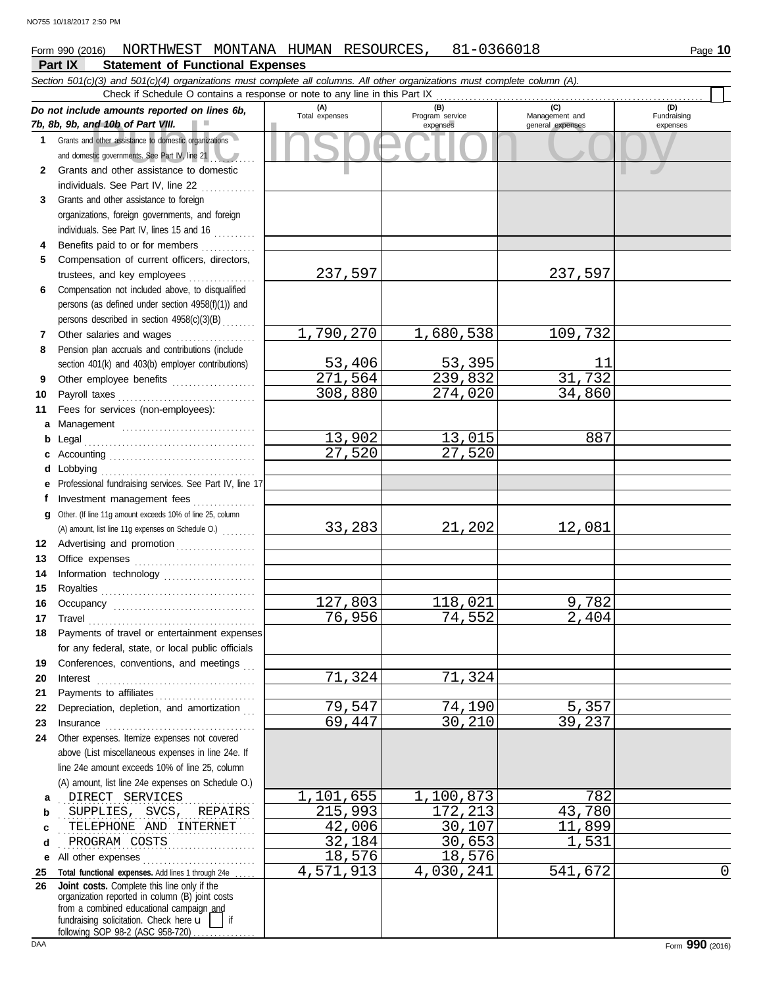#### **Part IX Statement of Functional Expenses** Form 990 (2016) NORTHWEST MONTANA HUMAN RESOURCES, 81-0366018 Page 10

|        | Section 501(c)(3) and 501(c)(4) organizations must complete all columns. All other organizations must complete column (A).<br>Check if Schedule O contains a response or note to any line in this Part IX |                    |                             |                                    |                         |
|--------|-----------------------------------------------------------------------------------------------------------------------------------------------------------------------------------------------------------|--------------------|-----------------------------|------------------------------------|-------------------------|
|        | Do not include amounts reported on lines 6b,                                                                                                                                                              | (A)                | (B)                         | (C)                                | (D)                     |
|        | 7b, 8b, 9b, and 10b of Part VIII.                                                                                                                                                                         | Total expenses     | Program service<br>expenses | Management and<br>general expenses | Fundraising<br>expenses |
|        | 1 Grants and other assistance to domestic organizations                                                                                                                                                   |                    |                             |                                    |                         |
|        | and domestic governments. See Part IV, line 21                                                                                                                                                            |                    |                             |                                    |                         |
| 2      | Grants and other assistance to domestic                                                                                                                                                                   |                    |                             |                                    |                         |
|        | individuals. See Part IV, line 22                                                                                                                                                                         |                    |                             |                                    |                         |
| 3      | Grants and other assistance to foreign                                                                                                                                                                    |                    |                             |                                    |                         |
|        | organizations, foreign governments, and foreign                                                                                                                                                           |                    |                             |                                    |                         |
|        | individuals. See Part IV, lines 15 and 16                                                                                                                                                                 |                    |                             |                                    |                         |
| 4      | Benefits paid to or for members                                                                                                                                                                           |                    |                             |                                    |                         |
| 5      | Compensation of current officers, directors,                                                                                                                                                              |                    |                             |                                    |                         |
|        | trustees, and key employees                                                                                                                                                                               | 237,597            |                             | 237,597                            |                         |
| 6      | Compensation not included above, to disqualified                                                                                                                                                          |                    |                             |                                    |                         |
|        | persons (as defined under section 4958(f)(1)) and                                                                                                                                                         |                    |                             |                                    |                         |
|        | persons described in section 4958(c)(3)(B)                                                                                                                                                                |                    |                             |                                    |                         |
| 7      | Other salaries and wages                                                                                                                                                                                  | 1,790,270          | 1,680,538                   | 109,732                            |                         |
| 8      | Pension plan accruals and contributions (include                                                                                                                                                          |                    |                             |                                    |                         |
|        | section 401(k) and 403(b) employer contributions)                                                                                                                                                         | 53,406             | 53,395                      | 11<br>31,732                       |                         |
| 9      | Other employee benefits                                                                                                                                                                                   | 271,564<br>308,880 | 239,832                     |                                    |                         |
| 10     |                                                                                                                                                                                                           |                    | 274,020                     | 34,860                             |                         |
| 11     | Fees for services (non-employees):                                                                                                                                                                        |                    |                             |                                    |                         |
| а      | Management                                                                                                                                                                                                | 13,902             | 13,015                      | 887                                |                         |
| b      | Legal                                                                                                                                                                                                     | 27,520             | 27,520                      |                                    |                         |
| d      | Lobbying                                                                                                                                                                                                  |                    |                             |                                    |                         |
|        | Professional fundraising services. See Part IV, line 17                                                                                                                                                   |                    |                             |                                    |                         |
|        | Investment management fees                                                                                                                                                                                |                    |                             |                                    |                         |
| g      | Other. (If line 11g amount exceeds 10% of line 25, column                                                                                                                                                 |                    |                             |                                    |                         |
|        | (A) amount, list line 11g expenses on Schedule O.)                                                                                                                                                        | 33,283             | 21,202                      | 12,081                             |                         |
| 12     | Advertising and promotion                                                                                                                                                                                 |                    |                             |                                    |                         |
| 13     |                                                                                                                                                                                                           |                    |                             |                                    |                         |
| 14     |                                                                                                                                                                                                           |                    |                             |                                    |                         |
| 15     |                                                                                                                                                                                                           |                    |                             |                                    |                         |
| 16     |                                                                                                                                                                                                           | 127,803            | 118,021                     | 9,782                              |                         |
| 17     | $\begin{minipage}{0.5\textwidth} \centering \begin{tabular}{@{}c@{}} \textbf{True} & \textbf{True} \\ \textbf{True} & \textbf{True} \\ \textbf{True} & \textbf{True} \\ \end{tabular} \end{minipage}$     | 76,956             | 74,552                      | $\overline{2}$ , 404               |                         |
|        | Payments of travel or entertainment expenses                                                                                                                                                              |                    |                             |                                    |                         |
|        | for any federal, state, or local public officials                                                                                                                                                         |                    |                             |                                    |                         |
| 19     | Conferences, conventions, and meetings                                                                                                                                                                    |                    |                             |                                    |                         |
| 20     | Interest                                                                                                                                                                                                  | 71,324             | 71,324                      |                                    |                         |
| 21     | Payments to affiliates                                                                                                                                                                                    |                    |                             |                                    |                         |
| 22     | Depreciation, depletion, and amortization                                                                                                                                                                 | 79,547             | 74,190                      | 5,357                              |                         |
| 23     |                                                                                                                                                                                                           | 69,447             | 30,210                      | 39,237                             |                         |
| 24     | Other expenses. Itemize expenses not covered                                                                                                                                                              |                    |                             |                                    |                         |
|        | above (List miscellaneous expenses in line 24e. If                                                                                                                                                        |                    |                             |                                    |                         |
|        | line 24e amount exceeds 10% of line 25, column                                                                                                                                                            |                    |                             |                                    |                         |
|        | (A) amount, list line 24e expenses on Schedule O.)<br>DIRECT SERVICES                                                                                                                                     | 1,101,655          | 1,100,873                   | 782                                |                         |
| а<br>b | SUPPLIES, SVCS,<br>REPAIRS                                                                                                                                                                                | 215,993            | 172,213                     | 43,780                             |                         |
| c      | TELEPHONE AND INTERNET                                                                                                                                                                                    | 42,006             | 30,107                      | 11,899                             |                         |
| d      | PROGRAM COSTS                                                                                                                                                                                             | 32,184             | 30,653                      | 1,531                              |                         |
| е      | All other expenses                                                                                                                                                                                        | 18,576             | 18,576                      |                                    |                         |
| 25     | Total functional expenses. Add lines 1 through 24e                                                                                                                                                        | 4,571,913          | 4,030,241                   | 541,672                            | 0                       |
| 26     | Joint costs. Complete this line only if the                                                                                                                                                               |                    |                             |                                    |                         |
|        | organization reported in column (B) joint costs<br>from a combined educational campaign and                                                                                                               |                    |                             |                                    |                         |
|        | fundraising solicitation. Check here $\mathbf{u}$<br>if                                                                                                                                                   |                    |                             |                                    |                         |
|        | following SOP 98-2 (ASC 958-720)                                                                                                                                                                          |                    |                             |                                    |                         |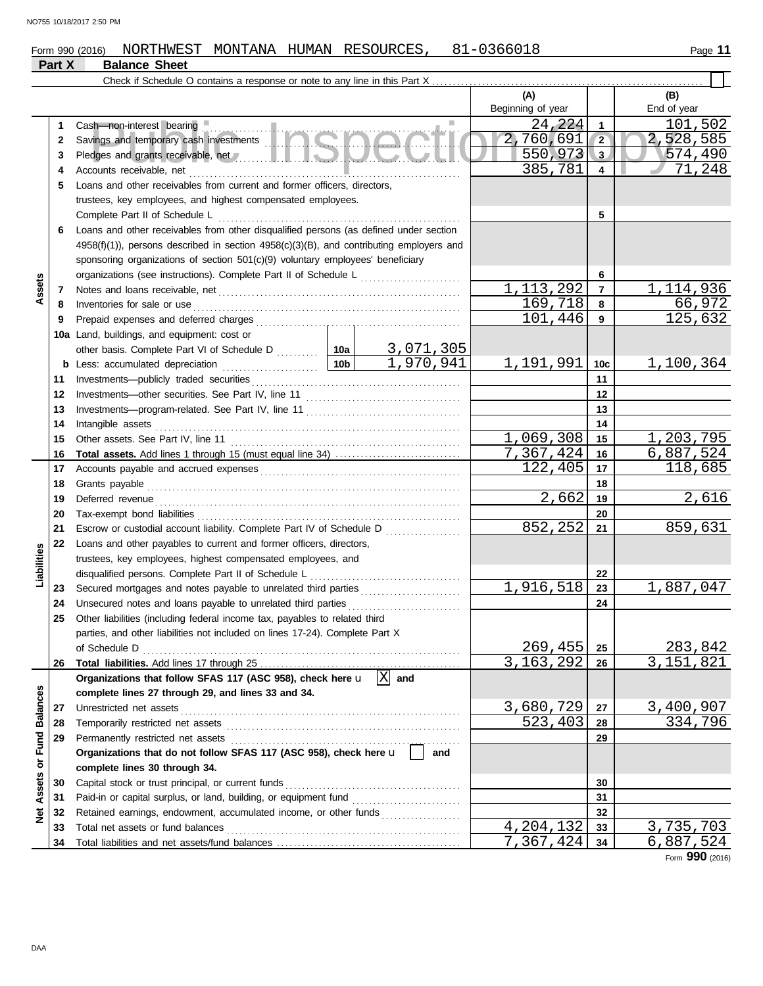## Form 990 (2016) NORTHWEST MONTANA HUMAN RESOURCES, 81-0366018 Page 11

## **Part X Balance Sheet**

|                         |    |                                                                                                                     |                 |           | (A)<br>Beginning of year |                         | (B)<br>End of year        |
|-------------------------|----|---------------------------------------------------------------------------------------------------------------------|-----------------|-----------|--------------------------|-------------------------|---------------------------|
|                         | 1  | Cash-non-interest bearing                                                                                           |                 |           | 24,224                   | $\mathbf{1}$            | 101,502                   |
|                         | 2  | Savings and temporary cash investments                                                                              |                 |           | 2,760,691                | $\sqrt{2}$              | 2,528,585                 |
|                         | 3  | Pledges and grants receivable, net All and the Material Contract of the Material Pledges and grants receivable, net |                 |           | 550,973                  | 3                       | 574,490                   |
|                         | 4  | Accounts receivable, net                                                                                            |                 | .         | 385,781                  | $\overline{\mathbf{4}}$ | 71,248                    |
|                         | 5  | Loans and other receivables from current and former officers, directors,                                            |                 |           |                          |                         |                           |
|                         |    | trustees, key employees, and highest compensated employees.                                                         |                 |           |                          |                         |                           |
|                         |    | Complete Part II of Schedule L                                                                                      |                 |           |                          | 5                       |                           |
|                         | 6  | Loans and other receivables from other disqualified persons (as defined under section                               |                 |           |                          |                         |                           |
|                         |    | $4958(f)(1)$ ), persons described in section $4958(c)(3)(B)$ , and contributing employers and                       |                 |           |                          |                         |                           |
|                         |    | sponsoring organizations of section 501(c)(9) voluntary employees' beneficiary                                      |                 |           |                          |                         |                           |
|                         |    |                                                                                                                     |                 |           |                          | 6                       |                           |
| Assets                  | 7  |                                                                                                                     |                 |           | 1, 113, 292              | $\overline{7}$          | 1,114,936                 |
|                         | 8  | Inventories for sale or use                                                                                         |                 |           | 169,718                  | 8                       | 66,972                    |
|                         | 9  |                                                                                                                     |                 |           | 101,446                  | 9                       | 125,632                   |
|                         |    | 10a Land, buildings, and equipment: cost or                                                                         |                 |           |                          |                         |                           |
|                         |    | other basis. Complete Part VI of Schedule D  10a                                                                    |                 | 3,071,305 |                          |                         |                           |
|                         |    |                                                                                                                     | 10 <sub>b</sub> | 1,970,941 | 1,191,991                | 10 <sub>c</sub>         | 1,100,364                 |
|                         | 11 |                                                                                                                     |                 |           |                          | 11                      |                           |
|                         | 12 |                                                                                                                     |                 |           |                          | 12                      |                           |
|                         | 13 |                                                                                                                     |                 |           |                          | 13                      |                           |
|                         | 14 | Intangible assets                                                                                                   |                 |           |                          | 14                      |                           |
|                         | 15 | Other assets. See Part IV, line 11                                                                                  |                 |           | 1,069,308                | 15                      | 1,203,795                 |
|                         | 16 |                                                                                                                     |                 |           | 7,367,424                | 16                      | 6,887,524                 |
|                         | 17 |                                                                                                                     |                 |           | 122, 405                 | 17                      | 118,685                   |
|                         | 18 |                                                                                                                     |                 | 18        |                          |                         |                           |
|                         | 19 |                                                                                                                     |                 |           | 2,662                    | 19                      | 2,616                     |
|                         | 20 |                                                                                                                     |                 |           |                          | 20                      |                           |
|                         | 21 | Escrow or custodial account liability. Complete Part IV of Schedule D                                               |                 | 852,252   | 21                       | 859,631                 |                           |
|                         | 22 | Loans and other payables to current and former officers, directors,                                                 |                 |           |                          |                         |                           |
| Liabilities             |    | trustees, key employees, highest compensated employees, and                                                         |                 |           |                          |                         |                           |
|                         |    | disqualified persons. Complete Part II of Schedule L                                                                |                 |           |                          | 22                      |                           |
|                         | 23 | Secured mortgages and notes payable to unrelated third parties                                                      |                 |           | 1,916,518                | 23                      | 1,887,047                 |
|                         | 24 | Unsecured notes and loans payable to unrelated third parties                                                        |                 |           |                          | 24                      |                           |
|                         | 25 | Other liabilities (including federal income tax, payables to related third                                          |                 |           |                          |                         |                           |
|                         |    | parties, and other liabilities not included on lines 17-24). Complete Part X                                        |                 |           |                          |                         |                           |
|                         |    | of Schedule D                                                                                                       |                 |           | 269,455                  | 25                      | 283,842                   |
|                         | 26 |                                                                                                                     |                 |           | 3,163,292                | 26                      | $\overline{3}$ , 151, 821 |
|                         |    | Organizations that follow SFAS 117 (ASC 958), check here $\mathbf{u}$ $\overline{X}$                                |                 | and       |                          |                         |                           |
|                         |    | complete lines 27 through 29, and lines 33 and 34.                                                                  |                 |           |                          |                         |                           |
|                         | 27 | Unrestricted net assets                                                                                             |                 |           | 3,680,729                | 27                      | 3,400,907                 |
|                         | 28 |                                                                                                                     |                 |           | 523,403                  | 28                      | 334,796                   |
|                         | 29 |                                                                                                                     |                 |           |                          | 29                      |                           |
|                         |    | Organizations that do not follow SFAS 117 (ASC 958), check here u                                                   |                 | and       |                          |                         |                           |
| Assets or Fund Balances |    | complete lines 30 through 34.                                                                                       |                 |           |                          |                         |                           |
|                         | 30 | Capital stock or trust principal, or current funds                                                                  |                 |           |                          | 30                      |                           |
|                         | 31 |                                                                                                                     |                 |           |                          | 31                      |                           |
| <b>Med</b>              | 32 | Retained earnings, endowment, accumulated income, or other funds                                                    |                 |           |                          | 32                      |                           |
|                         | 33 |                                                                                                                     |                 |           | 4,204,132                | 33                      | 3,735,703                 |
|                         | 34 |                                                                                                                     |                 |           | 7,367,424                | 34                      | 6,887,524                 |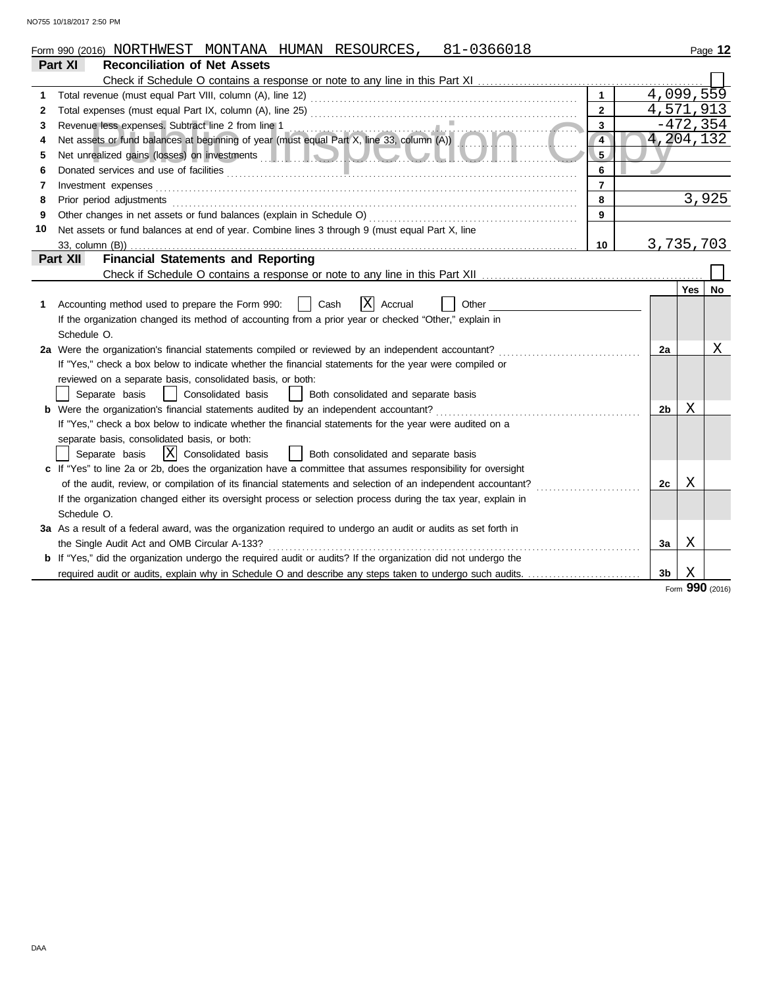| Part XI<br><b>Reconciliation of Net Assets</b><br>4,099,559<br>$\mathbf{1}$<br>1<br>4,571,913<br>$\overline{2}$<br>2<br>$-472, 354$<br>Revenue less expenses. Subtract line 2 from line 1<br>$\mathbf{3}$<br>3<br>Revenue less expenses. Subtract line 2 from line 1<br>Net assets or fund balances at beginning of year (must equal Part X, line 33, column (A))<br>4,204,132<br>$\overline{4}$<br>4<br>Net unrealized gains (losses) on investments <b>the contract of the contract of the contract of the contract of the contract of the contract of the contract of the contract of the contract of the contract of the contract of </b><br>5<br>5<br>Donated services and use of facilities <b>constructs</b> and the service of the service of the service of the service of the service of the service of the service of the service of the service of the service of the service of t<br>6<br>6<br>$\overline{7}$<br>Investment expenses <b>constant expenses constant expenses constant and all expenses constant and all expenses</b><br>7<br>3,925<br>8<br>Prior period adjustments entertainments and adjustments and account of the contract of the contract of the contract of the contract of the contract of the contract of the contract of the contract of the contract of the con<br>8<br>9<br>9<br>Net assets or fund balances at end of year. Combine lines 3 through 9 (must equal Part X, line<br>10<br>3,735,703<br>10<br><b>Financial Statements and Reporting</b><br>Part XII<br>Yes<br>X Accrual<br>Accounting method used to prepare the Form 990:<br>Cash<br>Other<br>1<br>If the organization changed its method of accounting from a prior year or checked "Other," explain in<br>Schedule O.<br>2a Were the organization's financial statements compiled or reviewed by an independent accountant?<br>2a<br>If "Yes," check a box below to indicate whether the financial statements for the year were compiled or<br>reviewed on a separate basis, consolidated basis, or both:<br>Separate basis<br>Consolidated basis<br>Both consolidated and separate basis<br>Χ<br>2b<br>If "Yes," check a box below to indicate whether the financial statements for the year were audited on a<br>separate basis, consolidated basis, or both:<br>$ X $ Consolidated basis<br>Both consolidated and separate basis<br>Separate basis<br>c If "Yes" to line 2a or 2b, does the organization have a committee that assumes responsibility for oversight<br>Χ<br>of the audit, review, or compilation of its financial statements and selection of an independent accountant?<br>2с<br>If the organization changed either its oversight process or selection process during the tax year, explain in<br>Schedule O.<br>3a As a result of a federal award, was the organization required to undergo an audit or audits as set forth in<br>Χ<br>the Single Audit Act and OMB Circular A-133?<br>За<br><b>b</b> If "Yes," did the organization undergo the required audit or audits? If the organization did not undergo the | 81-0366018<br>Form 990 (2016) NORTHWEST MONTANA HUMAN RESOURCES, |  | Page 12 |
|-------------------------------------------------------------------------------------------------------------------------------------------------------------------------------------------------------------------------------------------------------------------------------------------------------------------------------------------------------------------------------------------------------------------------------------------------------------------------------------------------------------------------------------------------------------------------------------------------------------------------------------------------------------------------------------------------------------------------------------------------------------------------------------------------------------------------------------------------------------------------------------------------------------------------------------------------------------------------------------------------------------------------------------------------------------------------------------------------------------------------------------------------------------------------------------------------------------------------------------------------------------------------------------------------------------------------------------------------------------------------------------------------------------------------------------------------------------------------------------------------------------------------------------------------------------------------------------------------------------------------------------------------------------------------------------------------------------------------------------------------------------------------------------------------------------------------------------------------------------------------------------------------------------------------------------------------------------------------------------------------------------------------------------------------------------------------------------------------------------------------------------------------------------------------------------------------------------------------------------------------------------------------------------------------------------------------------------------------------------------------------------------------------------------------------------------------------------------------------------------------------------------------------------------------------------------------------------------------------------------------------------------------------------------------------------------------------------------------------------------------------------------------------------------------------------------------------------------------------------------------------------------------------------------------------------------------------------------------------------------------------------------------------------------------|------------------------------------------------------------------|--|---------|
|                                                                                                                                                                                                                                                                                                                                                                                                                                                                                                                                                                                                                                                                                                                                                                                                                                                                                                                                                                                                                                                                                                                                                                                                                                                                                                                                                                                                                                                                                                                                                                                                                                                                                                                                                                                                                                                                                                                                                                                                                                                                                                                                                                                                                                                                                                                                                                                                                                                                                                                                                                                                                                                                                                                                                                                                                                                                                                                                                                                                                                                 |                                                                  |  |         |
|                                                                                                                                                                                                                                                                                                                                                                                                                                                                                                                                                                                                                                                                                                                                                                                                                                                                                                                                                                                                                                                                                                                                                                                                                                                                                                                                                                                                                                                                                                                                                                                                                                                                                                                                                                                                                                                                                                                                                                                                                                                                                                                                                                                                                                                                                                                                                                                                                                                                                                                                                                                                                                                                                                                                                                                                                                                                                                                                                                                                                                                 |                                                                  |  |         |
|                                                                                                                                                                                                                                                                                                                                                                                                                                                                                                                                                                                                                                                                                                                                                                                                                                                                                                                                                                                                                                                                                                                                                                                                                                                                                                                                                                                                                                                                                                                                                                                                                                                                                                                                                                                                                                                                                                                                                                                                                                                                                                                                                                                                                                                                                                                                                                                                                                                                                                                                                                                                                                                                                                                                                                                                                                                                                                                                                                                                                                                 |                                                                  |  |         |
|                                                                                                                                                                                                                                                                                                                                                                                                                                                                                                                                                                                                                                                                                                                                                                                                                                                                                                                                                                                                                                                                                                                                                                                                                                                                                                                                                                                                                                                                                                                                                                                                                                                                                                                                                                                                                                                                                                                                                                                                                                                                                                                                                                                                                                                                                                                                                                                                                                                                                                                                                                                                                                                                                                                                                                                                                                                                                                                                                                                                                                                 |                                                                  |  |         |
|                                                                                                                                                                                                                                                                                                                                                                                                                                                                                                                                                                                                                                                                                                                                                                                                                                                                                                                                                                                                                                                                                                                                                                                                                                                                                                                                                                                                                                                                                                                                                                                                                                                                                                                                                                                                                                                                                                                                                                                                                                                                                                                                                                                                                                                                                                                                                                                                                                                                                                                                                                                                                                                                                                                                                                                                                                                                                                                                                                                                                                                 |                                                                  |  |         |
|                                                                                                                                                                                                                                                                                                                                                                                                                                                                                                                                                                                                                                                                                                                                                                                                                                                                                                                                                                                                                                                                                                                                                                                                                                                                                                                                                                                                                                                                                                                                                                                                                                                                                                                                                                                                                                                                                                                                                                                                                                                                                                                                                                                                                                                                                                                                                                                                                                                                                                                                                                                                                                                                                                                                                                                                                                                                                                                                                                                                                                                 |                                                                  |  |         |
|                                                                                                                                                                                                                                                                                                                                                                                                                                                                                                                                                                                                                                                                                                                                                                                                                                                                                                                                                                                                                                                                                                                                                                                                                                                                                                                                                                                                                                                                                                                                                                                                                                                                                                                                                                                                                                                                                                                                                                                                                                                                                                                                                                                                                                                                                                                                                                                                                                                                                                                                                                                                                                                                                                                                                                                                                                                                                                                                                                                                                                                 |                                                                  |  |         |
|                                                                                                                                                                                                                                                                                                                                                                                                                                                                                                                                                                                                                                                                                                                                                                                                                                                                                                                                                                                                                                                                                                                                                                                                                                                                                                                                                                                                                                                                                                                                                                                                                                                                                                                                                                                                                                                                                                                                                                                                                                                                                                                                                                                                                                                                                                                                                                                                                                                                                                                                                                                                                                                                                                                                                                                                                                                                                                                                                                                                                                                 |                                                                  |  |         |
|                                                                                                                                                                                                                                                                                                                                                                                                                                                                                                                                                                                                                                                                                                                                                                                                                                                                                                                                                                                                                                                                                                                                                                                                                                                                                                                                                                                                                                                                                                                                                                                                                                                                                                                                                                                                                                                                                                                                                                                                                                                                                                                                                                                                                                                                                                                                                                                                                                                                                                                                                                                                                                                                                                                                                                                                                                                                                                                                                                                                                                                 |                                                                  |  |         |
|                                                                                                                                                                                                                                                                                                                                                                                                                                                                                                                                                                                                                                                                                                                                                                                                                                                                                                                                                                                                                                                                                                                                                                                                                                                                                                                                                                                                                                                                                                                                                                                                                                                                                                                                                                                                                                                                                                                                                                                                                                                                                                                                                                                                                                                                                                                                                                                                                                                                                                                                                                                                                                                                                                                                                                                                                                                                                                                                                                                                                                                 |                                                                  |  |         |
|                                                                                                                                                                                                                                                                                                                                                                                                                                                                                                                                                                                                                                                                                                                                                                                                                                                                                                                                                                                                                                                                                                                                                                                                                                                                                                                                                                                                                                                                                                                                                                                                                                                                                                                                                                                                                                                                                                                                                                                                                                                                                                                                                                                                                                                                                                                                                                                                                                                                                                                                                                                                                                                                                                                                                                                                                                                                                                                                                                                                                                                 |                                                                  |  |         |
|                                                                                                                                                                                                                                                                                                                                                                                                                                                                                                                                                                                                                                                                                                                                                                                                                                                                                                                                                                                                                                                                                                                                                                                                                                                                                                                                                                                                                                                                                                                                                                                                                                                                                                                                                                                                                                                                                                                                                                                                                                                                                                                                                                                                                                                                                                                                                                                                                                                                                                                                                                                                                                                                                                                                                                                                                                                                                                                                                                                                                                                 |                                                                  |  |         |
|                                                                                                                                                                                                                                                                                                                                                                                                                                                                                                                                                                                                                                                                                                                                                                                                                                                                                                                                                                                                                                                                                                                                                                                                                                                                                                                                                                                                                                                                                                                                                                                                                                                                                                                                                                                                                                                                                                                                                                                                                                                                                                                                                                                                                                                                                                                                                                                                                                                                                                                                                                                                                                                                                                                                                                                                                                                                                                                                                                                                                                                 |                                                                  |  |         |
|                                                                                                                                                                                                                                                                                                                                                                                                                                                                                                                                                                                                                                                                                                                                                                                                                                                                                                                                                                                                                                                                                                                                                                                                                                                                                                                                                                                                                                                                                                                                                                                                                                                                                                                                                                                                                                                                                                                                                                                                                                                                                                                                                                                                                                                                                                                                                                                                                                                                                                                                                                                                                                                                                                                                                                                                                                                                                                                                                                                                                                                 |                                                                  |  |         |
|                                                                                                                                                                                                                                                                                                                                                                                                                                                                                                                                                                                                                                                                                                                                                                                                                                                                                                                                                                                                                                                                                                                                                                                                                                                                                                                                                                                                                                                                                                                                                                                                                                                                                                                                                                                                                                                                                                                                                                                                                                                                                                                                                                                                                                                                                                                                                                                                                                                                                                                                                                                                                                                                                                                                                                                                                                                                                                                                                                                                                                                 |                                                                  |  |         |
|                                                                                                                                                                                                                                                                                                                                                                                                                                                                                                                                                                                                                                                                                                                                                                                                                                                                                                                                                                                                                                                                                                                                                                                                                                                                                                                                                                                                                                                                                                                                                                                                                                                                                                                                                                                                                                                                                                                                                                                                                                                                                                                                                                                                                                                                                                                                                                                                                                                                                                                                                                                                                                                                                                                                                                                                                                                                                                                                                                                                                                                 |                                                                  |  | No      |
|                                                                                                                                                                                                                                                                                                                                                                                                                                                                                                                                                                                                                                                                                                                                                                                                                                                                                                                                                                                                                                                                                                                                                                                                                                                                                                                                                                                                                                                                                                                                                                                                                                                                                                                                                                                                                                                                                                                                                                                                                                                                                                                                                                                                                                                                                                                                                                                                                                                                                                                                                                                                                                                                                                                                                                                                                                                                                                                                                                                                                                                 |                                                                  |  |         |
|                                                                                                                                                                                                                                                                                                                                                                                                                                                                                                                                                                                                                                                                                                                                                                                                                                                                                                                                                                                                                                                                                                                                                                                                                                                                                                                                                                                                                                                                                                                                                                                                                                                                                                                                                                                                                                                                                                                                                                                                                                                                                                                                                                                                                                                                                                                                                                                                                                                                                                                                                                                                                                                                                                                                                                                                                                                                                                                                                                                                                                                 |                                                                  |  |         |
|                                                                                                                                                                                                                                                                                                                                                                                                                                                                                                                                                                                                                                                                                                                                                                                                                                                                                                                                                                                                                                                                                                                                                                                                                                                                                                                                                                                                                                                                                                                                                                                                                                                                                                                                                                                                                                                                                                                                                                                                                                                                                                                                                                                                                                                                                                                                                                                                                                                                                                                                                                                                                                                                                                                                                                                                                                                                                                                                                                                                                                                 |                                                                  |  |         |
|                                                                                                                                                                                                                                                                                                                                                                                                                                                                                                                                                                                                                                                                                                                                                                                                                                                                                                                                                                                                                                                                                                                                                                                                                                                                                                                                                                                                                                                                                                                                                                                                                                                                                                                                                                                                                                                                                                                                                                                                                                                                                                                                                                                                                                                                                                                                                                                                                                                                                                                                                                                                                                                                                                                                                                                                                                                                                                                                                                                                                                                 |                                                                  |  | Χ       |
|                                                                                                                                                                                                                                                                                                                                                                                                                                                                                                                                                                                                                                                                                                                                                                                                                                                                                                                                                                                                                                                                                                                                                                                                                                                                                                                                                                                                                                                                                                                                                                                                                                                                                                                                                                                                                                                                                                                                                                                                                                                                                                                                                                                                                                                                                                                                                                                                                                                                                                                                                                                                                                                                                                                                                                                                                                                                                                                                                                                                                                                 |                                                                  |  |         |
|                                                                                                                                                                                                                                                                                                                                                                                                                                                                                                                                                                                                                                                                                                                                                                                                                                                                                                                                                                                                                                                                                                                                                                                                                                                                                                                                                                                                                                                                                                                                                                                                                                                                                                                                                                                                                                                                                                                                                                                                                                                                                                                                                                                                                                                                                                                                                                                                                                                                                                                                                                                                                                                                                                                                                                                                                                                                                                                                                                                                                                                 |                                                                  |  |         |
|                                                                                                                                                                                                                                                                                                                                                                                                                                                                                                                                                                                                                                                                                                                                                                                                                                                                                                                                                                                                                                                                                                                                                                                                                                                                                                                                                                                                                                                                                                                                                                                                                                                                                                                                                                                                                                                                                                                                                                                                                                                                                                                                                                                                                                                                                                                                                                                                                                                                                                                                                                                                                                                                                                                                                                                                                                                                                                                                                                                                                                                 |                                                                  |  |         |
|                                                                                                                                                                                                                                                                                                                                                                                                                                                                                                                                                                                                                                                                                                                                                                                                                                                                                                                                                                                                                                                                                                                                                                                                                                                                                                                                                                                                                                                                                                                                                                                                                                                                                                                                                                                                                                                                                                                                                                                                                                                                                                                                                                                                                                                                                                                                                                                                                                                                                                                                                                                                                                                                                                                                                                                                                                                                                                                                                                                                                                                 |                                                                  |  |         |
|                                                                                                                                                                                                                                                                                                                                                                                                                                                                                                                                                                                                                                                                                                                                                                                                                                                                                                                                                                                                                                                                                                                                                                                                                                                                                                                                                                                                                                                                                                                                                                                                                                                                                                                                                                                                                                                                                                                                                                                                                                                                                                                                                                                                                                                                                                                                                                                                                                                                                                                                                                                                                                                                                                                                                                                                                                                                                                                                                                                                                                                 |                                                                  |  |         |
|                                                                                                                                                                                                                                                                                                                                                                                                                                                                                                                                                                                                                                                                                                                                                                                                                                                                                                                                                                                                                                                                                                                                                                                                                                                                                                                                                                                                                                                                                                                                                                                                                                                                                                                                                                                                                                                                                                                                                                                                                                                                                                                                                                                                                                                                                                                                                                                                                                                                                                                                                                                                                                                                                                                                                                                                                                                                                                                                                                                                                                                 |                                                                  |  |         |
|                                                                                                                                                                                                                                                                                                                                                                                                                                                                                                                                                                                                                                                                                                                                                                                                                                                                                                                                                                                                                                                                                                                                                                                                                                                                                                                                                                                                                                                                                                                                                                                                                                                                                                                                                                                                                                                                                                                                                                                                                                                                                                                                                                                                                                                                                                                                                                                                                                                                                                                                                                                                                                                                                                                                                                                                                                                                                                                                                                                                                                                 |                                                                  |  |         |
|                                                                                                                                                                                                                                                                                                                                                                                                                                                                                                                                                                                                                                                                                                                                                                                                                                                                                                                                                                                                                                                                                                                                                                                                                                                                                                                                                                                                                                                                                                                                                                                                                                                                                                                                                                                                                                                                                                                                                                                                                                                                                                                                                                                                                                                                                                                                                                                                                                                                                                                                                                                                                                                                                                                                                                                                                                                                                                                                                                                                                                                 |                                                                  |  |         |
|                                                                                                                                                                                                                                                                                                                                                                                                                                                                                                                                                                                                                                                                                                                                                                                                                                                                                                                                                                                                                                                                                                                                                                                                                                                                                                                                                                                                                                                                                                                                                                                                                                                                                                                                                                                                                                                                                                                                                                                                                                                                                                                                                                                                                                                                                                                                                                                                                                                                                                                                                                                                                                                                                                                                                                                                                                                                                                                                                                                                                                                 |                                                                  |  |         |
|                                                                                                                                                                                                                                                                                                                                                                                                                                                                                                                                                                                                                                                                                                                                                                                                                                                                                                                                                                                                                                                                                                                                                                                                                                                                                                                                                                                                                                                                                                                                                                                                                                                                                                                                                                                                                                                                                                                                                                                                                                                                                                                                                                                                                                                                                                                                                                                                                                                                                                                                                                                                                                                                                                                                                                                                                                                                                                                                                                                                                                                 |                                                                  |  |         |
|                                                                                                                                                                                                                                                                                                                                                                                                                                                                                                                                                                                                                                                                                                                                                                                                                                                                                                                                                                                                                                                                                                                                                                                                                                                                                                                                                                                                                                                                                                                                                                                                                                                                                                                                                                                                                                                                                                                                                                                                                                                                                                                                                                                                                                                                                                                                                                                                                                                                                                                                                                                                                                                                                                                                                                                                                                                                                                                                                                                                                                                 |                                                                  |  |         |
|                                                                                                                                                                                                                                                                                                                                                                                                                                                                                                                                                                                                                                                                                                                                                                                                                                                                                                                                                                                                                                                                                                                                                                                                                                                                                                                                                                                                                                                                                                                                                                                                                                                                                                                                                                                                                                                                                                                                                                                                                                                                                                                                                                                                                                                                                                                                                                                                                                                                                                                                                                                                                                                                                                                                                                                                                                                                                                                                                                                                                                                 |                                                                  |  |         |
|                                                                                                                                                                                                                                                                                                                                                                                                                                                                                                                                                                                                                                                                                                                                                                                                                                                                                                                                                                                                                                                                                                                                                                                                                                                                                                                                                                                                                                                                                                                                                                                                                                                                                                                                                                                                                                                                                                                                                                                                                                                                                                                                                                                                                                                                                                                                                                                                                                                                                                                                                                                                                                                                                                                                                                                                                                                                                                                                                                                                                                                 |                                                                  |  |         |
|                                                                                                                                                                                                                                                                                                                                                                                                                                                                                                                                                                                                                                                                                                                                                                                                                                                                                                                                                                                                                                                                                                                                                                                                                                                                                                                                                                                                                                                                                                                                                                                                                                                                                                                                                                                                                                                                                                                                                                                                                                                                                                                                                                                                                                                                                                                                                                                                                                                                                                                                                                                                                                                                                                                                                                                                                                                                                                                                                                                                                                                 |                                                                  |  |         |
| Χ<br>required audit or audits, explain why in Schedule O and describe any steps taken to undergo such audits.<br>3b<br>$\sim$                                                                                                                                                                                                                                                                                                                                                                                                                                                                                                                                                                                                                                                                                                                                                                                                                                                                                                                                                                                                                                                                                                                                                                                                                                                                                                                                                                                                                                                                                                                                                                                                                                                                                                                                                                                                                                                                                                                                                                                                                                                                                                                                                                                                                                                                                                                                                                                                                                                                                                                                                                                                                                                                                                                                                                                                                                                                                                                   |                                                                  |  |         |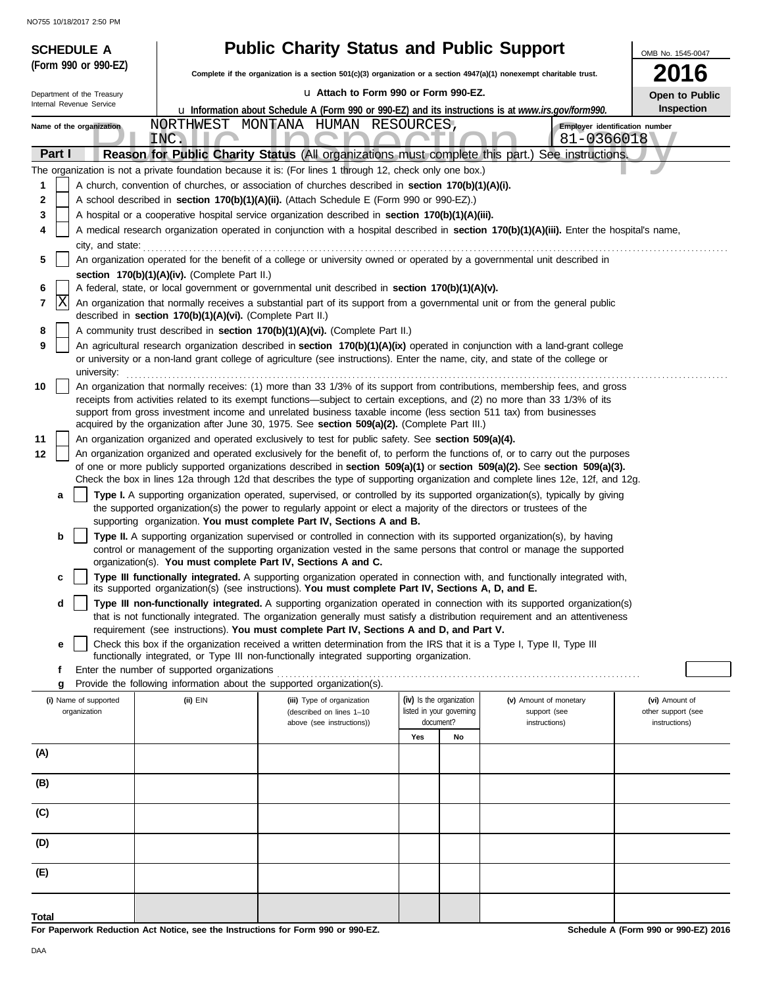| <b>SCHEDULE A</b>                     |                                                            | <b>Public Charity Status and Public Support</b>                                                                                                                                                                                                                |                          |                                        | OMB No. 1545-0047                    |
|---------------------------------------|------------------------------------------------------------|----------------------------------------------------------------------------------------------------------------------------------------------------------------------------------------------------------------------------------------------------------------|--------------------------|----------------------------------------|--------------------------------------|
| (Form 990 or 990-EZ)                  |                                                            | Complete if the organization is a section 501(c)(3) organization or a section 4947(a)(1) nonexempt charitable trust.                                                                                                                                           |                          |                                        | 2016                                 |
| Department of the Treasury            |                                                            | La Attach to Form 990 or Form 990-EZ.                                                                                                                                                                                                                          |                          |                                        | Open to Public                       |
| Internal Revenue Service              |                                                            | u Information about Schedule A (Form 990 or 990-EZ) and its instructions is at www.irs.gov/form990.                                                                                                                                                            |                          |                                        | Inspection                           |
| Name of the organization              |                                                            | NORTHWEST MONTANA HUMAN RESOURCES,                                                                                                                                                                                                                             |                          |                                        | Employer identification number       |
| Part I                                | INC.                                                       | Reason for Public Charity Status (All organizations must complete this part.) See instructions.                                                                                                                                                                |                          | 81-0366018                             |                                      |
|                                       |                                                            | The organization is not a private foundation because it is: (For lines 1 through 12, check only one box.)                                                                                                                                                      |                          |                                        |                                      |
| 1                                     |                                                            | A church, convention of churches, or association of churches described in section 170(b)(1)(A)(i).                                                                                                                                                             |                          |                                        |                                      |
| 2                                     |                                                            | A school described in section 170(b)(1)(A)(ii). (Attach Schedule E (Form 990 or 990-EZ).)                                                                                                                                                                      |                          |                                        |                                      |
| 3                                     |                                                            | A hospital or a cooperative hospital service organization described in section 170(b)(1)(A)(iii).                                                                                                                                                              |                          |                                        |                                      |
| 4<br>city, and state:                 |                                                            | A medical research organization operated in conjunction with a hospital described in section 170(b)(1)(A)(iii). Enter the hospital's name,                                                                                                                     |                          |                                        |                                      |
| 5                                     |                                                            | An organization operated for the benefit of a college or university owned or operated by a governmental unit described in                                                                                                                                      |                          |                                        |                                      |
|                                       | section 170(b)(1)(A)(iv). (Complete Part II.)              |                                                                                                                                                                                                                                                                |                          |                                        |                                      |
| 6                                     |                                                            | A federal, state, or local government or governmental unit described in section 170(b)(1)(A)(v).                                                                                                                                                               |                          |                                        |                                      |
| X<br>7                                | described in section 170(b)(1)(A)(vi). (Complete Part II.) | An organization that normally receives a substantial part of its support from a governmental unit or from the general public                                                                                                                                   |                          |                                        |                                      |
| 8                                     |                                                            | A community trust described in section 170(b)(1)(A)(vi). (Complete Part II.)                                                                                                                                                                                   |                          |                                        |                                      |
| 9                                     |                                                            | An agricultural research organization described in section 170(b)(1)(A)(ix) operated in conjunction with a land-grant college                                                                                                                                  |                          |                                        |                                      |
| university:                           |                                                            | or university or a non-land grant college of agriculture (see instructions). Enter the name, city, and state of the college or                                                                                                                                 |                          |                                        |                                      |
| 10                                    |                                                            | An organization that normally receives: (1) more than 33 1/3% of its support from contributions, membership fees, and gross                                                                                                                                    |                          |                                        |                                      |
|                                       |                                                            | receipts from activities related to its exempt functions—subject to certain exceptions, and (2) no more than 33 1/3% of its                                                                                                                                    |                          |                                        |                                      |
|                                       |                                                            | support from gross investment income and unrelated business taxable income (less section 511 tax) from businesses<br>acquired by the organization after June 30, 1975. See section 509(a)(2). (Complete Part III.)                                             |                          |                                        |                                      |
| 11                                    |                                                            | An organization organized and operated exclusively to test for public safety. See section 509(a)(4).                                                                                                                                                           |                          |                                        |                                      |
| 12                                    |                                                            | An organization organized and operated exclusively for the benefit of, to perform the functions of, or to carry out the purposes                                                                                                                               |                          |                                        |                                      |
|                                       |                                                            | of one or more publicly supported organizations described in section 509(a)(1) or section 509(a)(2). See section 509(a)(3).<br>Check the box in lines 12a through 12d that describes the type of supporting organization and complete lines 12e, 12f, and 12g. |                          |                                        |                                      |
| а                                     |                                                            | Type I. A supporting organization operated, supervised, or controlled by its supported organization(s), typically by giving                                                                                                                                    |                          |                                        |                                      |
|                                       |                                                            | the supported organization(s) the power to regularly appoint or elect a majority of the directors or trustees of the                                                                                                                                           |                          |                                        |                                      |
| b                                     |                                                            | supporting organization. You must complete Part IV, Sections A and B.<br>Type II. A supporting organization supervised or controlled in connection with its supported organization(s), by having                                                               |                          |                                        |                                      |
|                                       |                                                            | control or management of the supporting organization vested in the same persons that control or manage the supported                                                                                                                                           |                          |                                        |                                      |
|                                       |                                                            | organization(s). You must complete Part IV, Sections A and C.                                                                                                                                                                                                  |                          |                                        |                                      |
| c                                     |                                                            | Type III functionally integrated. A supporting organization operated in connection with, and functionally integrated with,<br>its supported organization(s) (see instructions). You must complete Part IV, Sections A, D, and E.                               |                          |                                        |                                      |
| d                                     |                                                            | Type III non-functionally integrated. A supporting organization operated in connection with its supported organization(s)                                                                                                                                      |                          |                                        |                                      |
|                                       |                                                            | that is not functionally integrated. The organization generally must satisfy a distribution requirement and an attentiveness                                                                                                                                   |                          |                                        |                                      |
| е                                     |                                                            | requirement (see instructions). You must complete Part IV, Sections A and D, and Part V.<br>Check this box if the organization received a written determination from the IRS that it is a Type I, Type II, Type III                                            |                          |                                        |                                      |
|                                       |                                                            | functionally integrated, or Type III non-functionally integrated supporting organization.                                                                                                                                                                      |                          |                                        |                                      |
| f                                     | Enter the number of supported organizations                |                                                                                                                                                                                                                                                                |                          |                                        |                                      |
| g                                     |                                                            | Provide the following information about the supported organization(s).                                                                                                                                                                                         | (iv) Is the organization |                                        |                                      |
| (i) Name of supported<br>organization | $(ii)$ $EIN$                                               | (iii) Type of organization<br>(described on lines 1-10                                                                                                                                                                                                         | listed in your governing | (v) Amount of monetary<br>support (see | (vi) Amount of<br>other support (see |
|                                       |                                                            | above (see instructions))                                                                                                                                                                                                                                      | document?                | instructions)                          | instructions)                        |
| (A)                                   |                                                            |                                                                                                                                                                                                                                                                | Yes<br>No                |                                        |                                      |
|                                       |                                                            |                                                                                                                                                                                                                                                                |                          |                                        |                                      |
| (B)                                   |                                                            |                                                                                                                                                                                                                                                                |                          |                                        |                                      |
|                                       |                                                            |                                                                                                                                                                                                                                                                |                          |                                        |                                      |
| (C)                                   |                                                            |                                                                                                                                                                                                                                                                |                          |                                        |                                      |
| (D)                                   |                                                            |                                                                                                                                                                                                                                                                |                          |                                        |                                      |
|                                       |                                                            |                                                                                                                                                                                                                                                                |                          |                                        |                                      |
| (E)                                   |                                                            |                                                                                                                                                                                                                                                                |                          |                                        |                                      |
|                                       |                                                            |                                                                                                                                                                                                                                                                |                          |                                        |                                      |
| Total                                 |                                                            | 000E                                                                                                                                                                                                                                                           |                          |                                        | 000E2004                             |

**Schedule A (Form 990 or 990-EZ) 2016**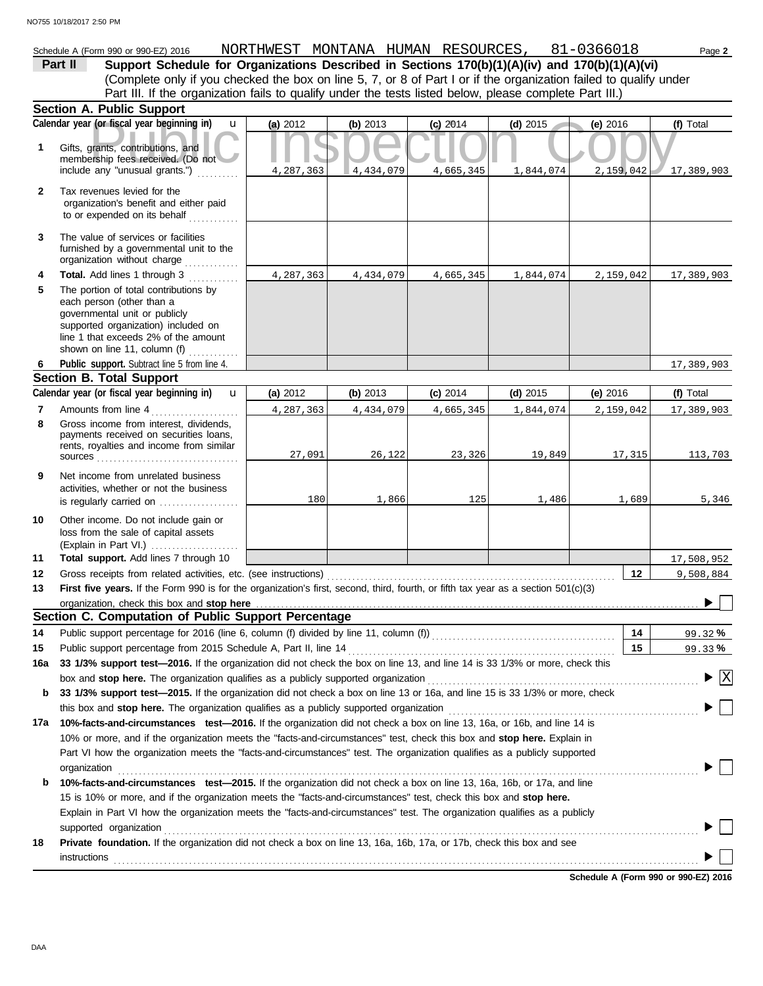## Schedule A (Form 990 or 990-EZ) 2016 NORTHWEST MONTANA HUMAN RESOURCES , 81-0366018 Page **2**

(Complete only if you checked the box on line 5, 7, or 8 of Part I or if the organization failed to qualify under **Part II Support Schedule for Organizations Described in Sections 170(b)(1)(A)(iv) and 170(b)(1)(A)(vi)** Part III. If the organization fails to qualify under the tests listed below, please complete Part III.)

|              | <b>Section A. Public Support</b>                                                                                                                                                                                   |           |            |            |            |            |                         |
|--------------|--------------------------------------------------------------------------------------------------------------------------------------------------------------------------------------------------------------------|-----------|------------|------------|------------|------------|-------------------------|
|              | Calendar year (or fiscal year beginning in)<br>$\mathbf{u}$                                                                                                                                                        | (a) 2012  | (b) $2013$ | $(c)$ 2014 | (d) $2015$ | (e) $2016$ | (f) Total               |
| 1            | Gifts, grants, contributions, and<br>membership fees received. (Do not<br>include any "unusual grants.")                                                                                                           | 4,287,363 | 4,434,079  | 4,665,345  | 1,844,074  | 2,159,042  | 17,389,903              |
| $\mathbf{2}$ | Tax revenues levied for the<br>organization's benefit and either paid<br>to or expended on its behalf                                                                                                              |           |            |            |            |            |                         |
| 3            | The value of services or facilities<br>furnished by a governmental unit to the<br>organization without charge                                                                                                      |           |            |            |            |            |                         |
| 4            | Total. Add lines 1 through 3                                                                                                                                                                                       | 4,287,363 | 4,434,079  | 4,665,345  | 1,844,074  | 2,159,042  | 17,389,903              |
| 5            | The portion of total contributions by<br>each person (other than a<br>governmental unit or publicly<br>supported organization) included on<br>line 1 that exceeds 2% of the amount<br>shown on line 11, column (f) |           |            |            |            |            |                         |
| 6            | Public support. Subtract line 5 from line 4.                                                                                                                                                                       |           |            |            |            |            | 17,389,903              |
|              | <b>Section B. Total Support</b>                                                                                                                                                                                    |           |            |            |            |            |                         |
|              | Calendar year (or fiscal year beginning in)<br>$\mathbf{u}$                                                                                                                                                        | (a) 2012  | (b) 2013   | $(c)$ 2014 | (d) $2015$ | (e) 2016   | (f) Total               |
| 7            | Amounts from line 4<br>.                                                                                                                                                                                           | 4,287,363 | 4,434,079  | 4,665,345  | 1,844,074  | 2,159,042  | 17,389,903              |
| 8            | Gross income from interest, dividends,<br>payments received on securities loans,<br>rents, royalties and income from similar                                                                                       | 27,091    | 26,122     | 23,326     | 19,849     | 17,315     | 113,703                 |
| 9            | Net income from unrelated business<br>activities, whether or not the business<br>is regularly carried on                                                                                                           | 180       | 1,866      | 125        | 1,486      | 1,689      | 5,346                   |
| 10           | Other income. Do not include gain or<br>loss from the sale of capital assets                                                                                                                                       |           |            |            |            |            |                         |
| 11           | Total support. Add lines 7 through 10                                                                                                                                                                              |           |            |            |            |            | 17,508,952              |
| 12           | Gross receipts from related activities, etc. (see instructions)                                                                                                                                                    |           |            |            |            | 12         | 9,508,884               |
| 13           | First five years. If the Form 990 is for the organization's first, second, third, fourth, or fifth tax year as a section 501(c)(3)                                                                                 |           |            |            |            |            |                         |
|              | organization, check this box and stop here                                                                                                                                                                         |           |            |            |            |            |                         |
|              | Section C. Computation of Public Support Percentage                                                                                                                                                                |           |            |            |            |            |                         |
| 14           | Public support percentage for 2016 (line 6, column (f) divided by line 11, column (f)) [[[[[[[[[[[[[[[[[[[[[[                                                                                                      |           |            |            |            | 14         | 99.32%                  |
| 15           |                                                                                                                                                                                                                    |           |            |            |            | 15         | 99.33%                  |
| 16а          | 33 1/3% support test-2016. If the organization did not check the box on line 13, and line 14 is 33 1/3% or more, check this                                                                                        |           |            |            |            |            |                         |
|              | box and stop here. The organization qualifies as a publicly supported organization                                                                                                                                 |           |            |            |            |            | $\overline{\mathbf{x}}$ |
| b            | 33 1/3% support test-2015. If the organization did not check a box on line 13 or 16a, and line 15 is 33 1/3% or more, check                                                                                        |           |            |            |            |            |                         |
|              | this box and <b>stop here.</b> The organization qualifies as a publicly supported organization                                                                                                                     |           |            |            |            |            |                         |
| 17a          | 10%-facts-and-circumstances test-2016. If the organization did not check a box on line 13, 16a, or 16b, and line 14 is                                                                                             |           |            |            |            |            |                         |
|              | 10% or more, and if the organization meets the "facts-and-circumstances" test, check this box and stop here. Explain in                                                                                            |           |            |            |            |            |                         |
|              | Part VI how the organization meets the "facts-and-circumstances" test. The organization qualifies as a publicly supported<br>organization                                                                          |           |            |            |            |            |                         |
| b            | 10%-facts-and-circumstances test-2015. If the organization did not check a box on line 13, 16a, 16b, or 17a, and line                                                                                              |           |            |            |            |            |                         |
|              | 15 is 10% or more, and if the organization meets the "facts-and-circumstances" test, check this box and stop here.                                                                                                 |           |            |            |            |            |                         |
|              | Explain in Part VI how the organization meets the "facts-and-circumstances" test. The organization qualifies as a publicly                                                                                         |           |            |            |            |            |                         |
|              | supported organization                                                                                                                                                                                             |           |            |            |            |            |                         |
| 18           | Private foundation. If the organization did not check a box on line 13, 16a, 16b, 17a, or 17b, check this box and see                                                                                              |           |            |            |            |            |                         |
|              | instructions                                                                                                                                                                                                       |           |            |            |            |            |                         |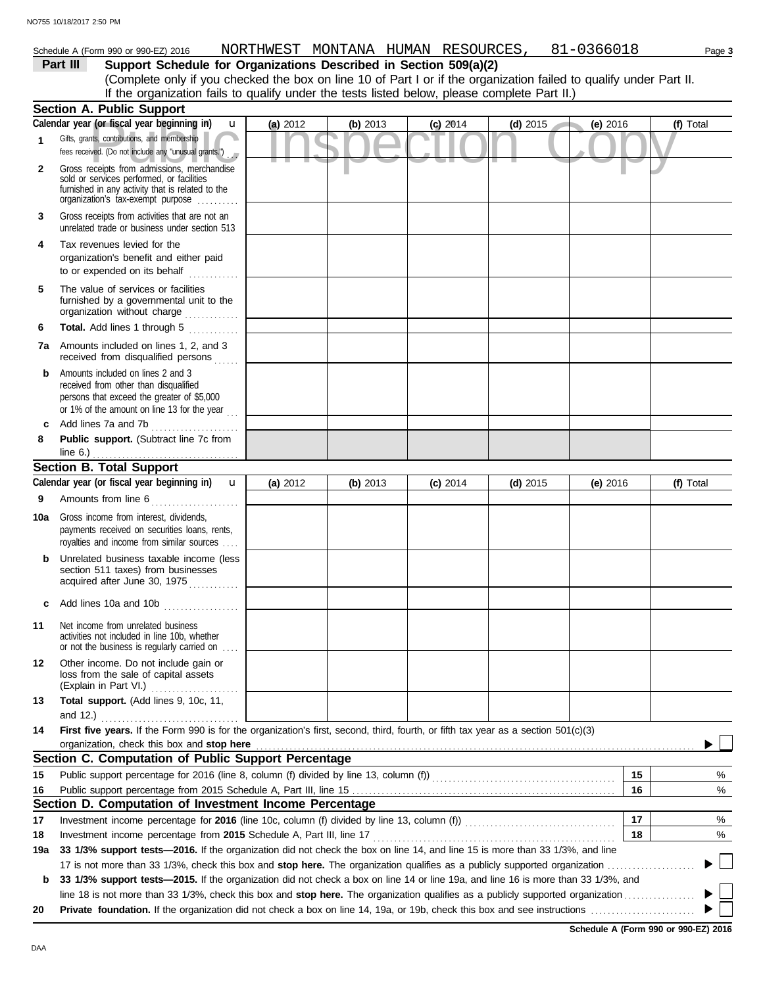## Schedule A (Form 990 or 990-EZ) 2016 NORTHWEST MONTANA HUMAN RESOURCES , 81-0366018 Page 3

## **Part III Support Schedule for Organizations Described in Section 509(a)(2)**

(Complete only if you checked the box on line 10 of Part I or if the organization failed to qualify under Part II. If the organization fails to qualify under the tests listed below, please complete Part II.)

|              | <b>Section A. Public Support</b>                                                                                                                                                  |            |          |            |            |          |                |
|--------------|-----------------------------------------------------------------------------------------------------------------------------------------------------------------------------------|------------|----------|------------|------------|----------|----------------|
|              | Calendar year (or fiscal year beginning in)<br>u                                                                                                                                  | (a) 2012   | (b) 2013 | $(c)$ 2014 | $(d)$ 2015 | (e) 2016 | (f) Total      |
| $\mathbf{1}$ | Gifts, grants, contributions, and membership<br>fees received. (Do not include any "unusual grants.")                                                                             |            |          |            |            |          |                |
| $\mathbf{2}$ | Gross receipts from admissions, merchandise<br>sold or services performed, or facilities<br>furnished in any activity that is related to the<br>organization's fax-exempt purpose |            |          |            |            |          |                |
| 3            | Gross receipts from activities that are not an<br>unrelated trade or business under section 513                                                                                   |            |          |            |            |          |                |
| 4            | Tax revenues levied for the<br>organization's benefit and either paid<br>to or expended on its behalf<br>.                                                                        |            |          |            |            |          |                |
| 5            | The value of services or facilities<br>furnished by a governmental unit to the<br>organization without charge                                                                     |            |          |            |            |          |                |
| 6            | Total. Add lines 1 through 5<br>.                                                                                                                                                 |            |          |            |            |          |                |
|              | <b>7a</b> Amounts included on lines 1, 2, and 3<br>received from disqualified persons                                                                                             |            |          |            |            |          |                |
| b            | Amounts included on lines 2 and 3<br>received from other than disqualified<br>persons that exceed the greater of \$5,000<br>or 1% of the amount on line 13 for the year $\ldots$  |            |          |            |            |          |                |
| C            | Add lines 7a and 7b<br>.                                                                                                                                                          |            |          |            |            |          |                |
| 8            | Public support. (Subtract line 7c from                                                                                                                                            |            |          |            |            |          |                |
|              | line 6.) $\ldots$                                                                                                                                                                 |            |          |            |            |          |                |
|              | <b>Section B. Total Support</b><br>Calendar year (or fiscal year beginning in)<br>$\mathbf{u}$                                                                                    |            | (b) 2013 | $(c)$ 2014 |            |          | (f) Total      |
|              |                                                                                                                                                                                   | (a) $2012$ |          |            | (d) $2015$ | (e) 2016 |                |
| 9            | Amounts from line 6                                                                                                                                                               |            |          |            |            |          |                |
| 10a          | Gross income from interest, dividends,<br>payments received on securities loans, rents,<br>royalties and income from similar sources                                              |            |          |            |            |          |                |
| b            | Unrelated business taxable income (less<br>section 511 taxes) from businesses<br>acquired after June 30, 1975                                                                     |            |          |            |            |          |                |
|              | c Add lines 10a and 10b                                                                                                                                                           |            |          |            |            |          |                |
| 11           | Net income from unrelated business<br>activities not included in line 10b, whether<br>or not the business is regularly carried on                                                 |            |          |            |            |          |                |
| 12           | Other income. Do not include gain or<br>loss from the sale of capital assets<br>(Explain in Part VI.)                                                                             |            |          |            |            |          |                |
| 13           | Total support. (Add lines 9, 10c, 11,<br>and 12.)                                                                                                                                 |            |          |            |            |          |                |
| 14           | First five years. If the Form 990 is for the organization's first, second, third, fourth, or fifth tax year as a section 501(c)(3)                                                |            |          |            |            |          |                |
|              | organization, check this box and stop here                                                                                                                                        |            |          |            |            |          |                |
|              | Section C. Computation of Public Support Percentage                                                                                                                               |            |          |            |            |          |                |
| 15           | Public support percentage for 2016 (line 8, column (f) divided by line 13, column (f) [[[[[[[[[[[[[[[[[[[[[[[                                                                     |            |          |            |            | 15       | %              |
| 16           |                                                                                                                                                                                   |            |          |            |            | 16       | %              |
|              | Section D. Computation of Investment Income Percentage                                                                                                                            |            |          |            |            |          |                |
| 17           |                                                                                                                                                                                   |            |          |            |            | 17       | %              |
| 18           | Investment income percentage from 2015 Schedule A, Part III, line 17                                                                                                              |            |          |            |            | 18       | %              |
| 19a          | 33 1/3% support tests-2016. If the organization did not check the box on line 14, and line 15 is more than 33 1/3%, and line                                                      |            |          |            |            |          |                |
|              | 17 is not more than 33 1/3%, check this box and stop here. The organization qualifies as a publicly supported organization                                                        |            |          |            |            |          | $\mathbb{R}^n$ |
| b            | 33 1/3% support tests-2015. If the organization did not check a box on line 14 or line 19a, and line 16 is more than 33 1/3%, and                                                 |            |          |            |            |          |                |
|              |                                                                                                                                                                                   |            |          |            |            |          |                |
| 20           |                                                                                                                                                                                   |            |          |            |            |          |                |

**Schedule A (Form 990 or 990-EZ) 2016**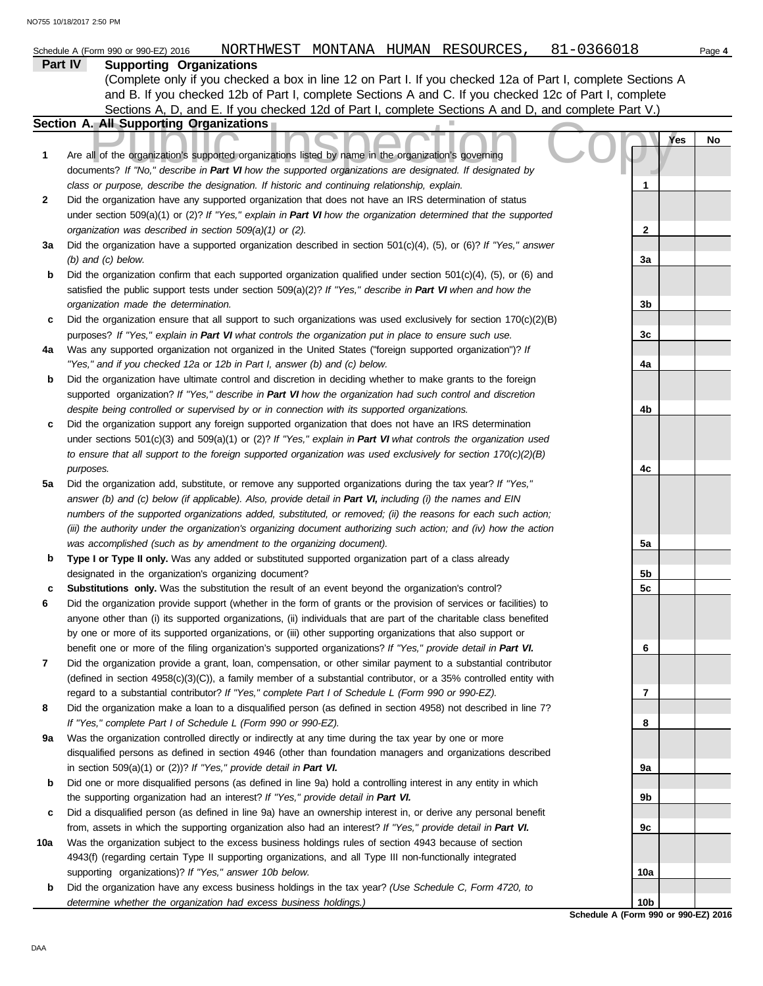|     | Part IV<br><b>Supporting Organizations</b>                                                                                                                                                                                                |                 |     |    |
|-----|-------------------------------------------------------------------------------------------------------------------------------------------------------------------------------------------------------------------------------------------|-----------------|-----|----|
|     | (Complete only if you checked a box in line 12 on Part I. If you checked 12a of Part I, complete Sections A                                                                                                                               |                 |     |    |
|     | and B. If you checked 12b of Part I, complete Sections A and C. If you checked 12c of Part I, complete                                                                                                                                    |                 |     |    |
|     | Sections A, D, and E. If you checked 12d of Part I, complete Sections A and D, and complete Part V.)                                                                                                                                      |                 |     |    |
|     | <b>Section A. All Supporting Organizations</b>                                                                                                                                                                                            |                 |     |    |
| 1   | Are all of the organization's supported organizations listed by name in the organization's governing                                                                                                                                      |                 | Yes | No |
|     | documents? If "No," describe in Part VI how the supported organizations are designated. If designated by                                                                                                                                  |                 |     |    |
|     | class or purpose, describe the designation. If historic and continuing relationship, explain.                                                                                                                                             | 1               |     |    |
| 2   | Did the organization have any supported organization that does not have an IRS determination of status                                                                                                                                    |                 |     |    |
|     | under section 509(a)(1) or (2)? If "Yes," explain in Part VI how the organization determined that the supported                                                                                                                           |                 |     |    |
|     | organization was described in section 509(a)(1) or (2).                                                                                                                                                                                   | $\mathbf{2}$    |     |    |
| За  | Did the organization have a supported organization described in section $501(c)(4)$ , (5), or (6)? If "Yes," answer                                                                                                                       |                 |     |    |
|     | $(b)$ and $(c)$ below.                                                                                                                                                                                                                    | За              |     |    |
| b   | Did the organization confirm that each supported organization qualified under section $501(c)(4)$ , $(5)$ , or $(6)$ and                                                                                                                  |                 |     |    |
|     | satisfied the public support tests under section 509(a)(2)? If "Yes," describe in Part VI when and how the                                                                                                                                |                 |     |    |
|     | organization made the determination.                                                                                                                                                                                                      | 3b              |     |    |
| с   | Did the organization ensure that all support to such organizations was used exclusively for section $170(c)(2)(B)$                                                                                                                        |                 |     |    |
|     | purposes? If "Yes," explain in Part VI what controls the organization put in place to ensure such use.                                                                                                                                    | 3c              |     |    |
| 4a  | Was any supported organization not organized in the United States ("foreign supported organization")? If                                                                                                                                  |                 |     |    |
|     | "Yes," and if you checked 12a or 12b in Part I, answer (b) and (c) below.                                                                                                                                                                 | 4a              |     |    |
| b   | Did the organization have ultimate control and discretion in deciding whether to make grants to the foreign                                                                                                                               |                 |     |    |
|     | supported organization? If "Yes," describe in Part VI how the organization had such control and discretion                                                                                                                                |                 |     |    |
|     | despite being controlled or supervised by or in connection with its supported organizations.                                                                                                                                              | 4b              |     |    |
| с   | Did the organization support any foreign supported organization that does not have an IRS determination                                                                                                                                   |                 |     |    |
|     | under sections $501(c)(3)$ and $509(a)(1)$ or (2)? If "Yes," explain in Part VI what controls the organization used                                                                                                                       |                 |     |    |
|     | to ensure that all support to the foreign supported organization was used exclusively for section $170(c)(2)(B)$                                                                                                                          |                 |     |    |
|     | purposes.                                                                                                                                                                                                                                 | 4c              |     |    |
| 5a  | Did the organization add, substitute, or remove any supported organizations during the tax year? If "Yes,"                                                                                                                                |                 |     |    |
|     | answer (b) and (c) below (if applicable). Also, provide detail in Part VI, including (i) the names and EIN                                                                                                                                |                 |     |    |
|     | numbers of the supported organizations added, substituted, or removed; (ii) the reasons for each such action;                                                                                                                             |                 |     |    |
|     | (iii) the authority under the organization's organizing document authorizing such action; and (iv) how the action                                                                                                                         |                 |     |    |
|     | was accomplished (such as by amendment to the organizing document).                                                                                                                                                                       | 5a              |     |    |
| b   | Type I or Type II only. Was any added or substituted supported organization part of a class already                                                                                                                                       |                 |     |    |
|     | designated in the organization's organizing document?                                                                                                                                                                                     | 5b              |     |    |
| с   | Substitutions only. Was the substitution the result of an event beyond the organization's control?                                                                                                                                        | 5c              |     |    |
| 6   | Did the organization provide support (whether in the form of grants or the provision of services or facilities) to<br>anyone other than (i) its supported organizations, (ii) individuals that are part of the charitable class benefited |                 |     |    |
|     |                                                                                                                                                                                                                                           |                 |     |    |
|     | by one or more of its supported organizations, or (iii) other supporting organizations that also support or<br>benefit one or more of the filing organization's supported organizations? If "Yes," provide detail in Part VI.             | 6               |     |    |
| 7   | Did the organization provide a grant, loan, compensation, or other similar payment to a substantial contributor                                                                                                                           |                 |     |    |
|     | (defined in section $4958(c)(3)(C)$ ), a family member of a substantial contributor, or a 35% controlled entity with                                                                                                                      |                 |     |    |
|     | regard to a substantial contributor? If "Yes," complete Part I of Schedule L (Form 990 or 990-EZ).                                                                                                                                        | 7               |     |    |
| 8   | Did the organization make a loan to a disqualified person (as defined in section 4958) not described in line 7?                                                                                                                           |                 |     |    |
|     | If "Yes," complete Part I of Schedule L (Form 990 or 990-EZ).                                                                                                                                                                             | 8               |     |    |
| 9а  | Was the organization controlled directly or indirectly at any time during the tax year by one or more                                                                                                                                     |                 |     |    |
|     | disqualified persons as defined in section 4946 (other than foundation managers and organizations described                                                                                                                               |                 |     |    |
|     | in section 509(a)(1) or (2))? If "Yes," provide detail in Part VI.                                                                                                                                                                        | 9а              |     |    |
| b   | Did one or more disqualified persons (as defined in line 9a) hold a controlling interest in any entity in which                                                                                                                           |                 |     |    |
|     | the supporting organization had an interest? If "Yes," provide detail in Part VI.                                                                                                                                                         | 9b              |     |    |
| с   | Did a disqualified person (as defined in line 9a) have an ownership interest in, or derive any personal benefit                                                                                                                           |                 |     |    |
|     | from, assets in which the supporting organization also had an interest? If "Yes," provide detail in Part VI.                                                                                                                              | 9с              |     |    |
| 10a | Was the organization subject to the excess business holdings rules of section 4943 because of section                                                                                                                                     |                 |     |    |
|     | 4943(f) (regarding certain Type II supporting organizations, and all Type III non-functionally integrated                                                                                                                                 |                 |     |    |
|     | supporting organizations)? If "Yes," answer 10b below.                                                                                                                                                                                    | 10a             |     |    |
| b   | Did the organization have any excess business holdings in the tax year? (Use Schedule C, Form 4720, to                                                                                                                                    |                 |     |    |
|     | determine whether the organization had excess business holdings.)                                                                                                                                                                         | 10 <sub>b</sub> |     |    |

**Schedule A (Form 990 or 990-EZ) 2016**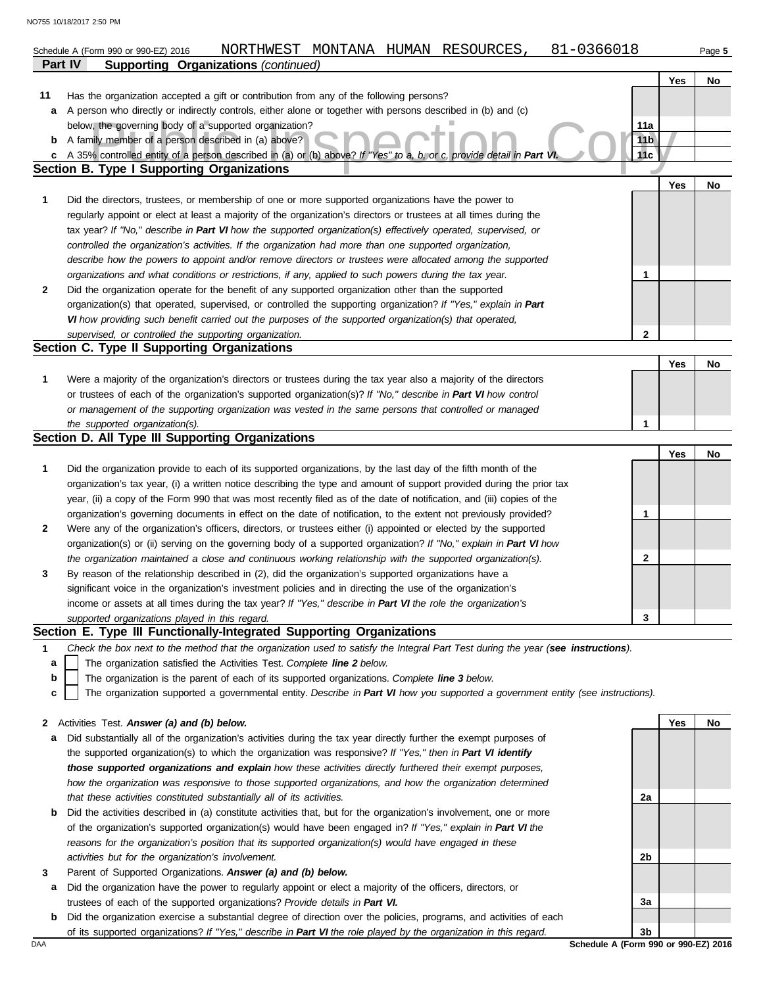|         | 81-0366018<br>NORTHWEST MONTANA HUMAN RESOURCES,<br>Schedule A (Form 990 or 990-EZ) 2016                                                                                                                             |                 |     | Page 5 |
|---------|----------------------------------------------------------------------------------------------------------------------------------------------------------------------------------------------------------------------|-----------------|-----|--------|
| Part IV | <b>Supporting Organizations (continued)</b>                                                                                                                                                                          |                 |     |        |
|         |                                                                                                                                                                                                                      |                 | Yes | No     |
| 11      | Has the organization accepted a gift or contribution from any of the following persons?                                                                                                                              |                 |     |        |
| a       | A person who directly or indirectly controls, either alone or together with persons described in (b) and (c)                                                                                                         |                 |     |        |
|         | below, the governing body of a supported organization?                                                                                                                                                               | 11a             |     |        |
| b       | A family member of a person described in (a) above?                                                                                                                                                                  | 11 <sub>b</sub> |     |        |
| c       | A 35% controlled entity of a person described in (a) or (b) above? If "Yes" to a, b, or c, provide detail in Part Vi                                                                                                 | 11c             |     |        |
|         | <b>Section B. Type I Supporting Organizations</b>                                                                                                                                                                    |                 |     |        |
|         |                                                                                                                                                                                                                      |                 | Yes | No     |
| 1       | Did the directors, trustees, or membership of one or more supported organizations have the power to                                                                                                                  |                 |     |        |
|         | regularly appoint or elect at least a majority of the organization's directors or trustees at all times during the                                                                                                   |                 |     |        |
|         | tax year? If "No," describe in Part VI how the supported organization(s) effectively operated, supervised, or                                                                                                        |                 |     |        |
|         | controlled the organization's activities. If the organization had more than one supported organization,<br>describe how the powers to appoint and/or remove directors or trustees were allocated among the supported |                 |     |        |
|         | organizations and what conditions or restrictions, if any, applied to such powers during the tax year.                                                                                                               | 1               |     |        |
| 2       | Did the organization operate for the benefit of any supported organization other than the supported                                                                                                                  |                 |     |        |
|         | organization(s) that operated, supervised, or controlled the supporting organization? If "Yes," explain in Part                                                                                                      |                 |     |        |
|         | VI how providing such benefit carried out the purposes of the supported organization(s) that operated,                                                                                                               |                 |     |        |
|         | supervised, or controlled the supporting organization.                                                                                                                                                               | 2               |     |        |
|         | Section C. Type II Supporting Organizations                                                                                                                                                                          |                 |     |        |
|         |                                                                                                                                                                                                                      |                 | Yes | No     |
| 1       | Were a majority of the organization's directors or trustees during the tax year also a majority of the directors                                                                                                     |                 |     |        |
|         | or trustees of each of the organization's supported organization(s)? If "No," describe in Part VI how control                                                                                                        |                 |     |        |
|         | or management of the supporting organization was vested in the same persons that controlled or managed                                                                                                               |                 |     |        |
|         | the supported organization(s).                                                                                                                                                                                       | 1               |     |        |
|         | Section D. All Type III Supporting Organizations                                                                                                                                                                     |                 |     |        |
|         |                                                                                                                                                                                                                      |                 | Yes | No     |
| 1       | Did the organization provide to each of its supported organizations, by the last day of the fifth month of the                                                                                                       |                 |     |        |
|         | organization's tax year, (i) a written notice describing the type and amount of support provided during the prior tax                                                                                                |                 |     |        |
|         | year, (ii) a copy of the Form 990 that was most recently filed as of the date of notification, and (iii) copies of the                                                                                               |                 |     |        |
|         | organization's governing documents in effect on the date of notification, to the extent not previously provided?                                                                                                     | 1               |     |        |
| 2       | Were any of the organization's officers, directors, or trustees either (i) appointed or elected by the supported                                                                                                     |                 |     |        |
|         | organization(s) or (ii) serving on the governing body of a supported organization? If "No," explain in Part VI how                                                                                                   |                 |     |        |
|         | the organization maintained a close and continuous working relationship with the supported organization(s).                                                                                                          | 2               |     |        |
| 3       | By reason of the relationship described in (2), did the organization's supported organizations have a                                                                                                                |                 |     |        |
|         | significant voice in the organization's investment policies and in directing the use of the organization's                                                                                                           |                 |     |        |
|         | income or assets at all times during the tax year? If "Yes," describe in Part VI the role the organization's                                                                                                         |                 |     |        |
|         | supported organizations played in this regard.<br>Section E. Type III Functionally-Integrated Supporting Organizations                                                                                               | 3               |     |        |
| 1       | Check the box next to the method that the organization used to satisfy the Integral Part Test during the year (see instructions).                                                                                    |                 |     |        |
| a       | The organization satisfied the Activities Test. Complete line 2 below.                                                                                                                                               |                 |     |        |
| b       | The organization is the parent of each of its supported organizations. Complete line 3 below.                                                                                                                        |                 |     |        |
| c       | The organization supported a governmental entity. Describe in Part VI how you supported a government entity (see instructions).                                                                                      |                 |     |        |
|         |                                                                                                                                                                                                                      |                 |     |        |
| 2       | Activities Test. Answer (a) and (b) below.                                                                                                                                                                           |                 | Yes | No     |
| а       | Did substantially all of the organization's activities during the tax year directly further the exempt purposes of                                                                                                   |                 |     |        |
|         | the supported organization(s) to which the organization was responsive? If "Yes," then in Part VI identify                                                                                                           |                 |     |        |
|         | those supported organizations and explain how these activities directly furthered their exempt purposes,                                                                                                             |                 |     |        |
|         | how the organization was responsive to those supported organizations, and how the organization determined                                                                                                            |                 |     |        |
|         | that these activities constituted substantially all of its activities.                                                                                                                                               | 2a              |     |        |
| b       | Did the activities described in (a) constitute activities that, but for the organization's involvement, one or more                                                                                                  |                 |     |        |
|         | of the organization's supported organization(s) would have been engaged in? If "Yes," explain in Part VI the                                                                                                         |                 |     |        |
|         | reasons for the organization's position that its supported organization(s) would have engaged in these                                                                                                               |                 |     |        |
|         | activities but for the organization's involvement.                                                                                                                                                                   | 2 <sub>b</sub>  |     |        |

- **3** Parent of Supported Organizations. *Answer (a) and (b) below.*
- **a** Did the organization have the power to regularly appoint or elect a majority of the officers, directors, or trustees of each of the supported organizations? *Provide details in Part VI.*
- **b** Did the organization exercise a substantial degree of direction over the policies, programs, and activities of each of its supported organizations? *If "Yes," describe in Part VI the role played by the organization in this regard.*

DAA **Schedule A (Form 990 or 990-EZ) 2016 3b**

**3a**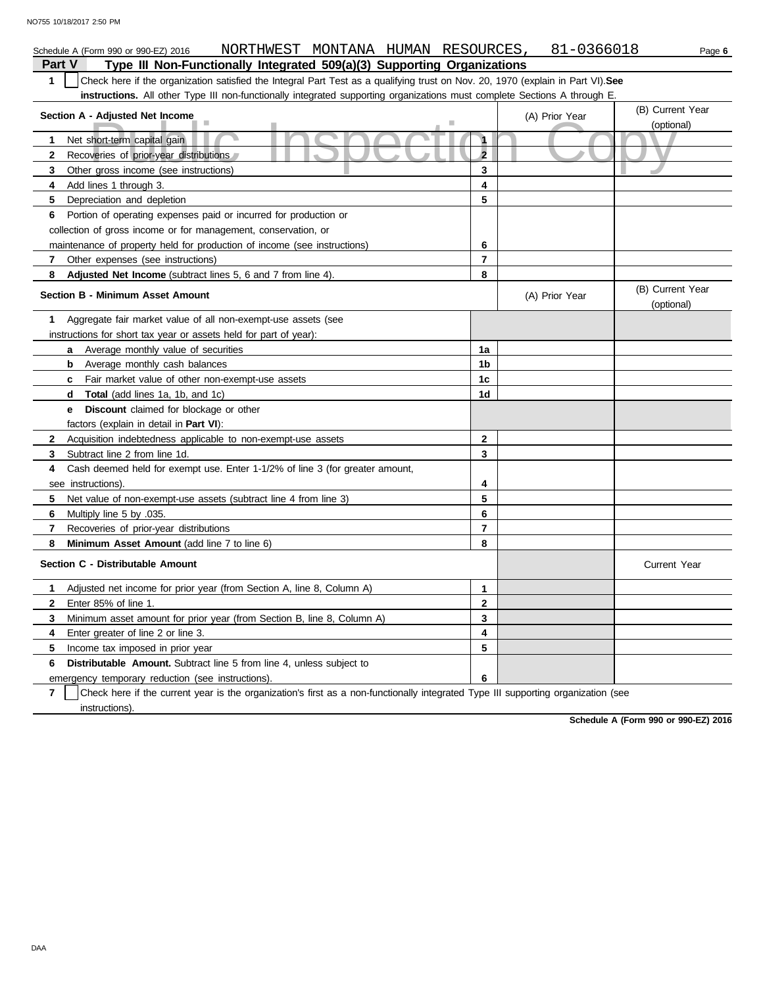| NORTHWEST MONTANA HUMAN RESOURCES,<br>Schedule A (Form 990 or 990-EZ) 2016                                                                       |                         | 81-0366018     | Page 6                         |
|--------------------------------------------------------------------------------------------------------------------------------------------------|-------------------------|----------------|--------------------------------|
| Part V<br>Type III Non-Functionally Integrated 509(a)(3) Supporting Organizations                                                                |                         |                |                                |
| Check here if the organization satisfied the Integral Part Test as a qualifying trust on Nov. 20, 1970 (explain in Part VI). See<br>$\mathbf{1}$ |                         |                |                                |
| <b>instructions.</b> All other Type III non-functionally integrated supporting organizations must complete Sections A through E.                 |                         |                |                                |
| Section A - Adjusted Net Income                                                                                                                  |                         | (A) Prior Year | (B) Current Year               |
|                                                                                                                                                  |                         |                | (optional)                     |
| Net short-term capital gain<br>1                                                                                                                 | 1                       |                |                                |
| $\mathbf{2}$<br>Recoveries of prior-year distributions                                                                                           | $\overline{\mathbf{2}}$ |                |                                |
| 3<br>Other gross income (see instructions)                                                                                                       | 3                       |                |                                |
| 4<br>Add lines 1 through 3.                                                                                                                      | 4                       |                |                                |
| 5<br>Depreciation and depletion                                                                                                                  | 5                       |                |                                |
| Portion of operating expenses paid or incurred for production or<br>6                                                                            |                         |                |                                |
| collection of gross income or for management, conservation, or                                                                                   |                         |                |                                |
| maintenance of property held for production of income (see instructions)                                                                         | 6                       |                |                                |
| $\mathbf{7}$<br>Other expenses (see instructions)                                                                                                | $\overline{7}$          |                |                                |
| Adjusted Net Income (subtract lines 5, 6 and 7 from line 4).<br>8                                                                                | 8                       |                |                                |
| <b>Section B - Minimum Asset Amount</b>                                                                                                          |                         | (A) Prior Year | (B) Current Year<br>(optional) |
| Aggregate fair market value of all non-exempt-use assets (see<br>1                                                                               |                         |                |                                |
| instructions for short tax year or assets held for part of year):                                                                                |                         |                |                                |
| <b>a</b> Average monthly value of securities                                                                                                     | 1a                      |                |                                |
| <b>b</b> Average monthly cash balances                                                                                                           | 1b                      |                |                                |
| Fair market value of other non-exempt-use assets<br>c                                                                                            | 1c                      |                |                                |
| Total (add lines 1a, 1b, and 1c)<br>d                                                                                                            | 1d                      |                |                                |
| Discount claimed for blockage or other<br>е                                                                                                      |                         |                |                                |
| factors (explain in detail in <b>Part VI</b> ):                                                                                                  |                         |                |                                |
| $\mathbf{2}$<br>Acquisition indebtedness applicable to non-exempt-use assets                                                                     | $\mathbf{2}$            |                |                                |
| 3<br>Subtract line 2 from line 1d.                                                                                                               | 3                       |                |                                |
| 4<br>Cash deemed held for exempt use. Enter 1-1/2% of line 3 (for greater amount,                                                                |                         |                |                                |
| see instructions)                                                                                                                                | 4                       |                |                                |
| 5<br>Net value of non-exempt-use assets (subtract line 4 from line 3)                                                                            | 5                       |                |                                |
| 6<br>Multiply line 5 by .035.                                                                                                                    | 6                       |                |                                |
| $\overline{7}$<br>Recoveries of prior-year distributions                                                                                         | $\overline{7}$          |                |                                |
| 8<br>Minimum Asset Amount (add line 7 to line 6)                                                                                                 | 8                       |                |                                |
| Section C - Distributable Amount                                                                                                                 |                         |                | <b>Current Year</b>            |
| Adjusted net income for prior year (from Section A, line 8, Column A)<br>1                                                                       | 1                       |                |                                |
| $\mathbf{2}$<br>Enter 85% of line 1.                                                                                                             | 2                       |                |                                |
| 3<br>Minimum asset amount for prior year (from Section B, line 8, Column A)                                                                      | 3                       |                |                                |
| Enter greater of line 2 or line 3.<br>4                                                                                                          | 4                       |                |                                |
| 5<br>Income tax imposed in prior year                                                                                                            | 5                       |                |                                |
| Distributable Amount. Subtract line 5 from line 4, unless subject to<br>6                                                                        |                         |                |                                |
| emergency temporary reduction (see instructions).                                                                                                | 6                       |                |                                |

**7** instructions). Check here if the current year is the organization's first as a non-functionally integrated Type III supporting organization (see

**Schedule A (Form 990 or 990-EZ) 2016**

DAA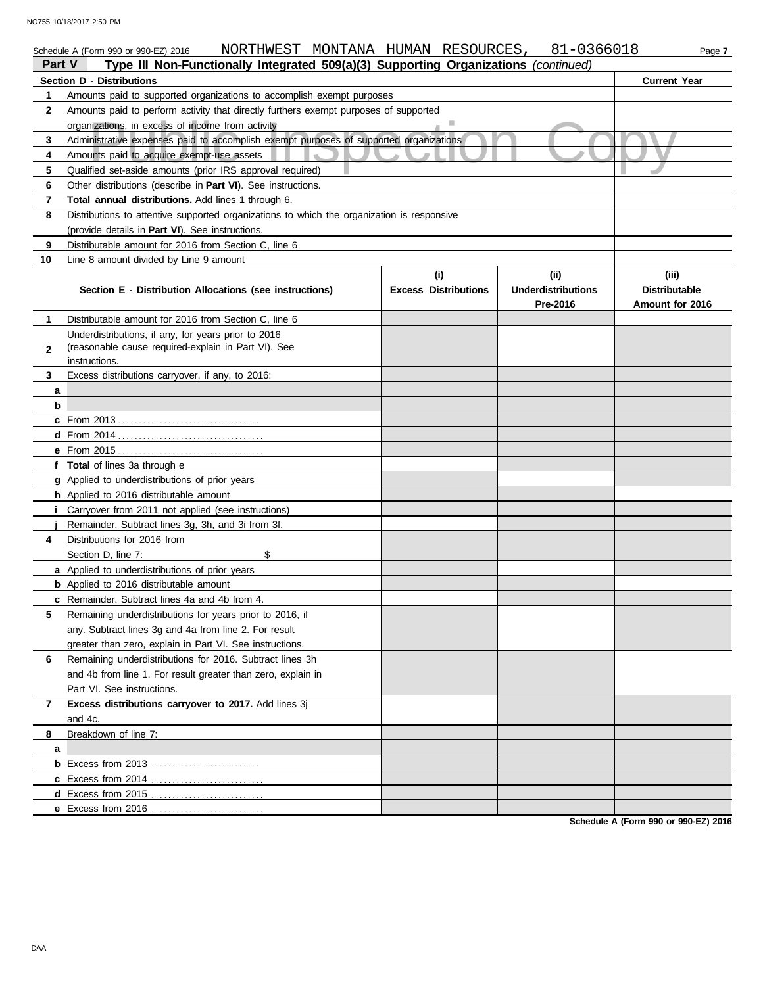#### nistrative expenses paid to accomplish exempt purposes of supported organizations<br>unts paid to acquire exempt-use assets<br>fied set-aside amounts (prior IRS approval required) Schedule A (Form 990 or 990-EZ) 2016 NORTHWEST MONTANA HUMAN RESOURCES ,  $81-0366018$  Page **7 Part V Type III Non-Functionally Integrated 509(a)(3) Supporting Organizations** *(continued)* **Section D - Distributions Current Year 1 2 3 4 5 6 7 8 9 10** Amounts paid to supported organizations to accomplish exempt purposes Amounts paid to perform activity that directly furthers exempt purposes of supported organizations, in excess of income from activity Administrative expenses paid to accomplish exempt purposes of supported organizations Amounts paid to acquire exempt-use assets Qualified set-aside amounts (prior IRS approval required) Other distributions (describe in **Part VI**). See instructions. **Total annual distributions.** Add lines 1 through 6. Distributions to attentive supported organizations to which the organization is responsive (provide details in **Part VI**). See instructions. Distributable amount for 2016 from Section C, line 6 Line 8 amount divided by Line 9 amount **Section E - Distribution Allocations (see instructions) Excess Distributions (i) (ii) Underdistributions Pre-2016 (iii) Distributable Amount for 2016 8 7 6 5 4** Distributions for 2016 from **3 2 1 a b c** From 2013 . . . . . . . . . . . . . . . . . . . . . . . . . . . . . . . . . . **d** From 2014 . . . . . . . . . . . . . . . . . . . . . . . . . . . . . . . . . . . **e** From 2015 . . . . . . . . . . . . . . . . . . . . . . . . . . . . . . . . . . . **f Total** of lines 3a through e **g** Applied to underdistributions of prior years **h** Applied to 2016 distributable amount **i** Carryover from 2011 not applied (see instructions) **j a** Applied to underdistributions of prior years **b** Applied to 2016 distributable amount **c** Remainder. Subtract lines 4a and 4b from 4. **a b** Excess from 2013 . . . . . . . . . . . . . . . . . . . . . . . . . . **c** Excess from 2014 . . . . . . . . . . . . . . . . . . . . . . . . . . . **d** Excess from 2015 . . . . . . . . . . . . . . . . . . . . . . . . . . . **e** Excess from 2016 . . . . . . . . . . . . . . . . . . . . . . . . . . . Distributable amount for 2016 from Section C, line 6 Underdistributions, if any, for years prior to 2016 (reasonable cause required-explain in Part VI). See Excess distributions carryover, if any, to 2016: Remainder. Subtract lines 3g, 3h, and 3i from 3f. Section D, line 7: \$ Remaining underdistributions for years prior to 2016, if any. Subtract lines 3g and 4a from line 2. For result greater than zero, explain in Part VI. See instructions. Remaining underdistributions for 2016. Subtract lines 3h and 4b from line 1. For result greater than zero, explain in Part VI. See instructions. **Excess distributions carryover to 2017.** Add lines 3j and 4c. Breakdown of line 7: instructions.

**Schedule A (Form 990 or 990-EZ) 2016**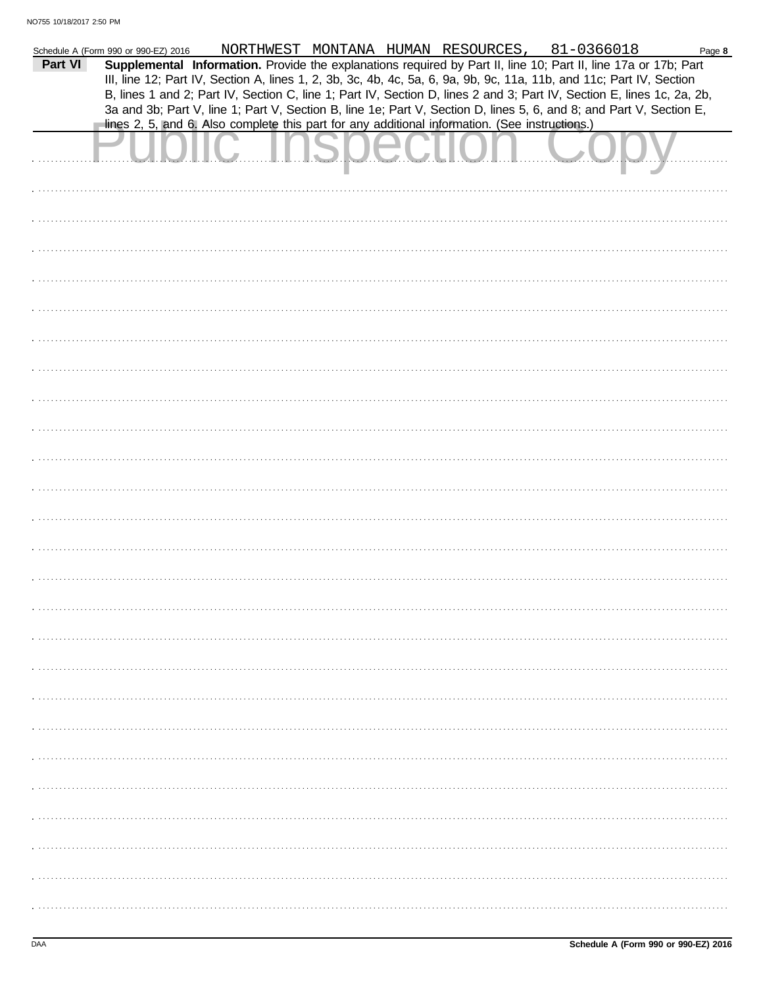|         | Schedule A (Form 990 or 990-EZ) 2016 | NORTHWEST MONTANA HUMAN RESOURCES, 81-0366018                                                                          |  |  | Page 8 |
|---------|--------------------------------------|------------------------------------------------------------------------------------------------------------------------|--|--|--------|
| Part VI |                                      | Supplemental Information. Provide the explanations required by Part II, line 10; Part II, line 17a or 17b; Part        |  |  |        |
|         |                                      | III, line 12; Part IV, Section A, lines 1, 2, 3b, 3c, 4b, 4c, 5a, 6, 9a, 9b, 9c, 11a, 11b, and 11c; Part IV, Section   |  |  |        |
|         |                                      | B, lines 1 and 2; Part IV, Section C, line 1; Part IV, Section D, lines 2 and 3; Part IV, Section E, lines 1c, 2a, 2b, |  |  |        |
|         |                                      | 3a and 3b; Part V, line 1; Part V, Section B, line 1e; Part V, Section D, lines 5, 6, and 8; and Part V, Section E,    |  |  |        |
|         |                                      | lines 2, 5, and 6. Also complete this part for any additional information. (See instructions.)                         |  |  |        |
|         |                                      |                                                                                                                        |  |  |        |
|         |                                      |                                                                                                                        |  |  |        |
|         |                                      |                                                                                                                        |  |  |        |
|         |                                      |                                                                                                                        |  |  |        |
|         |                                      |                                                                                                                        |  |  |        |
|         |                                      |                                                                                                                        |  |  |        |
|         |                                      |                                                                                                                        |  |  |        |
|         |                                      |                                                                                                                        |  |  |        |
|         |                                      |                                                                                                                        |  |  |        |
|         |                                      |                                                                                                                        |  |  |        |
|         |                                      |                                                                                                                        |  |  |        |
|         |                                      |                                                                                                                        |  |  |        |
|         |                                      |                                                                                                                        |  |  |        |
|         |                                      |                                                                                                                        |  |  |        |
|         |                                      |                                                                                                                        |  |  |        |
|         |                                      |                                                                                                                        |  |  |        |
|         |                                      |                                                                                                                        |  |  |        |
|         |                                      |                                                                                                                        |  |  |        |
|         |                                      |                                                                                                                        |  |  |        |
|         |                                      |                                                                                                                        |  |  |        |
|         |                                      |                                                                                                                        |  |  |        |
|         |                                      |                                                                                                                        |  |  |        |
|         |                                      |                                                                                                                        |  |  |        |
|         |                                      |                                                                                                                        |  |  |        |
|         |                                      |                                                                                                                        |  |  |        |
|         |                                      |                                                                                                                        |  |  |        |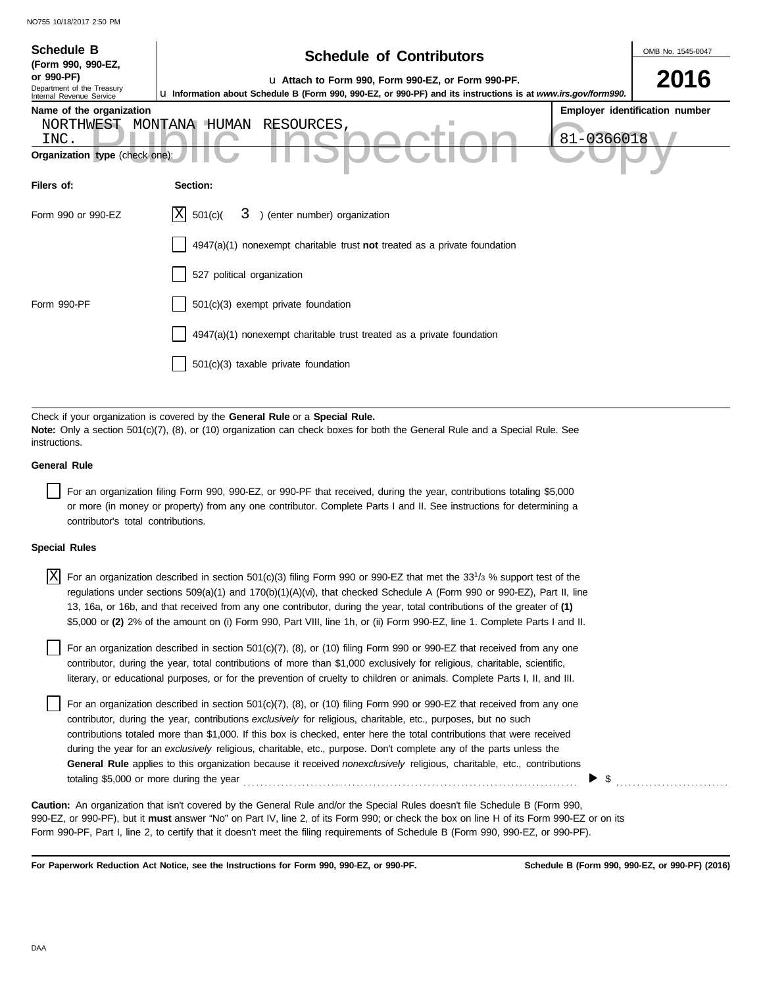| <b>Schedule B</b><br>(Form 990, 990-EZ,<br>or 990-PF)<br>Department of the Treasury<br>Internal Revenue Service<br>Name of the organization<br>NORTHWEST<br>INC.<br>Organization type (check one)                                                                                                                                                                                                                                                                                                                                                                                  | OMB No. 1545-0047<br><b>Schedule of Contributors</b><br>2016<br>u Attach to Form 990, Form 990-EZ, or Form 990-PF.<br>La Information about Schedule B (Form 990, 990-EZ, or 990-PF) and its instructions is at www.irs.gov/form990.<br>Employer identification number<br>MONTANA HUMAN<br>RESOURCES,<br>81-0366018 |  |  |  |  |  |  |  |
|------------------------------------------------------------------------------------------------------------------------------------------------------------------------------------------------------------------------------------------------------------------------------------------------------------------------------------------------------------------------------------------------------------------------------------------------------------------------------------------------------------------------------------------------------------------------------------|--------------------------------------------------------------------------------------------------------------------------------------------------------------------------------------------------------------------------------------------------------------------------------------------------------------------|--|--|--|--|--|--|--|
| Filers of:                                                                                                                                                                                                                                                                                                                                                                                                                                                                                                                                                                         | Section:                                                                                                                                                                                                                                                                                                           |  |  |  |  |  |  |  |
| Form 990 or 990-EZ<br>Form 990-PF                                                                                                                                                                                                                                                                                                                                                                                                                                                                                                                                                  | ΙX<br>) (enter number) organization<br>501(c)<br>3<br>4947(a)(1) nonexempt charitable trust not treated as a private foundation<br>527 political organization<br>501(c)(3) exempt private foundation<br>4947(a)(1) nonexempt charitable trust treated as a private foundation                                      |  |  |  |  |  |  |  |
| 501(c)(3) taxable private foundation<br>Check if your organization is covered by the General Rule or a Special Rule.<br>Note: Only a section 501(c)(7), (8), or (10) organization can check boxes for both the General Rule and a Special Rule. See<br>instructions.<br><b>General Rule</b><br>For an organization filing Form 990, 990-EZ, or 990-PF that received, during the year, contributions totaling \$5,000<br>or more (in money or property) from any one contributor. Complete Parts I and II. See instructions for determining a<br>contributor's total contributions. |                                                                                                                                                                                                                                                                                                                    |  |  |  |  |  |  |  |
| <b>Special Rules</b>                                                                                                                                                                                                                                                                                                                                                                                                                                                                                                                                                               |                                                                                                                                                                                                                                                                                                                    |  |  |  |  |  |  |  |

| $ X $ For an organization described in section 501(c)(3) filing Form 990 or 990-EZ that met the 33 <sup>1</sup> /3 % support test of the |
|------------------------------------------------------------------------------------------------------------------------------------------|
| regulations under sections 509(a)(1) and 170(b)(1)(A)(vi), that checked Schedule A (Form 990 or 990-EZ), Part II, line                   |
| 13, 16a, or 16b, and that received from any one contributor, during the year, total contributions of the greater of (1)                  |
| \$5,000 or (2) 2% of the amount on (i) Form 990, Part VIII, line 1h, or (ii) Form 990-EZ, line 1. Complete Parts I and II.               |

| For an organization described in section 501(c)(7), (8), or (10) filing Form 990 or 990-EZ that received from any one      |
|----------------------------------------------------------------------------------------------------------------------------|
| contributor, during the year, total contributions of more than \$1,000 exclusively for religious, charitable, scientific,  |
| literary, or educational purposes, or for the prevention of cruelty to children or animals. Complete Parts I, II, and III. |

For an organization described in section  $501(c)(7)$ , (8), or (10) filing Form 990 or 990-EZ that received from any one contributor, during the year, contributions *exclusively* for religious, charitable, etc., purposes, but no such contributions totaled more than \$1,000. If this box is checked, enter here the total contributions that were received during the year for an *exclusively* religious, charitable, etc., purpose. Don't complete any of the parts unless the **General Rule** applies to this organization because it received *nonexclusively* religious, charitable, etc., contributions totaling \$5,000 or more during the year . . . . . . . . . . . . . . . . . . . . . . . . . . . . . . . . . . . . . . . . . . . . . . . . . . . . . . . . . . . . . . . . . . . . . . . . . . . . . . . .

990-EZ, or 990-PF), but it **must** answer "No" on Part IV, line 2, of its Form 990; or check the box on line H of its Form 990-EZ or on its Form 990-PF, Part I, line 2, to certify that it doesn't meet the filing requirements of Schedule B (Form 990, 990-EZ, or 990-PF). **Caution:** An organization that isn't covered by the General Rule and/or the Special Rules doesn't file Schedule B (Form 990,

**For Paperwork Reduction Act Notice, see the Instructions for Form 990, 990-EZ, or 990-PF.**

 $\triangleright$  \$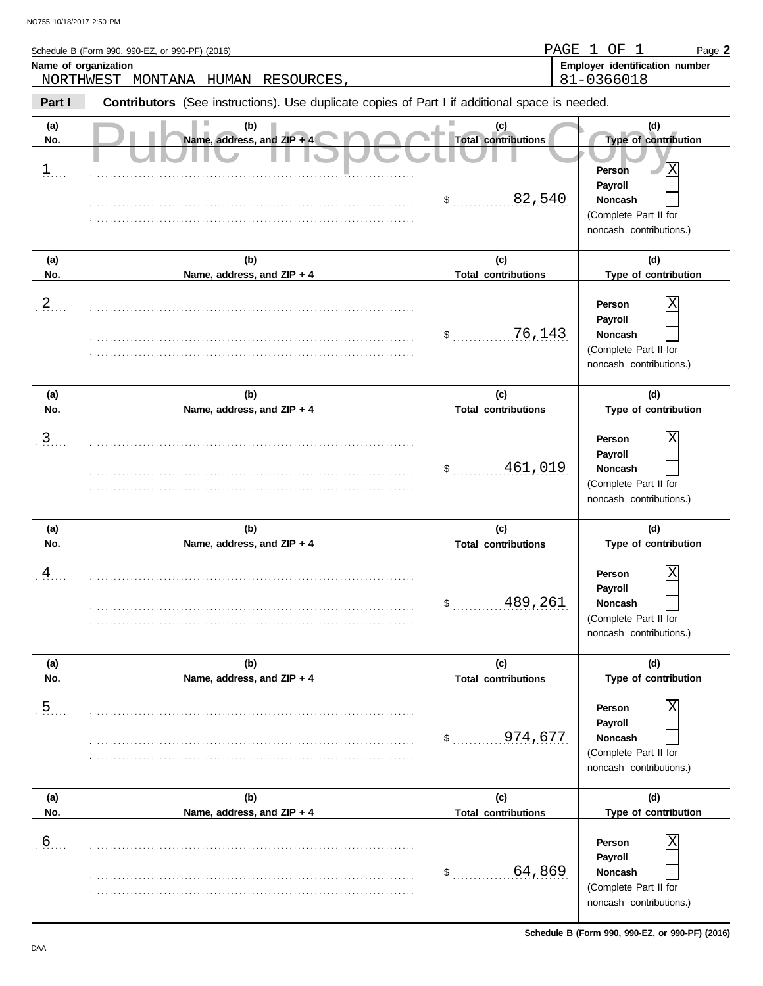| Name of organization           | Schedule B (Form 990, 990-EZ, or 990-PF) (2016)<br>NORTHWEST MONTANA HUMAN RESOURCES           |                                                   | PAGE 1 OF 1<br>Page 2<br>Employer identification number<br>81-0366018                                                       |
|--------------------------------|------------------------------------------------------------------------------------------------|---------------------------------------------------|-----------------------------------------------------------------------------------------------------------------------------|
| Part I                         | Contributors (See instructions). Use duplicate copies of Part I if additional space is needed. |                                                   |                                                                                                                             |
| (a)<br>No.<br>$\overline{1}$ . | (b)<br>Name, address, and $ZIP + 4$                                                            | (c)<br><b>Total contributions</b><br>82,540<br>\$ | (d)<br>Type of contribution<br>х<br><b>Person</b><br>Payroll<br>Noncash<br>(Complete Part II for<br>noncash contributions.) |
| (a)<br>No.                     | (b)<br>Name, address, and ZIP + 4                                                              | (c)<br><b>Total contributions</b>                 | (d)<br>Type of contribution                                                                                                 |
| $\overline{2}$                 |                                                                                                | 76,143<br>$\sim$                                  | Person<br>Payroll<br><b>Noncash</b><br>(Complete Part II for<br>noncash contributions.)                                     |
| (a)<br>No.                     | (b)<br>Name, address, and ZIP + 4                                                              | (c)<br><b>Total contributions</b>                 | (d)<br>Type of contribution                                                                                                 |
| $\overline{3}$                 |                                                                                                | 461,019<br>\$                                     | Person<br>Payroll<br><b>Noncash</b><br>(Complete Part II for<br>noncash contributions.)                                     |
| (a)<br>No.                     | (b)<br>Name, address, and ZIP + 4                                                              | (c)<br><b>Total contributions</b>                 | (d)<br>Type of contribution                                                                                                 |
| $\overline{4}$                 |                                                                                                | 489, 261<br>\$                                    | Χ<br>Person<br>Payroll<br>Noncash<br>(Complete Part II for<br>noncash contributions.)                                       |
| (a)<br>No.                     | (b)<br>Name, address, and ZIP + 4                                                              | (c)<br><b>Total contributions</b>                 | (d)<br>Type of contribution                                                                                                 |
| $\overline{5}$                 |                                                                                                | 974,677<br>$\sim$                                 | Person<br>Payroll<br>Noncash<br>(Complete Part II for<br>noncash contributions.)                                            |
| (a)<br>No.                     | (b)<br>Name, address, and ZIP + 4                                                              | (c)<br><b>Total contributions</b>                 | (d)<br>Type of contribution                                                                                                 |
| $6 \overline{6}$               |                                                                                                | $$$ 64,869                                        | Person<br>Payroll<br>Noncash<br>(Complete Part II for<br>noncash contributions.)                                            |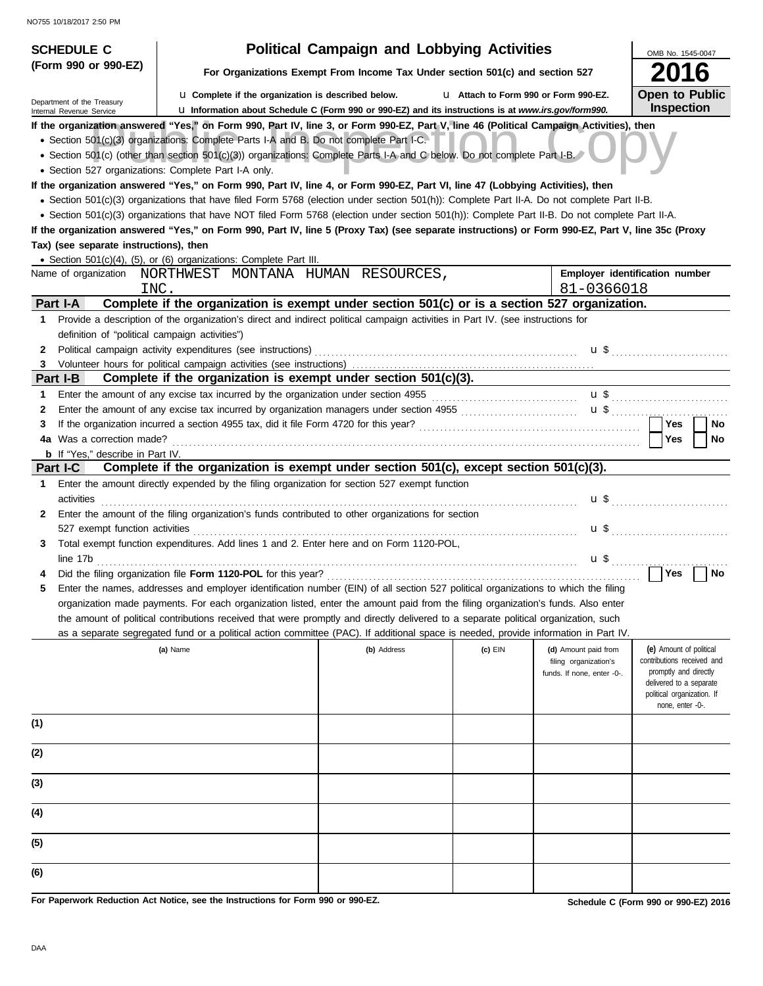| <b>SCHEDULE C</b>                                                                                     |                                                                                                                                                  | <b>Political Campaign and Lobbying Activities</b> |                                       |                                               | OMB No. 1545-0047                                     |  |  |
|-------------------------------------------------------------------------------------------------------|--------------------------------------------------------------------------------------------------------------------------------------------------|---------------------------------------------------|---------------------------------------|-----------------------------------------------|-------------------------------------------------------|--|--|
| (Form 990 or 990-EZ)<br>For Organizations Exempt From Income Tax Under section 501(c) and section 527 |                                                                                                                                                  |                                                   |                                       |                                               |                                                       |  |  |
| Department of the Treasury                                                                            | <b>La</b> Complete if the organization is described below.                                                                                       |                                                   | L1 Attach to Form 990 or Form 990-EZ. |                                               | <b>Open to Public</b>                                 |  |  |
| Internal Revenue Service                                                                              | La Information about Schedule C (Form 990 or 990-EZ) and its instructions is at www.irs.gov/form990.                                             |                                                   |                                       |                                               | <b>Inspection</b>                                     |  |  |
|                                                                                                       | If the organization answered "Yes," on Form 990, Part IV, line 3, or Form 990-EZ, Part V, line 46 (Political Campaign Activities), then          |                                                   |                                       |                                               |                                                       |  |  |
|                                                                                                       | • Section 501(c)(3) organizations: Complete Parts I-A and B. Do not complete Part I-C.                                                           |                                                   |                                       |                                               |                                                       |  |  |
|                                                                                                       | • Section 501(c) (other than section 501(c)(3)) organizations: Complete Parts I-A and C below. Do not complete Part I-B.                         |                                                   |                                       |                                               |                                                       |  |  |
| • Section 527 organizations: Complete Part I-A only.                                                  | If the organization answered "Yes," on Form 990, Part IV, line 4, or Form 990-EZ, Part VI, line 47 (Lobbying Activities), then                   |                                                   |                                       |                                               |                                                       |  |  |
|                                                                                                       | • Section 501(c)(3) organizations that have filed Form 5768 (election under section 501(h)): Complete Part II-A. Do not complete Part II-B.      |                                                   |                                       |                                               |                                                       |  |  |
|                                                                                                       | • Section 501(c)(3) organizations that have NOT filed Form 5768 (election under section 501(h)): Complete Part II-B. Do not complete Part II-A.  |                                                   |                                       |                                               |                                                       |  |  |
|                                                                                                       | If the organization answered "Yes," on Form 990, Part IV, line 5 (Proxy Tax) (see separate instructions) or Form 990-EZ, Part V, line 35c (Proxy |                                                   |                                       |                                               |                                                       |  |  |
| Tax) (see separate instructions), then                                                                |                                                                                                                                                  |                                                   |                                       |                                               |                                                       |  |  |
|                                                                                                       | • Section 501(c)(4), (5), or (6) organizations: Complete Part III.                                                                               |                                                   |                                       |                                               |                                                       |  |  |
|                                                                                                       | Name of organization    NORTHWEST    MONTANA    HUMAN    RESOURCES,                                                                              |                                                   |                                       |                                               | Employer identification number                        |  |  |
| INC.                                                                                                  |                                                                                                                                                  |                                                   |                                       | 81-0366018                                    |                                                       |  |  |
| Part I-A                                                                                              | Complete if the organization is exempt under section 501(c) or is a section 527 organization.                                                    |                                                   |                                       |                                               |                                                       |  |  |
| 1                                                                                                     | Provide a description of the organization's direct and indirect political campaign activities in Part IV. (see instructions for                  |                                                   |                                       |                                               |                                                       |  |  |
| definition of "political campaign activities")                                                        |                                                                                                                                                  |                                                   |                                       |                                               |                                                       |  |  |
| 2                                                                                                     |                                                                                                                                                  |                                                   |                                       |                                               | <b>u</b> \$                                           |  |  |
| 3.                                                                                                    |                                                                                                                                                  |                                                   |                                       |                                               |                                                       |  |  |
| Part I-B                                                                                              | Complete if the organization is exempt under section 501(c)(3).                                                                                  |                                                   |                                       |                                               |                                                       |  |  |
| 1.                                                                                                    | Enter the amount of any excise tax incurred by the organization under section 4955 [[[[[[[[[[[[[[[[[[[[[[[[[[[                                   |                                                   |                                       |                                               |                                                       |  |  |
| 2                                                                                                     |                                                                                                                                                  |                                                   |                                       |                                               | <b>Yes</b><br>No                                      |  |  |
| 3<br>4a Was a correction made?                                                                        |                                                                                                                                                  |                                                   |                                       |                                               | Yes<br><b>No</b>                                      |  |  |
| <b>b</b> If "Yes," describe in Part IV.                                                               |                                                                                                                                                  |                                                   |                                       |                                               |                                                       |  |  |
| <b>Part I-C</b>                                                                                       | Complete if the organization is exempt under section 501(c), except section 501(c)(3).                                                           |                                                   |                                       |                                               |                                                       |  |  |
| 1.                                                                                                    | Enter the amount directly expended by the filing organization for section 527 exempt function                                                    |                                                   |                                       |                                               |                                                       |  |  |
| activities                                                                                            |                                                                                                                                                  |                                                   |                                       |                                               |                                                       |  |  |
| 2.                                                                                                    | Enter the amount of the filing organization's funds contributed to other organizations for section                                               |                                                   |                                       |                                               |                                                       |  |  |
|                                                                                                       |                                                                                                                                                  |                                                   |                                       |                                               |                                                       |  |  |
| 3                                                                                                     | Total exempt function expenditures. Add lines 1 and 2. Enter here and on Form 1120-POL,                                                          |                                                   |                                       |                                               |                                                       |  |  |
|                                                                                                       | line 17b                                                                                                                                         |                                                   |                                       | $\mathbf{u} \, \mathbf{\$}$                   | .                                                     |  |  |
|                                                                                                       |                                                                                                                                                  |                                                   |                                       |                                               | Yes<br>No                                             |  |  |
|                                                                                                       | Enter the names, addresses and employer identification number (EIN) of all section 527 political organizations to which the filing               |                                                   |                                       |                                               |                                                       |  |  |
|                                                                                                       | organization made payments. For each organization listed, enter the amount paid from the filing organization's funds. Also enter                 |                                                   |                                       |                                               |                                                       |  |  |
|                                                                                                       | the amount of political contributions received that were promptly and directly delivered to a separate political organization, such              |                                                   |                                       |                                               |                                                       |  |  |
|                                                                                                       | as a separate segregated fund or a political action committee (PAC). If additional space is needed, provide information in Part IV.              |                                                   |                                       |                                               |                                                       |  |  |
|                                                                                                       | (a) Name                                                                                                                                         | (b) Address                                       | $(c)$ EIN                             | (d) Amount paid from<br>filing organization's | (e) Amount of political<br>contributions received and |  |  |
|                                                                                                       |                                                                                                                                                  |                                                   |                                       | funds. If none, enter -0-.                    | promptly and directly                                 |  |  |
|                                                                                                       |                                                                                                                                                  |                                                   |                                       |                                               | delivered to a separate                               |  |  |
|                                                                                                       |                                                                                                                                                  |                                                   |                                       |                                               | political organization. If<br>none, enter -0-.        |  |  |
| (1)                                                                                                   |                                                                                                                                                  |                                                   |                                       |                                               |                                                       |  |  |
|                                                                                                       |                                                                                                                                                  |                                                   |                                       |                                               |                                                       |  |  |
| (2)                                                                                                   |                                                                                                                                                  |                                                   |                                       |                                               |                                                       |  |  |
|                                                                                                       |                                                                                                                                                  |                                                   |                                       |                                               |                                                       |  |  |
| (3)                                                                                                   |                                                                                                                                                  |                                                   |                                       |                                               |                                                       |  |  |
|                                                                                                       |                                                                                                                                                  |                                                   |                                       |                                               |                                                       |  |  |
| (4)                                                                                                   |                                                                                                                                                  |                                                   |                                       |                                               |                                                       |  |  |
|                                                                                                       |                                                                                                                                                  |                                                   |                                       |                                               |                                                       |  |  |
| (5)                                                                                                   |                                                                                                                                                  |                                                   |                                       |                                               |                                                       |  |  |
|                                                                                                       |                                                                                                                                                  |                                                   |                                       |                                               |                                                       |  |  |
| (6)                                                                                                   |                                                                                                                                                  |                                                   |                                       |                                               |                                                       |  |  |
|                                                                                                       |                                                                                                                                                  |                                                   |                                       |                                               |                                                       |  |  |

**For Paperwork Reduction Act Notice, see the Instructions for Form 990 or 990-EZ.**

**Schedule C (Form 990 or 990-EZ) 2016**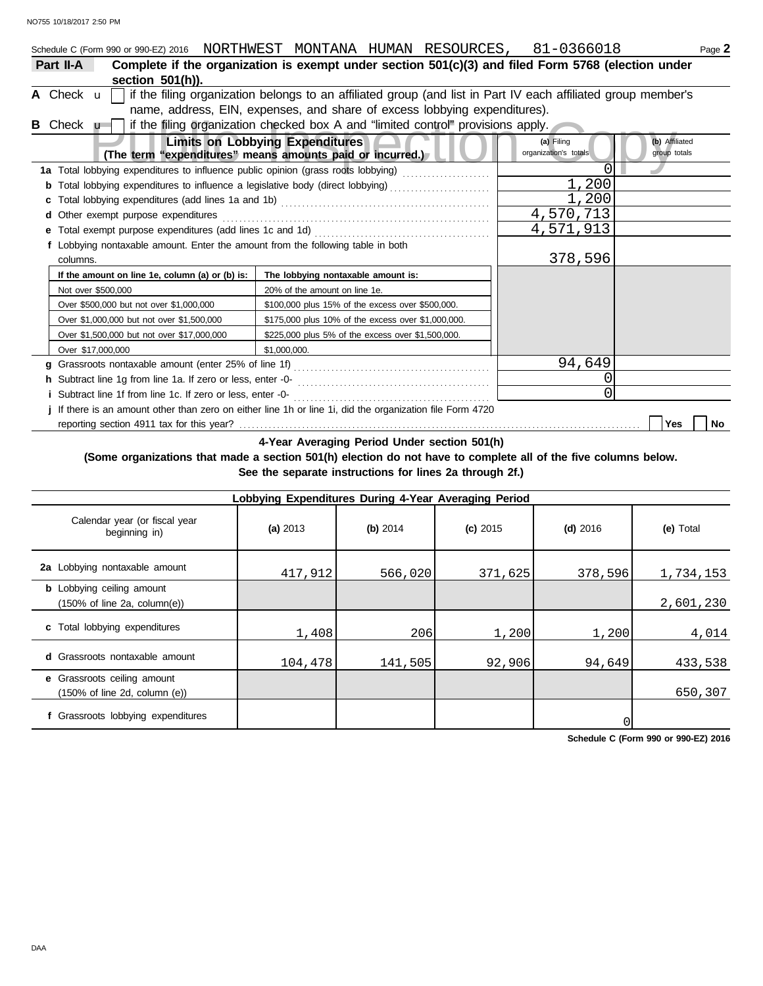| Schedule C (Form 990 or 990-EZ) 2016 NORTHWEST MONTANA HUMAN RESOURCES, 81-0366018                              |                                                                                                               |  |  |                                     | Page 2                         |  |  |  |
|-----------------------------------------------------------------------------------------------------------------|---------------------------------------------------------------------------------------------------------------|--|--|-------------------------------------|--------------------------------|--|--|--|
| Complete if the organization is exempt under section 501(c)(3) and filed Form 5768 (election under<br>Part II-A |                                                                                                               |  |  |                                     |                                |  |  |  |
| section 501(h)).                                                                                                |                                                                                                               |  |  |                                     |                                |  |  |  |
| A Check $\mathbf{u}$                                                                                            | if the filing organization belongs to an affiliated group (and list in Part IV each affiliated group member's |  |  |                                     |                                |  |  |  |
|                                                                                                                 | name, address, EIN, expenses, and share of excess lobbying expenditures).                                     |  |  |                                     |                                |  |  |  |
| if the filing organization checked box A and "limited control" provisions apply.<br>B Check u                   |                                                                                                               |  |  |                                     |                                |  |  |  |
| (The term "expenditures" means amounts paid or incurred.)                                                       | <b>Limits on Lobbying Expenditures</b>                                                                        |  |  | (a) Filing<br>organization's totals | (b) Affiliated<br>group totals |  |  |  |
| 1a Total lobbying expenditures to influence public opinion (grass roots lobbying) [[[[[[[[[[[[[[[[[[[[[[[[[[[   |                                                                                                               |  |  |                                     |                                |  |  |  |
| <b>b</b> Total lobbying expenditures to influence a legislative body (direct lobbying)                          |                                                                                                               |  |  | 1,200                               |                                |  |  |  |
|                                                                                                                 |                                                                                                               |  |  | 1,200                               |                                |  |  |  |
| d Other exempt purpose expenditures                                                                             |                                                                                                               |  |  | 4,570,713                           |                                |  |  |  |
| e Total exempt purpose expenditures (add lines 1c and 1d)                                                       |                                                                                                               |  |  | 4,571,913                           |                                |  |  |  |
| f Lobbying nontaxable amount. Enter the amount from the following table in both                                 |                                                                                                               |  |  |                                     |                                |  |  |  |
| columns.                                                                                                        |                                                                                                               |  |  | 378,596                             |                                |  |  |  |
| If the amount on line 1e, column (a) or (b) is:                                                                 | The lobbying nontaxable amount is:                                                                            |  |  |                                     |                                |  |  |  |
| Not over \$500,000                                                                                              | 20% of the amount on line 1e.                                                                                 |  |  |                                     |                                |  |  |  |
| Over \$500,000 but not over \$1,000,000                                                                         | \$100,000 plus 15% of the excess over \$500,000.                                                              |  |  |                                     |                                |  |  |  |
| Over \$1,000,000 but not over \$1,500,000                                                                       | \$175,000 plus 10% of the excess over \$1,000,000.                                                            |  |  |                                     |                                |  |  |  |
| Over \$1,500,000 but not over \$17,000,000                                                                      | \$225,000 plus 5% of the excess over \$1,500,000.                                                             |  |  |                                     |                                |  |  |  |
| Over \$17,000,000                                                                                               | \$1,000,000.                                                                                                  |  |  |                                     |                                |  |  |  |
|                                                                                                                 |                                                                                                               |  |  | 94,649                              |                                |  |  |  |
|                                                                                                                 |                                                                                                               |  |  | 0                                   |                                |  |  |  |
| <i>i</i> Subtract line 1f from line 1c. If zero or less, enter -0-                                              |                                                                                                               |  |  | 0                                   |                                |  |  |  |
| j If there is an amount other than zero on either line 1h or line 1i, did the organization file Form 4720       |                                                                                                               |  |  |                                     |                                |  |  |  |
|                                                                                                                 |                                                                                                               |  |  |                                     | <b>Yes</b><br>No               |  |  |  |

**4-Year Averaging Period Under section 501(h)**

**(Some organizations that made a section 501(h) election do not have to complete all of the five columns below. See the separate instructions for lines 2a through 2f.)**

| Lobbying Expenditures During 4-Year Averaging Period                                 |          |          |            |            |           |  |  |  |  |  |
|--------------------------------------------------------------------------------------|----------|----------|------------|------------|-----------|--|--|--|--|--|
| Calendar year (or fiscal year<br>beginning in)                                       | (a) 2013 | (b) 2014 | $(c)$ 2015 | $(d)$ 2016 | (e) Total |  |  |  |  |  |
| 2a Lobbying nontaxable amount                                                        | 417,912  | 566,020  | 371,625    | 378,596    | 1,734,153 |  |  |  |  |  |
| <b>b</b> Lobbying ceiling amount<br>$(150\% \text{ of line } 2a, \text{ column}(e))$ |          |          |            |            | 2,601,230 |  |  |  |  |  |
| c Total lobbying expenditures                                                        | 1,408    | 206      | 1,200      | 1,200      | 4,014     |  |  |  |  |  |
| <b>d</b> Grassroots nontaxable amount                                                | 104,478  | 141,505  | 92,906     | 94,649     | 433,538   |  |  |  |  |  |
| e Grassroots ceiling amount<br>$(150\% \text{ of line } 2d, \text{ column } (e))$    |          |          |            |            | 650,307   |  |  |  |  |  |
| f Grassroots lobbying expenditures                                                   |          |          |            |            |           |  |  |  |  |  |

**Schedule C (Form 990 or 990-EZ) 2016**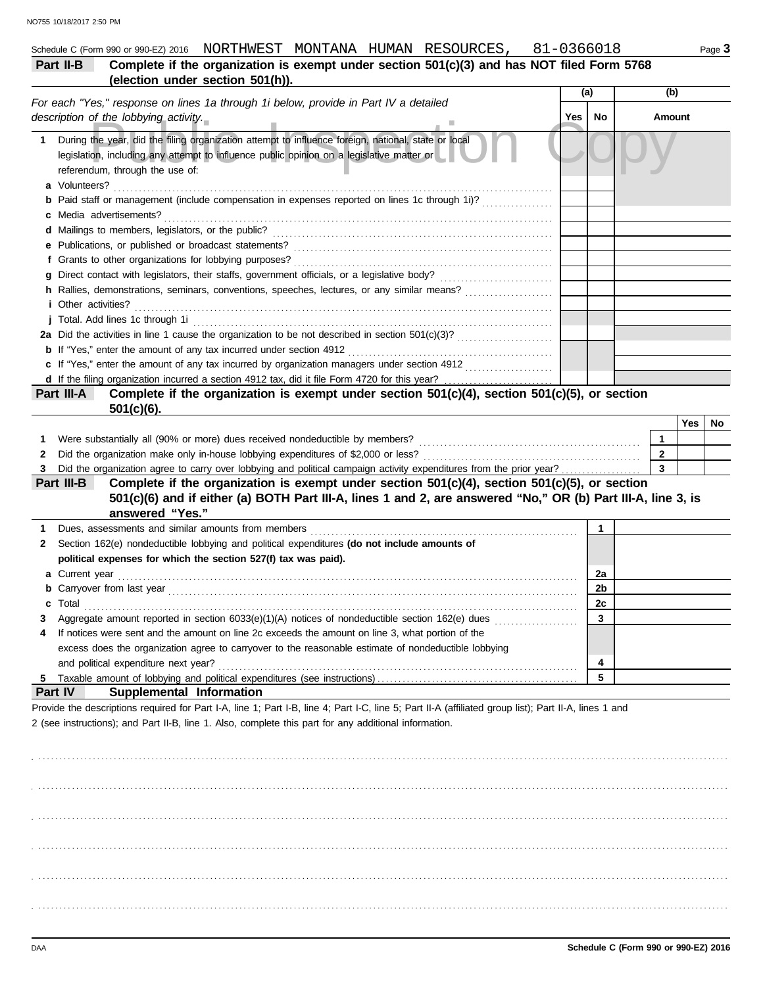|           |                                  |  | Schedule C (Form 990 or 990-EZ) 2016 NORTHWEST MONTANA HUMAN RESOURCES, | 81-0366018                                                                                 | Page 3 |
|-----------|----------------------------------|--|-------------------------------------------------------------------------|--------------------------------------------------------------------------------------------|--------|
| Part II-B |                                  |  |                                                                         | Complete if the organization is exempt under section 501(c)(3) and has NOT filed Form 5768 |        |
|           | (election under section 501(h)). |  |                                                                         |                                                                                            |        |

|   | (election under section ovi(n)).                                                                                                                                                                                                    |     |            |  |                              |     |    |
|---|-------------------------------------------------------------------------------------------------------------------------------------------------------------------------------------------------------------------------------------|-----|------------|--|------------------------------|-----|----|
|   | For each "Yes," response on lines 1a through 1i below, provide in Part IV a detailed                                                                                                                                                |     | (b)<br>(a) |  |                              |     |    |
|   | description of the lobbying activity.                                                                                                                                                                                               | Yes | No         |  | Amount                       |     |    |
| 1 | During the year, did the filing organization attempt to influence foreign, national, state or local<br>legislation, including any attempt to influence public opinion on a legislative matter or<br>referendum, through the use of: |     |            |  |                              |     |    |
|   | a Volunteers?                                                                                                                                                                                                                       |     |            |  |                              |     |    |
|   | Paid staff or management (include compensation in expenses reported on lines 1c through 1i)?                                                                                                                                        |     |            |  |                              |     |    |
| c | Media advertisements?                                                                                                                                                                                                               |     |            |  |                              |     |    |
|   |                                                                                                                                                                                                                                     |     |            |  |                              |     |    |
| е |                                                                                                                                                                                                                                     |     |            |  |                              |     |    |
|   | f Grants to other organizations for lobbying purposes?                                                                                                                                                                              |     |            |  |                              |     |    |
| a |                                                                                                                                                                                                                                     |     |            |  |                              |     |    |
|   | h Rallies, demonstrations, seminars, conventions, speeches, lectures, or any similar means?<br><i>i</i> Other activities?                                                                                                           |     |            |  |                              |     |    |
|   | j Total. Add lines 1c through 1i                                                                                                                                                                                                    |     |            |  |                              |     |    |
|   |                                                                                                                                                                                                                                     |     |            |  |                              |     |    |
|   | <b>b</b> If "Yes," enter the amount of any tax incurred under section 4912                                                                                                                                                          |     |            |  |                              |     |    |
|   | c If "Yes," enter the amount of any tax incurred by organization managers under section 4912                                                                                                                                        |     |            |  |                              |     |    |
|   |                                                                                                                                                                                                                                     |     |            |  |                              |     |    |
|   | Complete if the organization is exempt under section 501(c)(4), section 501(c)(5), or section<br>Part III-A                                                                                                                         |     |            |  |                              |     |    |
|   | $501(c)(6)$ .                                                                                                                                                                                                                       |     |            |  |                              |     |    |
|   |                                                                                                                                                                                                                                     |     |            |  |                              | Yes | No |
| 1 | Were substantially all (90% or more) dues received nondeductible by members?                                                                                                                                                        |     |            |  | $\mathbf{1}$<br>$\mathbf{2}$ |     |    |
| 2 | Did the organization make only in-house lobbying expenditures of \$2,000 or less?                                                                                                                                                   |     |            |  | $\overline{3}$               |     |    |
| 3 | Did the organization agree to carry over lobbying and political campaign activity expenditures from the prior year?                                                                                                                 |     |            |  |                              |     |    |
|   | Complete if the organization is exempt under section 501(c)(4), section 501(c)(5), or section<br>Part III-B<br>501(c)(6) and if either (a) BOTH Part III-A, lines 1 and 2, are answered "No," OR (b) Part III-A, line 3, is         |     |            |  |                              |     |    |
|   | answered "Yes."                                                                                                                                                                                                                     |     |            |  |                              |     |    |
|   |                                                                                                                                                                                                                                     |     | 1          |  |                              |     |    |
| 1 |                                                                                                                                                                                                                                     |     |            |  |                              |     |    |
| 2 | Section 162(e) nondeductible lobbying and political expenditures (do not include amounts of<br>political expenses for which the section 527(f) tax was paid).                                                                       |     |            |  |                              |     |    |
|   |                                                                                                                                                                                                                                     |     | 2a         |  |                              |     |    |
|   | 2b                                                                                                                                                                                                                                  |     |            |  |                              |     |    |
| с | Total                                                                                                                                                                                                                               |     | 2c         |  |                              |     |    |
|   | Aggregate amount reported in section 6033(e)(1)(A) notices of nondeductible section 162(e) dues                                                                                                                                     |     | 3          |  |                              |     |    |

| 4 If notices were sent and the amount on line 2c exceeds the amount on line 3, what portion of the   |  |
|------------------------------------------------------------------------------------------------------|--|
| excess does the organization agree to carryover to the reasonable estimate of nondeductible lobbying |  |
| and political expenditure next year?                                                                 |  |
|                                                                                                      |  |

## **Part IV Supplemental Information**

Provide the descriptions required for Part I-A, line 1; Part I-B, line 4; Part I-C, line 5; Part II-A (affiliated group list); Part II-A, lines 1 and 2 (see instructions); and Part II-B, line 1. Also, complete this part for any additional information.

. . . . . . . . . . . . . . . . . . . . . . . . . . . . . . . . . . . . . . . . . . . . . . . . . . . . . . . . . . . . . . . . . . . . . . . . . . . . . . . . . . . . . . . . . . . . . . . . . . . . . . . . . . . . . . . . . . . . . . . . . . . . . . . . . . . . . . . . . . . . . . . . . . . . . . . . . . . . . . . . . . . . . . . . . . . . . . . . . . . . . . . . . . . . . . . . . . . . . . . . . . . . . . . . . . . . . . . . . . . . . . . . . . . . . . . . . . . . . . . . . . . . . . . . . . . . . . . . . . . . . . . . . . . . . . . . . . . . . . . . . . . . . . . . . . . . . . . . . . . . . . . . . . . . . . . . . . . . . . . . . . . . . . . . . . . . . . . . . . . . . . . . . . . . . . . . . . . . . . . . . . . . . . . . . . . . . . . . . . . . . . . . . . . . . . . . . . . . . . . . . . . . . . . . . . . . . . . . . . . . . . . . . . . . . . . . . . . . . . . . . . . . . . . . . . . . . . . . . . . . . . . . . . . . . . . . . . . . . . . . . . . . . . . . . . . . . . . . . . . . . . . . . . . . . . . . . . . . . . . . . . . . . . . . . . . . . . . . . . . . . . . . . . . . . . . . . . . . . . . . . . . . . . . . . . . . . . . . . . . . . . . . . . . . . . . . . . . . . . . . . . . . . . . . . . . . . . . . . . . . . . . . . . . . . . . . . . . . . . . . . . . . . . . . . . . . . . . . . . . . . . . . . . . . . . . . . . . . . . . . . . . . . . . . . . . . . . . . . . . . . . . . . . . . . . . . . . . . . . . . . . . . . . . . . . . . . . . . . . . . . . . . . . . . . . . . . . . . . . . . . . . . . . . . . . . . . . . . . . . . . . . . . . . . . . . . . . . . . . . . . . . . . . . . . . . . . . . . . . . . . . . . . . . . . .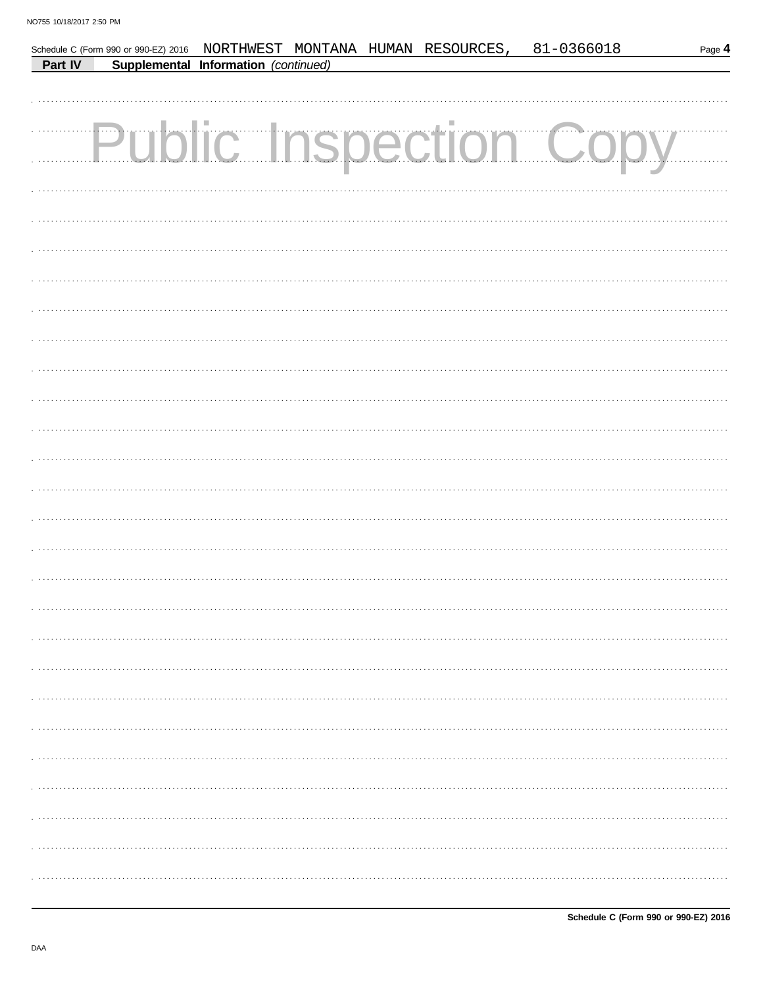|         |                                      |  | Schedule C (Form 990 or 990-EZ) 2016 NORTHWEST MONTANA HUMAN RESOURCES, | 81-0366018                    | Page 4 |
|---------|--------------------------------------|--|-------------------------------------------------------------------------|-------------------------------|--------|
| Part IV | Supplemental Information (continued) |  |                                                                         |                               |        |
|         |                                      |  |                                                                         |                               |        |
|         |                                      |  |                                                                         |                               |        |
|         |                                      |  |                                                                         |                               |        |
|         |                                      |  |                                                                         | <b>Public Inspection Copy</b> |        |
|         |                                      |  |                                                                         |                               |        |
|         |                                      |  |                                                                         |                               |        |
|         |                                      |  |                                                                         |                               |        |
|         |                                      |  |                                                                         |                               |        |
|         |                                      |  |                                                                         |                               |        |
|         |                                      |  |                                                                         |                               |        |
|         |                                      |  |                                                                         |                               |        |
|         |                                      |  |                                                                         |                               |        |
|         |                                      |  |                                                                         |                               |        |
|         |                                      |  |                                                                         |                               |        |
|         |                                      |  |                                                                         |                               |        |
|         |                                      |  |                                                                         |                               |        |
|         |                                      |  |                                                                         |                               |        |
|         |                                      |  |                                                                         |                               |        |
|         |                                      |  |                                                                         |                               |        |
|         |                                      |  |                                                                         |                               |        |
|         |                                      |  |                                                                         |                               |        |
|         |                                      |  |                                                                         |                               |        |
|         |                                      |  |                                                                         |                               |        |
|         |                                      |  |                                                                         |                               |        |
|         |                                      |  |                                                                         |                               |        |
|         |                                      |  |                                                                         |                               |        |
|         |                                      |  |                                                                         |                               |        |
|         |                                      |  |                                                                         |                               |        |
|         |                                      |  |                                                                         |                               |        |
|         |                                      |  |                                                                         |                               |        |
|         |                                      |  |                                                                         |                               |        |
|         |                                      |  |                                                                         |                               |        |
|         |                                      |  |                                                                         |                               |        |
|         |                                      |  |                                                                         |                               |        |
|         |                                      |  |                                                                         |                               |        |
|         |                                      |  |                                                                         |                               |        |
|         |                                      |  |                                                                         |                               |        |
|         |                                      |  |                                                                         |                               |        |
|         |                                      |  |                                                                         |                               |        |
|         |                                      |  |                                                                         |                               |        |
|         |                                      |  |                                                                         |                               |        |
|         |                                      |  |                                                                         |                               |        |
|         |                                      |  |                                                                         |                               |        |
|         |                                      |  |                                                                         |                               |        |
|         |                                      |  |                                                                         |                               |        |
|         |                                      |  |                                                                         |                               |        |
|         |                                      |  |                                                                         |                               |        |
|         |                                      |  |                                                                         |                               |        |
|         |                                      |  |                                                                         |                               |        |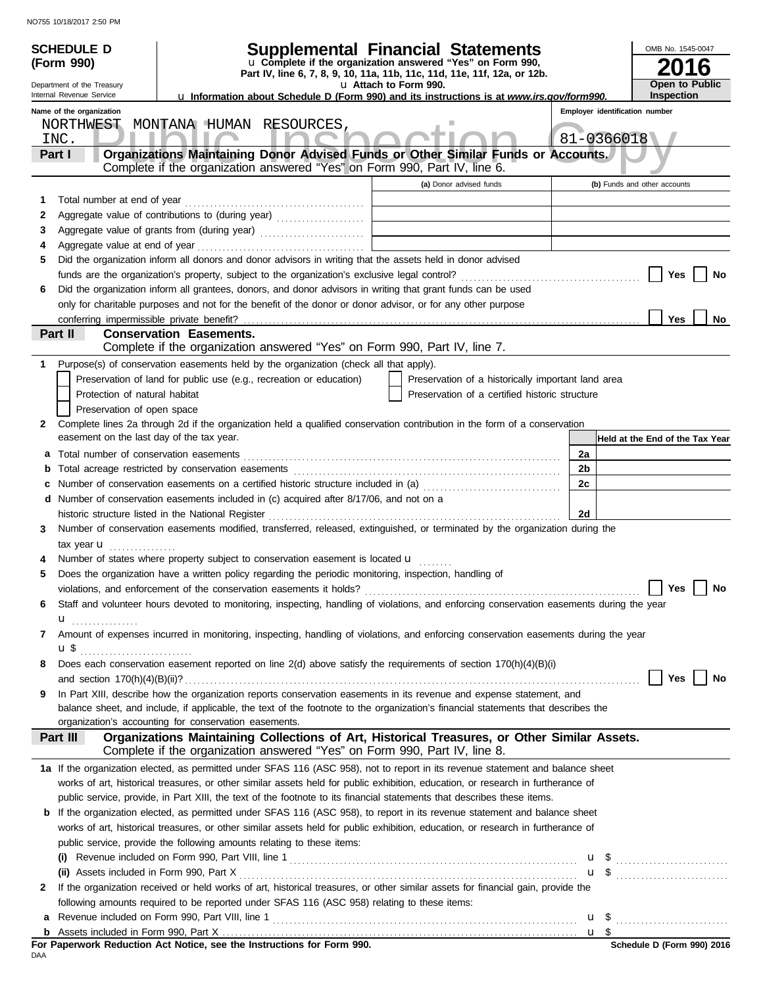|              | <b>SCHEDULE D</b><br>(Form 990)<br>Department of the Treasury<br>Internal Revenue Service | Supplemental Financial Statements<br>u Complete if the organization answered "Yes" on Form 990,<br>Part IV, line 6, 7, 8, 9, 10, 11a, 11b, 11c, 11d, 11e, 11f, 12a, or 12b.<br><b>u Information about Schedule D (Form 990) and its instructions is at www.irs.gov/form990.</b> | u Attach to Form 990.          |                                                    |                | OMB No. 1545-0047<br>6<br>Open to Public<br><b>Inspection</b> |  |
|--------------|-------------------------------------------------------------------------------------------|---------------------------------------------------------------------------------------------------------------------------------------------------------------------------------------------------------------------------------------------------------------------------------|--------------------------------|----------------------------------------------------|----------------|---------------------------------------------------------------|--|
|              | Name of the organization                                                                  |                                                                                                                                                                                                                                                                                 | Employer identification number |                                                    |                |                                                               |  |
|              |                                                                                           | NORTHWEST MONTANA HUMAN RESOURCES,                                                                                                                                                                                                                                              |                                |                                                    |                |                                                               |  |
|              | INC.                                                                                      |                                                                                                                                                                                                                                                                                 |                                |                                                    |                | 81-0366018                                                    |  |
|              | Part I                                                                                    | Organizations Maintaining Donor Advised Funds or Other Similar Funds or Accounts.                                                                                                                                                                                               |                                |                                                    |                |                                                               |  |
|              |                                                                                           | Complete if the organization answered "Yes" on Form 990, Part IV, line 6.                                                                                                                                                                                                       |                                |                                                    |                |                                                               |  |
|              |                                                                                           |                                                                                                                                                                                                                                                                                 |                                | (a) Donor advised funds                            |                | (b) Funds and other accounts                                  |  |
| 1            | Total number at end of year                                                               |                                                                                                                                                                                                                                                                                 |                                |                                                    |                |                                                               |  |
| 2            |                                                                                           | Aggregate value of contributions to (during year)                                                                                                                                                                                                                               |                                |                                                    |                |                                                               |  |
| 3<br>4       |                                                                                           |                                                                                                                                                                                                                                                                                 |                                |                                                    |                |                                                               |  |
| 5            |                                                                                           | Did the organization inform all donors and donor advisors in writing that the assets held in donor advised                                                                                                                                                                      |                                |                                                    |                |                                                               |  |
|              |                                                                                           |                                                                                                                                                                                                                                                                                 |                                |                                                    |                | Yes<br>No                                                     |  |
| 6            |                                                                                           | Did the organization inform all grantees, donors, and donor advisors in writing that grant funds can be used                                                                                                                                                                    |                                |                                                    |                |                                                               |  |
|              |                                                                                           | only for charitable purposes and not for the benefit of the donor or donor advisor, or for any other purpose                                                                                                                                                                    |                                |                                                    |                |                                                               |  |
|              |                                                                                           |                                                                                                                                                                                                                                                                                 |                                |                                                    |                | Yes<br>No                                                     |  |
|              | Part II                                                                                   | <b>Conservation Easements.</b>                                                                                                                                                                                                                                                  |                                |                                                    |                |                                                               |  |
|              |                                                                                           | Complete if the organization answered "Yes" on Form 990, Part IV, line 7.                                                                                                                                                                                                       |                                |                                                    |                |                                                               |  |
| 1            |                                                                                           | Purpose(s) of conservation easements held by the organization (check all that apply).                                                                                                                                                                                           |                                |                                                    |                |                                                               |  |
|              |                                                                                           | Preservation of land for public use (e.g., recreation or education)                                                                                                                                                                                                             |                                | Preservation of a historically important land area |                |                                                               |  |
|              | Protection of natural habitat                                                             |                                                                                                                                                                                                                                                                                 |                                | Preservation of a certified historic structure     |                |                                                               |  |
|              | Preservation of open space                                                                |                                                                                                                                                                                                                                                                                 |                                |                                                    |                |                                                               |  |
| $\mathbf{2}$ |                                                                                           | Complete lines 2a through 2d if the organization held a qualified conservation contribution in the form of a conservation                                                                                                                                                       |                                |                                                    |                |                                                               |  |
|              | easement on the last day of the tax year.                                                 |                                                                                                                                                                                                                                                                                 |                                |                                                    |                | Held at the End of the Tax Year                               |  |
|              |                                                                                           |                                                                                                                                                                                                                                                                                 |                                |                                                    | 2a             |                                                               |  |
| b            |                                                                                           |                                                                                                                                                                                                                                                                                 |                                |                                                    | 2 <sub>b</sub> |                                                               |  |
| C            |                                                                                           |                                                                                                                                                                                                                                                                                 |                                |                                                    | 2c             |                                                               |  |
|              |                                                                                           | d Number of conservation easements included in (c) acquired after 8/17/06, and not on a                                                                                                                                                                                         |                                |                                                    |                |                                                               |  |
|              |                                                                                           | historic structure listed in the National Register<br>Number of conservation easements modified, transferred, released, extinguished, or terminated by the organization during the                                                                                              |                                |                                                    | 2d             |                                                               |  |
| 3            |                                                                                           |                                                                                                                                                                                                                                                                                 |                                |                                                    |                |                                                               |  |
|              | tax year $\mathbf u$                                                                      | Number of states where property subject to conservation easement is located u                                                                                                                                                                                                   |                                |                                                    |                |                                                               |  |
| 5            |                                                                                           | Does the organization have a written policy regarding the periodic monitoring, inspection, handling of                                                                                                                                                                          |                                |                                                    |                |                                                               |  |
|              |                                                                                           | violations, and enforcement of the conservation easements it holds?                                                                                                                                                                                                             |                                |                                                    |                | Yes<br>No                                                     |  |
| 6            |                                                                                           | Staff and volunteer hours devoted to monitoring, inspecting, handling of violations, and enforcing conservation easements during the year                                                                                                                                       |                                |                                                    |                |                                                               |  |
|              | u <sub></sub>                                                                             |                                                                                                                                                                                                                                                                                 |                                |                                                    |                |                                                               |  |
| 7            |                                                                                           | Amount of expenses incurred in monitoring, inspecting, handling of violations, and enforcing conservation easements during the year                                                                                                                                             |                                |                                                    |                |                                                               |  |
|              |                                                                                           |                                                                                                                                                                                                                                                                                 |                                |                                                    |                |                                                               |  |
| 8            |                                                                                           | Does each conservation easement reported on line 2(d) above satisfy the requirements of section 170(h)(4)(B)(i)                                                                                                                                                                 |                                |                                                    |                |                                                               |  |
|              |                                                                                           |                                                                                                                                                                                                                                                                                 |                                |                                                    |                | Yes<br>No                                                     |  |
| 9            |                                                                                           | In Part XIII, describe how the organization reports conservation easements in its revenue and expense statement, and                                                                                                                                                            |                                |                                                    |                |                                                               |  |
|              |                                                                                           | balance sheet, and include, if applicable, the text of the footnote to the organization's financial statements that describes the                                                                                                                                               |                                |                                                    |                |                                                               |  |
|              |                                                                                           | organization's accounting for conservation easements.                                                                                                                                                                                                                           |                                |                                                    |                |                                                               |  |
|              | Part III                                                                                  | Organizations Maintaining Collections of Art, Historical Treasures, or Other Similar Assets.<br>Complete if the organization answered "Yes" on Form 990, Part IV, line 8.                                                                                                       |                                |                                                    |                |                                                               |  |
|              |                                                                                           | 1a If the organization elected, as permitted under SFAS 116 (ASC 958), not to report in its revenue statement and balance sheet                                                                                                                                                 |                                |                                                    |                |                                                               |  |
|              |                                                                                           | works of art, historical treasures, or other similar assets held for public exhibition, education, or research in furtherance of                                                                                                                                                |                                |                                                    |                |                                                               |  |
|              |                                                                                           | public service, provide, in Part XIII, the text of the footnote to its financial statements that describes these items.                                                                                                                                                         |                                |                                                    |                |                                                               |  |
|              |                                                                                           | <b>b</b> If the organization elected, as permitted under SFAS 116 (ASC 958), to report in its revenue statement and balance sheet                                                                                                                                               |                                |                                                    |                |                                                               |  |
|              |                                                                                           | works of art, historical treasures, or other similar assets held for public exhibition, education, or research in furtherance of                                                                                                                                                |                                |                                                    |                |                                                               |  |
|              | public service, provide the following amounts relating to these items:                    |                                                                                                                                                                                                                                                                                 |                                |                                                    |                |                                                               |  |
|              |                                                                                           |                                                                                                                                                                                                                                                                                 |                                |                                                    |                | $\mathbf{u}$ \$                                               |  |
|              |                                                                                           |                                                                                                                                                                                                                                                                                 |                                |                                                    |                |                                                               |  |
| 2            |                                                                                           | If the organization received or held works of art, historical treasures, or other similar assets for financial gain, provide the                                                                                                                                                |                                |                                                    |                |                                                               |  |
|              |                                                                                           | following amounts required to be reported under SFAS 116 (ASC 958) relating to these items:                                                                                                                                                                                     |                                |                                                    |                |                                                               |  |
|              |                                                                                           |                                                                                                                                                                                                                                                                                 |                                |                                                    |                |                                                               |  |
|              |                                                                                           |                                                                                                                                                                                                                                                                                 |                                |                                                    |                |                                                               |  |

| For Paperwork Reduction Act Notice, see the Instructions for Form 990. |  |  |  |
|------------------------------------------------------------------------|--|--|--|
| DAA                                                                    |  |  |  |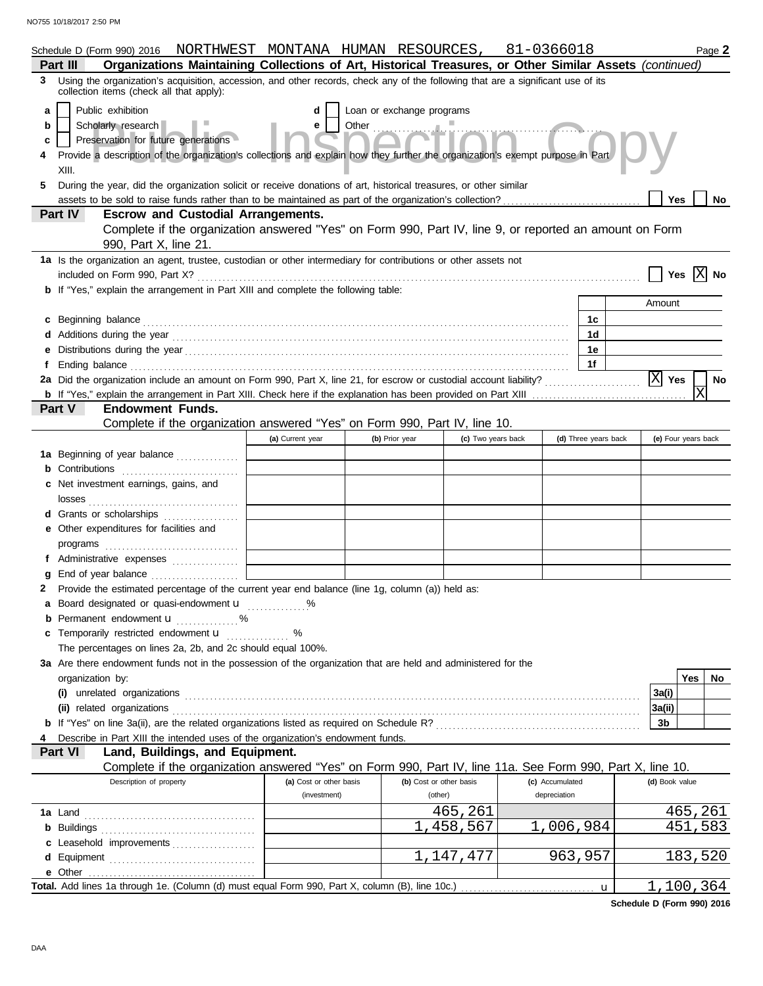|   | Schedule D (Form 990) 2016 NORTHWEST MONTANA HUMAN RESOURCES, 81-0366018                                                                                                                                                             |                         |                           |                         |                 |                      |                    | Page 2                |
|---|--------------------------------------------------------------------------------------------------------------------------------------------------------------------------------------------------------------------------------------|-------------------------|---------------------------|-------------------------|-----------------|----------------------|--------------------|-----------------------|
|   | Organizations Maintaining Collections of Art, Historical Treasures, or Other Similar Assets (continued)<br>Part III                                                                                                                  |                         |                           |                         |                 |                      |                    |                       |
| 3 | Using the organization's acquisition, accession, and other records, check any of the following that are a significant use of its<br>collection items (check all that apply):                                                         |                         |                           |                         |                 |                      |                    |                       |
| a | Public exhibition                                                                                                                                                                                                                    |                         | Loan or exchange programs |                         |                 |                      |                    |                       |
| b | Scholarly research                                                                                                                                                                                                                   | e                       |                           |                         |                 |                      |                    |                       |
| c | Preservation for future generations                                                                                                                                                                                                  |                         |                           |                         |                 |                      |                    |                       |
|   | Provide a description of the organization's collections and explain how they further the organization's exempt purpose in Part<br>XIII.                                                                                              |                         |                           |                         |                 |                      |                    |                       |
| 5 | During the year, did the organization solicit or receive donations of art, historical treasures, or other similar                                                                                                                    |                         |                           |                         |                 |                      |                    |                       |
|   |                                                                                                                                                                                                                                      |                         |                           |                         |                 |                      | Yes                | No                    |
|   | Part IV<br><b>Escrow and Custodial Arrangements.</b>                                                                                                                                                                                 |                         |                           |                         |                 |                      |                    |                       |
|   | Complete if the organization answered "Yes" on Form 990, Part IV, line 9, or reported an amount on Form<br>990, Part X, line 21.                                                                                                     |                         |                           |                         |                 |                      |                    |                       |
|   | 1a Is the organization an agent, trustee, custodian or other intermediary for contributions or other assets not                                                                                                                      |                         |                           |                         |                 |                      | Yes                | $ X $ No              |
|   | <b>b</b> If "Yes," explain the arrangement in Part XIII and complete the following table:                                                                                                                                            |                         |                           |                         |                 |                      |                    |                       |
|   |                                                                                                                                                                                                                                      |                         |                           |                         |                 |                      | Amount             |                       |
|   | c Beginning balance <b>contract to the contract of the set of the contract of the contract of the contract of the contract of the contract of the contract of the contract of the contract of the contract of the contract of th</b> |                         |                           |                         |                 | 1c                   |                    |                       |
|   |                                                                                                                                                                                                                                      |                         |                           |                         |                 | 1 <sub>d</sub>       |                    |                       |
|   |                                                                                                                                                                                                                                      |                         |                           |                         |                 | 1e                   |                    |                       |
|   |                                                                                                                                                                                                                                      |                         |                           |                         |                 | 1f                   |                    |                       |
|   |                                                                                                                                                                                                                                      |                         |                           |                         |                 |                      | $ \mathbf{X} $ Yes | No                    |
|   |                                                                                                                                                                                                                                      |                         |                           |                         |                 |                      |                    | $\overline{\text{X}}$ |
|   | Part V<br><b>Endowment Funds.</b>                                                                                                                                                                                                    |                         |                           |                         |                 |                      |                    |                       |
|   | Complete if the organization answered "Yes" on Form 990, Part IV, line 10.                                                                                                                                                           |                         |                           |                         |                 |                      |                    |                       |
|   |                                                                                                                                                                                                                                      | (a) Current year        | (b) Prior year            | (c) Two years back      |                 | (d) Three years back |                    | (e) Four years back   |
|   | <b>1a</b> Beginning of year balance                                                                                                                                                                                                  |                         |                           |                         |                 |                      |                    |                       |
|   | <b>b</b> Contributions                                                                                                                                                                                                               |                         |                           |                         |                 |                      |                    |                       |
|   | c Net investment earnings, gains, and                                                                                                                                                                                                |                         |                           |                         |                 |                      |                    |                       |
|   |                                                                                                                                                                                                                                      |                         |                           |                         |                 |                      |                    |                       |
|   | d Grants or scholarships                                                                                                                                                                                                             |                         |                           |                         |                 |                      |                    |                       |
|   | e Other expenditures for facilities and                                                                                                                                                                                              |                         |                           |                         |                 |                      |                    |                       |
|   |                                                                                                                                                                                                                                      |                         |                           |                         |                 |                      |                    |                       |
|   | Administrative expenses                                                                                                                                                                                                              |                         |                           |                         |                 |                      |                    |                       |
|   | Provide the estimated percentage of the current year end balance (line 1g, column (a)) held as:                                                                                                                                      |                         |                           |                         |                 |                      |                    |                       |
|   | a Board designated or quasi-endowment u                                                                                                                                                                                              |                         |                           |                         |                 |                      |                    |                       |
|   | <b>b</b> Permanent endowment <b>u</b><br>. %                                                                                                                                                                                         |                         |                           |                         |                 |                      |                    |                       |
|   | c Temporarily restricted endowment <b>u</b>                                                                                                                                                                                          | %                       |                           |                         |                 |                      |                    |                       |
|   | The percentages on lines 2a, 2b, and 2c should equal 100%.                                                                                                                                                                           |                         |                           |                         |                 |                      |                    |                       |
|   | 3a Are there endowment funds not in the possession of the organization that are held and administered for the                                                                                                                        |                         |                           |                         |                 |                      |                    |                       |
|   | organization by:                                                                                                                                                                                                                     |                         |                           |                         |                 |                      |                    | Yes<br>No.            |
|   |                                                                                                                                                                                                                                      |                         |                           |                         |                 |                      | 3a(i)              |                       |
|   | (ii) related organizations experiences and a set of the contract of the contract of the contract of the contract of the contract of the contract of the contract of the contract of the contract of the contract of the contra       |                         |                           |                         |                 |                      | 3a(ii)             |                       |
|   |                                                                                                                                                                                                                                      |                         |                           |                         |                 |                      | 3b                 |                       |
|   | Describe in Part XIII the intended uses of the organization's endowment funds.                                                                                                                                                       |                         |                           |                         |                 |                      |                    |                       |
|   | Land, Buildings, and Equipment.<br><b>Part VI</b>                                                                                                                                                                                    |                         |                           |                         |                 |                      |                    |                       |
|   | Complete if the organization answered "Yes" on Form 990, Part IV, line 11a. See Form 990, Part X, line 10.                                                                                                                           |                         |                           |                         |                 |                      |                    |                       |
|   | Description of property                                                                                                                                                                                                              | (a) Cost or other basis |                           | (b) Cost or other basis | (c) Accumulated |                      | (d) Book value     |                       |
|   |                                                                                                                                                                                                                                      | (investment)            |                           | (other)                 | depreciation    |                      |                    |                       |
|   |                                                                                                                                                                                                                                      |                         |                           | 465,261                 |                 |                      |                    | 465,261               |
|   |                                                                                                                                                                                                                                      |                         |                           | 1,458,567               | 1,006,984       |                      |                    | 451,583               |
|   | c Leasehold improvements                                                                                                                                                                                                             |                         |                           |                         |                 |                      |                    |                       |
|   |                                                                                                                                                                                                                                      |                         |                           | 1,147,477               |                 | 963,957              |                    | 183,520               |
|   | e Other                                                                                                                                                                                                                              |                         |                           |                         |                 |                      |                    |                       |
|   | Total. Add lines 1a through 1e. (Column (d) must equal Form 990, Part X, column (B), line 10c.)                                                                                                                                      |                         |                           |                         |                 | $\mathbf u$          |                    | 1,100,364             |

**Schedule D (Form 990) 2016**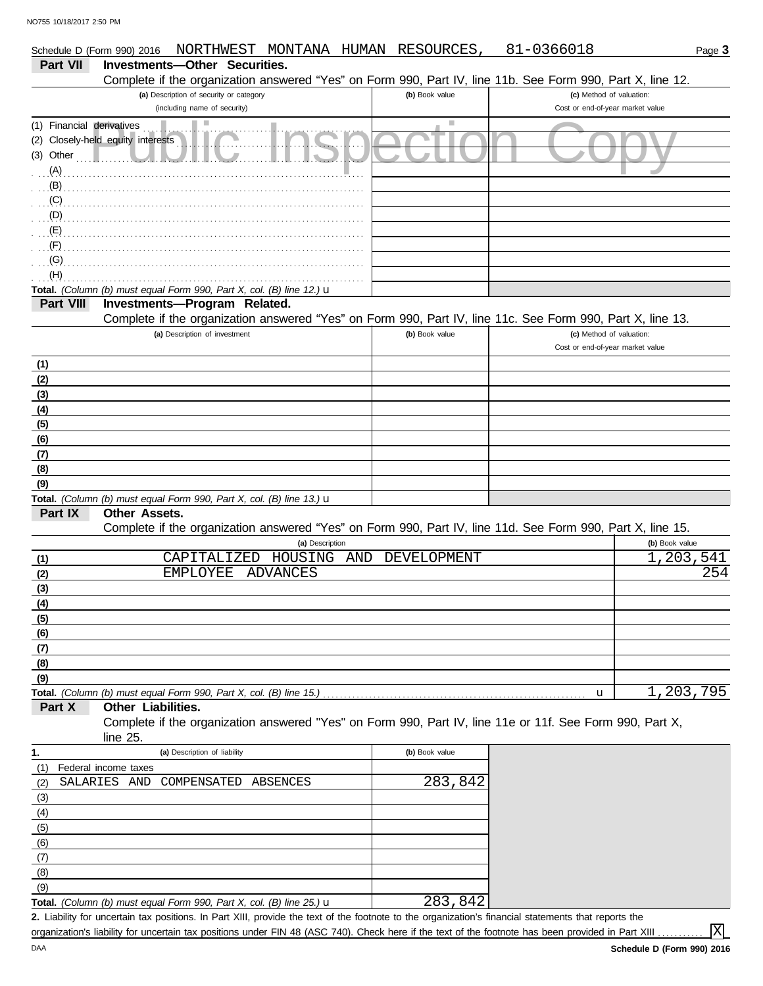DAA

|                           | Schedule D (Form 990) 2016 NORTHWEST MONTANA HUMAN RESOURCES,                                              |                             | 81-0366018                                                   | Page 3         |
|---------------------------|------------------------------------------------------------------------------------------------------------|-----------------------------|--------------------------------------------------------------|----------------|
| Part VII                  | Investments-Other Securities.                                                                              |                             |                                                              |                |
|                           | Complete if the organization answered "Yes" on Form 990, Part IV, line 11b. See Form 990, Part X, line 12. |                             |                                                              |                |
|                           | (a) Description of security or category                                                                    | (b) Book value              | (c) Method of valuation:                                     |                |
|                           | (including name of security)                                                                               |                             | Cost or end-of-year market value                             |                |
| (1) Financial derivatives |                                                                                                            | $\mathcal{L}_{\mathcal{A}}$ |                                                              |                |
|                           | (2) Closely-held equity interests                                                                          |                             |                                                              |                |
| $(3)$ Other               |                                                                                                            |                             |                                                              |                |
| (A)                       |                                                                                                            |                             |                                                              |                |
| (B)                       |                                                                                                            |                             |                                                              |                |
| (C)                       |                                                                                                            |                             |                                                              |                |
| (D)                       |                                                                                                            |                             |                                                              |                |
| (E)                       |                                                                                                            |                             |                                                              |                |
| (F)                       |                                                                                                            |                             |                                                              |                |
| (G)                       |                                                                                                            |                             |                                                              |                |
| (H)                       |                                                                                                            |                             |                                                              |                |
|                           | Total. (Column (b) must equal Form 990, Part X, col. (B) line 12.) u                                       |                             |                                                              |                |
| Part VIII                 | Investments-Program Related.                                                                               |                             |                                                              |                |
|                           | Complete if the organization answered "Yes" on Form 990, Part IV, line 11c. See Form 990, Part X, line 13. |                             |                                                              |                |
|                           | (a) Description of investment                                                                              | (b) Book value              | (c) Method of valuation:<br>Cost or end-of-year market value |                |
|                           |                                                                                                            |                             |                                                              |                |
| (1)                       |                                                                                                            |                             |                                                              |                |
| (2)                       |                                                                                                            |                             |                                                              |                |
| (3)                       |                                                                                                            |                             |                                                              |                |
| (4)                       |                                                                                                            |                             |                                                              |                |
| (5)                       |                                                                                                            |                             |                                                              |                |
| (6)                       |                                                                                                            |                             |                                                              |                |
| (7)                       |                                                                                                            |                             |                                                              |                |
| (8)                       |                                                                                                            |                             |                                                              |                |
| (9)                       |                                                                                                            |                             |                                                              |                |
| Part IX                   | Total. (Column (b) must equal Form 990, Part X, col. (B) line 13.) $\mathbf u$<br><b>Other Assets.</b>     |                             |                                                              |                |
|                           | Complete if the organization answered "Yes" on Form 990, Part IV, line 11d. See Form 990, Part X, line 15. |                             |                                                              |                |
|                           | (a) Description                                                                                            |                             |                                                              | (b) Book value |
| (1)                       | HOUSING<br>CAPITALIZED<br>AND                                                                              | DEVELOPMENT                 |                                                              | 1,203,541      |
| (2)                       | <b>EMPLOYEE</b><br><b>ADVANCES</b>                                                                         |                             |                                                              | 254            |
| (3)                       |                                                                                                            |                             |                                                              |                |
| (4)                       |                                                                                                            |                             |                                                              |                |
| (5)                       |                                                                                                            |                             |                                                              |                |
| (6)                       |                                                                                                            |                             |                                                              |                |
| (7)                       |                                                                                                            |                             |                                                              |                |
| (8)                       |                                                                                                            |                             |                                                              |                |
| (9)                       |                                                                                                            |                             |                                                              |                |
|                           |                                                                                                            |                             | u                                                            | 1,203,795      |
| Part X                    | Other Liabilities.                                                                                         |                             |                                                              |                |
|                           | Complete if the organization answered "Yes" on Form 990, Part IV, line 11e or 11f. See Form 990, Part X,   |                             |                                                              |                |
|                           | line 25.                                                                                                   |                             |                                                              |                |
| 1.                        | (a) Description of liability                                                                               | (b) Book value              |                                                              |                |
| (1)                       | Federal income taxes                                                                                       |                             |                                                              |                |
| (2)                       | SALARIES AND<br>COMPENSATED<br>ABSENCES                                                                    | 283,842                     |                                                              |                |
| (3)                       |                                                                                                            |                             |                                                              |                |
| (4)                       |                                                                                                            |                             |                                                              |                |
| (5)                       |                                                                                                            |                             |                                                              |                |
| (6)                       |                                                                                                            |                             |                                                              |                |
| (7)                       |                                                                                                            |                             |                                                              |                |
| (8)                       |                                                                                                            |                             |                                                              |                |
| (9)                       |                                                                                                            |                             |                                                              |                |
|                           |                                                                                                            |                             |                                                              |                |

Liability for uncertain tax positions. In Part XIII, provide the text of the footnote to the organization's financial statements that reports the **2. Total.** *(Column (b) must equal Form 990, Part X, col. (B) line 25.)* u 283,842

organization's liability for uncertain tax positions under FIN 48 (ASC 740). Check here if the text of the footnote has been provided in Part XIII

X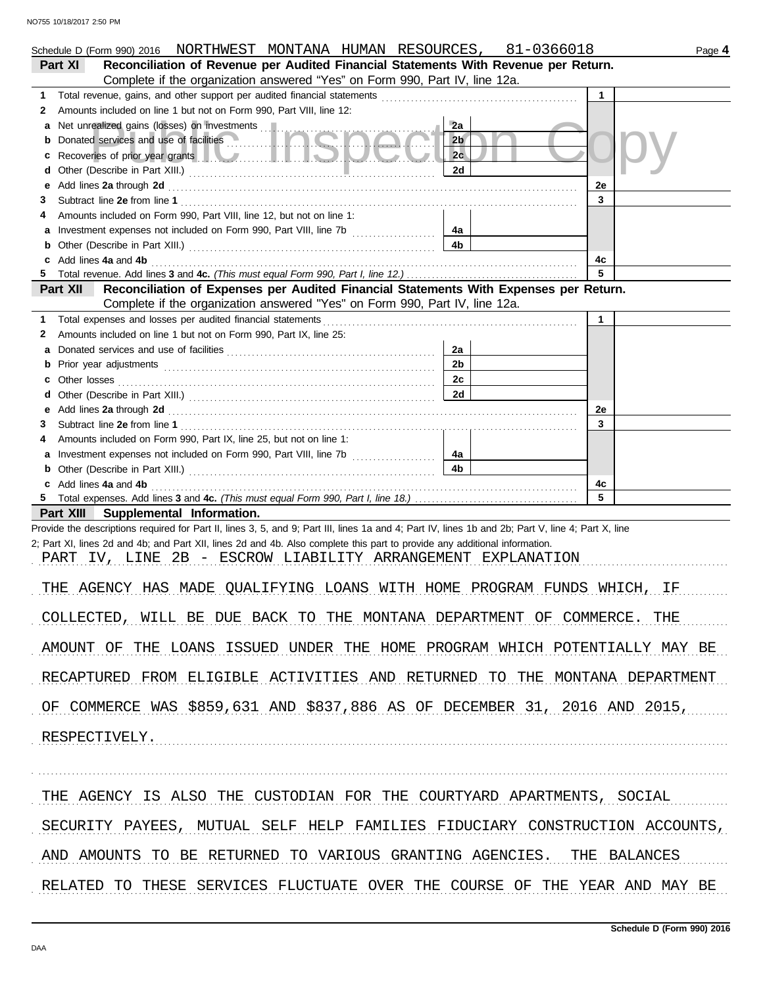| Schedule D (Form 990) 2016 NORTHWEST MONTANA HUMAN RESOURCES, 81-0366018                                                                                                                                                                 |                      |              | Page 4 |
|------------------------------------------------------------------------------------------------------------------------------------------------------------------------------------------------------------------------------------------|----------------------|--------------|--------|
| Reconciliation of Revenue per Audited Financial Statements With Revenue per Return.<br>Part XI                                                                                                                                           |                      |              |        |
| Complete if the organization answered "Yes" on Form 990, Part IV, line 12a.<br>1.                                                                                                                                                        |                      |              |        |
| Amounts included on line 1 but not on Form 990, Part VIII, line 12:<br>2                                                                                                                                                                 |                      |              |        |
| а                                                                                                                                                                                                                                        | 2a                   |              |        |
| Donated services and use of facilities<br>b                                                                                                                                                                                              | 2 <sub>b</sub>       |              |        |
| Recoveries of prior year grants <b>the contract of the contract of prior</b><br>c                                                                                                                                                        | 2 <sub>c</sub>       |              |        |
| d                                                                                                                                                                                                                                        | 2d                   |              |        |
| Add lines 2a through 2d [11] Add [12] Add [12] Add lines 2a through 2d [12] Add lines 2a through 2d [12] Add [12] Add [12] Adding the Superior Adding to Adding 20 [12] Adding to Adding to Adding to Adding to Adding to Addi<br>е      |                      | 2e           |        |
| 3                                                                                                                                                                                                                                        |                      | 3            |        |
| Amounts included on Form 990, Part VIII, line 12, but not on line 1:                                                                                                                                                                     |                      |              |        |
| a                                                                                                                                                                                                                                        | 4a<br>4 <sub>b</sub> |              |        |
| b<br>Add lines 4a and 4b<br>c                                                                                                                                                                                                            |                      | 4с           |        |
|                                                                                                                                                                                                                                          |                      | 5            |        |
| Reconciliation of Expenses per Audited Financial Statements With Expenses per Return.<br>Part XII                                                                                                                                        |                      |              |        |
| Complete if the organization answered "Yes" on Form 990, Part IV, line 12a.                                                                                                                                                              |                      |              |        |
| 1.                                                                                                                                                                                                                                       |                      | $\mathbf{1}$ |        |
| Amounts included on line 1 but not on Form 990, Part IX, line 25:<br>2                                                                                                                                                                   |                      |              |        |
| а                                                                                                                                                                                                                                        | 2a                   |              |        |
| b                                                                                                                                                                                                                                        | 2 <sub>b</sub>       |              |        |
| c                                                                                                                                                                                                                                        | 2c                   |              |        |
| d                                                                                                                                                                                                                                        | 2d                   |              |        |
| Add lines 2a through 2d [11] All and the contract of the contract of the contract of the contract of the contract of the contract of the contract of the contract of the contract of the contract of the contract of the contr<br>е<br>3 |                      | 2e<br>3      |        |
| Amounts included on Form 990, Part IX, line 25, but not on line 1:<br>4                                                                                                                                                                  |                      |              |        |
| a Investment expenses not included on Form 990, Part VIII, line 7b                                                                                                                                                                       | 4a                   |              |        |
| b                                                                                                                                                                                                                                        | 4 <sub>b</sub>       |              |        |
| Add lines 4a and 4b<br>c                                                                                                                                                                                                                 |                      | 4c           |        |
|                                                                                                                                                                                                                                          |                      | 5            |        |
| Part XIII Supplemental Information.                                                                                                                                                                                                      |                      |              |        |
| Provide the descriptions required for Part II, lines 3, 5, and 9; Part III, lines 1a and 4; Part IV, lines 1b and 2b; Part V, line 4; Part X, line                                                                                       |                      |              |        |
| 2; Part XI, lines 2d and 4b; and Part XII, lines 2d and 4b. Also complete this part to provide any additional information.                                                                                                               |                      |              |        |
| PART IV, LINE 2B - ESCROW LIABILITY ARRANGEMENT EXPLANATION                                                                                                                                                                              |                      |              |        |
| THE AGENCY HAS MADE QUALIFYING LOANS WITH HOME PROGRAM FUNDS WHICH, IF                                                                                                                                                                   |                      |              |        |
|                                                                                                                                                                                                                                          |                      |              |        |
| COLLECTED, WILL BE DUE BACK TO THE MONTANA DEPARTMENT OF COMMERCE. THE                                                                                                                                                                   |                      |              |        |
|                                                                                                                                                                                                                                          |                      |              |        |
| AMOUNT OF THE LOANS ISSUED UNDER THE HOME PROGRAM WHICH POTENTIALLY MAY BE                                                                                                                                                               |                      |              |        |
| RECAPTURED FROM ELIGIBLE ACTIVITIES AND RETURNED TO THE MONTANA DEPARTMENT                                                                                                                                                               |                      |              |        |
| OF COMMERCE WAS \$859,631 AND \$837,886 AS OF DECEMBER 31, 2016 AND 2015,                                                                                                                                                                |                      |              |        |
| RESPECTIVELY.                                                                                                                                                                                                                            |                      |              |        |
|                                                                                                                                                                                                                                          |                      |              |        |
|                                                                                                                                                                                                                                          |                      |              |        |
| THE AGENCY IS ALSO THE CUSTODIAN FOR THE COURTYARD APARTMENTS, SOCIAL                                                                                                                                                                    |                      |              |        |
| SECURITY PAYEES, MUTUAL SELF HELP FAMILIES FIDUCIARY CONSTRUCTION ACCOUNTS,                                                                                                                                                              |                      |              |        |
| AND AMOUNTS TO BE RETURNED TO VARIOUS GRANTING AGENCIES. THE BALANCES                                                                                                                                                                    |                      |              |        |
| RELATED TO THESE SERVICES FLUCTUATE OVER THE COURSE OF THE YEAR AND MAY BE                                                                                                                                                               |                      |              |        |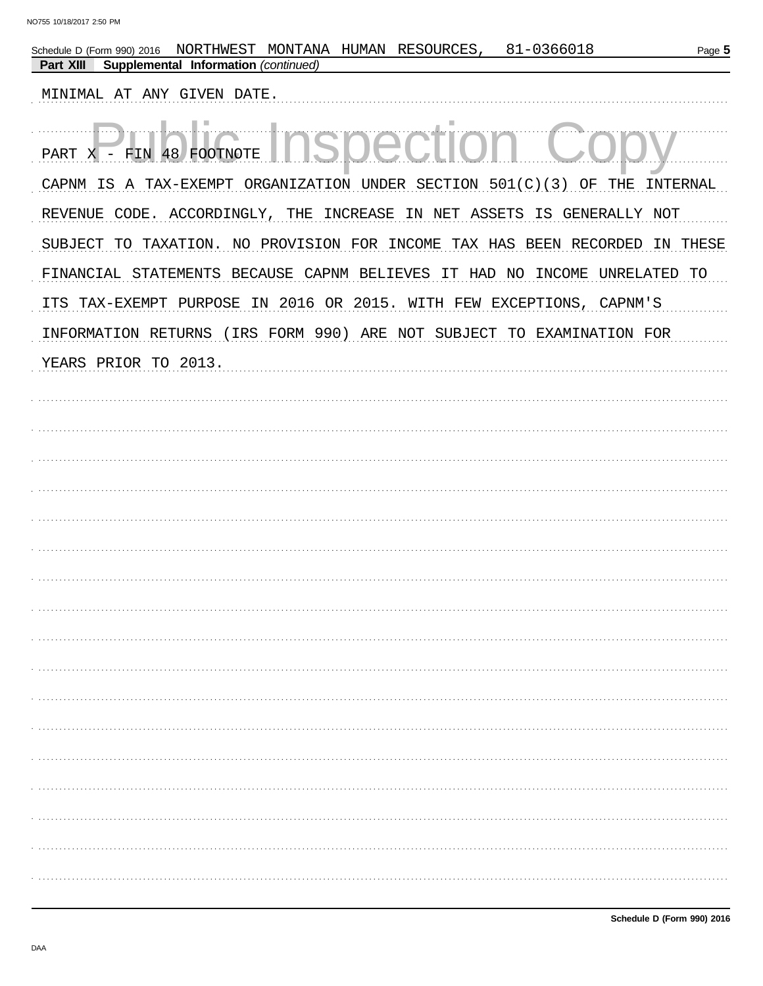| MONTANA HUMAN RESOURCES, 81-0366018<br>NORTHWEST<br>Page 5<br>Schedule D (Form 990) 2016<br>Supplemental Information (continued)<br><b>Part XIII</b> |
|------------------------------------------------------------------------------------------------------------------------------------------------------|
| MINIMAL AT ANY GIVEN DATE.                                                                                                                           |
| PART X - FIN 48 FOOTNOTE                                                                                                                             |
| CAPNM IS A TAX-EXEMPT ORGANIZATION UNDER SECTION 501(C)(3) OF THE<br>INTERNAL                                                                        |
| REVENUE CODE. ACCORDINGLY, THE INCREASE IN NET ASSETS IS GENERALLY NOT                                                                               |
| SUBJECT TO TAXATION. NO PROVISION FOR INCOME TAX HAS BEEN RECORDED IN THESE                                                                          |
| FINANCIAL STATEMENTS BECAUSE CAPNM BELIEVES IT HAD NO INCOME UNRELATED TO                                                                            |
| ITS TAX-EXEMPT PURPOSE IN 2016 OR 2015. WITH FEW EXCEPTIONS, CAPNM'S                                                                                 |
| INFORMATION RETURNS (IRS FORM 990) ARE NOT SUBJECT TO EXAMINATION FOR                                                                                |
| YEARS PRIOR TO 2013.                                                                                                                                 |
|                                                                                                                                                      |
|                                                                                                                                                      |
|                                                                                                                                                      |
|                                                                                                                                                      |
|                                                                                                                                                      |
|                                                                                                                                                      |
|                                                                                                                                                      |
|                                                                                                                                                      |
|                                                                                                                                                      |
|                                                                                                                                                      |
|                                                                                                                                                      |
|                                                                                                                                                      |
|                                                                                                                                                      |
|                                                                                                                                                      |
|                                                                                                                                                      |
|                                                                                                                                                      |
|                                                                                                                                                      |
|                                                                                                                                                      |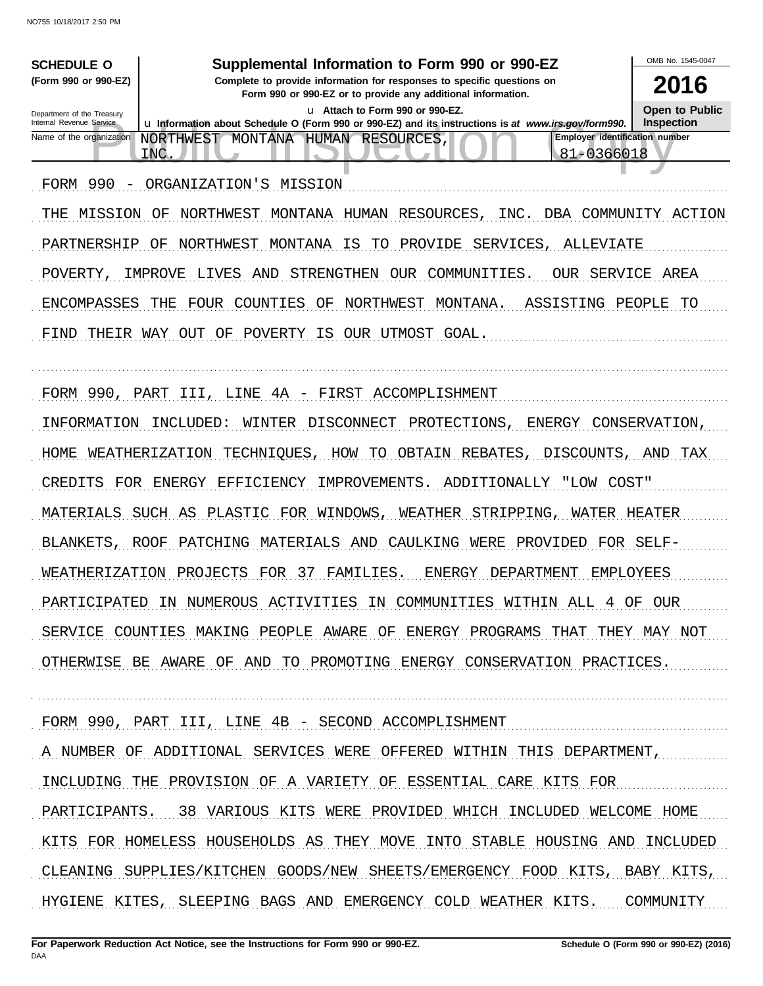| <b>SCHEDULE O</b><br>(Form 990 or 990-EZ)              | Supplemental Information to Form 990 or 990-EZ<br>Complete to provide information for responses to specific questions on | OMB No. 1545-0047<br>2016 |
|--------------------------------------------------------|--------------------------------------------------------------------------------------------------------------------------|---------------------------|
|                                                        | Form 990 or 990-EZ or to provide any additional information.<br>u Attach to Form 990 or 990-EZ.                          | <b>Open to Public</b>     |
| Department of the Treasury<br>Internal Revenue Service | La Information about Schedule O (Form 990 or 990-EZ) and its instructions is at www.irs.gov/form990.                     | <b>Inspection</b>         |
| Name of the organization                               | <b>Employer identification number</b><br>NORTHWEST MONTANA<br><b>HUMAN</b><br>RESOURCES,<br>81-0366018<br><b>INC</b>     |                           |
| FORM<br>990<br>$\qquad \qquad -$                       | ORGANIZATION'S<br>MISSION                                                                                                |                           |
| MISSION<br>THE                                         | NORTHWEST<br>MONTANA<br>HUMAN<br>RESOURCES<br>INC.<br>ΟF<br>DBA<br>COMMUNITY                                             | ACTION                    |
| PARTNERSHIP                                            | NORTHWEST<br>MONTANA<br>IS<br>PROVIDE<br>SERVICES,<br>ΟF<br>TО<br>ALLEVIATE                                              |                           |
| POVERTY                                                | STRENGTHEN<br>COMMUNITIES.<br>IMPROVE<br>LIVES<br>OUR<br>OUR.<br>SERVICE<br>AND                                          | AREA                      |
| <b>ENCOMPASSES</b>                                     | THE<br>FOUR<br>COUNTIES<br>ΟF<br>NORTHWEST<br>MONTANA.<br>ASSISTING                                                      | PEOPLE<br>TО              |
| THEIR WAY<br>FIND                                      | OUT<br>ΟF<br>POVERTY<br>IS<br>OUR UTMOST GOAL.                                                                           |                           |
|                                                        |                                                                                                                          |                           |
| FORM 990,                                              | PART<br>4A<br>FIRST<br>ACCOMPLISHMENT<br>III<br>LINE<br>$\overline{\phantom{m}}$                                         |                           |
| INFORMATION                                            | INCLUDED:<br>WINTER<br>DISCONNECT<br>PROTECTIONS,<br>ENERGY                                                              | CONSERVATION,             |
| HOME                                                   | WEATHERIZATION<br>TECHNIQUES<br>HOW<br>OBTAIN<br>REBATES<br>DISCOUNTS,<br>TО                                             | TAX<br>AND                |
| CREDITS<br>FOR                                         | IMPROVEMENTS.<br>ADDITIONALLY<br>ENERGY<br>EFFICIENCY<br>"LOW COST"                                                      |                           |
| MATERIALS                                              | PLASTIC FOR<br>WEATHER<br>STRIPPING<br>SUCH AS<br>WINDOWS<br>WATER                                                       | HEATER                    |
| BLANKETS,                                              | PATCHING<br>MATERIALS<br>AND<br>CAULKING<br>WERE<br>PROVIDED<br>ROOF<br>FOR                                              | SELF-                     |
| WEATHERIZATION                                         | PROJECTS<br>FOR<br>-37<br>FAMILIES.<br>ENERGY<br>DEPARTMENT<br><b>EMPLOYEES</b>                                          |                           |
| PARTICIPATED                                           | NUMEROUS ACTIVITIES<br>COMMUNITIES<br>IN<br>IN<br>WITHIN ALL<br>ΟF<br>4                                                  | OUR                       |
|                                                        | SERVICE COUNTIES MAKING PEOPLE AWARE OF ENERGY PROGRAMS THAT THEY MAY NOT                                                |                           |
|                                                        | OTHERWISE BE AWARE OF AND TO PROMOTING ENERGY CONSERVATION PRACTICES.                                                    |                           |
|                                                        |                                                                                                                          |                           |
|                                                        | FORM 990, PART III, LINE 4B - SECOND ACCOMPLISHMENT                                                                      |                           |
|                                                        | A NUMBER OF ADDITIONAL SERVICES WERE OFFERED WITHIN THIS DEPARTMENT,                                                     |                           |
|                                                        | INCLUDING THE PROVISION OF A VARIETY OF ESSENTIAL CARE KITS FOR                                                          |                           |
|                                                        | PARTICIPANTS. 38 VARIOUS KITS WERE PROVIDED WHICH INCLUDED WELCOME HOME                                                  |                           |
|                                                        | KITS FOR HOMELESS HOUSEHOLDS AS THEY MOVE INTO STABLE HOUSING AND INCLUDED                                               |                           |
|                                                        | CLEANING SUPPLIES/KITCHEN GOODS/NEW SHEETS/EMERGENCY FOOD KITS, BABY KITS,                                               |                           |
|                                                        | HYGIENE KITES, SLEEPING BAGS AND EMERGENCY COLD WEATHER KITS. COMMUNITY                                                  |                           |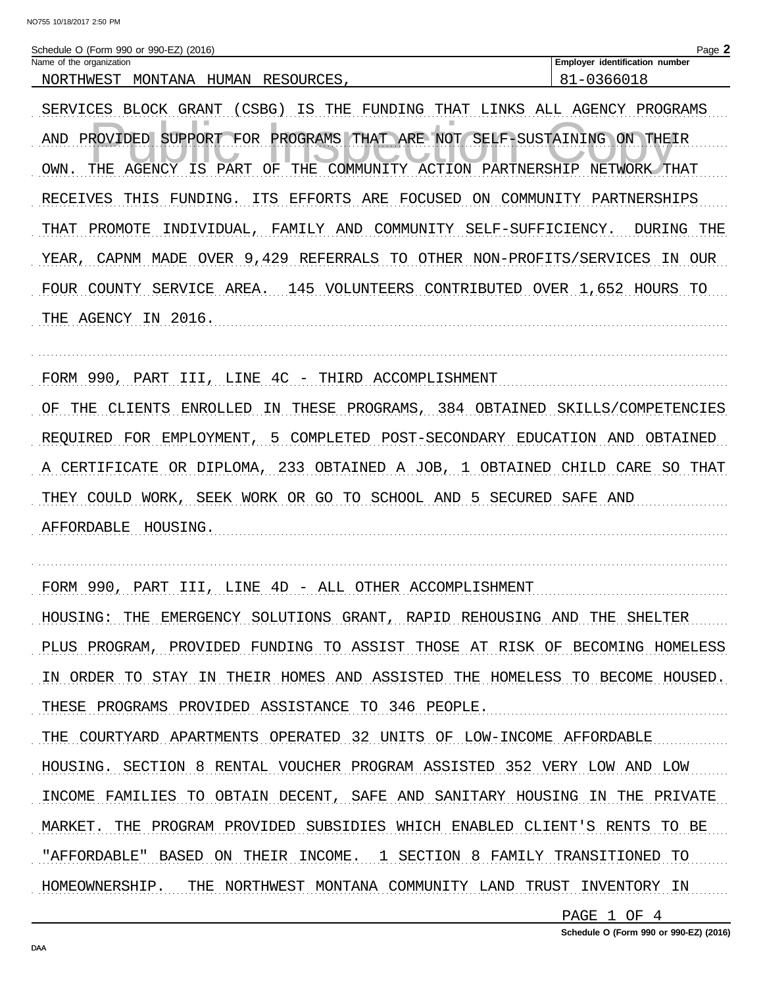| Schedule O (Form 990 or 990-EZ) (2016) |                                       | Page. |
|----------------------------------------|---------------------------------------|-------|
| Name of the organization               | <b>Employer identification number</b> |       |
| MONTANA HUMAN RESOURCES<br>NORTHWEST   | -0366018-                             |       |

SERVICES BLOCK GRANT (CSBG) IS THE FUNDING THAT LINKS ALL AGENCY PROGRAMS AND PROVIDED SUPPORT FOR PROGRAMS THAT ARE NOT SELF-SUSTAINING ON THEIR OWN. THE AGENCY IS PART OF THE COMMUNITY ACTION PARTNERSHIP NETWORK THAT RECEIVES THIS FUNDING. ITS EFFORTS ARE FOCUSED ON COMMUNITY PARTNERSHIPS THAT PROMOTE INDIVIDUAL, FAMILY AND COMMUNITY SELF-SUFFICIENCY. DURING THE YEAR, CAPNM MADE OVER 9,429 REFERRALS TO OTHER NON-PROFITS/SERVICES IN OUR FOUR COUNTY SERVICE AREA. 145 VOLUNTEERS CONTRIBUTED OVER 1,652 HOURS TO 

FORM 990, PART III, LINE 4C - THIRD ACCOMPLISHMENT

OF THE CLIENTS ENROLLED IN THESE PROGRAMS, 384 OBTAINED SKILLS/COMPETENCIES REQUIRED FOR EMPLOYMENT, 5 COMPLETED POST-SECONDARY EDUCATION AND OBTAINED A CERTIFICATE OR DIPLOMA, 233 OBTAINED A JOB, 1 OBTAINED CHILD CARE SO THAT THEY COULD WORK, SEEK WORK OR GO TO SCHOOL AND 5 SECURED SAFE AND AFFORDABLE HOUSING.

FORM 990, PART III, LINE 4D - ALL OTHER ACCOMPLISHMENT HOUSING: THE EMERGENCY SOLUTIONS GRANT, RAPID REHOUSING AND THE SHELTER PLUS PROGRAM, PROVIDED FUNDING TO ASSIST THOSE AT RISK OF BECOMING HOMELESS IN ORDER TO STAY IN THEIR HOMES AND ASSISTED THE HOMELESS TO BECOME HOUSED. THESE PROGRAMS PROVIDED ASSISTANCE TO 346 PEOPLE. THE COURTYARD APARTMENTS OPERATED 32 UNITS OF LOW-INCOME AFFORDABLE HOUSING. SECTION 8 RENTAL VOUCHER PROGRAM ASSISTED 352 VERY LOW AND LOW INCOME FAMILIES TO OBTAIN DECENT, SAFE AND SANITARY HOUSING IN THE PRIVATE MARKET. THE PROGRAM PROVIDED SUBSIDIES WHICH ENABLED CLIENT'S RENTS TO BE "AFFORDABLE" BASED ON THEIR INCOME. 1 SECTION 8 FAMILY TRANSITIONED TO HOMEOWNERSHIP. THE NORTHWEST MONTANA COMMUNITY LAND TRUST INVENTORY IN

PAGE 1 OF 4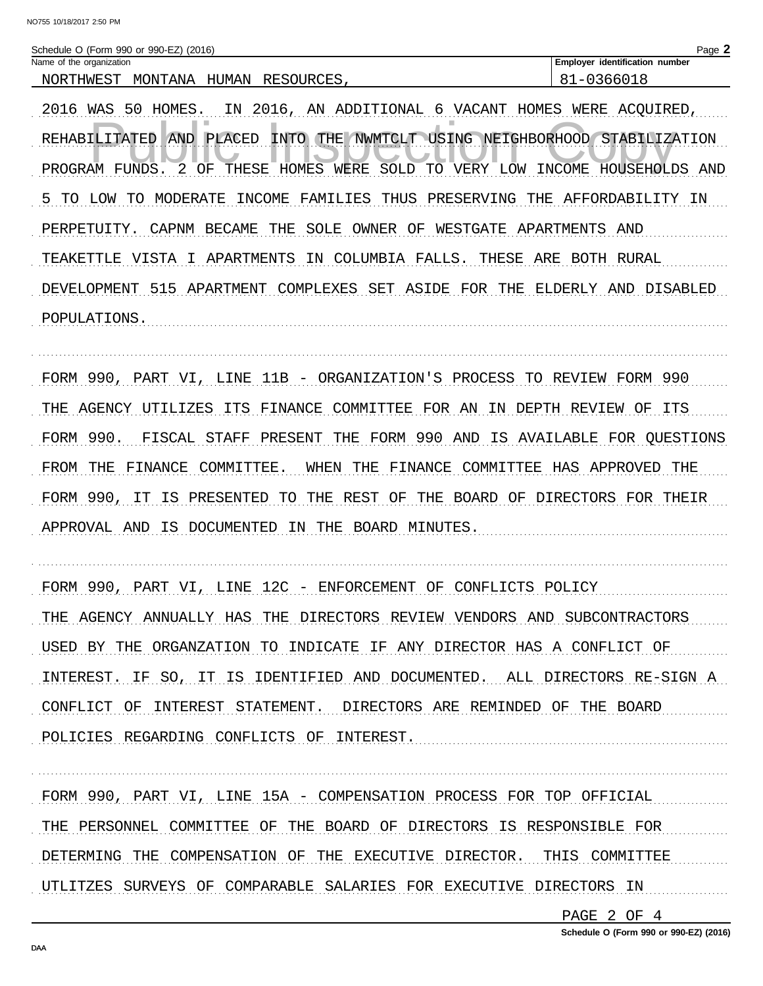2016 WAS 50 HOMES. IN 2016, AN ADDITIONAL 6 VACANT HOMES WERE ACQUIRED, REHABILITATED AND PLACED INTO THE NWMTCLT USING NEIGHBORHOOD STABILIZATION PROGRAM FUNDS. 2 OF THESE HOMES WERE SOLD TO VERY LOW INCOME HOUSEHOLDS AND 5 TO LOW TO MODERATE INCOME FAMILIES THUS PRESERVING THE AFFORDABILITY IN PERPETUITY. CAPNM BECAME THE SOLE OWNER OF WESTGATE APARTMENTS AND TEAKETTLE VISTA I APARTMENTS IN COLUMBIA FALLS. THESE ARE BOTH RURAL DEVELOPMENT 515 APARTMENT COMPLEXES SET ASIDE FOR THE ELDERLY AND DISABLED POPULATIONS.

FORM 990, PART VI, LINE 11B - ORGANIZATION'S PROCESS TO REVIEW FORM 990 THE AGENCY UTILIZES ITS FINANCE COMMITTEE FOR AN IN DEPTH REVIEW OF ITS FORM 990. FISCAL STAFF PRESENT THE FORM 990 AND IS AVAILABLE FOR QUESTIONS FROM THE FINANCE COMMITTEE. WHEN THE FINANCE COMMITTEE HAS APPROVED THE FORM 990, IT IS PRESENTED TO THE REST OF THE BOARD OF DIRECTORS FOR THEIR APPROVAL AND IS DOCUMENTED IN THE BOARD MINUTES.

FORM 990, PART VI, LINE 12C - ENFORCEMENT OF CONFLICTS POLICY THE AGENCY ANNUALLY HAS THE DIRECTORS REVIEW VENDORS AND SUBCONTRACTORS USED BY THE ORGANZATION TO INDICATE IF ANY DIRECTOR HAS A CONFLICT OF INTEREST. IF SO, IT IS IDENTIFIED AND DOCUMENTED. ALL DIRECTORS RE-SIGN A CONFLICT OF INTEREST STATEMENT. DIRECTORS ARE REMINDED OF THE BOARD POLICIES REGARDING CONFLICTS OF INTEREST.

FORM 990, PART VI, LINE 15A - COMPENSATION PROCESS FOR TOP OFFICIAL THE PERSONNEL COMMITTEE OF THE BOARD OF DIRECTORS IS RESPONSIBLE FOR DETERMING THE COMPENSATION OF THE EXECUTIVE DIRECTOR. THIS COMMITTEE UTLITZES SURVEYS OF COMPARABLE SALARIES FOR EXECUTIVE DIRECTORS IN

PAGE 2 OF 4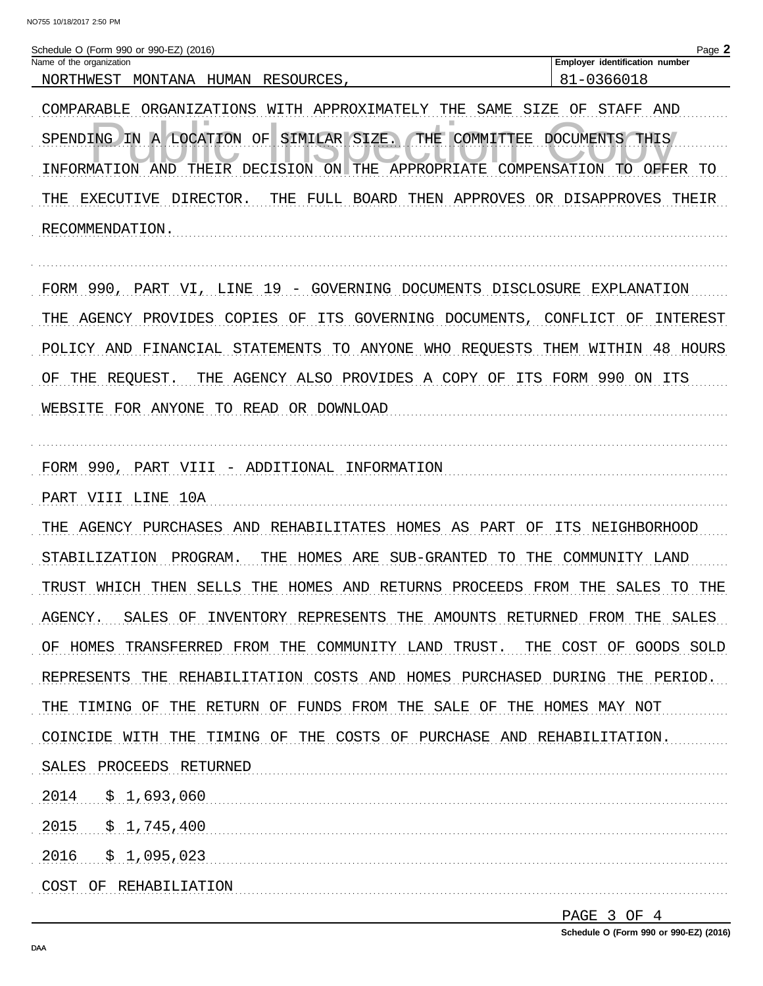| Schedule O (Form 990 or 990-EZ) (2016)<br>Name of the organization | $\log$ $\sim$<br><b>Employer identification number</b> |
|--------------------------------------------------------------------|--------------------------------------------------------|
| NORTHWEST<br>MONTANA<br>HUMAN<br>RESOURCES                         | . –∩≏<br>36601                                         |
|                                                                    |                                                        |

COMPARABLE ORGANIZATIONS WITH APPROXIMATELY THE SAME SIZE OF STAFF AND SPENDING IN A LOCATION OF SIMILAR SIZE. THE COMMITTEE DOCUMENTS THIS INFORMATION AND THEIR DECISION ON THE APPROPRIATE COMPENSATION TO OFFER TO THE EXECUTIVE DIRECTOR. THE FULL BOARD THEN APPROVES OR DISAPPROVES THEIR RECOMMENDATION.

FORM 990, PART VI, LINE 19 - GOVERNING DOCUMENTS DISCLOSURE EXPLANATION THE AGENCY PROVIDES COPIES OF ITS GOVERNING DOCUMENTS, CONFLICT OF INTEREST POLICY AND FINANCIAL STATEMENTS TO ANYONE WHO REQUESTS THEM WITHIN 48 HOURS OF THE REQUEST. THE AGENCY ALSO PROVIDES A COPY OF ITS FORM 990 ON ITS WEBSITE FOR ANYONE TO READ OR DOWNLOAD

FORM 990, PART VIII - ADDITIONAL INFORMATION

THE AGENCY PURCHASES AND REHABILITATES HOMES AS PART OF ITS NEIGHBORHOOD STABILIZATION PROGRAM. THE HOMES ARE SUB-GRANTED TO THE COMMUNITY LAND TRUST WHICH THEN SELLS THE HOMES AND RETURNS PROCEEDS FROM THE SALES TO THE AGENCY. SALES OF INVENTORY REPRESENTS THE AMOUNTS RETURNED FROM THE SALES OF HOMES TRANSFERRED FROM THE COMMUNITY LAND TRUST. THE COST OF GOODS SOLD REPRESENTS THE REHABILITATION COSTS AND HOMES PURCHASED DURING THE PERIOD. THE TIMING OF THE RETURN OF FUNDS FROM THE SALE OF THE HOMES MAY NOT COINCIDE WITH THE TIMING OF THE COSTS OF PURCHASE AND REHABILITATION. SALES PROCEEDS RETURNED  $2014 \qquad $1,693,060$  $2015 \qquad $1,745,400$  $2016 \quad \frac{1}{5}$  1,095,023 

PAGE 3 OF 4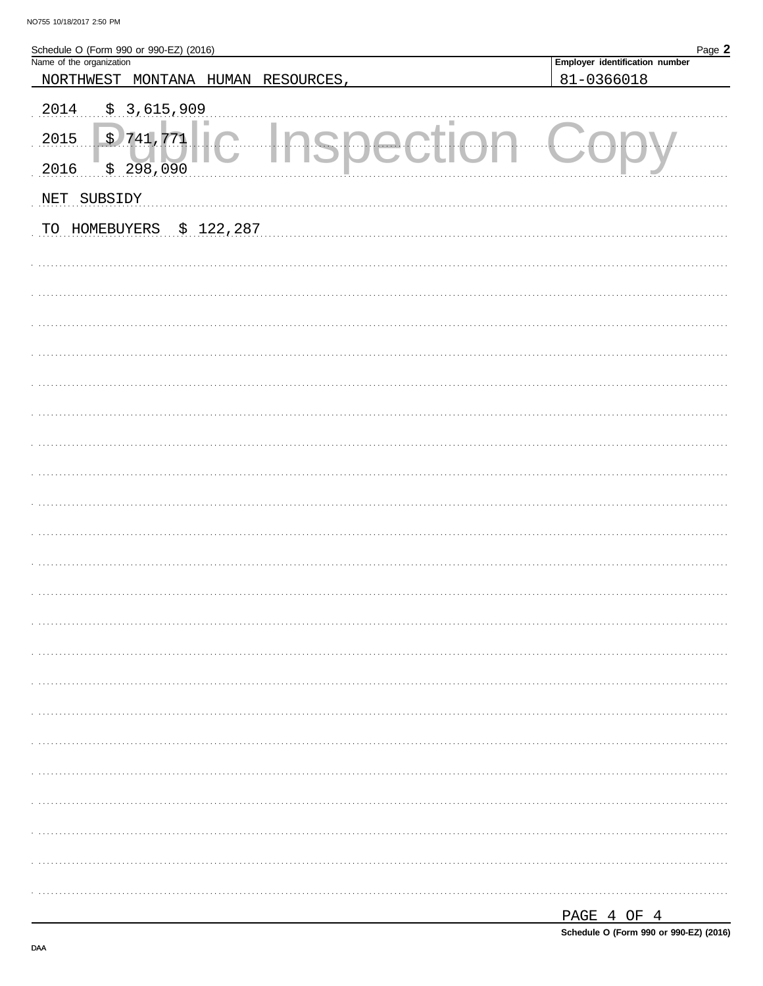| Schedule O (Form 990 or 990-EZ) (2016)<br>Name of the organization | Page 2                         |
|--------------------------------------------------------------------|--------------------------------|
|                                                                    | Employer identification number |
| NORTHWEST MONTANA HUMAN RESOURCES,                                 | 81-0366018                     |
| \$3,615,909<br>2014                                                |                                |
| \$741,771<br>2015                                                  |                                |
| \$298,090<br>2016                                                  |                                |
| NET SUBSIDY                                                        |                                |
| \$122,287<br>TO HOMEBUYERS                                         |                                |
|                                                                    |                                |
|                                                                    |                                |
|                                                                    |                                |
|                                                                    |                                |
|                                                                    |                                |
|                                                                    |                                |
|                                                                    |                                |
|                                                                    |                                |
|                                                                    |                                |
|                                                                    |                                |
|                                                                    |                                |
|                                                                    |                                |
|                                                                    |                                |
|                                                                    |                                |
|                                                                    |                                |
|                                                                    |                                |
|                                                                    |                                |
|                                                                    |                                |
|                                                                    |                                |
|                                                                    |                                |
|                                                                    |                                |
|                                                                    |                                |
|                                                                    |                                |

| ы<br>D 70. C<br><u>_</u><br>. |  |  |
|-------------------------------|--|--|
|                               |  |  |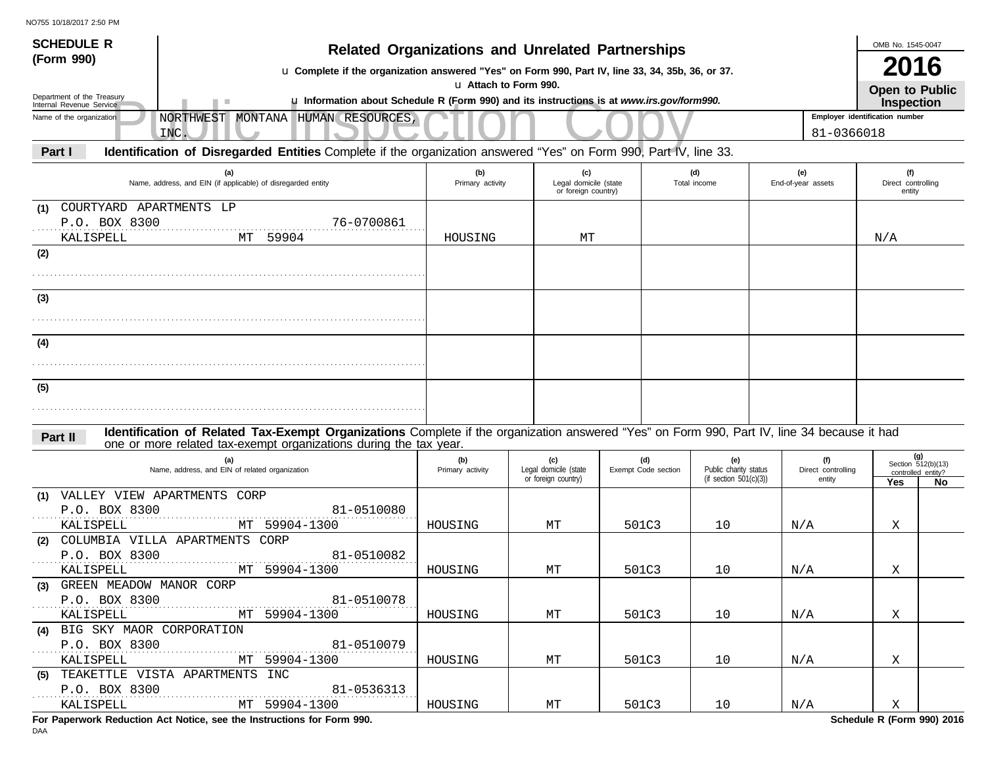| <b>SCHEDULE R</b>                                      |                                                                                                                                             |                                                                                                                                                             |                              |                                              |  |                            |                              |  |                         | OMB No. 1545-0047              |                                                   |
|--------------------------------------------------------|---------------------------------------------------------------------------------------------------------------------------------------------|-------------------------------------------------------------------------------------------------------------------------------------------------------------|------------------------------|----------------------------------------------|--|----------------------------|------------------------------|--|-------------------------|--------------------------------|---------------------------------------------------|
| (Form 990)                                             |                                                                                                                                             | <b>Related Organizations and Unrelated Partnerships</b><br>u Complete if the organization answered "Yes" on Form 990, Part IV, line 33, 34, 35b, 36, or 37. |                              |                                              |  |                            |                              |  |                         | <b>2016</b>                    |                                                   |
|                                                        |                                                                                                                                             |                                                                                                                                                             | La Attach to Form 990.       |                                              |  |                            |                              |  |                         | Open to Public                 |                                                   |
| Department of the Treasury<br>Internal Revenue Service | u Information about Schedule R (Form 990) and its instructions is at www.irs.gov/form990.                                                   |                                                                                                                                                             |                              |                                              |  |                            |                              |  |                         | <b>Inspection</b>              |                                                   |
| Name of the organization                               | NORTHWEST MONTANA HUMAN RESOURCES,<br>INC.                                                                                                  |                                                                                                                                                             |                              |                                              |  |                            |                              |  | 81-0366018              | Employer identification number |                                                   |
| Part I                                                 | Identification of Disregarded Entities Complete if the organization answered "Yes" on Form 990, Part IV, line 33.                           |                                                                                                                                                             |                              |                                              |  |                            |                              |  |                         |                                |                                                   |
|                                                        | (a)                                                                                                                                         | (b)                                                                                                                                                         |                              | (c)                                          |  |                            | (d)                          |  | (e)                     | (f)                            |                                                   |
|                                                        | Name, address, and EIN (if applicable) of disregarded entity                                                                                | Primary activity                                                                                                                                            |                              | Legal domicile (state<br>or foreign country) |  |                            | Total income                 |  | End-of-year assets      | Direct controlling<br>entity   |                                                   |
| COURTYARD APARTMENTS LP<br>(1)                         |                                                                                                                                             |                                                                                                                                                             |                              |                                              |  |                            |                              |  |                         |                                |                                                   |
| P.O. BOX 8300                                          | 76-0700861                                                                                                                                  |                                                                                                                                                             |                              |                                              |  |                            |                              |  |                         |                                |                                                   |
| KALISPELL<br>(2)                                       | 59904<br>MT                                                                                                                                 | HOUSING                                                                                                                                                     |                              | МT                                           |  |                            |                              |  |                         | N/A                            |                                                   |
|                                                        |                                                                                                                                             |                                                                                                                                                             |                              |                                              |  |                            |                              |  |                         |                                |                                                   |
|                                                        |                                                                                                                                             |                                                                                                                                                             |                              |                                              |  |                            |                              |  |                         |                                |                                                   |
| (3)                                                    |                                                                                                                                             |                                                                                                                                                             |                              |                                              |  |                            |                              |  |                         |                                |                                                   |
|                                                        |                                                                                                                                             |                                                                                                                                                             |                              |                                              |  |                            |                              |  |                         |                                |                                                   |
| (4)                                                    |                                                                                                                                             |                                                                                                                                                             |                              |                                              |  |                            |                              |  |                         |                                |                                                   |
|                                                        |                                                                                                                                             |                                                                                                                                                             |                              |                                              |  |                            |                              |  |                         |                                |                                                   |
| (5)                                                    |                                                                                                                                             |                                                                                                                                                             |                              |                                              |  |                            |                              |  |                         |                                |                                                   |
|                                                        |                                                                                                                                             |                                                                                                                                                             |                              |                                              |  |                            |                              |  |                         |                                |                                                   |
|                                                        | Identification of Related Tax-Exempt Organizations Complete if the organization answered "Yes" on Form 990, Part IV, line 34 because it had |                                                                                                                                                             |                              |                                              |  |                            |                              |  |                         |                                |                                                   |
| Part II                                                | one or more related tax-exempt organizations during the tax year.                                                                           |                                                                                                                                                             |                              |                                              |  |                            |                              |  |                         |                                |                                                   |
|                                                        | (a)<br>Name, address, and EIN of related organization                                                                                       | (b)<br>Primary activity                                                                                                                                     | (c)<br>Legal domicile (state |                                              |  | (d)<br>Exempt Code section | (e)<br>Public charity status |  | Direct controlling      |                                | (g)<br>Section $512(b)(13)$<br>controlled entity? |
|                                                        |                                                                                                                                             |                                                                                                                                                             | or foreign country)          |                                              |  |                            | (if section $501(c)(3)$ )    |  | entity                  | Yes                            | No                                                |
| (1) VALLEY VIEW APARTMENTS CORP<br>P.O. BOX 8300       | 81-0510080                                                                                                                                  |                                                                                                                                                             |                              |                                              |  |                            |                              |  |                         |                                |                                                   |
| KALISPELL                                              | MT 59904-1300                                                                                                                               | HOUSING                                                                                                                                                     | MТ                           |                                              |  | 501C3                      | 10                           |  | N/A                     | Χ                              |                                                   |
| (2)                                                    | COLUMBIA VILLA APARTMENTS CORP                                                                                                              |                                                                                                                                                             |                              |                                              |  |                            |                              |  |                         |                                |                                                   |
| P.O. BOX 8300<br>KALISPELL                             | 81-0510082<br>MT 59904-1300                                                                                                                 | HOUSING                                                                                                                                                     | МT                           |                                              |  | 501C3                      | 10                           |  | N/A                     | Χ                              |                                                   |
| (3) GREEN MEADOW MANOR CORP                            |                                                                                                                                             |                                                                                                                                                             |                              |                                              |  |                            |                              |  |                         |                                |                                                   |
| P.O. BOX 8300                                          | 81-0510078                                                                                                                                  |                                                                                                                                                             |                              |                                              |  |                            |                              |  |                         |                                |                                                   |
| KALISPELL<br>(4) BIG SKY MAOR CORPORATION              | MT 59904-1300                                                                                                                               | HOUSING                                                                                                                                                     | МT                           |                                              |  | 501C3                      | 10                           |  | $\mathrm{N}/\mathrm{A}$ | Χ                              |                                                   |
| P.O. BOX 8300<br>1.1.1.1.1                             | 81-0510079                                                                                                                                  |                                                                                                                                                             |                              |                                              |  |                            |                              |  |                         |                                |                                                   |
| KALISPELL                                              | MT 59904-1300                                                                                                                               | HOUSING                                                                                                                                                     | МT                           |                                              |  | 501C3                      | 10                           |  | $\mathrm{N}/\mathrm{A}$ | X                              |                                                   |
| P.O. BOX 8300                                          | (5) TEAKETTLE VISTA APARTMENTS INC<br>81-0536313                                                                                            |                                                                                                                                                             |                              |                                              |  |                            |                              |  |                         |                                |                                                   |
| KALISPELL                                              | MT 59904-1300                                                                                                                               | HOUSING                                                                                                                                                     | МT                           |                                              |  | 501C3                      | 10                           |  | $\mathrm{N}/\mathrm{A}$ | X                              |                                                   |
|                                                        |                                                                                                                                             |                                                                                                                                                             |                              |                                              |  |                            |                              |  |                         |                                |                                                   |

**For Paperwork Reduction Act Notice, see the Instructions for Form 990. Schedule R (Form 990) 2016**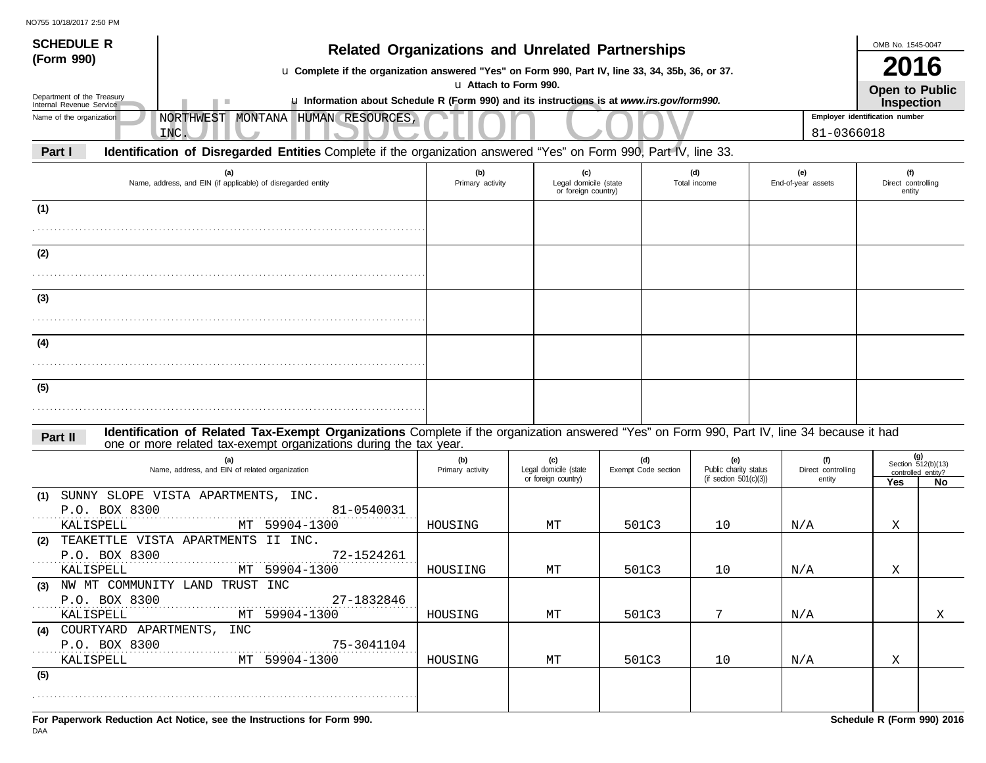| NO755 10/18/2017 2:50 PM<br><b>SCHEDULE R</b><br>(Form 990) |                                                                                                                                                                                                                  |                         | <b>Related Organizations and Unrelated Partnerships</b> |                            |                                                           |                                     |                                | OMB No. 1545-0047                   |                                    |
|-------------------------------------------------------------|------------------------------------------------------------------------------------------------------------------------------------------------------------------------------------------------------------------|-------------------------|---------------------------------------------------------|----------------------------|-----------------------------------------------------------|-------------------------------------|--------------------------------|-------------------------------------|------------------------------------|
|                                                             | u Complete if the organization answered "Yes" on Form 990, Part IV, line 33, 34, 35b, 36, or 37.                                                                                                                 |                         |                                                         |                            |                                                           |                                     |                                | 2016                                |                                    |
| Department of the Treasury                                  |                                                                                                                                                                                                                  |                         | La Attach to Form 990.                                  |                            |                                                           |                                     |                                | Open to Public                      |                                    |
| Internal Revenue Service                                    | u Information about Schedule R (Form 990) and its instructions is at www.irs.gov/form990.                                                                                                                        |                         |                                                         |                            |                                                           |                                     | Employer identification number | Inspection                          |                                    |
| Name of the organization                                    | NORTHWEST MONTANA HUMAN RESOURCES,<br>INC.                                                                                                                                                                       |                         |                                                         |                            |                                                           |                                     | 81-0366018                     |                                     |                                    |
| Part I                                                      | Identification of Disregarded Entities Complete if the organization answered "Yes" on Form 990, Part IV, line 33.                                                                                                |                         |                                                         |                            |                                                           |                                     |                                |                                     |                                    |
|                                                             | (a)<br>Name, address, and EIN (if applicable) of disregarded entity                                                                                                                                              | (b)<br>Primary activity | (c)<br>Legal domicile (state<br>or foreign country)     |                            | (d)<br>Total income                                       | (e)<br>End-of-year assets           |                                | (f)<br>Direct controlling<br>entity |                                    |
| (1)                                                         |                                                                                                                                                                                                                  |                         |                                                         |                            |                                                           |                                     |                                |                                     |                                    |
|                                                             |                                                                                                                                                                                                                  |                         |                                                         |                            |                                                           |                                     |                                |                                     |                                    |
| (2)                                                         |                                                                                                                                                                                                                  |                         |                                                         |                            |                                                           |                                     |                                |                                     |                                    |
|                                                             |                                                                                                                                                                                                                  |                         |                                                         |                            |                                                           |                                     |                                |                                     |                                    |
| (3)                                                         |                                                                                                                                                                                                                  |                         |                                                         |                            |                                                           |                                     |                                |                                     |                                    |
|                                                             |                                                                                                                                                                                                                  |                         |                                                         |                            |                                                           |                                     |                                |                                     |                                    |
| (4)                                                         |                                                                                                                                                                                                                  |                         |                                                         |                            |                                                           |                                     |                                |                                     |                                    |
|                                                             |                                                                                                                                                                                                                  |                         |                                                         |                            |                                                           |                                     |                                |                                     |                                    |
|                                                             |                                                                                                                                                                                                                  |                         |                                                         |                            |                                                           |                                     |                                |                                     |                                    |
| (5)                                                         |                                                                                                                                                                                                                  |                         |                                                         |                            |                                                           |                                     |                                |                                     |                                    |
|                                                             |                                                                                                                                                                                                                  |                         |                                                         |                            |                                                           |                                     |                                |                                     |                                    |
| Part II                                                     | Identification of Related Tax-Exempt Organizations Complete if the organization answered "Yes" on Form 990, Part IV, line 34 because it had<br>one or more related tax-exempt organizations during the tax year. |                         |                                                         |                            |                                                           |                                     |                                |                                     |                                    |
|                                                             | (a)<br>Name, address, and EIN of related organization                                                                                                                                                            | (b)<br>Primary activity | (c)<br>Legal domicile (state<br>or foreign country)     | (d)<br>Exempt Code section | (e)<br>Public charity status<br>(if section $501(c)(3)$ ) | (f)<br>Direct controlling<br>entity |                                | controlled entity?<br>Yes           | (g)<br>Section $512(b)(13)$<br>No. |
| (1)                                                         | SUNNY SLOPE VISTA APARTMENTS, INC.                                                                                                                                                                               |                         |                                                         |                            |                                                           |                                     |                                |                                     |                                    |
| P.O. BOX 8300<br>KALISPELL                                  | 81-0540031<br>MT 59904-1300                                                                                                                                                                                      | HOUSING                 | МT                                                      | 501C3                      | 10                                                        | N/A                                 |                                | Χ                                   |                                    |
| (2)                                                         | TEAKETTLE VISTA APARTMENTS II INC.                                                                                                                                                                               |                         |                                                         |                            |                                                           |                                     |                                |                                     |                                    |
| P.O. BOX 8300                                               | 72-1524261                                                                                                                                                                                                       |                         |                                                         |                            |                                                           |                                     |                                |                                     |                                    |
| KALISPELL                                                   | MT 59904-1300<br>(3) NW MT COMMUNITY LAND TRUST INC                                                                                                                                                              | HOUSIING                | МT                                                      | 501C3                      | 10                                                        | N/A                                 |                                | Χ                                   |                                    |
| P.O. BOX 8300                                               | 27-1832846                                                                                                                                                                                                       |                         |                                                         |                            |                                                           |                                     |                                |                                     |                                    |
| KALISPELL                                                   | MT 59904-1300                                                                                                                                                                                                    | HOUSING                 | МT                                                      | 501C3                      | 7                                                         | N/A                                 |                                |                                     | X                                  |
| (4) COURTYARD APARTMENTS, INC<br>P.O. BOX 8300              | 75-3041104                                                                                                                                                                                                       |                         |                                                         |                            |                                                           |                                     |                                |                                     |                                    |
| KALISPELL                                                   | MT 59904-1300                                                                                                                                                                                                    | HOUSING                 | МT                                                      | 501C3                      | 10                                                        | N/A                                 |                                | Χ                                   |                                    |
| (5)                                                         |                                                                                                                                                                                                                  |                         |                                                         |                            |                                                           |                                     |                                |                                     |                                    |
|                                                             |                                                                                                                                                                                                                  |                         |                                                         |                            |                                                           |                                     |                                |                                     |                                    |
|                                                             | For Paperwork Reduction Act Notice, see the Instructions for Form 990.                                                                                                                                           |                         |                                                         |                            |                                                           |                                     | Schedule R (Form 990) 2016     |                                     |                                    |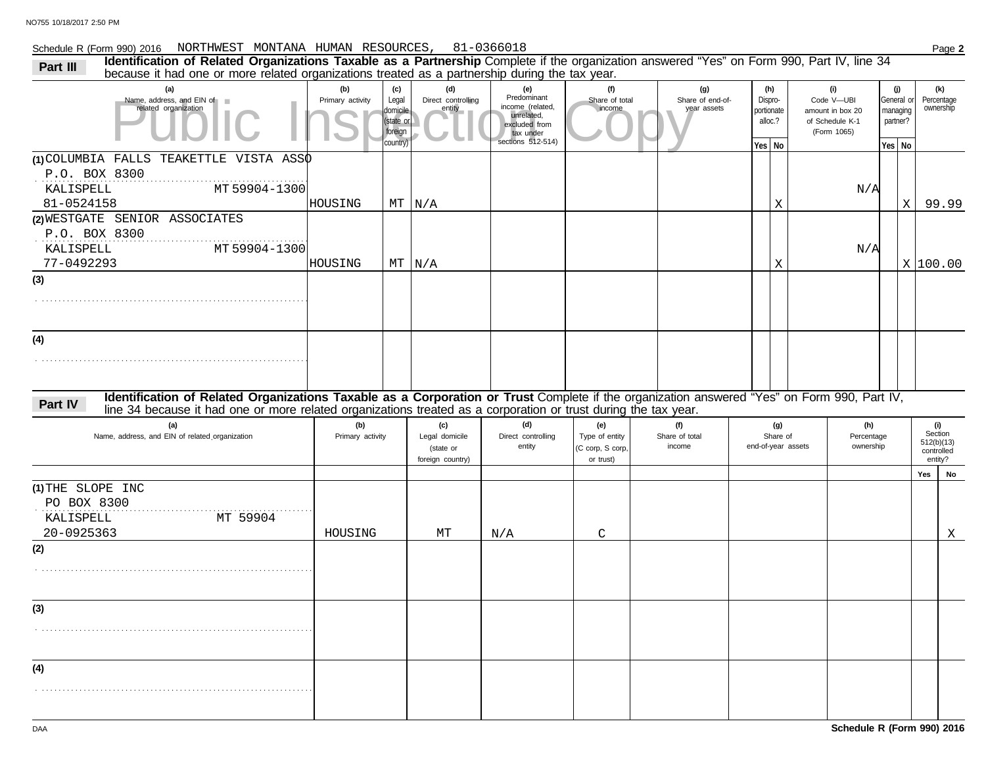#### Schedule R (Form 990) 2016 Page **2** NORTHWEST MONTANA HUMAN RESOURCES, 81-0366018

| <b>Identification of Related Organizations Taxable as a Partnership</b> Complete if the organization answered "Yes" on Form 990, Part IV, line 34<br>Part III<br>because it had one or more related organizations treated as a partnership during the tax year.           |                         |                                                              |                                                        |                                                                                                         |                                                        |                                        |                                                   |                    |                                                                         |                                                       |             |                                                       |
|---------------------------------------------------------------------------------------------------------------------------------------------------------------------------------------------------------------------------------------------------------------------------|-------------------------|--------------------------------------------------------------|--------------------------------------------------------|---------------------------------------------------------------------------------------------------------|--------------------------------------------------------|----------------------------------------|---------------------------------------------------|--------------------|-------------------------------------------------------------------------|-------------------------------------------------------|-------------|-------------------------------------------------------|
| (a)<br>Name, address, and EIN of<br>related organization                                                                                                                                                                                                                  | (b)<br>Primary activity | (c)<br>Legal<br>domicile<br>(state or<br>foreign<br>country) | (d)<br>Direct controlling<br>entity                    | (e)<br>Predominant<br>income (related.<br>unrelated.<br>excluded from<br>tax under<br>sections 512-514) | (f)<br>Share of total<br>income                        | (g)<br>Share of end-of-<br>year assets | (h)<br>Dispro-<br>portionate<br>alloc.?<br>Yes No |                    | (i)<br>Code V-UBI<br>amount in box 20<br>of Schedule K-1<br>(Form 1065) | (j)<br>General or<br>managing<br>partner?<br>$Yes$ No |             | (k)<br>Percentage<br>ownership                        |
| 1)COLUMBIA FALLS TEAKETTLE VISTA ASS $\phi$<br>P.O. BOX 8300<br>MT 59904-1300<br>KALISPELL<br>81-0524158                                                                                                                                                                  | HOUSING                 |                                                              | $MT$ $N/A$                                             |                                                                                                         |                                                        |                                        | Χ                                                 |                    | N/A                                                                     |                                                       | $\mathbf X$ | 99.99                                                 |
| (2) WESTGATE SENIOR ASSOCIATES<br>P.O. BOX 8300<br>MT 59904-1300<br>KALISPELL<br>77-0492293                                                                                                                                                                               | HOUSING                 |                                                              | $MT$ $N/A$                                             |                                                                                                         |                                                        |                                        | Χ                                                 |                    | N/A                                                                     |                                                       |             | X 100.00                                              |
| (3)                                                                                                                                                                                                                                                                       |                         |                                                              |                                                        |                                                                                                         |                                                        |                                        |                                                   |                    |                                                                         |                                                       |             |                                                       |
| (4)                                                                                                                                                                                                                                                                       |                         |                                                              |                                                        |                                                                                                         |                                                        |                                        |                                                   |                    |                                                                         |                                                       |             |                                                       |
| Identification of Related Organizations Taxable as a Corporation or Trust Complete if the organization answered "Yes" on Form 990, Part IV,<br>Part IV<br>line 34 because it had one or more related organizations treated as a corporation or trust during the tax year. |                         |                                                              |                                                        |                                                                                                         |                                                        |                                        |                                                   |                    |                                                                         |                                                       |             |                                                       |
| (a)<br>Name, address, and EIN of related organization                                                                                                                                                                                                                     | (b)<br>Primary activity |                                                              | (c)<br>Legal domicile<br>(state or<br>foreign country) | (d)<br>Direct controlling<br>entity                                                                     | (e)<br>Type of entity<br>(C corp, S corp,<br>or trust) | (f)<br>Share of total<br>income        | (g)<br>Share of                                   | end-of-year assets | (h)<br>Percentage<br>ownership                                          |                                                       |             | (i)<br>Section<br>512(b)(13)<br>controlled<br>entity? |
| (1) THE SLOPE INC                                                                                                                                                                                                                                                         |                         |                                                              |                                                        |                                                                                                         |                                                        |                                        |                                                   |                    |                                                                         |                                                       |             | Yes<br>No                                             |
| PO BOX 8300<br>MT 59904<br>KALISPELL                                                                                                                                                                                                                                      |                         |                                                              |                                                        |                                                                                                         |                                                        |                                        |                                                   |                    |                                                                         |                                                       |             |                                                       |
| 20-0925363<br>(2)                                                                                                                                                                                                                                                         | HOUSING                 |                                                              | МT                                                     | N/A                                                                                                     | C                                                      |                                        |                                                   |                    |                                                                         |                                                       |             | X                                                     |
|                                                                                                                                                                                                                                                                           |                         |                                                              |                                                        |                                                                                                         |                                                        |                                        |                                                   |                    |                                                                         |                                                       |             |                                                       |
| (3)                                                                                                                                                                                                                                                                       |                         |                                                              |                                                        |                                                                                                         |                                                        |                                        |                                                   |                    |                                                                         |                                                       |             |                                                       |
| (4)                                                                                                                                                                                                                                                                       |                         |                                                              |                                                        |                                                                                                         |                                                        |                                        |                                                   |                    |                                                                         |                                                       |             |                                                       |
|                                                                                                                                                                                                                                                                           |                         |                                                              |                                                        |                                                                                                         |                                                        |                                        |                                                   |                    |                                                                         |                                                       |             |                                                       |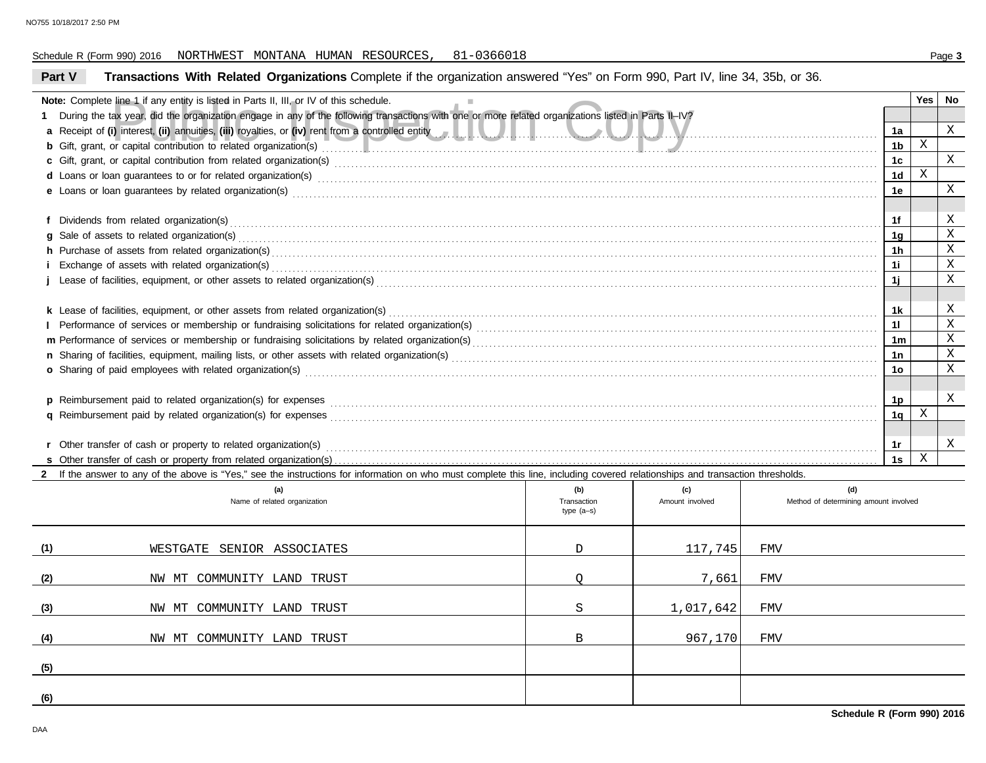#### Schedule R (Form 990) 2016 Page **3** NORTHWEST MONTANA HUMAN RESOURCES, 81-0366018

#### Fine 1 if any entity is listed in Parts II, III, or IV of this schedule.<br>
The very did the organization engage in any of the following transactions with one or more related organizations listed in Parts II–IV?<br>
i) interest **Part V Transactions With Related Organizations** Complete if the organization answered "Yes" on Form 990, Part IV, line 34, 35b, or 36. **Note:** Complete line 1 if any entity is listed in Parts II, III, or IV of this schedule. **1** During the tax year, did the organization engage in any of the following transactions with one or more related organizations listed in Parts II–IV? **a** Receipt of **(i)** interest, **(ii)** annuities, **(iii)** royalties, or **(iv)** rent from a controlled entity . . . . . . . . . . . . . . . . . . . . . . . . . . . . . . . . . . . . . . . . . . . . . . . . . . . . . . . . . . . . . . . . . . . . . . . . . . . . . . . . . . . . . . . . . . . . . . . . . . . . . . . . . . **b** Gift, grant, or capital contribution to related organization(s) . . . . . . . . . . . . . . . . . . . . . . . . . . . . . . . . . . . . . . . . . . . . . . . . . . . . . . . . . . . . . . . . . . . . . . . . . . . . . . . . . . . . . . . . . . . . . . . . . . . . . . . . . . . . . . . . . . . . . . . . . . . . . . . . . . . . .  $\textbf{c}$  Gift, grant, or capital contribution from related organization(s) with the contract contract control control of the contribution from related organization(s) with the control control control control of  $\textbf{c}$ d Loans or loan guarantees to or for related organization(s) www.community.com/www.community.com/www.community.com/www.community.com/www.community.com/www.community.com/www.community.com/www.community.com/www.community.com **e** Loans or loan guarantees by related organization(s) . . . . . . . . . . . . . . . . . . . . . . . . . . . . . . . . . . . . . . . . . . . . . . . . . . . . . . . . . . . . . . . . . . . . . . . . . . . . . . . . . . . . . . . . . . . . . . . . . . . . . . . . . . . . . . . . . . . . . . . . . . . . . . . . . . . . . . . . . . . . **f** Dividends from related organization(s) . . . . . . . . . . . . . . . . . . . . . . . . . . . . . . . . . . . . . . . . . . . . . . . . . . . . . . . . . . . . . . . . . . . . . . . . . . . . . . . . . . . . . . . . . . . . . . . . . . . . . . . . . . . . . . . . . . . . . . . . . . . . . . . . . . . . . . . . . . . . . . . . . . . . . . . . . . . . **g** Sale of assets to related organization(s) . . . . . . . . . . . . . . . . . . . . . . . . . . . . . . . . . . . . . . . . . . . . . . . . . . . . . . . . . . . . . . . . . . . . . . . . . . . . . . . . . . . . . . . . . . . . . . . . . . . . . . . . . . . . . . . . . . . . . . . . . . . . . . . . . . . . . . . . . . . . . . . . . . . . . . . . . **h** Purchase of assets from related organization(s) . . . . . . . . . . . . . . . . . . . . . . . . . . . . . . . . . . . . . . . . . . . . . . . . . . . . . . . . . . . . . . . . . . . . . . . . . . . . . . . . . . . . . . . . . . . . . . . . . . . . . . . . . . . . . . . . . . . . . . . . . . . . . . . . . . . . . . . . . . . . . . . . . **i** Exchange of assets with related organization(s) . . . . . . . . . . . . . . . . . . . . . . . . . . . . . . . . . . . . . . . . . . . . . . . . . . . . . . . . . . . . . . . . . . . . . . . . . . . . . . . . . . . . . . . . . . . . . . . . . . . . . . . . . . . . . . . . . . . . . . . . . . . . . . . . . . . . . . . . . . . . . . . . . **j** Lease of facilities, equipment, or other assets to related organization(s) . . . . . . . . . . . . . . . . . . . . . . . . . . . . . . . . . . . . . . . . . . . . . . . . . . . . . . . . . . . . . . . . . . . . . . . . . . . . . . . . . . . . . . . . . . . . . . . . . . . . . . . . . . . . . . . . . . . . . . . . k Lease of facilities, equipment, or other assets from related organization(s) www.areasesses and content and content and content and content and content and content and content and content and content and content and cont **l** Performance of services or membership or fundraising solicitations for related organization(s) . . . . . . . . . . . . . . . . . . . . . . . . . . . . . . . . . . . . . . . . . . . . . . . . . . . . . . . . . . . . . . . . . . . . . . . . . . . . . . . . . . . . . . . . . . . . . . . . **m** Performance of services or membership or fundraising solicitations by related organization(s) . . . . . . . . . . . . . . . . . . . . . . . . . . . . . . . . . . . . . . . . . . . . . . . . . . . . . . . . . . . . . . . . . . . . . . . . . . . . . . . . . . . . . . . . . . . . . . . . . **n** Sharing of facilities, equipment, mailing lists, or other assets with related organization(s) . . . . . . . . . . . . . . . . . . . . . . . . . . . . . . . . . . . . . . . . . . . . . . . . . . . . . . . . . . . . . . . . . . . . . . . . . . . . . . . . . . . . . . . . . . . . . . . . . . . . . . **o** Sharing of paid employees with related organization(s) . . . . . . . . . . . . . . . . . . . . . . . . . . . . . . . . . . . . . . . . . . . . . . . . . . . . . . . . . . . . . . . . . . . . . . . . . . . . . . . . . . . . . . . . . . . . . . . . . . . . . . . . . . . . . . . . . . . . . . . . . . . . . . . . . . . . . . . . .  $\, {\bf p} \,$  Reimbursement paid to related organization(s) for expenses  $\, \, \ldots \, \, \ldots \, \, \ldots \, \, \ldots \, \, \ldots \, \, \ldots \, \, \ldots \, \, \ldots \, \, \ldots \, \, \ldots \, \, \ldots \, \, \ldots \, \, \ldots \, \, \ldots \, \, \ldots \, \, \ldots \, \, \ldots \, \, \ldots \, \, \ldots \, \, \ldots \, \, \ldots \, \$ **q** Reimbursement paid by related organization(s) for expenses . . . . . . . . . . . . . . . . . . . . . . . . . . . . . . . . . . . . . . . . . . . . . . . . . . . . . . . . . . . . . . . . . . . . . . . . . . . . . . . . . . . . . . . . . . . . . . . . . . . . . . . . . . . . . . . . . . . . . . . . . . . . . . . . . . . **s** Other transfer of cash or property from related organization(s) . . . . . . . . . . . . . . . . . . . . . . . . . . . . . . . . . . . . . . . . . . . . . . . . . . . . . . . . . . . . . . . . . . . . . . . . . . . . . . . . . . . . . . . . . . . . . . . . . . . . . . . . . . . . . . . . . . . . . . . . . . . . . . . . . . r Other transfer of cash or property to related organization(s) with the subsequence of the content of the content of the content of the content of the content of the content of the content of the content of the content of **1a 1b 1c 1d 1e 1f 1g 1h 1i 1j 1k 1l 1m 1n 1o 1p 1q 1s Yes No 2** If the answer to any of the above is "Yes," see the instructions for information on who must complete this line, including covered relationships and transaction thresholds. X X X X X X X X X X X X X X X X X X X

|     | (a)<br>Name of related organization | (b)<br>Transaction<br>type (a-s) | (c)<br>Amount involved | (d)<br>Method of determining amount involved |
|-----|-------------------------------------|----------------------------------|------------------------|----------------------------------------------|
| (1) | WESTGATE SENIOR ASSOCIATES          | D                                | 117,745                | FMV                                          |
| (2) | NW MT COMMUNITY LAND TRUST          |                                  | 7,661                  | FMV                                          |
| (3) | NW MT COMMUNITY LAND TRUST          | S                                | 1,017,642              | FMV                                          |
| (4) | NW MT COMMUNITY LAND TRUST          | B                                | 967,170                | FMV                                          |
| (5) |                                     |                                  |                        |                                              |
| (6) |                                     |                                  |                        |                                              |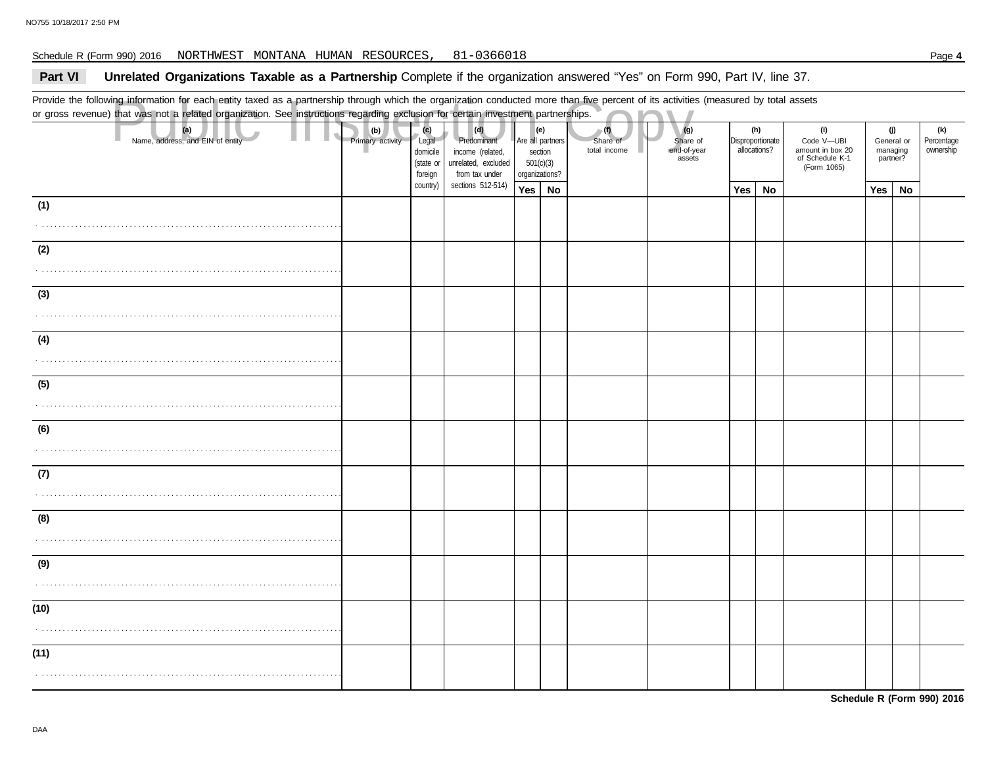#### Schedule R (Form 990) 2016 Page **4** NORTHWEST MONTANA HUMAN RESOURCES, 81-0366018

## Part VI Unrelated Organizations Taxable as a Partnership Complete if the organization answered "Yes" on Form 990, Part IV, line 37.

Provide the following information for each entity taxed as a partnership through which the organization conducted more than five percent of its activities (measured by total assets or gross revenue) that was not a related organization. See instructions regarding exclusion for certain investment partnerships.

|      | Provide the following information for each entity taxed as a partnership through which the organization conducted more than five percent of its activities (measured by total assets<br>or gross revenue) that was not a related organization. See instructions regarding exclusion for certain investment partnerships. |  |                                                                             |          |                                                                                 |                                                                   |  |                                 |                                          |                                         |    |                                                                         |                                           |    |                                |
|------|--------------------------------------------------------------------------------------------------------------------------------------------------------------------------------------------------------------------------------------------------------------------------------------------------------------------------|--|-----------------------------------------------------------------------------|----------|---------------------------------------------------------------------------------|-------------------------------------------------------------------|--|---------------------------------|------------------------------------------|-----------------------------------------|----|-------------------------------------------------------------------------|-------------------------------------------|----|--------------------------------|
|      | (a)<br>Name, address, and EIN of entity                                                                                                                                                                                                                                                                                  |  | (c)<br>(b)<br>Primary activity<br>Legal<br>domicile<br>(state or<br>foreign |          | (d)<br>Predominant<br>income (related,<br>unrelated, excluded<br>from tax under | (e)<br>Are all partners<br>section<br>501(c)(3)<br>organizations? |  | (1)<br>Share of<br>total income | (g)<br>Share of<br>end-of-year<br>assets | (h)<br>Disproportionate<br>allocations? |    | (i)<br>Code V-UBI<br>amount in box 20<br>of Schedule K-1<br>(Form 1065) | (j)<br>General or<br>managing<br>partner? |    | (k)<br>Percentage<br>ownership |
|      |                                                                                                                                                                                                                                                                                                                          |  |                                                                             | country) | sections 512-514)                                                               | Yes   No                                                          |  |                                 |                                          | Yes                                     | No |                                                                         | Yes $ $                                   | No |                                |
| (1)  |                                                                                                                                                                                                                                                                                                                          |  |                                                                             |          |                                                                                 |                                                                   |  |                                 |                                          |                                         |    |                                                                         |                                           |    |                                |
| (2)  |                                                                                                                                                                                                                                                                                                                          |  |                                                                             |          |                                                                                 |                                                                   |  |                                 |                                          |                                         |    |                                                                         |                                           |    |                                |
|      |                                                                                                                                                                                                                                                                                                                          |  |                                                                             |          |                                                                                 |                                                                   |  |                                 |                                          |                                         |    |                                                                         |                                           |    |                                |
| (3)  |                                                                                                                                                                                                                                                                                                                          |  |                                                                             |          |                                                                                 |                                                                   |  |                                 |                                          |                                         |    |                                                                         |                                           |    |                                |
|      |                                                                                                                                                                                                                                                                                                                          |  |                                                                             |          |                                                                                 |                                                                   |  |                                 |                                          |                                         |    |                                                                         |                                           |    |                                |
| (4)  |                                                                                                                                                                                                                                                                                                                          |  |                                                                             |          |                                                                                 |                                                                   |  |                                 |                                          |                                         |    |                                                                         |                                           |    |                                |
|      |                                                                                                                                                                                                                                                                                                                          |  |                                                                             |          |                                                                                 |                                                                   |  |                                 |                                          |                                         |    |                                                                         |                                           |    |                                |
| (5)  |                                                                                                                                                                                                                                                                                                                          |  |                                                                             |          |                                                                                 |                                                                   |  |                                 |                                          |                                         |    |                                                                         |                                           |    |                                |
| (6)  |                                                                                                                                                                                                                                                                                                                          |  |                                                                             |          |                                                                                 |                                                                   |  |                                 |                                          |                                         |    |                                                                         |                                           |    |                                |
| (7)  |                                                                                                                                                                                                                                                                                                                          |  |                                                                             |          |                                                                                 |                                                                   |  |                                 |                                          |                                         |    |                                                                         |                                           |    |                                |
|      |                                                                                                                                                                                                                                                                                                                          |  |                                                                             |          |                                                                                 |                                                                   |  |                                 |                                          |                                         |    |                                                                         |                                           |    |                                |
| (8)  |                                                                                                                                                                                                                                                                                                                          |  |                                                                             |          |                                                                                 |                                                                   |  |                                 |                                          |                                         |    |                                                                         |                                           |    |                                |
|      |                                                                                                                                                                                                                                                                                                                          |  |                                                                             |          |                                                                                 |                                                                   |  |                                 |                                          |                                         |    |                                                                         |                                           |    |                                |
| (9)  |                                                                                                                                                                                                                                                                                                                          |  |                                                                             |          |                                                                                 |                                                                   |  |                                 |                                          |                                         |    |                                                                         |                                           |    |                                |
| (10) |                                                                                                                                                                                                                                                                                                                          |  |                                                                             |          |                                                                                 |                                                                   |  |                                 |                                          |                                         |    |                                                                         |                                           |    |                                |
|      |                                                                                                                                                                                                                                                                                                                          |  |                                                                             |          |                                                                                 |                                                                   |  |                                 |                                          |                                         |    |                                                                         |                                           |    |                                |
| (11) |                                                                                                                                                                                                                                                                                                                          |  |                                                                             |          |                                                                                 |                                                                   |  |                                 |                                          |                                         |    |                                                                         |                                           |    |                                |
|      |                                                                                                                                                                                                                                                                                                                          |  |                                                                             |          |                                                                                 |                                                                   |  |                                 |                                          |                                         |    |                                                                         |                                           |    |                                |

**Schedule R (Form 990) 2016**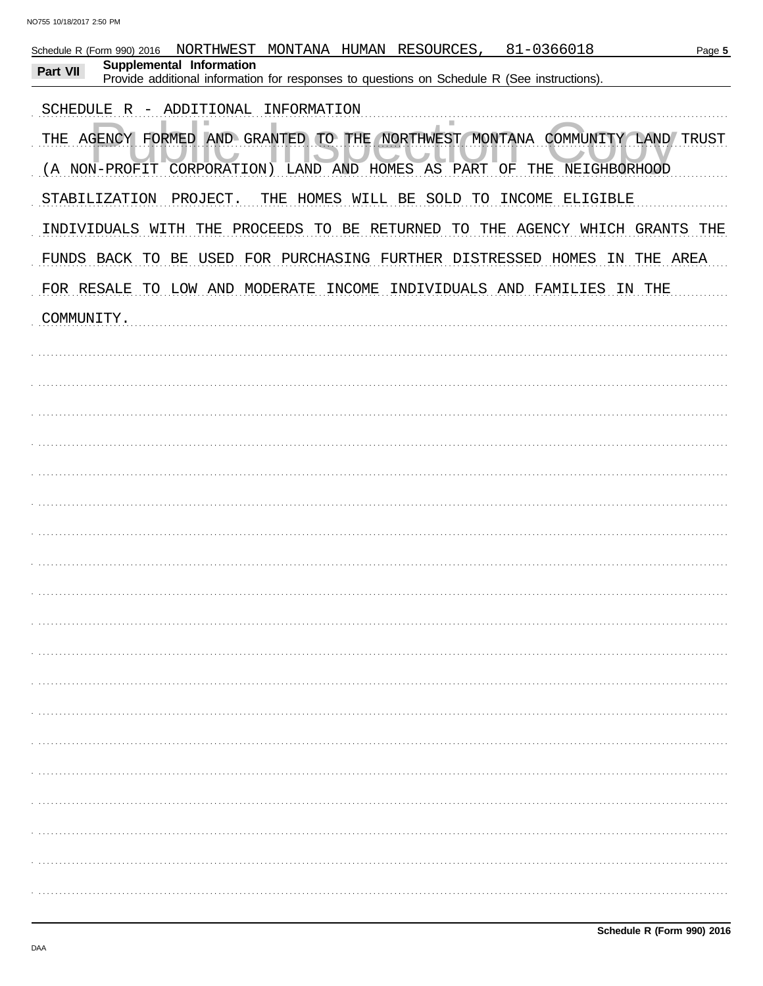| 81-0366018<br>MONTANA HUMAN RESOURCES,<br>NORTHWEST<br>Schedule R (Form 990) 2016<br>Page 5<br>Supplemental Information<br>Part VII |
|-------------------------------------------------------------------------------------------------------------------------------------|
| Provide additional information for responses to questions on Schedule R (See instructions).                                         |
| ADDITIONAL INFORMATION<br>SCHEDULE R -                                                                                              |
| THE AGENCY FORMED AND GRANTED TO THE NORTHWEST MONTANA COMMUNITY LAND TRUST                                                         |
| (A NON-PROFIT CORPORATION) LAND AND HOMES AS PART OF THE NEIGHBORHOOD                                                               |
| STABILIZATION<br>THE HOMES WILL BE SOLD TO INCOME ELIGIBLE<br>PROJECT.                                                              |
| INDIVIDUALS WITH THE PROCEEDS TO BE RETURNED<br>TO THE AGENCY WHICH GRANTS THE                                                      |
| FUNDS BACK TO BE USED FOR PURCHASING FURTHER DISTRESSED HOMES<br>THE AREA<br>IN                                                     |
| FOR RESALE TO LOW AND MODERATE INCOME INDIVIDUALS AND FAMILIES IN THE                                                               |
| COMMUNITY.                                                                                                                          |
|                                                                                                                                     |
|                                                                                                                                     |
|                                                                                                                                     |
|                                                                                                                                     |
|                                                                                                                                     |
|                                                                                                                                     |
|                                                                                                                                     |
|                                                                                                                                     |
|                                                                                                                                     |
|                                                                                                                                     |
|                                                                                                                                     |
|                                                                                                                                     |
|                                                                                                                                     |
|                                                                                                                                     |
|                                                                                                                                     |
|                                                                                                                                     |
|                                                                                                                                     |
|                                                                                                                                     |
|                                                                                                                                     |
|                                                                                                                                     |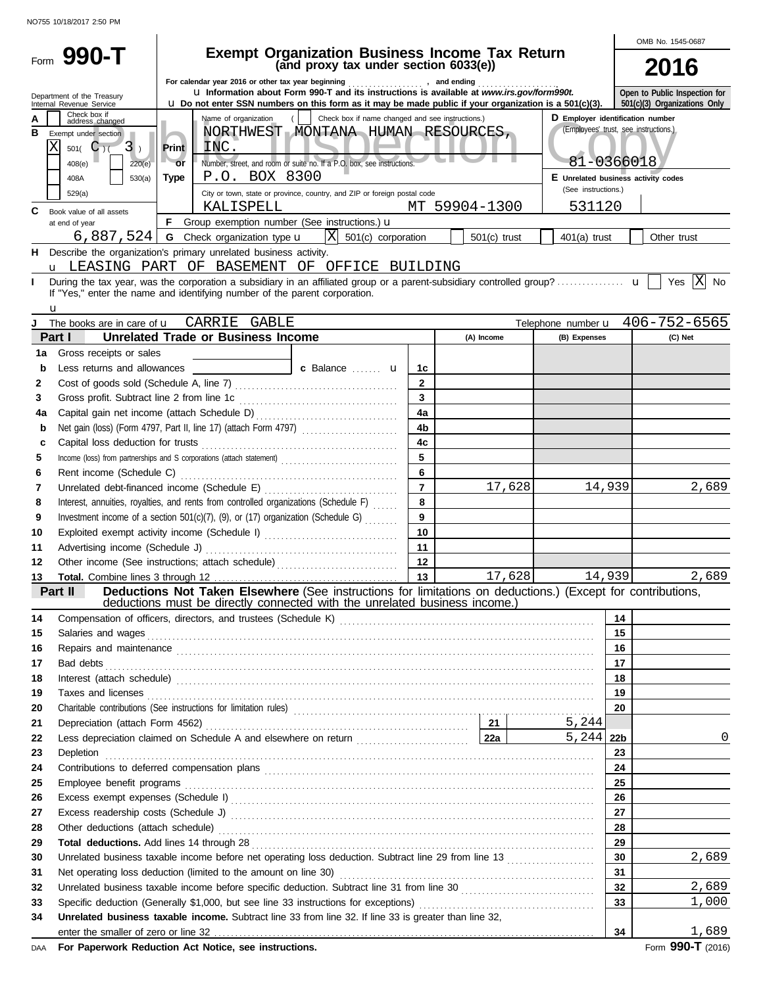|    |                                                        |                                                                  |                                                                                                                                                                                                                                |                                     |            |        |                                  |        | OMB No. 1545-0687                          |  |  |
|----|--------------------------------------------------------|------------------------------------------------------------------|--------------------------------------------------------------------------------------------------------------------------------------------------------------------------------------------------------------------------------|-------------------------------------|------------|--------|----------------------------------|--------|--------------------------------------------|--|--|
|    | Form 990-T                                             |                                                                  | <b>Exempt Organization Business Income Tax Return</b><br>(and proxy tax under section 6033(e))                                                                                                                                 |                                     |            |        |                                  |        |                                            |  |  |
|    |                                                        |                                                                  |                                                                                                                                                                                                                                |                                     |            |        |                                  |        | 2016                                       |  |  |
|    |                                                        |                                                                  | For calendar year 2016 or other tax year beginning<br>and ending<br>u Information about Form 990-T and its instructions is available at www.irs.gov/form990t.                                                                  |                                     |            |        |                                  |        | Open to Public Inspection for              |  |  |
|    | Department of the Treasury<br>Internal Revenue Service |                                                                  | $\mu$ Do not enter SSN numbers on this form as it may be made public if your organization is a 501(c)(3).                                                                                                                      |                                     |            |        |                                  |        | 501(c)(3) Organizations Only               |  |  |
| А  | Check box if<br>address changed                        |                                                                  | Name of organization<br>Check box if name changed and see instructions.)                                                                                                                                                       |                                     |            |        | D Employer identification number |        |                                            |  |  |
| в  | Exempt under section                                   |                                                                  | NORTHWEST MONTANA HUMAN RESOURCES,                                                                                                                                                                                             |                                     |            |        |                                  |        | (Employees' trust, see instructions.)      |  |  |
|    | Х<br>$501($ C $)($<br>$3$ )                            | <b>Print</b>                                                     | INC.                                                                                                                                                                                                                           |                                     |            |        |                                  |        |                                            |  |  |
|    | 408(e)<br>220(e)                                       | $-$ or                                                           | Number, street, and room or suite no. If a P.O. box, see instructions.                                                                                                                                                         |                                     |            |        | 81-0366018                       |        |                                            |  |  |
|    | 408A<br>530(a)                                         | <b>Type</b>                                                      | P.O. BOX 8300                                                                                                                                                                                                                  | E Unrelated business activity codes |            |        |                                  |        |                                            |  |  |
|    | 529(a)                                                 |                                                                  | City or town, state or province, country, and ZIP or foreign postal code                                                                                                                                                       | (See instructions.)                 |            |        |                                  |        |                                            |  |  |
| C  |                                                        | KALISPELL<br>MT 59904-1300<br>531120<br>Book value of all assets |                                                                                                                                                                                                                                |                                     |            |        |                                  |        |                                            |  |  |
|    | at end of year                                         |                                                                  | F Group exemption number (See instructions.) u                                                                                                                                                                                 |                                     |            |        |                                  |        |                                            |  |  |
|    | $6,887,524$   G Check organization type $\mathbf{u}$   | $401(a)$ trust                                                   | Other trust                                                                                                                                                                                                                    |                                     |            |        |                                  |        |                                            |  |  |
| н  |                                                        |                                                                  | X 501(c) corporation<br>Describe the organization's primary unrelated business activity.                                                                                                                                       |                                     |            |        |                                  |        |                                            |  |  |
|    |                                                        |                                                                  | u LEASING PART OF BASEMENT OF OFFICE BUILDING                                                                                                                                                                                  |                                     |            |        |                                  |        |                                            |  |  |
| н  |                                                        |                                                                  |                                                                                                                                                                                                                                |                                     |            |        |                                  |        | Yes $ X $ No                               |  |  |
|    |                                                        |                                                                  | If "Yes," enter the name and identifying number of the parent corporation.                                                                                                                                                     |                                     |            |        |                                  |        |                                            |  |  |
|    | u                                                      |                                                                  |                                                                                                                                                                                                                                |                                     |            |        |                                  |        |                                            |  |  |
|    | The books are in care of <b>u</b>                      |                                                                  | CARRIE GABLE                                                                                                                                                                                                                   |                                     |            |        |                                  |        | Telephone number $\mathbf{u}$ 406-752-6565 |  |  |
|    | Part I                                                 |                                                                  | <b>Unrelated Trade or Business Income</b>                                                                                                                                                                                      |                                     | (A) Income |        | (B) Expenses                     |        | (C) Net                                    |  |  |
| 1a | Gross receipts or sales                                |                                                                  |                                                                                                                                                                                                                                |                                     |            |        |                                  |        |                                            |  |  |
| b  | Less returns and allowances                            |                                                                  | <b>c</b> Balance <b>u</b>                                                                                                                                                                                                      | 1c                                  |            |        |                                  |        |                                            |  |  |
| 2  |                                                        |                                                                  |                                                                                                                                                                                                                                | $\mathbf{2}$                        |            |        |                                  |        |                                            |  |  |
| 3  | Gross profit. Subtract line 2 from line 1c             |                                                                  |                                                                                                                                                                                                                                | 3                                   |            |        |                                  |        |                                            |  |  |
| 4a |                                                        |                                                                  |                                                                                                                                                                                                                                | 4a                                  |            |        |                                  |        |                                            |  |  |
| b  |                                                        |                                                                  |                                                                                                                                                                                                                                | 4b                                  |            |        |                                  |        |                                            |  |  |
| c  |                                                        |                                                                  |                                                                                                                                                                                                                                | 4c                                  |            |        |                                  |        |                                            |  |  |
| 5  |                                                        |                                                                  | Income (loss) from partnerships and S corporations (attach statement)                                                                                                                                                          | 5                                   |            |        |                                  |        |                                            |  |  |
| 6  | Rent income (Schedule C)                               |                                                                  |                                                                                                                                                                                                                                | 6                                   |            |        |                                  |        |                                            |  |  |
| 7  |                                                        |                                                                  |                                                                                                                                                                                                                                | $\overline{7}$                      |            | 17,628 |                                  | 14,939 | 2,689                                      |  |  |
| 8  |                                                        |                                                                  | Interest, annuities, royalties, and rents from controlled organizations (Schedule F)                                                                                                                                           | 8                                   |            |        |                                  |        |                                            |  |  |
| 9  |                                                        |                                                                  | Investment income of a section 501(c)(7), (9), or (17) organization (Schedule G)                                                                                                                                               | 9                                   |            |        |                                  |        |                                            |  |  |
| 10 |                                                        |                                                                  | Exploited exempt activity income (Schedule I)                                                                                                                                                                                  | 10                                  |            |        |                                  |        |                                            |  |  |
| 11 | Advertising income (Schedule J)                        |                                                                  |                                                                                                                                                                                                                                | 11                                  |            |        |                                  |        |                                            |  |  |
| 12 |                                                        |                                                                  | Other income (See instructions; attach schedule)                                                                                                                                                                               | 12                                  |            |        |                                  |        |                                            |  |  |
| 13 |                                                        |                                                                  |                                                                                                                                                                                                                                | 13                                  |            | 17,628 |                                  | 14,939 | 2,689                                      |  |  |
|    | Part II                                                |                                                                  | Deductions Not Taken Elsewhere (See instructions for limitations on deductions.) (Except for contributions,                                                                                                                    |                                     |            |        |                                  |        |                                            |  |  |
|    |                                                        |                                                                  | deductions must be directly connected with the unrelated business income.)                                                                                                                                                     |                                     |            |        |                                  |        |                                            |  |  |
| 14 |                                                        |                                                                  |                                                                                                                                                                                                                                |                                     |            |        |                                  | 14     |                                            |  |  |
| 15 |                                                        |                                                                  |                                                                                                                                                                                                                                |                                     |            |        |                                  | 15     |                                            |  |  |
| 16 |                                                        |                                                                  | Repairs and maintenance contained and contained and maintenance contained and maintenance contained and maintenance                                                                                                            |                                     |            |        |                                  | 16     |                                            |  |  |
| 17 |                                                        |                                                                  | Bad debts with a construction of the construction of the construction of the construction of the construction of the construction of the construction of the construction of the construction of the construction of the const |                                     |            |        |                                  | 17     |                                            |  |  |
| 18 |                                                        |                                                                  |                                                                                                                                                                                                                                |                                     |            |        |                                  | 18     |                                            |  |  |
| 19 | Taxes and licenses                                     |                                                                  |                                                                                                                                                                                                                                |                                     |            |        |                                  | 19     |                                            |  |  |
| 20 |                                                        |                                                                  |                                                                                                                                                                                                                                |                                     |            |        |                                  | 20     |                                            |  |  |
| 21 |                                                        |                                                                  |                                                                                                                                                                                                                                |                                     |            |        | 5,244                            |        |                                            |  |  |
| 22 |                                                        |                                                                  |                                                                                                                                                                                                                                |                                     |            |        | $5,244$ 22b                      |        | 0                                          |  |  |
| 23 | Depletion                                              |                                                                  |                                                                                                                                                                                                                                |                                     |            |        |                                  | 23     |                                            |  |  |
| 24 |                                                        | 24                                                               |                                                                                                                                                                                                                                |                                     |            |        |                                  |        |                                            |  |  |
| 25 |                                                        |                                                                  |                                                                                                                                                                                                                                |                                     |            |        |                                  | 25     |                                            |  |  |
| 26 | 26                                                     |                                                                  |                                                                                                                                                                                                                                |                                     |            |        |                                  |        |                                            |  |  |
| 27 | 27                                                     |                                                                  |                                                                                                                                                                                                                                |                                     |            |        |                                  |        |                                            |  |  |
| 28 |                                                        |                                                                  | Other deductions (attach schedule) (attach schedule) (b) and according to the schedule of the schedule of the schedule of the schedule of the schedule of the schedule of the schedule of the schedule of the schedule of the  |                                     |            |        |                                  | 28     |                                            |  |  |
| 29 |                                                        |                                                                  |                                                                                                                                                                                                                                |                                     |            |        |                                  | 29     |                                            |  |  |
| 30 |                                                        |                                                                  | Unrelated business taxable income before net operating loss deduction. Subtract line 29 from line 13                                                                                                                           |                                     |            |        |                                  | 30     | 2,689                                      |  |  |
| 31 |                                                        |                                                                  |                                                                                                                                                                                                                                |                                     |            |        |                                  | 31     |                                            |  |  |
| 32 |                                                        |                                                                  | Unrelated business taxable income before specific deduction. Subtract line 31 from line 30 [11] [11] Unrelated business taxable income before specific deduction. Subtract line 31 from line 30                                |                                     |            |        |                                  | 32     | 2,689                                      |  |  |
| 33 |                                                        |                                                                  | Specific deduction (Generally \$1,000, but see line 33 instructions for exceptions) [[[[[[[[[[[[[[[[[[[[[[[[[[]]]]]]]                                                                                                          |                                     |            |        |                                  | 33     | 1,000                                      |  |  |
| 34 |                                                        |                                                                  | Unrelated business taxable income. Subtract line 33 from line 32. If line 33 is greater than line 32,                                                                                                                          |                                     |            |        |                                  |        |                                            |  |  |
|    |                                                        |                                                                  |                                                                                                                                                                                                                                |                                     |            |        |                                  | 34     | 1,689                                      |  |  |

**For Paperwork Reduction Act Notice, see instructions.** DAA Form **990-T** (2016)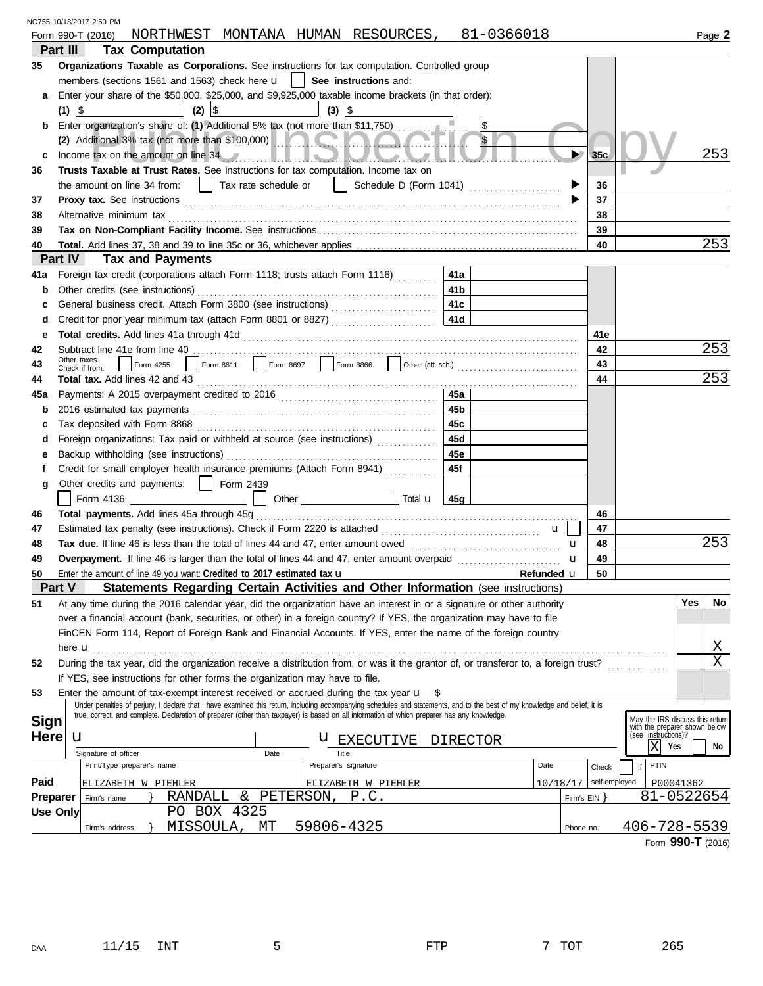| NO755 10/18/2017 2:50 PM |  |
|--------------------------|--|
|                          |  |

|                 |                 |                                |                                                                                  |             |      |                                                             | Form 990-T (2016) NORTHWEST MONTANA HUMAN RESOURCES, 81-0366018                                                                                                                                                                        |             |                         |                              |                   | Page 2                                               |
|-----------------|-----------------|--------------------------------|----------------------------------------------------------------------------------|-------------|------|-------------------------------------------------------------|----------------------------------------------------------------------------------------------------------------------------------------------------------------------------------------------------------------------------------------|-------------|-------------------------|------------------------------|-------------------|------------------------------------------------------|
| Part III        |                 |                                | <b>Tax Computation</b>                                                           |             |      |                                                             |                                                                                                                                                                                                                                        |             |                         |                              |                   |                                                      |
| 35              |                 |                                |                                                                                  |             |      |                                                             | Organizations Taxable as Corporations. See instructions for tax computation. Controlled group                                                                                                                                          |             |                         |                              |                   |                                                      |
|                 |                 |                                | members (sections 1561 and 1563) check here $\mathbf{u}$   See instructions and: |             |      |                                                             |                                                                                                                                                                                                                                        |             |                         |                              |                   |                                                      |
| а               |                 |                                |                                                                                  |             |      |                                                             | Enter your share of the \$50,000, \$25,000, and \$9,925,000 taxable income brackets (in that order):                                                                                                                                   |             |                         |                              |                   |                                                      |
|                 | $(1)$ \$        |                                | $  (2)  $ \$                                                                     |             |      | $\left  \begin{array}{c} (3) \\ (3) \end{array} \right $ \$ |                                                                                                                                                                                                                                        |             |                         |                              |                   |                                                      |
| b               |                 |                                |                                                                                  |             |      |                                                             | Enter organization's share of: (1) Additional 5% tax (not more than \$11,750)                                                                                                                                                          |             | $\sqrt[6]{\frac{1}{2}}$ |                              |                   |                                                      |
|                 |                 |                                |                                                                                  |             |      |                                                             |                                                                                                                                                                                                                                        |             | $\sqrt{3}$              |                              |                   |                                                      |
| c               |                 |                                |                                                                                  |             |      |                                                             | Income tax on the amount on line 34 Manuscript and the contract of the state of the state of the state of the state of the state of the state of the state of the state of the state of the state of the state of the state of         |             |                         | $\blacktriangleright$<br>35c |                   | 253                                                  |
| 36              |                 |                                |                                                                                  |             |      |                                                             | Trusts Taxable at Trust Rates. See instructions for tax computation. Income tax on                                                                                                                                                     |             |                         |                              |                   |                                                      |
|                 |                 |                                |                                                                                  |             |      |                                                             |                                                                                                                                                                                                                                        |             |                         | 36                           |                   |                                                      |
| 37              |                 |                                |                                                                                  |             |      |                                                             |                                                                                                                                                                                                                                        |             |                         | 37                           |                   |                                                      |
| 38              |                 | Alternative minimum tax        |                                                                                  |             |      |                                                             |                                                                                                                                                                                                                                        |             |                         | 38                           |                   |                                                      |
| 39              |                 |                                |                                                                                  |             |      |                                                             |                                                                                                                                                                                                                                        |             |                         | 39                           |                   |                                                      |
| 40              |                 |                                |                                                                                  |             |      |                                                             |                                                                                                                                                                                                                                        |             |                         | 40                           |                   | 253                                                  |
| Part IV         |                 |                                | <b>Tax and Payments</b>                                                          |             |      |                                                             |                                                                                                                                                                                                                                        |             |                         |                              |                   |                                                      |
| 41a             |                 |                                |                                                                                  |             |      |                                                             | Foreign tax credit (corporations attach Form 1118; trusts attach Form 1116)                                                                                                                                                            | 41a         |                         |                              |                   |                                                      |
| b               |                 |                                | Other credits (see instructions)                                                 |             |      |                                                             |                                                                                                                                                                                                                                        | 41 <b>b</b> |                         |                              |                   |                                                      |
| c               |                 |                                |                                                                                  |             |      |                                                             |                                                                                                                                                                                                                                        | 41c         |                         |                              |                   |                                                      |
| d               |                 |                                |                                                                                  |             |      |                                                             | Credit for prior year minimum tax (attach Form 8801 or 8827)                                                                                                                                                                           | 41d         |                         |                              |                   |                                                      |
| е               |                 |                                |                                                                                  |             |      |                                                             |                                                                                                                                                                                                                                        |             |                         | 41e                          |                   |                                                      |
| 42              |                 |                                |                                                                                  |             |      |                                                             |                                                                                                                                                                                                                                        |             |                         | 42                           |                   | 253                                                  |
| 43              |                 | Other taxes.<br>Check if from: |                                                                                  |             |      |                                                             | Form 4255 Form 8611 Form 8697 Service Research Archives Cother (att. sch.)<br>Form 4255 Form 8611 Service Research Archives Cother (att. sch.)                                                                                         |             |                         | 43                           |                   |                                                      |
| 44              |                 |                                |                                                                                  |             |      |                                                             |                                                                                                                                                                                                                                        |             |                         | 44                           |                   | 253                                                  |
| 45a             |                 |                                |                                                                                  |             |      |                                                             |                                                                                                                                                                                                                                        | 45a         |                         |                              |                   |                                                      |
| b               | 45 <sub>b</sub> |                                |                                                                                  |             |      |                                                             |                                                                                                                                                                                                                                        |             |                         |                              |                   |                                                      |
| с               |                 |                                |                                                                                  |             |      |                                                             |                                                                                                                                                                                                                                        | 45с         |                         |                              |                   |                                                      |
| d               |                 |                                |                                                                                  |             |      |                                                             | Foreign organizations: Tax paid or withheld at source (see instructions)                                                                                                                                                               | 45d         |                         |                              |                   |                                                      |
| е               |                 |                                |                                                                                  |             |      |                                                             |                                                                                                                                                                                                                                        | 45e         |                         |                              |                   |                                                      |
| f               |                 |                                |                                                                                  |             |      |                                                             | Credit for small employer health insurance premiums (Attach Form 8941)                                                                                                                                                                 | 45f         |                         |                              |                   |                                                      |
| g               |                 |                                | Other credits and payments:   Form 2439                                          |             |      | <u> 1989 - Johann Barbara, martin basa</u>                  |                                                                                                                                                                                                                                        |             |                         |                              |                   |                                                      |
|                 |                 |                                | Form 4136 ____________________                                                   |             |      |                                                             |                                                                                                                                                                                                                                        |             |                         |                              |                   |                                                      |
| 46              |                 |                                |                                                                                  |             |      |                                                             |                                                                                                                                                                                                                                        |             |                         | 46                           |                   |                                                      |
| 47              |                 |                                |                                                                                  |             |      |                                                             |                                                                                                                                                                                                                                        |             | $\mathbf{u}$            | 47                           |                   |                                                      |
| 48              |                 |                                |                                                                                  |             |      |                                                             |                                                                                                                                                                                                                                        |             |                         | 48<br>$\mathbf u$            |                   | 253                                                  |
| 49              |                 |                                |                                                                                  |             |      |                                                             |                                                                                                                                                                                                                                        |             |                         | 49<br>u                      |                   |                                                      |
| 50              |                 |                                | Enter the amount of line 49 you want: Credited to 2017 estimated tax $\mathbf u$ |             |      |                                                             |                                                                                                                                                                                                                                        |             | Refunded u              | 50                           |                   |                                                      |
| Part V          |                 |                                |                                                                                  |             |      |                                                             | Statements Regarding Certain Activities and Other Information (see instructions)                                                                                                                                                       |             |                         |                              |                   |                                                      |
| 51              |                 |                                |                                                                                  |             |      |                                                             | At any time during the 2016 calendar year, did the organization have an interest in or a signature or other authority                                                                                                                  |             |                         |                              |                   | Yes<br>No                                            |
|                 |                 |                                |                                                                                  |             |      |                                                             | over a financial account (bank, securities, or other) in a foreign country? If YES, the organization may have to file<br>FinCEN Form 114, Report of Foreign Bank and Financial Accounts. If YES, enter the name of the foreign country |             |                         |                              |                   |                                                      |
|                 |                 |                                |                                                                                  |             |      |                                                             |                                                                                                                                                                                                                                        |             |                         |                              |                   | Χ                                                    |
| 52              |                 | here <b>u</b>                  |                                                                                  |             |      |                                                             | During the tax year, did the organization receive a distribution from, or was it the grantor of, or transferor to, a foreign trust?                                                                                                    |             |                         |                              |                   | $\rm X$                                              |
|                 |                 |                                | If YES, see instructions for other forms the organization may have to file.      |             |      |                                                             |                                                                                                                                                                                                                                        |             |                         |                              |                   |                                                      |
| 53              |                 |                                |                                                                                  |             |      |                                                             | Enter the amount of tax-exempt interest received or accrued during the tax year $\mathbf{u}$ \$                                                                                                                                        |             |                         |                              |                   |                                                      |
|                 |                 |                                |                                                                                  |             |      |                                                             | Under penalties of perjury, I declare that I have examined this return, including accompanying schedules and statements, and to the best of my knowledge and belief, it is                                                             |             |                         |                              |                   |                                                      |
| <b>Sign</b>     |                 |                                |                                                                                  |             |      |                                                             | true, correct, and complete. Declaration of preparer (other than taxpayer) is based on all information of which preparer has any knowledge.                                                                                            |             |                         |                              |                   | May the IRS discuss this return                      |
| <b>Here</b>     |                 | u                              |                                                                                  |             |      |                                                             |                                                                                                                                                                                                                                        |             |                         |                              |                   | with the preparer shown below<br>(see instructions)? |
|                 |                 |                                |                                                                                  |             |      | Title                                                       | <b>U</b> EXECUTIVE                                                                                                                                                                                                                     | DIRECTOR    |                         |                              | ΙX<br>Yes         | No                                                   |
|                 |                 | Signature of officer           | Print/Type preparer's name                                                       |             | Date | Preparer's signature                                        |                                                                                                                                                                                                                                        |             | Date                    | Check                        | <b>PTIN</b><br>if |                                                      |
| Paid            |                 |                                | ELIZABETH W PIEHLER                                                              |             |      |                                                             | ELIZABETH W PIEHLER                                                                                                                                                                                                                    |             |                         | 10/18/17                     | self-employed     | P00041362                                            |
| <b>Preparer</b> |                 | Firm's name                    |                                                                                  |             |      | RANDALL & PETERSON, P.C.                                    |                                                                                                                                                                                                                                        |             |                         | Firm's $EIN$ }               |                   | 81-0522654                                           |
| <b>Use Only</b> |                 |                                |                                                                                  | PO BOX 4325 |      |                                                             |                                                                                                                                                                                                                                        |             |                         |                              |                   |                                                      |
|                 |                 | Firm's address                 | MISSOULA,                                                                        |             | MТ   | 59806-4325                                                  |                                                                                                                                                                                                                                        |             |                         | Phone no.                    |                   | 406-728-5539                                         |
|                 |                 |                                |                                                                                  |             |      |                                                             |                                                                                                                                                                                                                                        |             |                         |                              |                   | Form 990-T (2016)                                    |
|                 |                 |                                |                                                                                  |             |      |                                                             |                                                                                                                                                                                                                                        |             |                         |                              |                   |                                                      |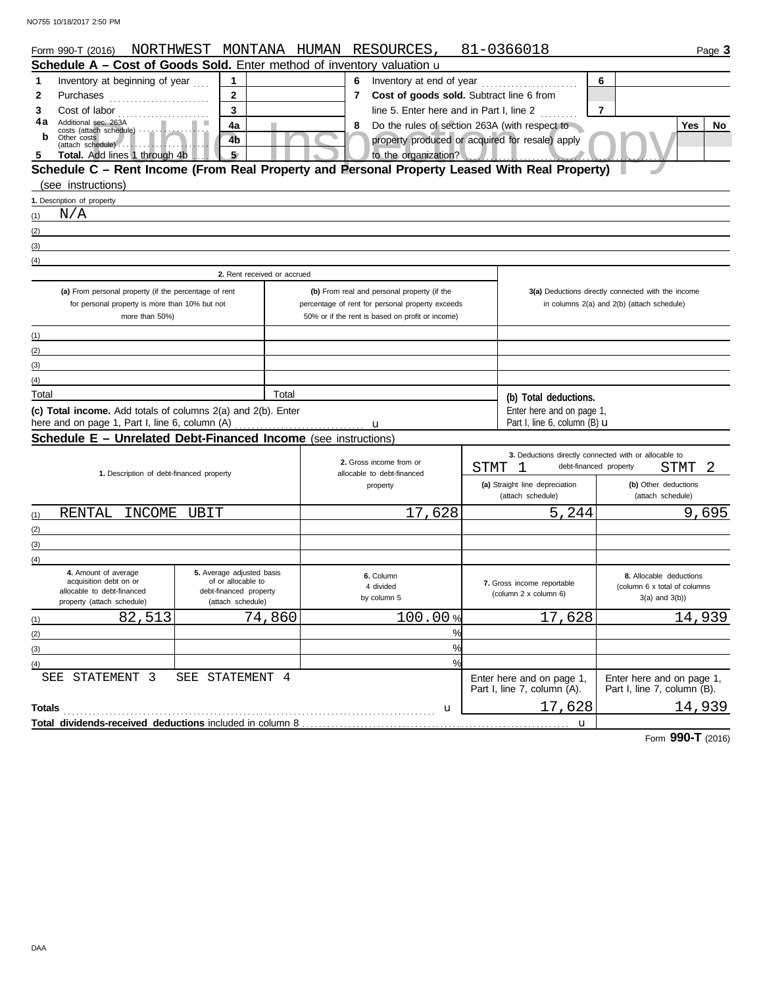| Form 990-T (2016)                                                                             | NORTHWEST MONTANA HUMAN RESOURCES,           |        |                |                                                       |               | 81-0366018                                          | Page 3                                                |
|-----------------------------------------------------------------------------------------------|----------------------------------------------|--------|----------------|-------------------------------------------------------|---------------|-----------------------------------------------------|-------------------------------------------------------|
| Schedule A - Cost of Goods Sold. Enter method of inventory valuation u                        |                                              |        |                |                                                       |               |                                                     |                                                       |
| Inventory at beginning of year<br>1                                                           | 1                                            |        |                | 6 Inventory at end of year                            | 6             |                                                     |                                                       |
| 2<br>Purchases                                                                                | $\mathbf 2$                                  |        | $\overline{7}$ | Cost of goods sold. Subtract line 6 from              |               |                                                     |                                                       |
| 3<br>Cost of labor                                                                            | 3                                            |        |                | line 5. Enter here and in Part I, line 2              |               |                                                     | 7                                                     |
| 4a<br>Additional sec. 263A<br>costs (attach schedule)                                         | 4a                                           |        | 8              |                                                       |               | Do the rules of section 263A (with respect to       | Yes<br><b>No</b>                                      |
| b<br>Other costs                                                                              | 4b                                           |        |                |                                                       |               | property produced or acquired for resale) apply     |                                                       |
| Total. Add lines 1 through 4b.                                                                | 5 <sub>7</sub>                               |        |                | to the organization?                                  |               |                                                     |                                                       |
| Schedule C - Rent Income (From Real Property and Personal Property Leased With Real Property) |                                              |        |                |                                                       |               |                                                     |                                                       |
| (see instructions)                                                                            |                                              |        |                |                                                       |               |                                                     |                                                       |
| 1. Description of property                                                                    |                                              |        |                |                                                       |               |                                                     |                                                       |
| N/A<br>(1)                                                                                    |                                              |        |                |                                                       |               |                                                     |                                                       |
| (2)                                                                                           |                                              |        |                |                                                       |               |                                                     |                                                       |
| (3)                                                                                           |                                              |        |                |                                                       |               |                                                     |                                                       |
| (4)                                                                                           |                                              |        |                |                                                       |               |                                                     |                                                       |
|                                                                                               | 2. Rent received or accrued                  |        |                |                                                       |               |                                                     |                                                       |
| (a) From personal property (if the percentage of rent                                         |                                              |        |                | (b) From real and personal property (if the           |               |                                                     | 3(a) Deductions directly connected with the income    |
| for personal property is more than 10% but not                                                |                                              |        |                | percentage of rent for personal property exceeds      |               |                                                     | in columns 2(a) and 2(b) (attach schedule)            |
| more than 50%)                                                                                |                                              |        |                | 50% or if the rent is based on profit or income)      |               |                                                     |                                                       |
| (1)                                                                                           |                                              |        |                |                                                       |               |                                                     |                                                       |
| (2)                                                                                           |                                              |        |                |                                                       |               |                                                     |                                                       |
| (3)                                                                                           |                                              |        |                |                                                       |               |                                                     |                                                       |
| (4)                                                                                           |                                              |        |                |                                                       |               |                                                     |                                                       |
| Total                                                                                         |                                              | Total  |                |                                                       |               | (b) Total deductions.                               |                                                       |
| (c) Total income. Add totals of columns 2(a) and 2(b). Enter                                  |                                              |        |                |                                                       |               | Enter here and on page 1,                           |                                                       |
| here and on page 1, Part I, line 6, column (A)                                                |                                              |        |                |                                                       |               | Part I, line 6, column (B) $\mathbf u$              |                                                       |
| <b>Schedule E - Unrelated Debt-Financed Income</b> (see instructions)                         |                                              |        |                |                                                       |               |                                                     |                                                       |
|                                                                                               |                                              |        |                |                                                       |               |                                                     | 3. Deductions directly connected with or allocable to |
| 1. Description of debt-financed property                                                      |                                              |        |                | 2. Gross income from or<br>allocable to debt-financed | <b>STMT</b>   | -1                                                  | 2<br>debt-financed property<br>STMT                   |
|                                                                                               |                                              |        |                | property                                              |               | (a) Straight line depreciation                      | (b) Other deductions                                  |
|                                                                                               |                                              |        |                |                                                       |               | (attach schedule)                                   | (attach schedule)                                     |
| RENTAL<br>INCOME<br>(1)                                                                       | UBIT                                         |        |                | 17,628                                                |               | $\overline{5}$ , 244                                | 9,695                                                 |
| (2)                                                                                           |                                              |        |                |                                                       |               |                                                     |                                                       |
| (3)                                                                                           |                                              |        |                |                                                       |               |                                                     |                                                       |
| (4)                                                                                           |                                              |        |                |                                                       |               |                                                     |                                                       |
| 4. Amount of average                                                                          | 5. Average adjusted basis                    |        |                | 6. Column                                             |               |                                                     | 8. Allocable deductions                               |
| acquisition debt on or<br>allocable to debt-financed                                          | of or allocable to<br>debt-financed property |        |                | 4 divided                                             |               | 7. Gross income reportable<br>(column 2 x column 6) | (column 6 x total of columns                          |
| property (attach schedule)                                                                    | (attach schedule)                            |        |                | by column 5                                           |               |                                                     | $3(a)$ and $3(b)$ )                                   |
| 82,513<br>(1)                                                                                 |                                              | 74,860 |                | 100.00%                                               |               | 17,628                                              | 14,939                                                |
| (2)                                                                                           |                                              |        |                |                                                       | %             |                                                     |                                                       |
| (3)                                                                                           |                                              |        |                |                                                       | %             |                                                     |                                                       |
| (4)                                                                                           |                                              |        |                |                                                       | $\frac{0}{0}$ |                                                     |                                                       |
| SEE STATEMENT 3                                                                               | SEE STATEMENT 4                              |        |                |                                                       |               | Enter here and on page 1,                           | Enter here and on page 1,                             |
|                                                                                               |                                              |        |                |                                                       |               | Part I, line 7, column (A).                         | Part I, line 7, column (B).                           |
| <b>Totals</b>                                                                                 |                                              |        |                | u                                                     |               | 17,628                                              | 14,939                                                |
|                                                                                               |                                              |        |                |                                                       |               | $\mathbf{u}$                                        |                                                       |

Form **990-T** (2016)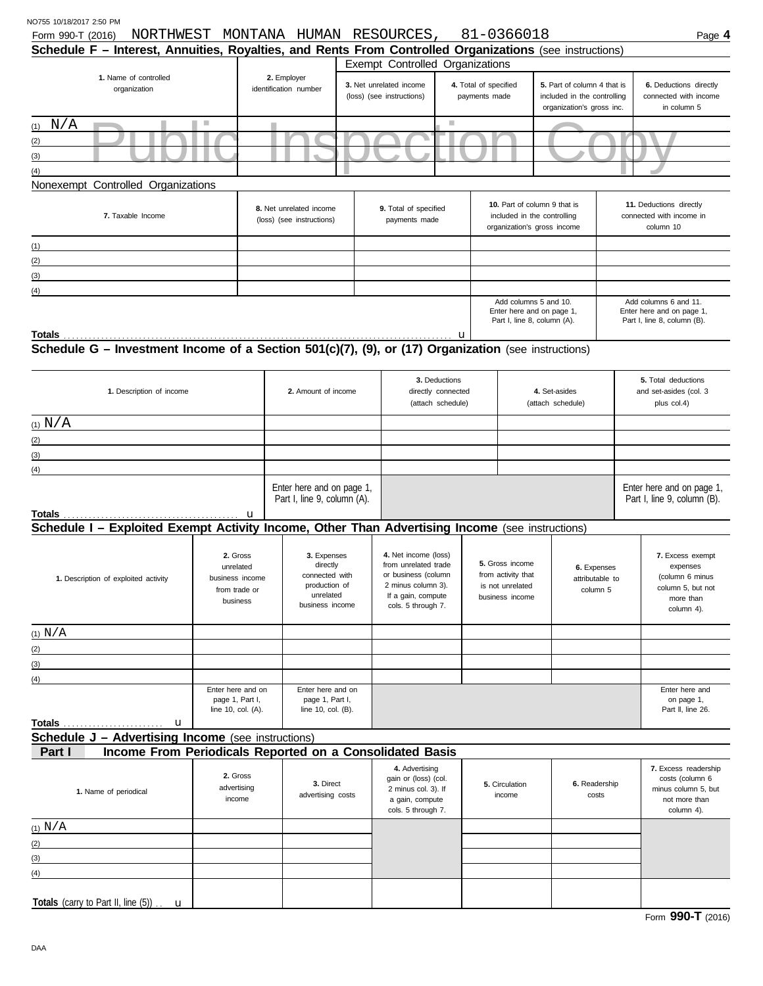| NORTHWEST<br>Form 990-T (2016)<br>Schedule F - Interest, Annuities, Royalties, and Rents From Controlled Organizations (see instructions) |                                                                       |   | MONTANA HUMAN RESOURCES,                                                                   |                                                                                                                                       |                                                                                                                            |                                        | 81-0366018                                                                                      |                                                                                         |                                                                  | Page 4                                                         |
|-------------------------------------------------------------------------------------------------------------------------------------------|-----------------------------------------------------------------------|---|--------------------------------------------------------------------------------------------|---------------------------------------------------------------------------------------------------------------------------------------|----------------------------------------------------------------------------------------------------------------------------|----------------------------------------|-------------------------------------------------------------------------------------------------|-----------------------------------------------------------------------------------------|------------------------------------------------------------------|----------------------------------------------------------------|
|                                                                                                                                           |                                                                       |   |                                                                                            | Exempt Controlled Organizations                                                                                                       |                                                                                                                            |                                        |                                                                                                 |                                                                                         |                                                                  |                                                                |
| 1. Name of controlled<br>organization                                                                                                     |                                                                       |   | 2. Employer<br>identification number                                                       | 3. Net unrelated income<br>(loss) (see instructions)                                                                                  |                                                                                                                            | 4. Total of specified<br>payments made |                                                                                                 | 5. Part of column 4 that is<br>included in the controlling<br>organization's gross inc. |                                                                  | 6. Deductions directly<br>connected with income<br>in column 5 |
| $(1)$ N/A                                                                                                                                 | n a                                                                   |   |                                                                                            |                                                                                                                                       | $\mathcal{L}_{\mathcal{A}}$                                                                                                |                                        |                                                                                                 |                                                                                         |                                                                  |                                                                |
| (2)                                                                                                                                       |                                                                       |   |                                                                                            |                                                                                                                                       |                                                                                                                            |                                        |                                                                                                 |                                                                                         |                                                                  |                                                                |
| (3)<br>(4)                                                                                                                                |                                                                       |   |                                                                                            |                                                                                                                                       |                                                                                                                            |                                        |                                                                                                 |                                                                                         |                                                                  |                                                                |
| Nonexempt Controlled Organizations                                                                                                        |                                                                       |   |                                                                                            |                                                                                                                                       |                                                                                                                            |                                        |                                                                                                 |                                                                                         |                                                                  |                                                                |
| 7. Taxable Income                                                                                                                         |                                                                       |   | 8. Net unrelated income<br>(loss) (see instructions)                                       | 9. Total of specified<br>payments made                                                                                                |                                                                                                                            |                                        | 10. Part of column 9 that is<br>included in the controlling<br>organization's gross income      |                                                                                         | 11. Deductions directly<br>connected with income in<br>column 10 |                                                                |
| (1)                                                                                                                                       |                                                                       |   |                                                                                            |                                                                                                                                       |                                                                                                                            |                                        |                                                                                                 |                                                                                         |                                                                  |                                                                |
| (2)                                                                                                                                       |                                                                       |   |                                                                                            |                                                                                                                                       |                                                                                                                            |                                        |                                                                                                 |                                                                                         |                                                                  |                                                                |
| (3)                                                                                                                                       |                                                                       |   |                                                                                            |                                                                                                                                       |                                                                                                                            |                                        |                                                                                                 |                                                                                         |                                                                  |                                                                |
| (4)                                                                                                                                       |                                                                       |   |                                                                                            |                                                                                                                                       |                                                                                                                            |                                        | Add columns 5 and 10.                                                                           |                                                                                         |                                                                  | Add columns 6 and 11.                                          |
|                                                                                                                                           |                                                                       |   |                                                                                            |                                                                                                                                       |                                                                                                                            |                                        | Enter here and on page 1,<br>Part I, line 8, column (A).                                        |                                                                                         |                                                                  | Enter here and on page 1,<br>Part I, line 8, column (B).       |
| Totals                                                                                                                                    |                                                                       |   |                                                                                            |                                                                                                                                       |                                                                                                                            | u                                      |                                                                                                 |                                                                                         |                                                                  |                                                                |
| Schedule G - Investment Income of a Section 501(c)(7), (9), or (17) Organization (see instructions)                                       |                                                                       |   |                                                                                            |                                                                                                                                       |                                                                                                                            |                                        |                                                                                                 |                                                                                         |                                                                  |                                                                |
| 1. Description of income                                                                                                                  |                                                                       |   | 2. Amount of income                                                                        |                                                                                                                                       | 3. Deductions<br>directly connected<br>(attach schedule)                                                                   |                                        |                                                                                                 | 4. Set-asides<br>(attach schedule)                                                      |                                                                  | 5. Total deductions<br>and set-asides (col. 3<br>plus col.4)   |
| $(1)$ $N/A$                                                                                                                               |                                                                       |   |                                                                                            |                                                                                                                                       |                                                                                                                            |                                        |                                                                                                 |                                                                                         |                                                                  |                                                                |
| (2)                                                                                                                                       |                                                                       |   |                                                                                            |                                                                                                                                       |                                                                                                                            |                                        |                                                                                                 |                                                                                         |                                                                  |                                                                |
| (3)                                                                                                                                       |                                                                       |   |                                                                                            |                                                                                                                                       |                                                                                                                            |                                        |                                                                                                 |                                                                                         |                                                                  |                                                                |
| (4)                                                                                                                                       |                                                                       |   |                                                                                            |                                                                                                                                       |                                                                                                                            |                                        |                                                                                                 |                                                                                         |                                                                  |                                                                |
| Totals                                                                                                                                    |                                                                       | u | Enter here and on page 1,<br>Part I, line 9, column (A).                                   |                                                                                                                                       |                                                                                                                            |                                        |                                                                                                 |                                                                                         |                                                                  | Enter here and on page 1,<br>Part I, line 9, column (B).       |
| Schedule I - Exploited Exempt Activity Income, Other Than Advertising Income (see instructions)                                           |                                                                       |   |                                                                                            |                                                                                                                                       |                                                                                                                            |                                        |                                                                                                 |                                                                                         |                                                                  |                                                                |
| 1. Description of exploited activity                                                                                                      | 2. Gross<br>unrelated<br>business income<br>from trade or<br>business |   | 3. Expenses<br>directly<br>connected with<br>production of<br>unrelated<br>business income | 4. Net income (loss)<br>from unrelated trade<br>or business (column<br>2 minus column 3).<br>If a gain, compute<br>cols. 5 through 7. | 5. Gross income<br>6. Expenses<br>from activity that<br>attributable to<br>is not unrelated<br>column 5<br>business income |                                        | 7. Excess exempt<br>expenses<br>(column 6 minus<br>column 5, but not<br>more than<br>column 4). |                                                                                         |                                                                  |                                                                |
| (1) N/A                                                                                                                                   |                                                                       |   |                                                                                            |                                                                                                                                       |                                                                                                                            |                                        |                                                                                                 |                                                                                         |                                                                  |                                                                |
| (2)                                                                                                                                       |                                                                       |   |                                                                                            |                                                                                                                                       |                                                                                                                            |                                        |                                                                                                 |                                                                                         |                                                                  |                                                                |
| (3)                                                                                                                                       |                                                                       |   |                                                                                            |                                                                                                                                       |                                                                                                                            |                                        |                                                                                                 |                                                                                         |                                                                  |                                                                |
| (4)                                                                                                                                       |                                                                       |   |                                                                                            |                                                                                                                                       |                                                                                                                            |                                        |                                                                                                 |                                                                                         |                                                                  |                                                                |
|                                                                                                                                           | Enter here and on<br>page 1, Part I,<br>line 10, col. (A).            |   | Enter here and on<br>page 1, Part I,<br>line 10, col. (B).                                 |                                                                                                                                       |                                                                                                                            |                                        |                                                                                                 |                                                                                         |                                                                  | Enter here and<br>on page 1,<br>Part II, line 26.              |
| <b>Totals</b><br>u                                                                                                                        |                                                                       |   |                                                                                            |                                                                                                                                       |                                                                                                                            |                                        |                                                                                                 |                                                                                         |                                                                  |                                                                |
| <b>Schedule J - Advertising Income</b> (see instructions)                                                                                 |                                                                       |   |                                                                                            |                                                                                                                                       |                                                                                                                            |                                        |                                                                                                 |                                                                                         |                                                                  |                                                                |
| Income From Periodicals Reported on a Consolidated Basis<br>Part I                                                                        |                                                                       |   |                                                                                            |                                                                                                                                       |                                                                                                                            |                                        |                                                                                                 |                                                                                         |                                                                  |                                                                |
|                                                                                                                                           |                                                                       |   |                                                                                            | 4. Advertising                                                                                                                        |                                                                                                                            |                                        |                                                                                                 |                                                                                         |                                                                  | 7. Excess readership                                           |

| 1. Name of periodical                                    | 2. Gross<br>advertising<br>income | 3. Direct<br>advertising costs | 4. Advertising<br>gain or (loss) (col.<br>2 minus col. 3). If<br>a gain, compute<br>cols. 5 through 7. | 5. Circulation<br>income | 6. Readership<br>costs | 7. Excess readership<br>costs (column 6<br>minus column 5, but<br>not more than<br>column 4). |
|----------------------------------------------------------|-----------------------------------|--------------------------------|--------------------------------------------------------------------------------------------------------|--------------------------|------------------------|-----------------------------------------------------------------------------------------------|
| $(1)$ $N/A$                                              |                                   |                                |                                                                                                        |                          |                        |                                                                                               |
| (2)                                                      |                                   |                                |                                                                                                        |                          |                        |                                                                                               |
| (3)                                                      |                                   |                                |                                                                                                        |                          |                        |                                                                                               |
| (4)                                                      |                                   |                                |                                                                                                        |                          |                        |                                                                                               |
|                                                          |                                   |                                |                                                                                                        |                          |                        |                                                                                               |
| Totals (carry to Part II, line $(5)$ ) $\ldots$ <b>u</b> |                                   |                                |                                                                                                        |                          |                        |                                                                                               |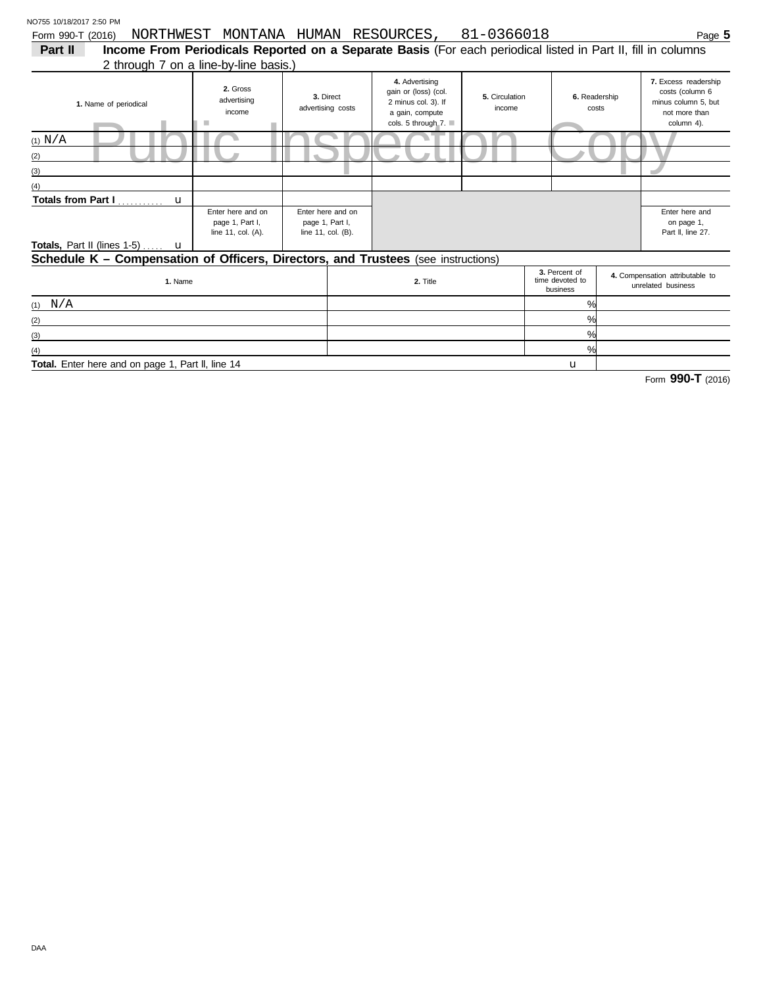Form 990-T (2016) NORTHWEST MONTANA HUMAN RESOURCES, 81-0366018 Page 5

| Part II<br>Income From Periodicals Reported on a Separate Basis (For each periodical listed in Part II, fill in columns | 2 through 7 on a line-by-line basis.)                      |                                       |                   |                                                                                                        |                          |                                              |  |                                                                                               |
|-------------------------------------------------------------------------------------------------------------------------|------------------------------------------------------------|---------------------------------------|-------------------|--------------------------------------------------------------------------------------------------------|--------------------------|----------------------------------------------|--|-----------------------------------------------------------------------------------------------|
| 1. Name of periodical                                                                                                   | 2. Gross<br>advertising<br>income                          | 3. Direct                             | advertising costs | 4. Advertising<br>gain or (loss) (col.<br>2 minus col. 3). If<br>a gain, compute<br>cols. 5 through 7. | 5. Circulation<br>income | 6. Readership<br>costs                       |  | 7. Excess readership<br>costs (column 6<br>minus column 5, but<br>not more than<br>column 4). |
| (1) N/A                                                                                                                 |                                                            |                                       |                   |                                                                                                        |                          |                                              |  |                                                                                               |
| (2)                                                                                                                     |                                                            |                                       |                   |                                                                                                        |                          |                                              |  |                                                                                               |
| (3)                                                                                                                     |                                                            |                                       |                   |                                                                                                        |                          |                                              |  |                                                                                               |
| (4)                                                                                                                     |                                                            |                                       |                   |                                                                                                        |                          |                                              |  |                                                                                               |
| Totals from Part I.<br>$\mathbf{u}$                                                                                     |                                                            |                                       |                   |                                                                                                        |                          |                                              |  |                                                                                               |
|                                                                                                                         | Enter here and on<br>page 1, Part I,<br>line 11, col. (A). | page 1, Part I,<br>line 11, col. (B). | Enter here and on |                                                                                                        |                          |                                              |  | Enter here and<br>on page 1,<br>Part II, line 27.                                             |
| <b>Totals, Part II (lines 1-5)</b> $\ldots$ <b>u</b>                                                                    |                                                            |                                       |                   |                                                                                                        |                          |                                              |  |                                                                                               |
| <b>Schedule K - Compensation of Officers, Directors, and Trustees</b> (see instructions)                                |                                                            |                                       |                   |                                                                                                        |                          |                                              |  |                                                                                               |
| 1. Name                                                                                                                 |                                                            |                                       |                   | 2. Title                                                                                               |                          | 3. Percent of<br>time devoted to<br>business |  | 4. Compensation attributable to<br>unrelated business                                         |
| N/A<br>(1)                                                                                                              |                                                            |                                       |                   |                                                                                                        | %                        |                                              |  |                                                                                               |
| (2)                                                                                                                     |                                                            |                                       |                   |                                                                                                        | %                        |                                              |  |                                                                                               |
| (3)                                                                                                                     |                                                            |                                       |                   |                                                                                                        |                          | %                                            |  |                                                                                               |
| (4)                                                                                                                     |                                                            |                                       |                   |                                                                                                        |                          | %                                            |  |                                                                                               |

**Total.** Enter here and on page 1, Part ll, line 14

 $(4)$ 

Form **990-T** (2016)

u